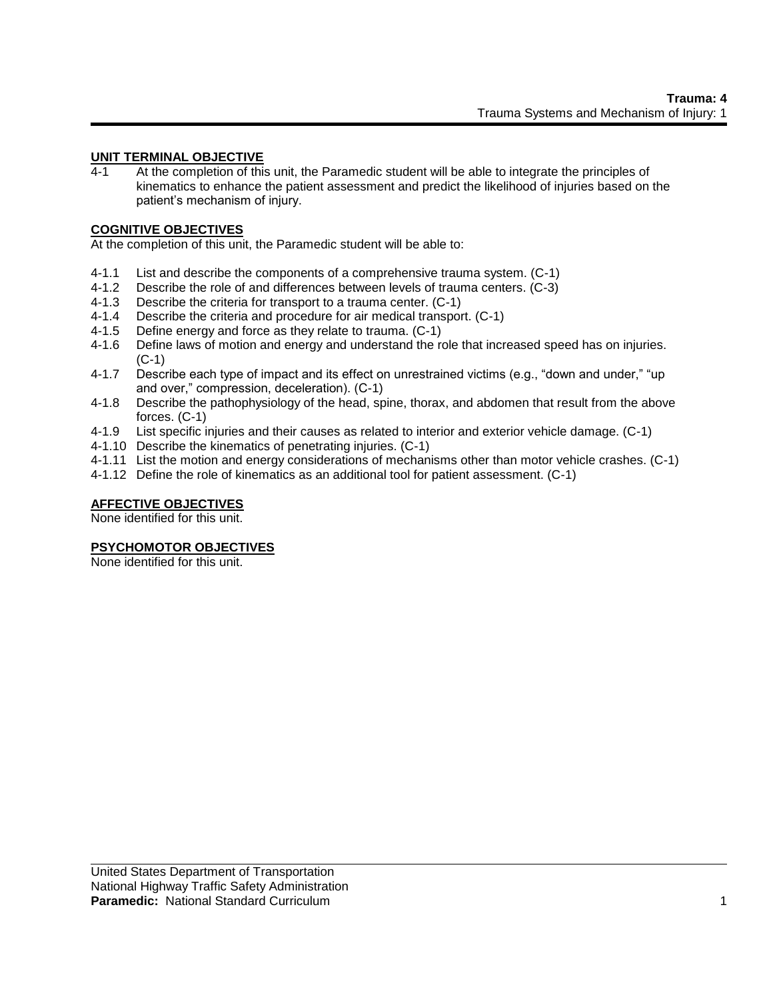### **UNIT TERMINAL OBJECTIVE**

4-1 At the completion of this unit, the Paramedic student will be able to integrate the principles of kinematics to enhance the patient assessment and predict the likelihood of injuries based on the patient's mechanism of injury.

# **COGNITIVE OBJECTIVES**

At the completion of this unit, the Paramedic student will be able to:

- 4-1.1 List and describe the components of a comprehensive trauma system. (C-1)
- 4-1.2 Describe the role of and differences between levels of trauma centers. (C-3)
- 4-1.3 Describe the criteria for transport to a trauma center. (C-1)
- 4-1.4 Describe the criteria and procedure for air medical transport. (C-1)
- 4-1.5 Define energy and force as they relate to trauma. (C-1)
- 4-1.6 Define laws of motion and energy and understand the role that increased speed has on injuries. (C-1)
- 4-1.7 Describe each type of impact and its effect on unrestrained victims (e.g., "down and under," "up and over," compression, deceleration). (C-1)
- 4-1.8 Describe the pathophysiology of the head, spine, thorax, and abdomen that result from the above forces. (C-1)
- 4-1.9 List specific injuries and their causes as related to interior and exterior vehicle damage. (C-1)
- 4-1.10 Describe the kinematics of penetrating injuries. (C-1)
- 4-1.11 List the motion and energy considerations of mechanisms other than motor vehicle crashes. (C-1)
- 4-1.12 Define the role of kinematics as an additional tool for patient assessment. (C-1)

# **AFFECTIVE OBJECTIVES**

None identified for this unit.

#### **PSYCHOMOTOR OBJECTIVES**

None identified for this unit.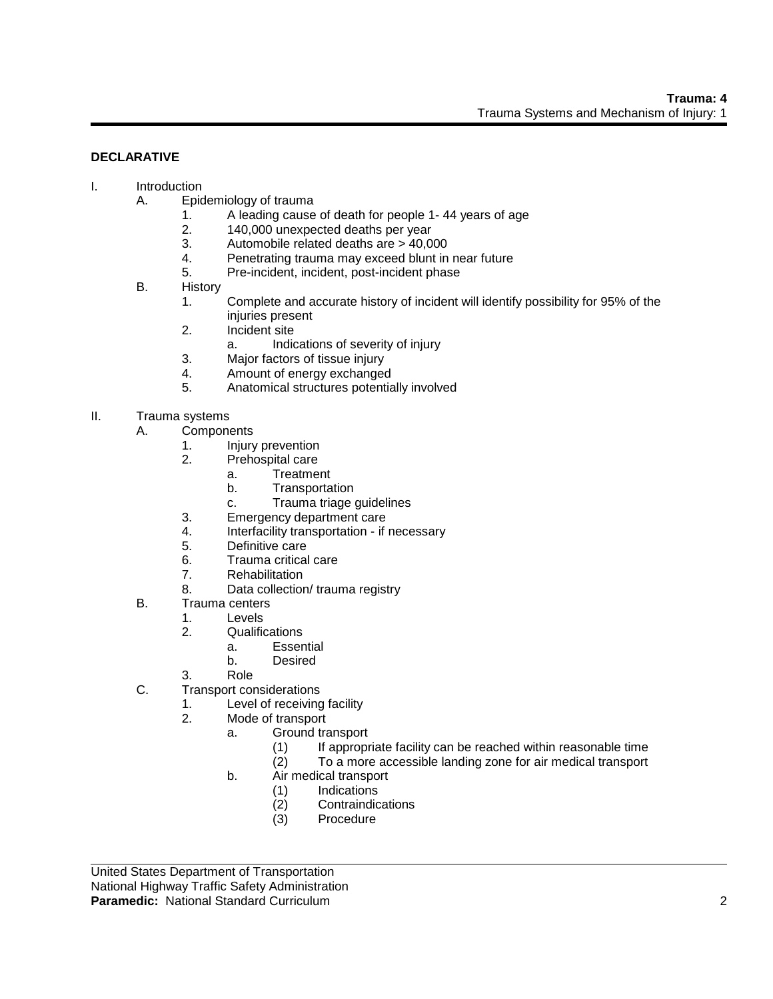### **DECLARATIVE**

#### I. Introduction

- A. Epidemiology of trauma<br>1. A leading cause
	- 1. A leading cause of death for people 1- 44 years of age
	- 2. 140,000 unexpected deaths per year
	- 3. Automobile related deaths are > 40,000
	- 4. Penetrating trauma may exceed blunt in near future
	- 5. Pre-incident, incident, post-incident phase
	- B. History
		- 1. Complete and accurate history of incident will identify possibility for 95% of the injuries present
		- 2. Incident site
			- a. Indications of severity of injury
		- 3. Major factors of tissue injury
		- 4. Amount of energy exchanged
		- 5. Anatomical structures potentially involved

# II. Trauma systems

- A. Components
	- 1. Injury prevention
	- 2. Prehospital care
		- a. Treatment
		- b. Transportation
		- c. Trauma triage guidelines
	- 3. Emergency department care
	- 4. Interfacility transportation if necessary
	- 5. Definitive care
	- 6. Trauma critical care
	- 7. Rehabilitation
	- 8. Data collection/ trauma registry
- B. Trauma centers
	- 1. Levels
		- 2. Qualifications
			- a. Essential
			- b. Desired
		- 3. Role
- C. Transport considerations
	- 1. Level of receiving facility
		- 2. Mode of transport
			- a. Ground transport
				- (1) If appropriate facility can be reached within reasonable time
				- (2) To a more accessible landing zone for air medical transport
				- b. Air medical transport
					- (1) Indications<br>(2) Contraindic
					- **Contraindications**
					- (3) Procedure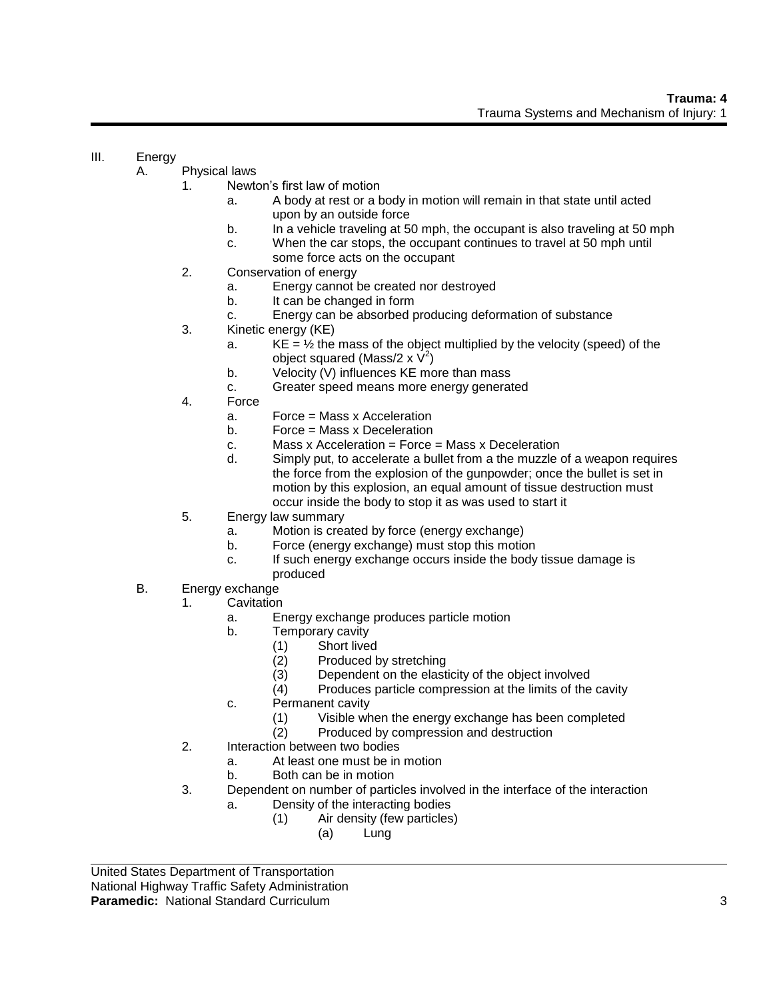# III. Energy

- A. Physical laws
	- 1. Newton's first law of motion
		- a. A body at rest or a body in motion will remain in that state until acted upon by an outside force
		- b. In a vehicle traveling at 50 mph, the occupant is also traveling at 50 mph
		- c. When the car stops, the occupant continues to travel at 50 mph until some force acts on the occupant
	- 2. Conservation of energy
		- a. Energy cannot be created nor destroyed
		- b. It can be changed in form
		- c. Energy can be absorbed producing deformation of substance
	- 3. Kinetic energy (KE)
		- a.  $KE = \frac{1}{2}$  the mass of the object multiplied by the velocity (speed) of the object squared (Mass/2 x  $\dot{\mathsf{V}}^2$ )
		- b. Velocity (V) influences KE more than mass
		- c. Greater speed means more energy generated
	- 4. Force
		- a. Force = Mass x Acceleration
		- b. Force = Mass x Deceleration
		- c. Mass x Acceleration = Force = Mass x Deceleration
		- d. Simply put, to accelerate a bullet from a the muzzle of a weapon requires the force from the explosion of the gunpowder; once the bullet is set in motion by this explosion, an equal amount of tissue destruction must occur inside the body to stop it as was used to start it
	- 5. Energy law summary
		- a. Motion is created by force (energy exchange)
		- b. Force (energy exchange) must stop this motion
		- c. If such energy exchange occurs inside the body tissue damage is produced
- B. Energy exchange
	- 1. Cavitation
		- a. Energy exchange produces particle motion
		- b. Temporary cavity
			- (1) Short lived
			- (2) Produced by stretching
			- (3) Dependent on the elasticity of the object involved
			- (4) Produces particle compression at the limits of the cavity
		- c. Permanent cavity
			- (1) Visible when the energy exchange has been completed
			- (2) Produced by compression and destruction
	- 2. Interaction between two bodies
		- a. At least one must be in motion
			- b. Both can be in motion
	- 3. Dependent on number of particles involved in the interface of the interaction
		- a. Density of the interacting bodies
			- (1) Air density (few particles)
				- (a) Lung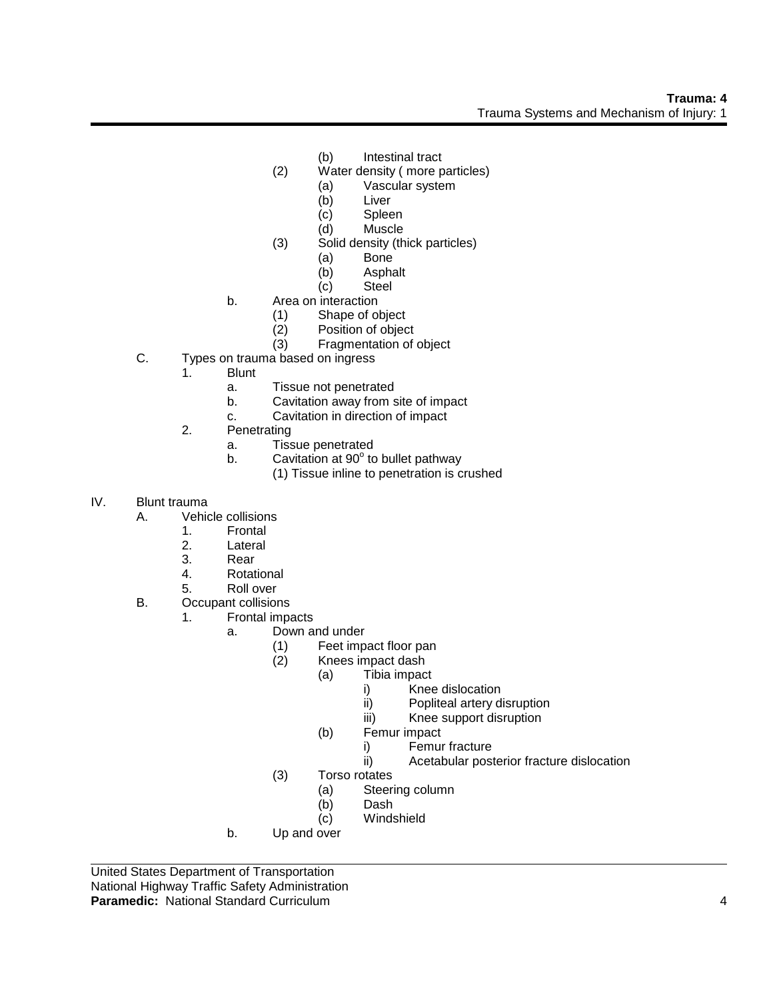- (b) Intestinal tract
- (2) Water density ( more particles)
	- (a) Vascular system
	- (b) Liver
	- (c) Spleen
	- (d) Muscle
- (3) Solid density (thick particles)
	- (a) Bone<br>(b) Aspha
	- Asphalt
	- (c) Steel
- b. Area on interaction
	- (1) Shape of object
	- (2) Position of object
	- (3) Fragmentation of object
- C. Types on trauma based on ingress
	- 1. Blunt
		- a. Tissue not penetrated
		- b. Cavitation away from site of impact
		- c. Cavitation in direction of impact
	- 2. Penetrating
		- a. Tissue penetrated
		- b. Cavitation at  $90^{\circ}$  to bullet pathway
			- (1) Tissue inline to penetration is crushed
- IV. Blunt trauma
	- A. Vehicle collisions
		- 1. Frontal
		- 2. Lateral
		- 3. Rear
		- 4. Rotational
		- 5. Roll over
	- B. Occupant collisions
		- 1. Frontal impacts
			- a. Down and under
				- (1) Feet impact floor pan
				- (2) Knees impact dash
					- (a) Tibia impact
						- i) Knee dislocation
						- ii) Popliteal artery disruption
						- iii) Knee support disruption
					- (b) Femur impact
						- i) Femur fracture
						- ii) Acetabular posterior fracture dislocation
				- (3) Torso rotates
					- (a) Steering column
					- (b) Dash
				- (c) Windshield
			- b. Up and over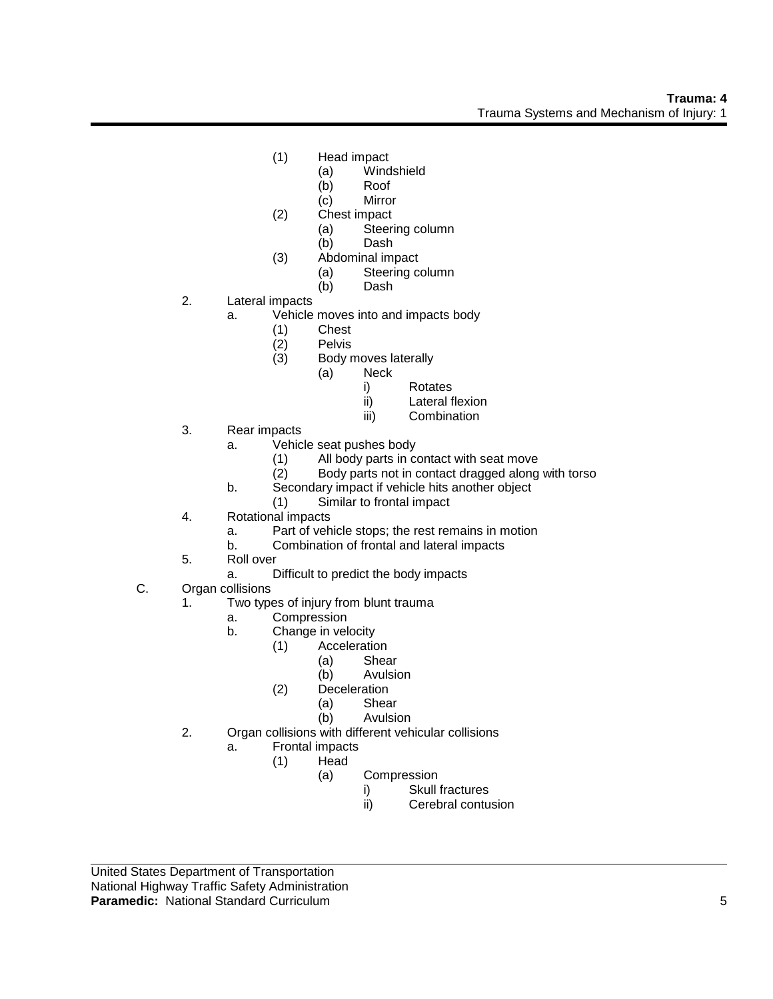- (1) Head impact
	- (a) Windshield
	- (b) Roof
	- (c) Mirror
- (2) Chest impact
	- (a) Steering column
	- (b) Dash
- (3) Abdominal impact
	- (a) Steering column
	- (b) Dash
- 2. Lateral impacts
	- a. Vehicle moves into and impacts body
		- (1) Chest
		- (2) Pelvis
		- Body moves laterally
			- (a) Neck
				- i) Rotates
				- ii) Lateral flexion
				- iii) Combination
- 3. Rear impacts
	- a. Vehicle seat pushes body
		- (1) All body parts in contact with seat move
		- (2) Body parts not in contact dragged along with torso
	- b. Secondary impact if vehicle hits another object
		- (1) Similar to frontal impact
- 4. Rotational impacts
	- a. Part of vehicle stops; the rest remains in motion
	- b. Combination of frontal and lateral impacts
- 5. Roll over
	- a. Difficult to predict the body impacts
- C. Organ collisions
	- 1. Two types of injury from blunt trauma
		- a. Compression
		- b. Change in velocity
			- (1) Acceleration
				- (a) Shear
					- (b) Avulsion
			- (2) Deceleration
				- (a) Shear
					- (b) Avulsion
	- 2. Organ collisions with different vehicular collisions
		- a. Frontal impacts
			- (1) Head
				- (a) Compression
					- i) Skull fractures
						- ii) Cerebral contusion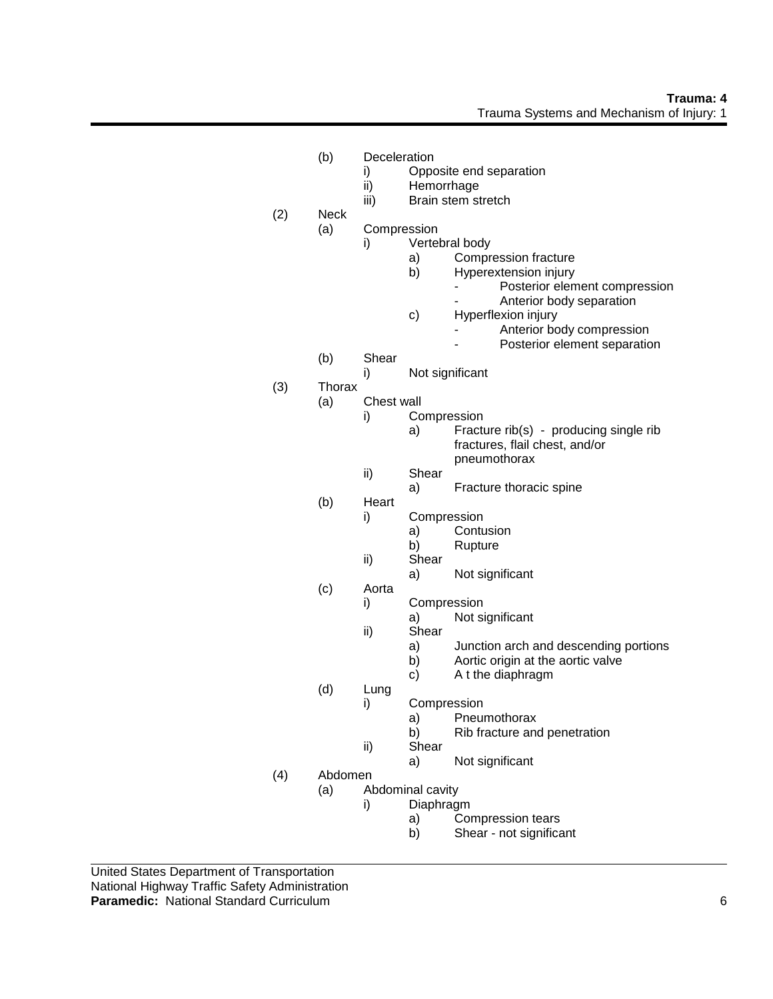- (b) Deceleration
	- i) Opposite end separation
	- ii) Hemorrhage
	- iii) Brain stem stretch
- (2) Neck
	- (a) Compression
		- i) Vertebral body
			- a) Compression fracture<br>b) Hyperextension injury
			- b) Hyperextension injury
				- Posterior element compression
				- Anterior body separation
			- c) Hyperflexion injury
				- Anterior body compression
					- Posterior element separation
	- (b) Shear
		- i) Not significant
- (3) Thorax
	- (a) Chest wall
		- i) Compression
			- a) Fracture rib(s) producing single rib fractures, flail chest, and/or pneumothorax
		- ii) Shear
			- a) Fracture thoracic spine
		- (b) Heart
			- i) Compression
				- a) Contusion
				- b) Rupture
			- ii) Shear
				- a) Not significant
		- (c) Aorta
			- i) Compression
				- a) Not significant
				- ii) Shear
					- a) Junction arch and descending portions
					- b) Aortic origin at the aortic valve
					- c) A t the diaphragm
	- (d) Lung
		- i) Compression
			- a) Pneumothorax
			- b) Rib fracture and penetration
		- ii) Shear
			- a) Not significant
- (4) Abdomen
	- (a) Abdominal cavity
		- i) Diaphragm
			- a) Compression tears
			- b) Shear not significant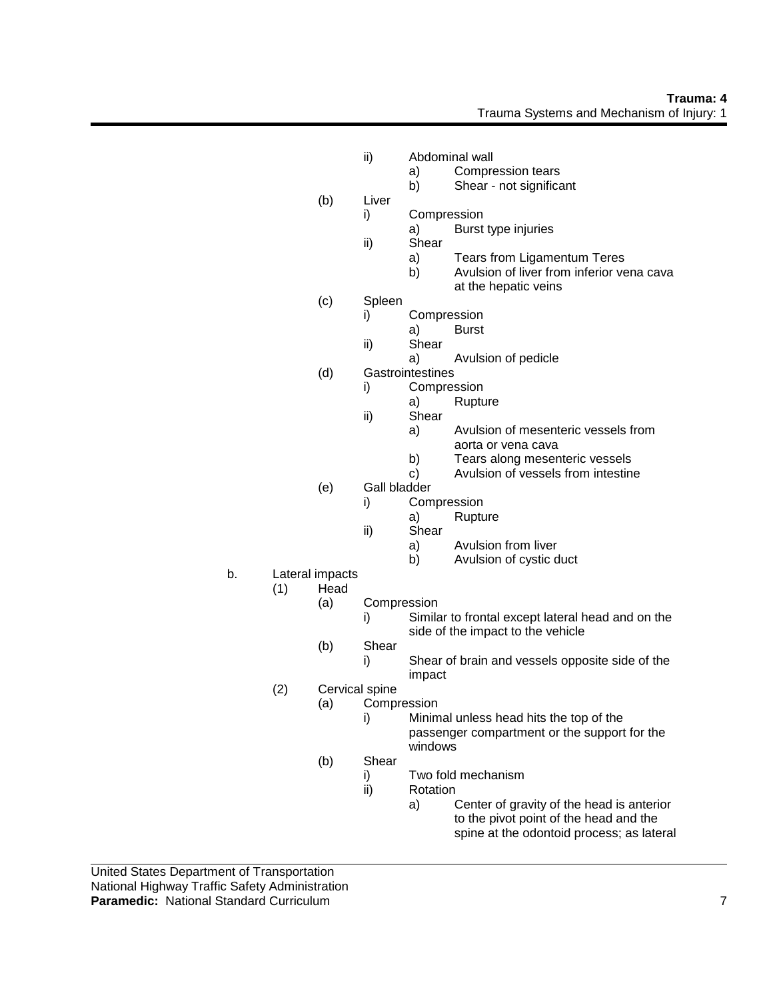### **Trauma: 4** Trauma Systems and Mechanism of Injury: 1

- ii) Abdominal wall
	- a) Compression tears
	- b) Shear not significant
- (b) Liver
	- i) Compression
		- a) Burst type injuries
	- ii) Shear
		- a) Tears from Ligamentum Teres<br>b) Avulsion of liver from inferior ve
		- Avulsion of liver from inferior vena cava at the hepatic veins
- (c) Spleen
	- i) Compression
		- a) Burst
	- ii) Shear
		- a) Avulsion of pedicle
- (d) Gastrointestines
	- i) Compression
		- a) Rupture
	- ii) Shear
		- a) Avulsion of mesenteric vessels from aorta or vena cava
		- b) Tears along mesenteric vessels
		- c) Avulsion of vessels from intestine
- (e) Gall bladder
	- i) Compression
		- a) Rupture
	- ii) Shear
		- a) Avulsion from liver
		- b) Avulsion of cystic duct
- b. Lateral impacts
	- (1) Head
		- (a) Compression
			- i) Similar to frontal except lateral head and on the side of the impact to the vehicle
		- (b) Shear
			- i) Shear of brain and vessels opposite side of the impact
	- (2) Cervical spine
		- (a) Compression
			- i) Minimal unless head hits the top of the passenger compartment or the support for the windows
		- (b) Shear
			- i) Two fold mechanism
			- ii) Rotation
				- a) Center of gravity of the head is anterior to the pivot point of the head and the spine at the odontoid process; as lateral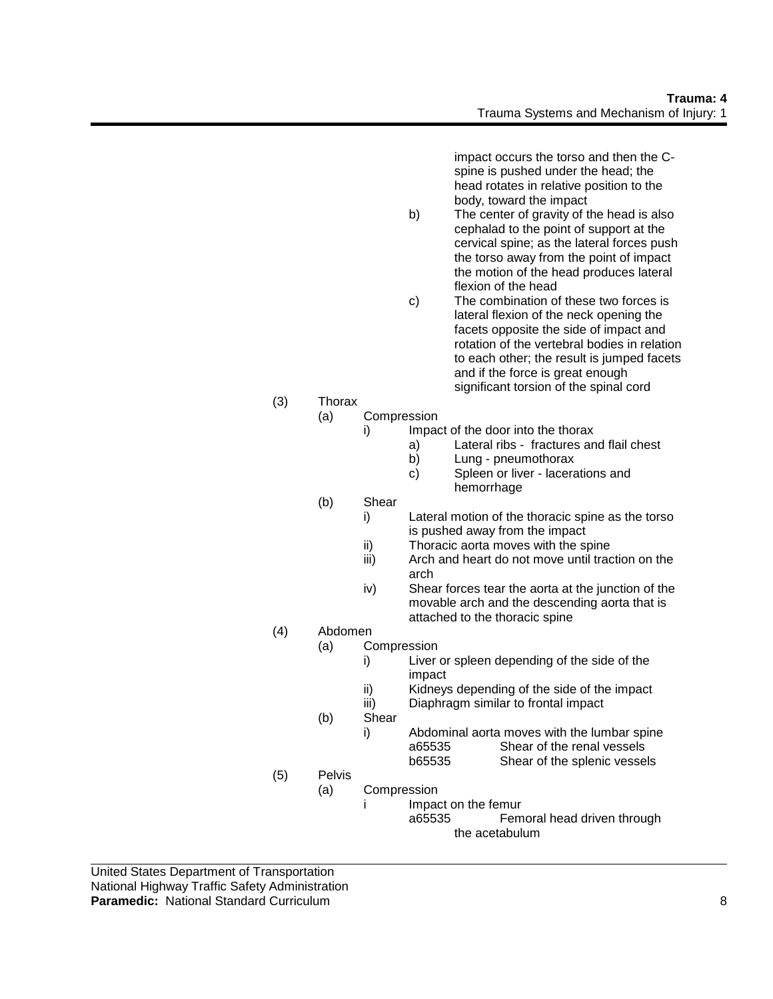impact occurs the torso and then the Cspine is pushed under the head; the head rotates in relative position to the body, toward the impact

- b) The center of gravity of the head is also cephalad to the point of support at the cervical spine; as the lateral forces push the torso away from the point of impact the motion of the head produces lateral flexion of the head
- c) The combination of these two forces is lateral flexion of the neck opening the facets opposite the side of impact and rotation of the vertebral bodies in relation to each other; the result is jumped facets and if the force is great enough significant torsion of the spinal cord
- (3) Thorax
	- (a) Compression
		- i) Impact of the door into the thorax
			- a) Lateral ribs fractures and flail chest
			- b) Lung pneumothorax
			- c) Spleen or liver lacerations and hemorrhage
	- (b) Shear
		- i) Lateral motion of the thoracic spine as the torso is pushed away from the impact
		- ii) Thoracic aorta moves with the spine
		- iii) Arch and heart do not move until traction on the arch
		- iv) Shear forces tear the aorta at the junction of the movable arch and the descending aorta that is attached to the thoracic spine
- (4) Abdomen
	- (a) Compression
		- i) Liver or spleen depending of the side of the impact
		- ii) Kidneys depending of the side of the impact
		- iii) Diaphragm similar to frontal impact
	- (b) Shear
		- i) Abdominal aorta moves with the lumbar spine a65535 Shear of the renal vessels b65535 Shear of the splenic vessels
- (5) Pelvis
	- (a) Compression
		- i Impact on the femur
			- a65535 Femoral head driven through the acetabulum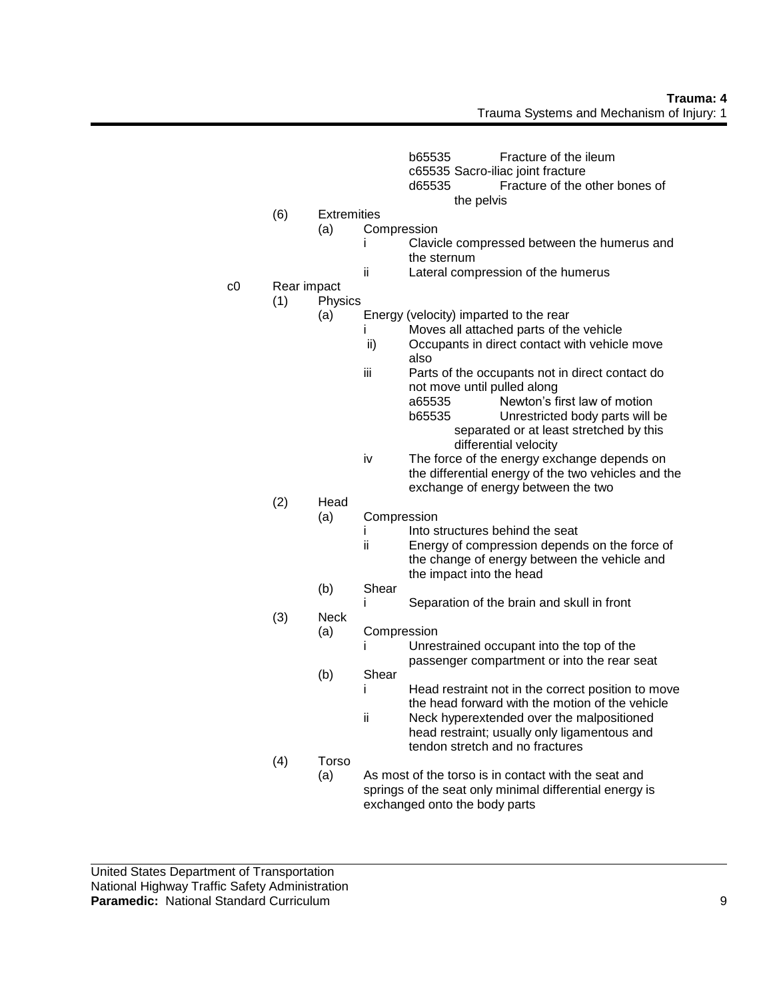- b65535 Fracture of the ileum
- c65535 Sacro-iliac joint fracture
- d65535 Fracture of the other bones of
	- the pelvis
- (6) Extremities
	- (a) Compression
		- i Clavicle compressed between the humerus and the sternum
		- ii Lateral compression of the humerus
- c0 Rear impact

# (1) Physics

- (a) Energy (velocity) imparted to the rear
	- i Moves all attached parts of the vehicle
		- ii) Occupants in direct contact with vehicle move also
	- iii Parts of the occupants not in direct contact do not move until pulled along a65535 Newton's first law of motion
		- b65535 Unrestricted body parts will be separated or at least stretched by this differential velocity
	- iv The force of the energy exchange depends on the differential energy of the two vehicles and the exchange of energy between the two

# (2) Head

- (a) Compression
	- i lnto structures behind the seat
	- ii Energy of compression depends on the force of the change of energy between the vehicle and the impact into the head
- (b) Shear
	- i Separation of the brain and skull in front
- (3) Neck
	- (a) Compression

i Unrestrained occupant into the top of the passenger compartment or into the rear seat

- (b) Shear i Head restraint not in the correct position to move
	- the head forward with the motion of the vehicle ii Neck hyperextended over the malpositioned head restraint; usually only ligamentous and
	- tendon stretch and no fractures
- (4) Torso (a) As most of the torso is in contact with the seat and springs of the seat only minimal differential energy is exchanged onto the body parts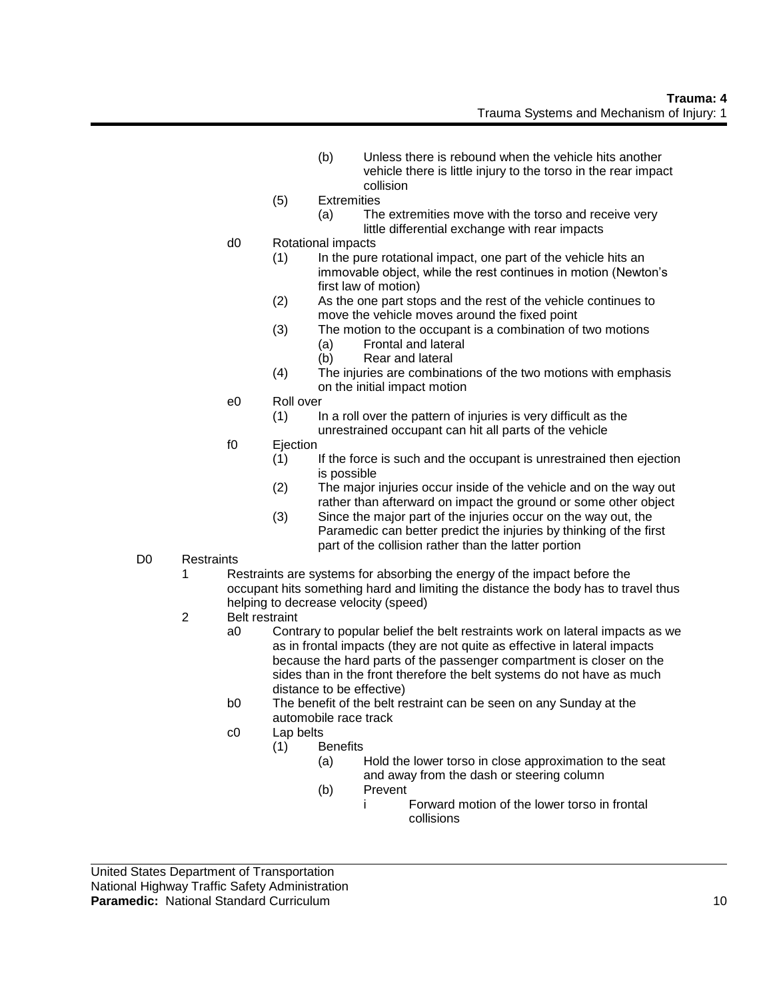- (b) Unless there is rebound when the vehicle hits another vehicle there is little injury to the torso in the rear impact collision
- (5) Extremities
	- (a) The extremities move with the torso and receive very little differential exchange with rear impacts
- d0 Rotational impacts
	- (1) In the pure rotational impact, one part of the vehicle hits an immovable object, while the rest continues in motion (Newton's first law of motion)
	- (2) As the one part stops and the rest of the vehicle continues to move the vehicle moves around the fixed point
	- (3) The motion to the occupant is a combination of two motions (a) Frontal and lateral
		- (b) Rear and lateral
	- (4) The injuries are combinations of the two motions with emphasis on the initial impact motion
- e0 Roll over
	- (1) In a roll over the pattern of injuries is very difficult as the unrestrained occupant can hit all parts of the vehicle
- f0 Ejection
	- (1) If the force is such and the occupant is unrestrained then ejection is possible
	- (2) The major injuries occur inside of the vehicle and on the way out rather than afterward on impact the ground or some other object
	- (3) Since the major part of the injuries occur on the way out, the Paramedic can better predict the injuries by thinking of the first part of the collision rather than the latter portion
- D0 Restraints
	- 1 Restraints are systems for absorbing the energy of the impact before the occupant hits something hard and limiting the distance the body has to travel thus helping to decrease velocity (speed)
	- 2 Belt restraint
		- a0 Contrary to popular belief the belt restraints work on lateral impacts as we as in frontal impacts (they are not quite as effective in lateral impacts because the hard parts of the passenger compartment is closer on the sides than in the front therefore the belt systems do not have as much distance to be effective)
		- b0 The benefit of the belt restraint can be seen on any Sunday at the automobile race track
		- c0 Lap belts
			- (1) Benefits
				- (a) Hold the lower torso in close approximation to the seat and away from the dash or steering column
				- (b) Prevent
					- i Forward motion of the lower torso in frontal collisions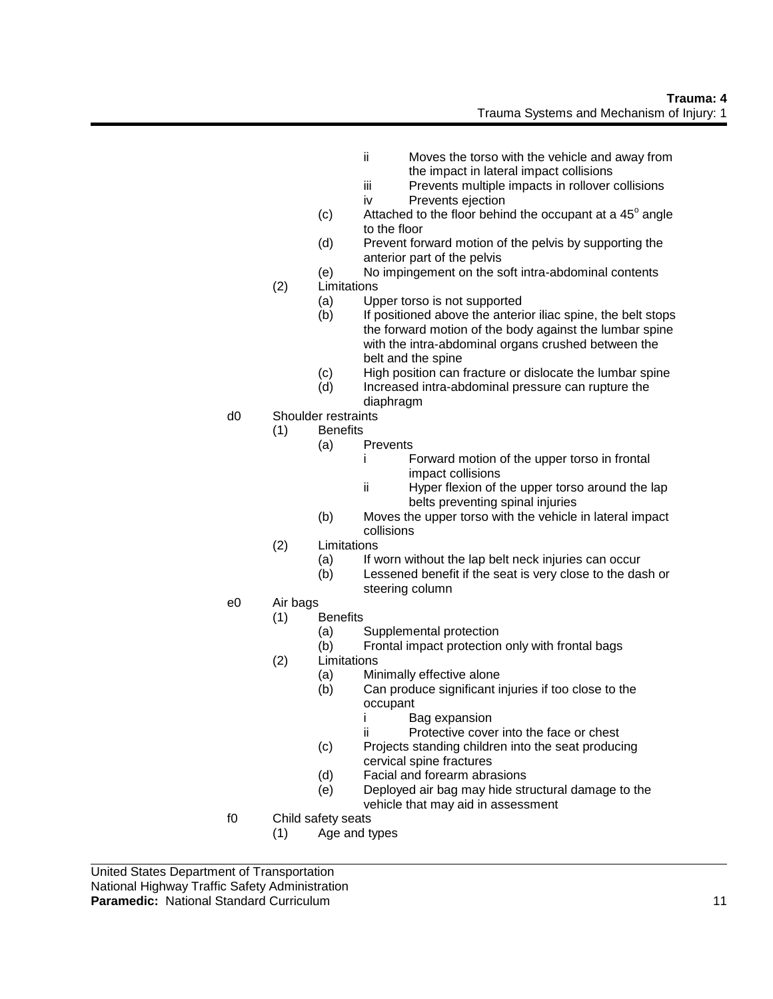- ii Moves the torso with the vehicle and away from the impact in lateral impact collisions
- iii Prevents multiple impacts in rollover collisions
- iv Prevents ejection
- $(c)$  Attached to the floor behind the occupant at a 45 $^{\circ}$  angle to the floor
- (d) Prevent forward motion of the pelvis by supporting the anterior part of the pelvis
- (e) No impingement on the soft intra-abdominal contents (2) Limitations
	- (a) Upper torso is not supported
	- (b) If positioned above the anterior iliac spine, the belt stops the forward motion of the body against the lumbar spine with the intra-abdominal organs crushed between the belt and the spine
	- (c) High position can fracture or dislocate the lumbar spine
	- (d) Increased intra-abdominal pressure can rupture the diaphragm
- d0 Shoulder restraints
	- (1) Benefits
		- (a) Prevents
			- i Forward motion of the upper torso in frontal impact collisions
			- ii Hyper flexion of the upper torso around the lap belts preventing spinal injuries
		- (b) Moves the upper torso with the vehicle in lateral impact collisions
	- (2) Limitations
		- (a) If worn without the lap belt neck injuries can occur
		- (b) Lessened benefit if the seat is very close to the dash or steering column
- e0 Air bags
	- (1) Benefits
		- (a) Supplemental protection
		- (b) Frontal impact protection only with frontal bags
	- (2) Limitations
		- (a) Minimally effective alone
		- (b) Can produce significant injuries if too close to the occupant
			- i Bag expansion
			- ii Protective cover into the face or chest
		- (c) Projects standing children into the seat producing cervical spine fractures
		- (d) Facial and forearm abrasions
		- (e) Deployed air bag may hide structural damage to the vehicle that may aid in assessment
- f0 Child safety seats
	- (1) Age and types

United States Department of Transportation National Highway Traffic Safety Administration **Paramedic:** National Standard Curriculum 11 and 200 and 200 and 200 and 200 and 200 and 200 and 200 and 200 and 200 and 200 and 200 and 200 and 200 and 200 and 200 and 200 and 200 and 200 and 200 and 200 and 200 and 200 a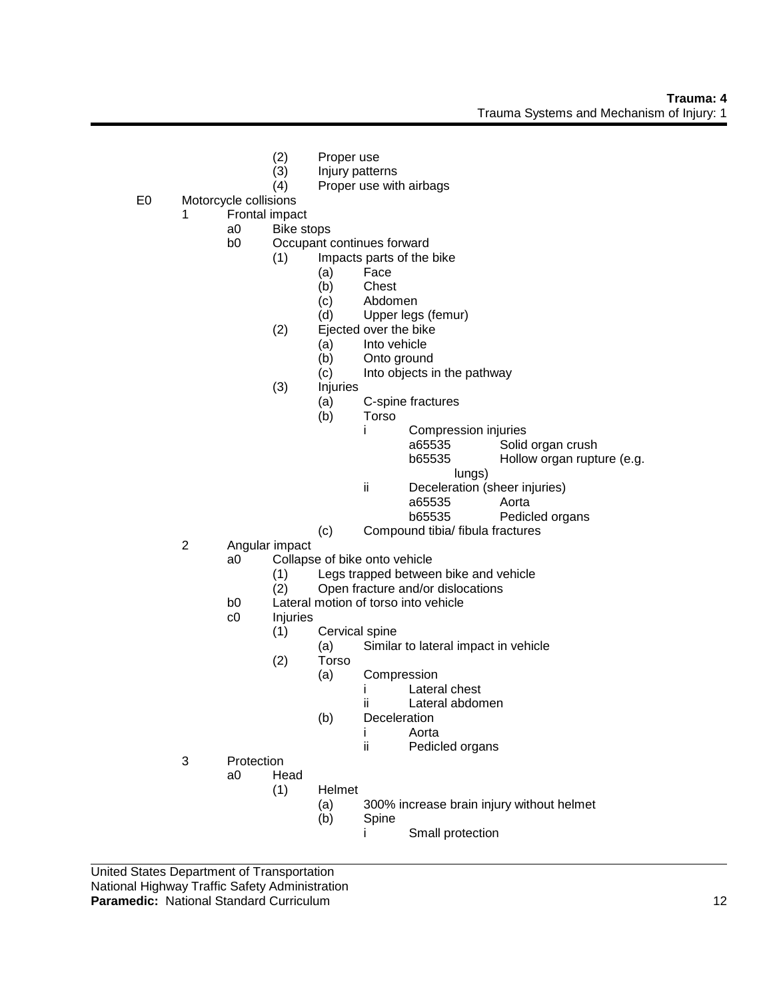- (2) Proper use<br>(3) Injury patter
- (3) Injury patterns<br>(4) Proper use with
	- Proper use with airbags
- E0 Motorcycle collisions
	- 1 Frontal impact
		- a0 Bike stops
		- b0 Occupant continues forward
			- (1) Impacts parts of the bike
				- (a) Face
				- (b) Chest
				-
				- (c) Abdomen<br>(d) Upper leas Upper legs (femur)
			- (2) Ejected over the bike
				- (a) Into vehicle
					- (b) Onto ground
				- (c) Into objects in the pathway
			- (3) Injuries
				- (a) C-spine fractures
				- (b) Torso
					- i Compression injuries a65535 Solid organ crush b65535 Hollow organ rupture (e.g.
						- lungs)
					- ii Deceleration (sheer injuries)
						- a65535 Aorta
						- b65535 Pedicled organs
				- (c) Compound tibia/ fibula fractures
	- 2 Angular impact
		- a0 Collapse of bike onto vehicle
			- (1) Legs trapped between bike and vehicle
			- (2) Open fracture and/or dislocations
		- b0 Lateral motion of torso into vehicle
		- c0 Injuries
			- (1) Cervical spine
				- (a) Similar to lateral impact in vehicle
			- (2) Torso
				- (a) Compression
					- i Lateral chest
						- ii Lateral abdomen
				- (b) Deceleration
					- i Aorta
						- ii Pedicled organs
	- 3 Protection
		- a0 Head (1) Helmet
			- (a) 300% increase brain injury without helmet
			- (b) Spine
				- i Small protection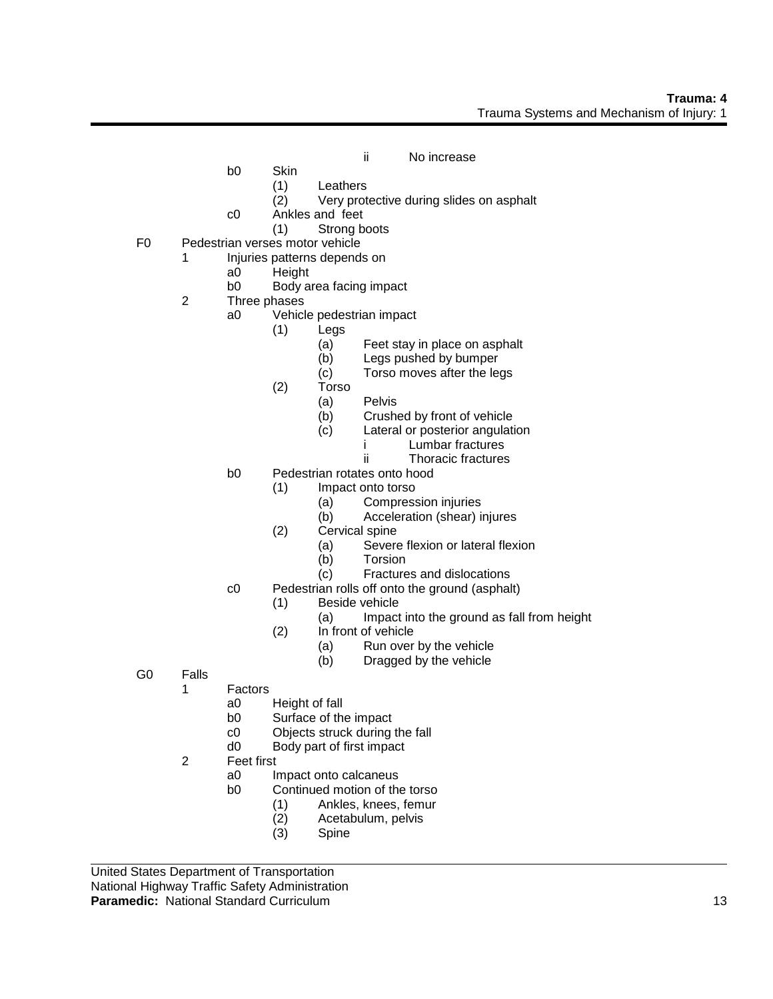- ii No increase
- b0 Skin
	- (1) Leathers
	- (2) Very protective during slides on asphalt
- c0 Ankles and feet
	- (1) Strong boots
- F0 Pedestrian verses motor vehicle
	- 1 Injuries patterns depends on
		- a0 Height
		- b0 Body area facing impact
	- 2 Three phases
		- a0 Vehicle pedestrian impact
			- (1) Legs
				- (a) Feet stay in place on asphalt
				- (b) Legs pushed by bumper
				- (c) Torso moves after the legs
			- (2) Torso
				- (a) Pelvis
				- (b) Crushed by front of vehicle
				- (c) Lateral or posterior angulation
					- i Lumbar fractures
					- ii Thoracic fractures
		- b0 Pedestrian rotates onto hood
			- (1) Impact onto torso
				- (a) Compression injuries
				- (b) Acceleration (shear) injures
			- (2) Cervical spine
				- (a) Severe flexion or lateral flexion
				- (b) Torsion
				- (c) Fractures and dislocations
		- c0 Pedestrian rolls off onto the ground (asphalt)
			- (1) Beside vehicle
				- (a) Impact into the ground as fall from height
			- (2) In front of vehicle
				- (a) Run over by the vehicle
				- (b) Dragged by the vehicle
- G0 Falls
	- 1 Factors
		- a0 Height of fall
		- b0 Surface of the impact
		- c0 Objects struck during the fall
		- d0 Body part of first impact
	- 2 Feet first
		- a0 Impact onto calcaneus
		- b0 Continued motion of the torso
			- (1) Ankles, knees, femur
			- (2) Acetabulum, pelvis
			- (3) Spine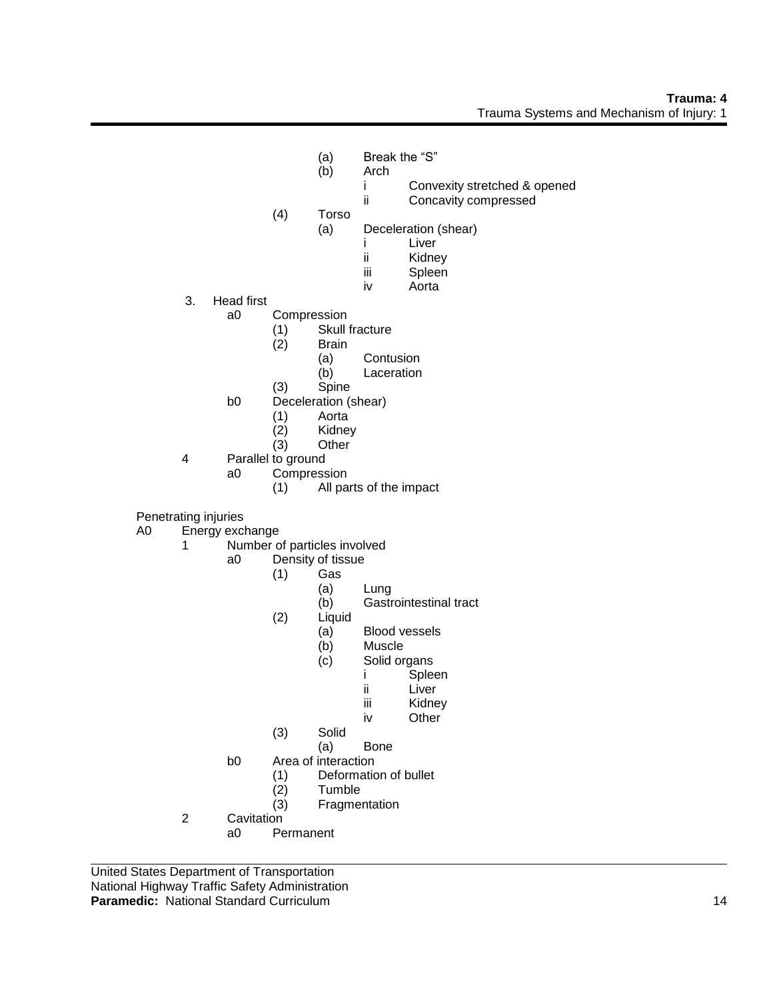## **Trauma: 4** Trauma Systems and Mechanism of Injury: 1

- (a) Break the "S"<br>(b) Arch
	- Arch
		- i Convexity stretched & opened
		- ii Concavity compressed
- (4) Torso
	- (a) Deceleration (shear)
		- i Liver<br>ii Kidne
		- ii Kidney<br>iii Spleen
		- Spleen
		- iv Aorta
- 3. Head first
	- a0 Compression
		- (1) Skull fracture
		- (2) Brain
			- (a) Contusion
			- (b) Laceration
		- (3) Spine
	- b0 Deceleration (shear)
		- (1) Aorta
		- Kidney
		- (3) Other
- 4 Parallel to ground<br>a0 Compress
	- Compression
		- (1) All parts of the impact

Penetrating injuries

- A0 Energy exchange
	- 1 Number of particles involved
		- a0 Density of tissue
			- $(1)$  Gas
				- (a) Lung
				- (b) Gastrointestinal tract
			- (2) Liquid
				- (a) Blood vessels
				- (b) Muscle
				- (c) Solid organs
					- i Spleen
						- ii Liver
						- iii Kidney
						- iv Other
			- (3) Solid
			- (a) Bone
		- b0 Area of interaction
			- (1) Deformation of bullet
			- (2) Tumble
			- (3) Fragmentation
	- 2 Cavitation
		- a0 Permanent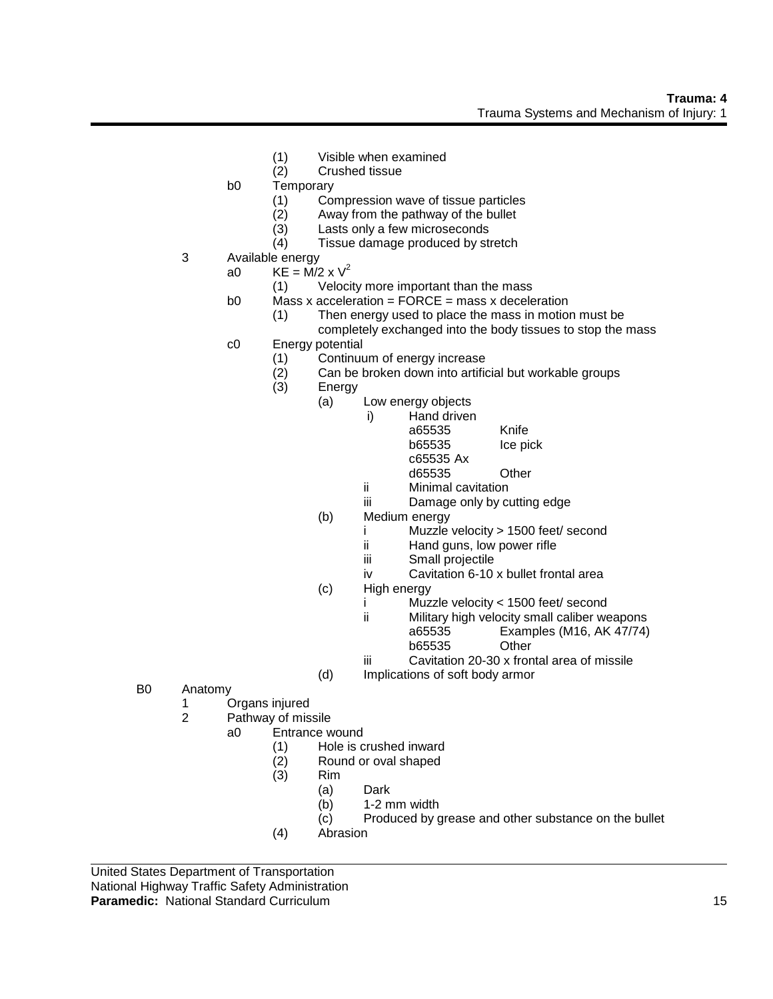- (1) Visible when examined
- (2) Crushed tissue
- b0 Temporary
	- (1) Compression wave of tissue particles
	- (2) Away from the pathway of the bullet
	- (3) Lasts only a few microseconds
	- (4) Tissue damage produced by stretch
- 3 Available energy
	- a0 KE =  $\overline{M}/2 \times V^2$ 
		- (1) Velocity more important than the mass
	- b0 Mass x acceleration =  $FORCE$  = mass x deceleration
		- (1) Then energy used to place the mass in motion must be completely exchanged into the body tissues to stop the mass
	- c0 Energy potential
		- (1) Continuum of energy increase
		- (2) Can be broken down into artificial but workable groups
		- (3) Energy
			- (a) Low energy objects
				- i) Hand driven a65535 Knife b65535 Ice pick
					- c65535 Ax d65535 Other
				- ii Minimal cavitation
				- iii Damage only by cutting edge
			- (b) Medium energy
				- i Muzzle velocity > 1500 feet/ second
				- ii Hand guns, low power rifle
				- iii Small projectile
				- iv Cavitation 6-10 x bullet frontal area
			- (c) High energy
				- i Muzzle velocity < 1500 feet/ second
				- ii Military high velocity small caliber weapons a65535 Examples (M16, AK 47/74) b65535 Other
				- iii Cavitation 20-30 x frontal area of missile
			- (d) Implications of soft body armor
- B0 Anatomy
	- 1 Organs injured
	- 2 Pathway of missile
		- a0 Entrance wound
			- (1) Hole is crushed inward
			- (2) Round or oval shaped
			- (3) Rim
				- (a) Dark
					- (b) 1-2 mm width
					- (c) Produced by grease and other substance on the bullet
			- (4) Abrasion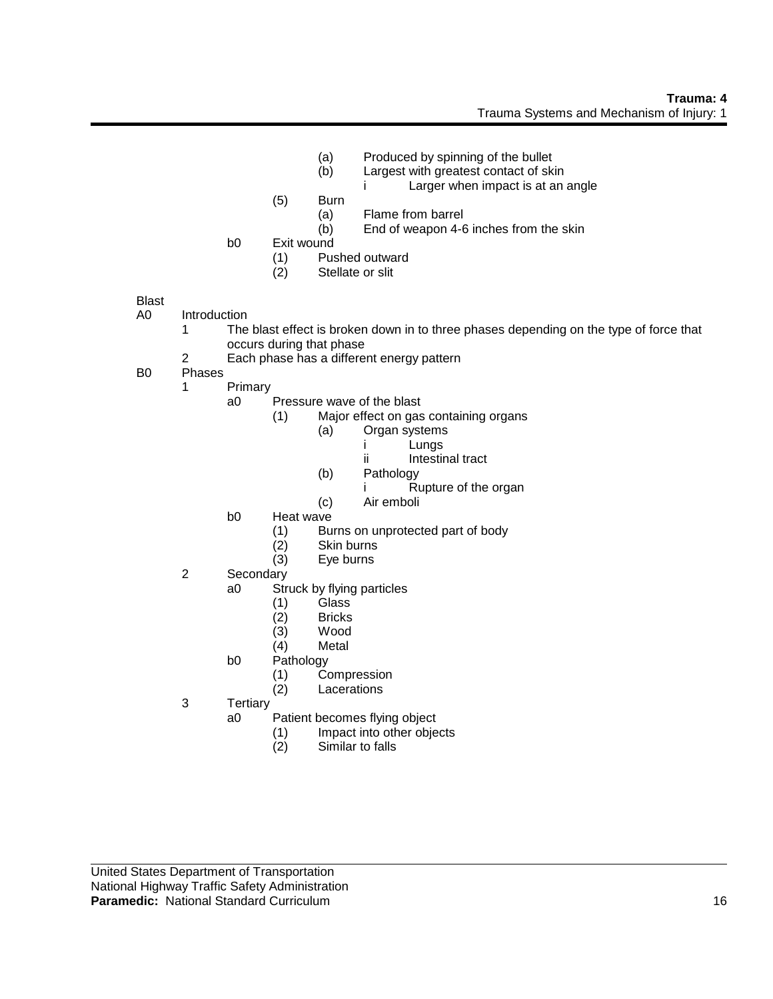- 
- (a) Produced by spinning of the bullet<br>(b) Largest with greatest contact of sk Largest with greatest contact of skin
	- i Larger when impact is at an angle
- (5) Burn
	- (a) Flame from barrel
	- (b) End of weapon 4-6 inches from the skin
- b0 Exit wound
	- (1) Pushed outward<br>(2) Stellate or slit
		- Stellate or slit

## Blast

- A0 Introduction
	- 1 The blast effect is broken down in to three phases depending on the type of force that occurs during that phase
	- 2 Each phase has a different energy pattern
- B0 Phases
	- 1 Primary
		- a0 Pressure wave of the blast
			- (1) Major effect on gas containing organs
				- (a) Organ systems
					- i Lungs
					- ii Intestinal tract
				- (b) Pathology
					- i Rupture of the organ
				- (c) Air emboli
		- b0 Heat wave
			- (1) Burns on unprotected part of body<br>(2) Skin burns
			- Skin burns
			- (3) Eye burns
	- 2 Secondary
		- a0 Struck by flying particles
			-
			- (1) Glass (2) Bricks
			- (3) Wood
			- **Metal**
		- b0 Pathology
			- (1) Compression
			- (2) Lacerations
	- 3 Tertiary
		- a0 Patient becomes flying object
			- (1) Impact into other objects
			- (2) Similar to falls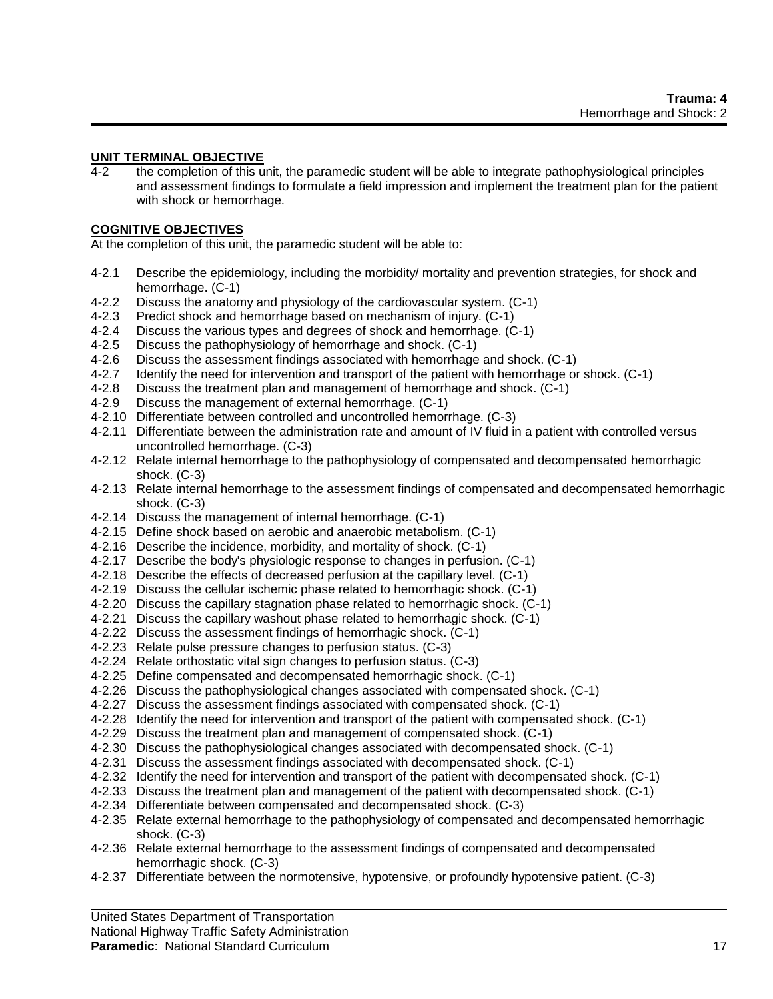#### **UNIT TERMINAL OBJECTIVE**

4-2 the completion of this unit, the paramedic student will be able to integrate pathophysiological principles and assessment findings to formulate a field impression and implement the treatment plan for the patient with shock or hemorrhage.

#### **COGNITIVE OBJECTIVES**

At the completion of this unit, the paramedic student will be able to:

- 4-2.1 Describe the epidemiology, including the morbidity/ mortality and prevention strategies, for shock and hemorrhage. (C-1)
- 4-2.2 Discuss the anatomy and physiology of the cardiovascular system. (C-1)
- 4-2.3 Predict shock and hemorrhage based on mechanism of injury. (C-1)
- 4-2.4 Discuss the various types and degrees of shock and hemorrhage. (C-1)
- 4-2.5 Discuss the pathophysiology of hemorrhage and shock. (C-1)
- 4-2.6 Discuss the assessment findings associated with hemorrhage and shock. (C-1)
- 4-2.7 Identify the need for intervention and transport of the patient with hemorrhage or shock. (C-1)
- 4-2.8 Discuss the treatment plan and management of hemorrhage and shock. (C-1)
- 4-2.9 Discuss the management of external hemorrhage. (C-1)
- 4-2.10 Differentiate between controlled and uncontrolled hemorrhage. (C-3)
- 4-2.11 Differentiate between the administration rate and amount of IV fluid in a patient with controlled versus uncontrolled hemorrhage. (C-3)
- 4-2.12 Relate internal hemorrhage to the pathophysiology of compensated and decompensated hemorrhagic shock. (C-3)
- 4-2.13 Relate internal hemorrhage to the assessment findings of compensated and decompensated hemorrhagic shock. (C-3)
- 4-2.14 Discuss the management of internal hemorrhage. (C-1)
- 4-2.15 Define shock based on aerobic and anaerobic metabolism. (C-1)
- 4-2.16 Describe the incidence, morbidity, and mortality of shock. (C-1)
- 4-2.17 Describe the body's physiologic response to changes in perfusion. (C-1)
- 4-2.18 Describe the effects of decreased perfusion at the capillary level. (C-1)
- 4-2.19 Discuss the cellular ischemic phase related to hemorrhagic shock. (C-1)
- 4-2.20 Discuss the capillary stagnation phase related to hemorrhagic shock. (C-1)
- 4-2.21 Discuss the capillary washout phase related to hemorrhagic shock. (C-1)
- 4-2.22 Discuss the assessment findings of hemorrhagic shock. (C-1)
- 4-2.23 Relate pulse pressure changes to perfusion status. (C-3)
- 4-2.24 Relate orthostatic vital sign changes to perfusion status. (C-3)
- 4-2.25 Define compensated and decompensated hemorrhagic shock. (C-1)
- 4-2.26 Discuss the pathophysiological changes associated with compensated shock. (C-1)
- 4-2.27 Discuss the assessment findings associated with compensated shock. (C-1)
- 4-2.28 Identify the need for intervention and transport of the patient with compensated shock. (C-1)
- 4-2.29 Discuss the treatment plan and management of compensated shock. (C-1)
- 4-2.30 Discuss the pathophysiological changes associated with decompensated shock. (C-1)
- 4-2.31 Discuss the assessment findings associated with decompensated shock. (C-1)
- 4-2.32 Identify the need for intervention and transport of the patient with decompensated shock. (C-1)
- 4-2.33 Discuss the treatment plan and management of the patient with decompensated shock. (C-1)
- 4-2.34 Differentiate between compensated and decompensated shock. (C-3)
- 4-2.35 Relate external hemorrhage to the pathophysiology of compensated and decompensated hemorrhagic shock. (C-3)
- 4-2.36 Relate external hemorrhage to the assessment findings of compensated and decompensated hemorrhagic shock. (C-3)
- 4-2.37 Differentiate between the normotensive, hypotensive, or profoundly hypotensive patient. (C-3)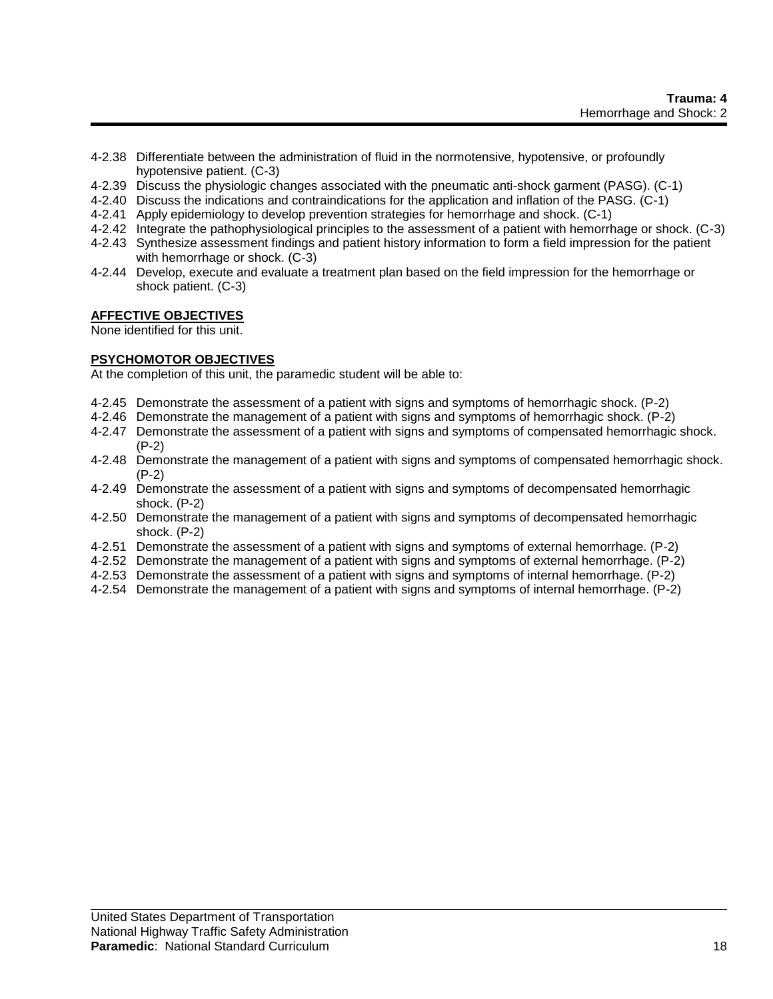- 4-2.38 Differentiate between the administration of fluid in the normotensive, hypotensive, or profoundly hypotensive patient. (C-3)
- 4-2.39 Discuss the physiologic changes associated with the pneumatic anti-shock garment (PASG). (C-1)
- 4-2.40 Discuss the indications and contraindications for the application and inflation of the PASG. (C-1)
- 4-2.41 Apply epidemiology to develop prevention strategies for hemorrhage and shock. (C-1)
- 4-2.42 Integrate the pathophysiological principles to the assessment of a patient with hemorrhage or shock. (C-3)
- 4-2.43 Synthesize assessment findings and patient history information to form a field impression for the patient with hemorrhage or shock. (C-3)
- 4-2.44 Develop, execute and evaluate a treatment plan based on the field impression for the hemorrhage or shock patient. (C-3)

## **AFFECTIVE OBJECTIVES**

None identified for this unit.

## **PSYCHOMOTOR OBJECTIVES**

At the completion of this unit, the paramedic student will be able to:

- 4-2.45 Demonstrate the assessment of a patient with signs and symptoms of hemorrhagic shock. (P-2)
- 4-2.46 Demonstrate the management of a patient with signs and symptoms of hemorrhagic shock. (P-2)
- 4-2.47 Demonstrate the assessment of a patient with signs and symptoms of compensated hemorrhagic shock. (P-2)
- 4-2.48 Demonstrate the management of a patient with signs and symptoms of compensated hemorrhagic shock. (P-2)
- 4-2.49 Demonstrate the assessment of a patient with signs and symptoms of decompensated hemorrhagic shock. (P-2)
- 4-2.50 Demonstrate the management of a patient with signs and symptoms of decompensated hemorrhagic shock. (P-2)
- 4-2.51 Demonstrate the assessment of a patient with signs and symptoms of external hemorrhage. (P-2)
- 4-2.52 Demonstrate the management of a patient with signs and symptoms of external hemorrhage. (P-2)
- 4-2.53 Demonstrate the assessment of a patient with signs and symptoms of internal hemorrhage. (P-2)
- 4-2.54 Demonstrate the management of a patient with signs and symptoms of internal hemorrhage. (P-2)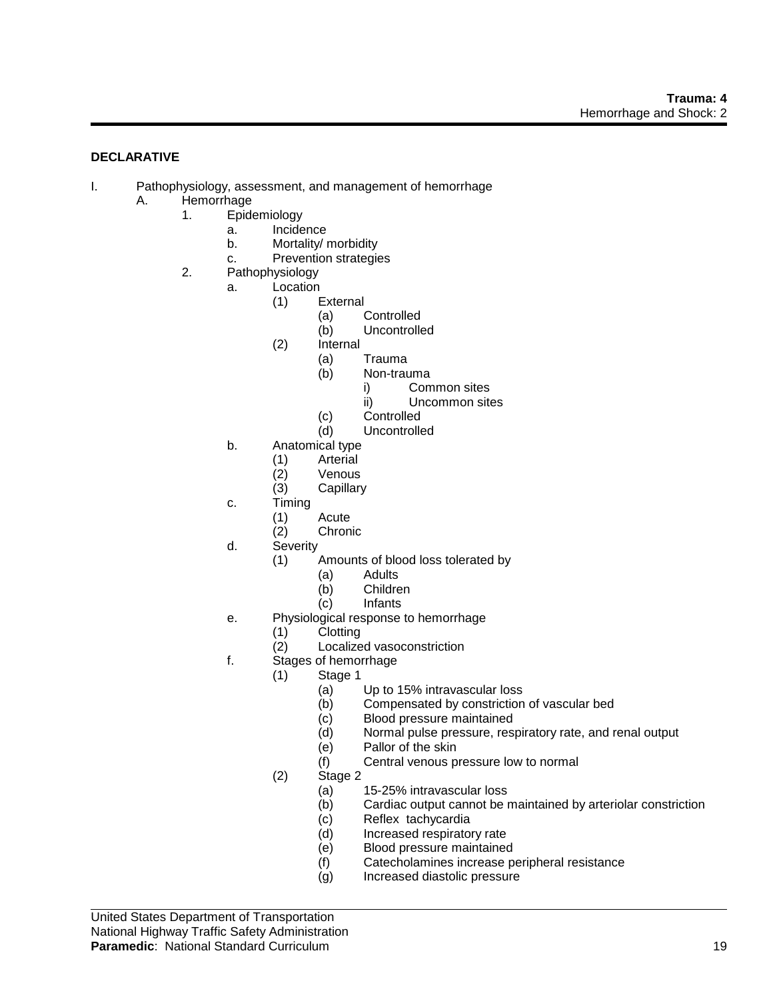# **DECLARATIVE**

- I. Pathophysiology, assessment, and management of hemorrhage
	- A. Hemorrhage
		- 1. Epidemiology
			- a. Incidence
			- b. Mortality/ morbidity
			- c. Prevention strategies
		- 2. Pathophysiology
			- a. Location
				- (1) External
					- (a) Controlled
					- (b) Uncontrolled
				- (2) Internal
					- (a) Trauma
					- (b) Non-trauma
						- i) Common sites
						- ii) Uncommon sites
					- (c) Controlled<br>(d) Uncontrolle
					- **Uncontrolled**
			- b. Anatomical type
				- (1) Arterial
				- (2) Venous<br>(3) Capillary
				- Capillary
			- c. Timing
				- (1) Acute
					- **Chronic**
			- d. Severity
				- (1) Amounts of blood loss tolerated by
					- (a) Adults
						- (b) Children
						- (c) Infants
			- e. Physiological response to hemorrhage
				- (1) Clotting
				- (2) Localized vasoconstriction
			- f. Stages of hemorrhage
				- (1) Stage 1
					- (a) Up to 15% intravascular loss
					- (b) Compensated by constriction of vascular bed
					- (c) Blood pressure maintained
					- (d) Normal pulse pressure, respiratory rate, and renal output
					- (e) Pallor of the skin
					- (f) Central venous pressure low to normal
				- (2) Stage 2
					-
					- (a) 15-25% intravascular loss Cardiac output cannot be maintained by arteriolar constriction
					- (c) Reflex tachycardia
					- (d) Increased respiratory rate
					- (e) Blood pressure maintained
					- (f) Catecholamines increase peripheral resistance
					- (g) Increased diastolic pressure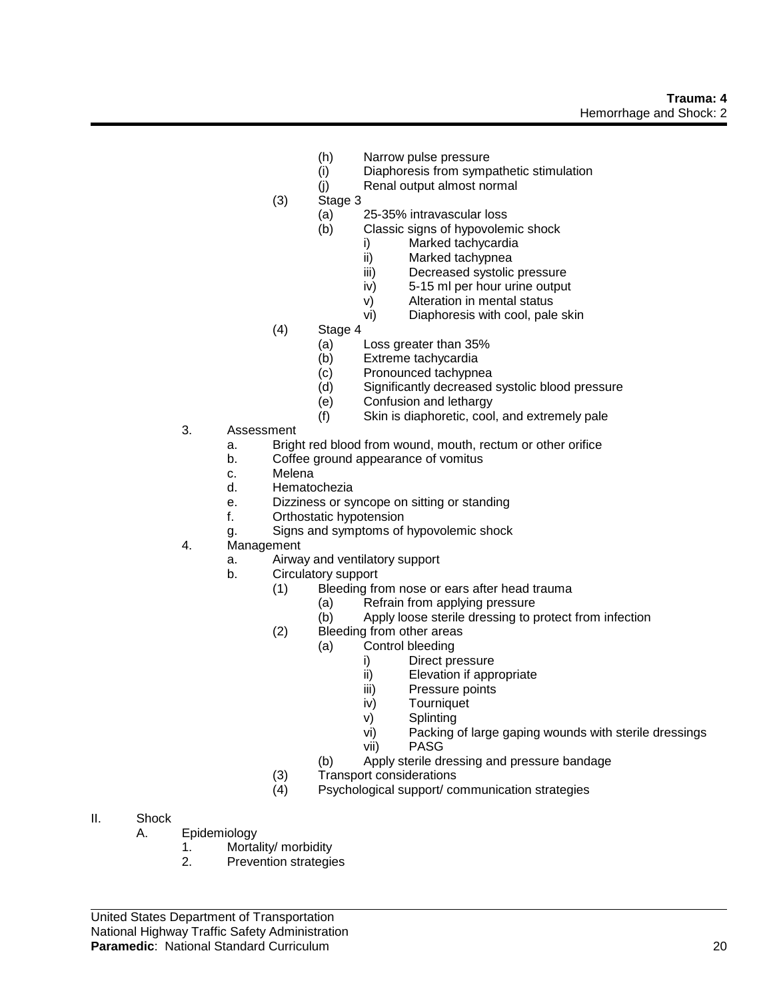- (h) Narrow pulse pressure
- (i) Diaphoresis from sympathetic stimulation
- (j) Renal output almost normal
- (3) Stage 3
	- (a) 25-35% intravascular loss
	- (b) Classic signs of hypovolemic shock
		- i) Marked tachycardia<br>ii) Marked tachypnea
		- Marked tachypnea
		- iii) Decreased systolic pressure
		- iv) 5-15 ml per hour urine output
		- v) Alteration in mental status
		- vi) Diaphoresis with cool, pale skin
- (4) Stage 4
	- (a) Loss greater than 35%
	- (b) Extreme tachycardia
	- (c) Pronounced tachypnea
	- (d) Significantly decreased systolic blood pressure
	- (e) Confusion and lethargy
	- (f) Skin is diaphoretic, cool, and extremely pale
- 3. Assessment
	- a. Bright red blood from wound, mouth, rectum or other orifice
	- b. Coffee ground appearance of vomitus
	-
	- c. Melena<br>d. Hemato **Hematochezia**
	- e. Dizziness or syncope on sitting or standing
	- f. Orthostatic hypotension
	- g. Signs and symptoms of hypovolemic shock
- 4. Management
	- a. Airway and ventilatory support
	- b. Circulatory support
		- (1) Bleeding from nose or ears after head trauma
			- (a) Refrain from applying pressure
			- (b) Apply loose sterile dressing to protect from infection
			- (2) Bleeding from other areas
				- (a) Control bleeding
					- i) Direct pressure
					- ii) Elevation if appropriate
					- iii) Pressure points
					- iv) Tourniquet
					- v) Splinting
					- vi) Packing of large gaping wounds with sterile dressings
					- vii) PASG
				- (b) Apply sterile dressing and pressure bandage
			- (3) Transport considerations
			- (4) Psychological support/ communication strategies

- II. Shock
	- A. Epidemiology
		- 1. Mortality/ morbidity<br>2. Prevention strategie
			- Prevention strategies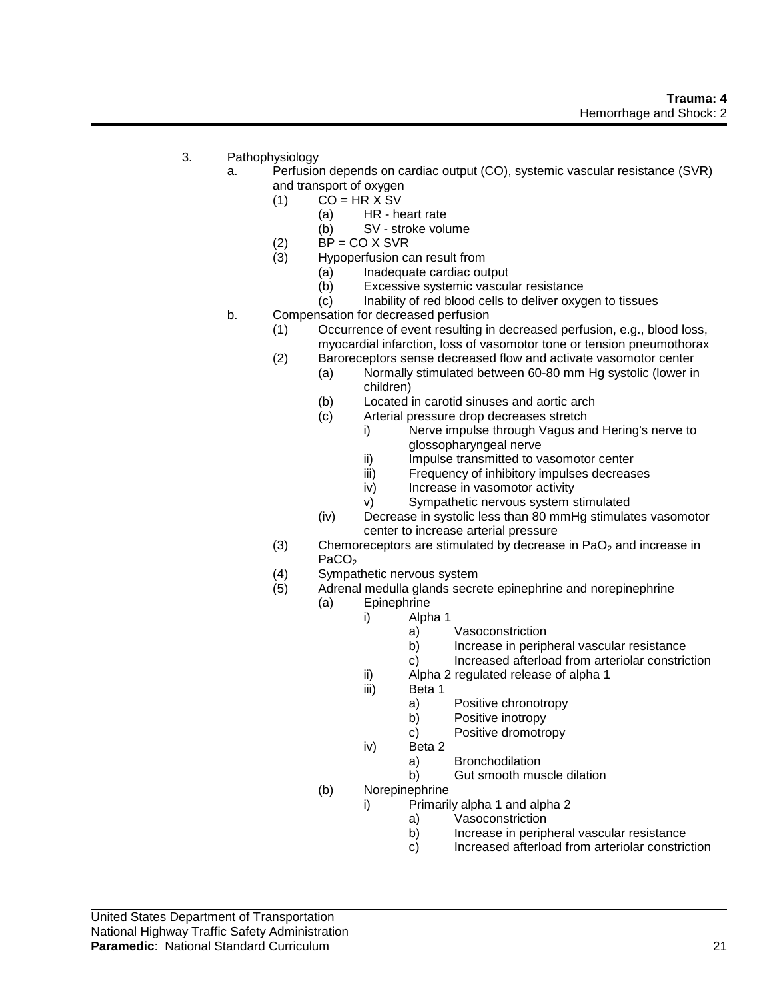- 3. Pathophysiology
	- a. Perfusion depends on cardiac output (CO), systemic vascular resistance (SVR) and transport of oxygen
		- $(1)$  CO = HR X SV
			- (a) HR heart rate
			- (b) SV stroke volume
		- (2)  $BP = CO \times SVR$ <br>(3) Hypoperfusion ca
		- Hypoperfusion can result from
			- (a) Inadequate cardiac output
				- (b) Excessive systemic vascular resistance
				- (c) Inability of red blood cells to deliver oxygen to tissues
	- b. Compensation for decreased perfusion
		- (1) Occurrence of event resulting in decreased perfusion, e.g., blood loss, myocardial infarction, loss of vasomotor tone or tension pneumothorax
		- (2) Baroreceptors sense decreased flow and activate vasomotor center
			- (a) Normally stimulated between 60-80 mm Hg systolic (lower in children)
			- (b) Located in carotid sinuses and aortic arch
			- (c) Arterial pressure drop decreases stretch
				- i) Nerve impulse through Vagus and Hering's nerve to glossopharyngeal nerve
				- ii) Impulse transmitted to vasomotor center
				- iii) Frequency of inhibitory impulses decreases
				- iv) Increase in vasomotor activity
				- v) Sympathetic nervous system stimulated
			- (iv) Decrease in systolic less than 80 mmHg stimulates vasomotor center to increase arterial pressure
		- (3) Chemoreceptors are stimulated by decrease in  $PaO<sub>2</sub>$  and increase in PaCO<sub>2</sub>
		- (4) Sympathetic nervous system
		- (5) Adrenal medulla glands secrete epinephrine and norepinephrine
			- (a) Epinephrine
				- i) Alpha 1
					- a) Vasoconstriction
					- b) Increase in peripheral vascular resistance
					- c) Increased afterload from arteriolar constriction
				- ii) Alpha 2 regulated release of alpha 1
				- iii) Beta 1
					- a) Positive chronotropy
					- b) Positive inotropy
					- c) Positive dromotropy
				- iv) Beta 2
					- a) Bronchodilation
					- b) Gut smooth muscle dilation
			- (b) Norepinephrine
				- i) Primarily alpha 1 and alpha 2
					- a) Vasoconstriction
					- b) Increase in peripheral vascular resistance
					- c) Increased afterload from arteriolar constriction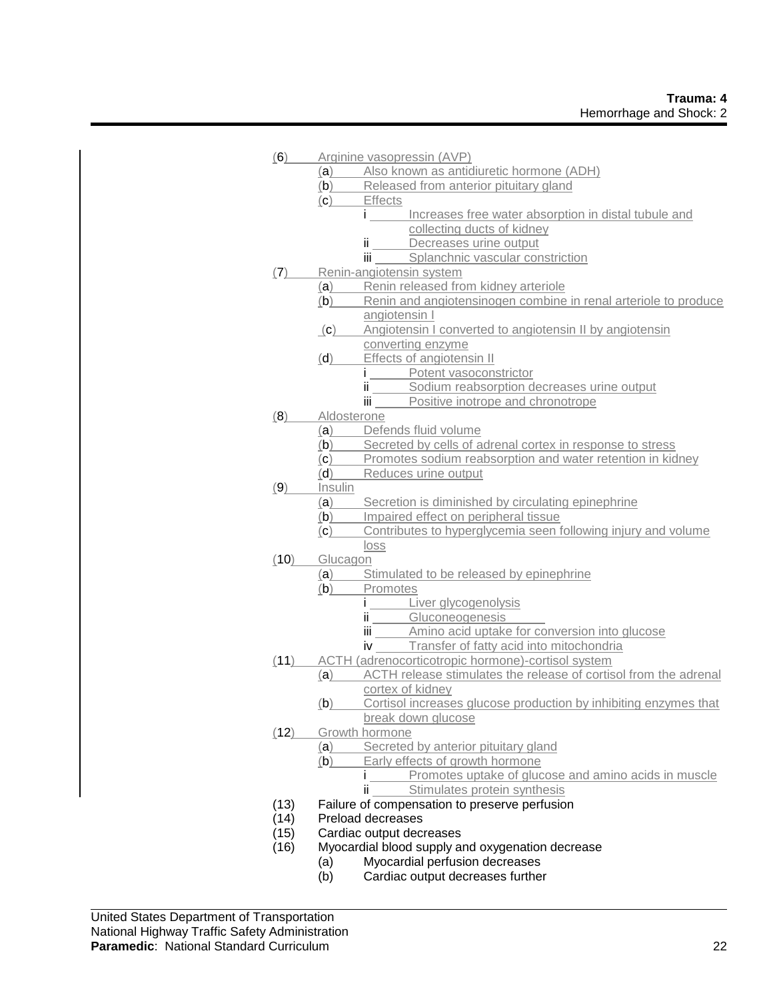| (6)  |                       | Arginine vasopressin (AVP)                                       |
|------|-----------------------|------------------------------------------------------------------|
|      |                       | (a) Also known as antidiuretic hormone (ADH)                     |
|      |                       | (b) Released from anterior pituitary gland                       |
|      | (c)                   | <b>Effects</b>                                                   |
|      |                       | i Increases free water absorption in distal tubule and           |
|      |                       | collecting ducts of kidney                                       |
|      |                       | ii Decreases urine output                                        |
|      |                       | iii Splanchnic vascular constriction                             |
| (7)  |                       | Renin-angiotensin system                                         |
|      | (a)                   | Renin released from kidney arteriole                             |
|      | (b)                   | Renin and angiotensinogen combine in renal arteriole to produce  |
|      |                       | angiotensin I                                                    |
|      | (c)                   | Angiotensin I converted to angiotensin II by angiotensin         |
|      |                       | converting enzyme                                                |
|      | (d)                   | Effects of angiotensin II                                        |
|      |                       | i Potent vasoconstrictor                                         |
|      |                       | ii Sodium reabsorption decreases urine output                    |
|      |                       | iii Positive inotrope and chronotrope                            |
| (8)  | Aldosterone           |                                                                  |
|      | (a)                   | Defends fluid volume                                             |
|      | (b)                   | Secreted by cells of adrenal cortex in response to stress        |
|      |                       | (c) Promotes sodium reabsorption and water retention in kidney   |
|      | (d)                   | Reduces urine output                                             |
| (9)  | Insulin               |                                                                  |
|      | (a)                   | Secretion is diminished by circulating epinephrine               |
|      | (b)                   | Impaired effect on peripheral tissue                             |
|      | (c)                   | Contributes to hyperglycemia seen following injury and volume    |
|      |                       | loss                                                             |
| (10) | Glucagon              |                                                                  |
|      | (a)                   | Stimulated to be released by epinephrine                         |
|      | (b)                   | Promotes                                                         |
|      |                       | <i>i</i> Liver glycogenolysis                                    |
|      |                       | ii Gluconeogenesis                                               |
|      |                       | iii ______ Amino acid uptake for conversion into glucose         |
|      |                       | iv Transfer of fatty acid into mitochondria                      |
|      |                       | (11) ACTH (adrenocorticotropic hormone)-cortisol system          |
|      | (a)                   | ACTH release stimulates the release of cortisol from the adrenal |
|      |                       | cortex of kidney                                                 |
|      | (b)                   | Cortisol increases glucose production by inhibiting enzymes that |
|      |                       | break down glucose                                               |
| (12) |                       | Growth hormone                                                   |
|      | (a)                   | Secreted by anterior pituitary gland                             |
|      | (b)                   | Early effects of growth hormone                                  |
|      |                       | Promotes uptake of glucose and amino acids in muscle             |
|      |                       | Stimulates protein synthesis<br>ïi                               |
| (13) |                       | Failure of compensation to preserve perfusion                    |
| (14) |                       | Preload decreases                                                |
| (15) |                       | Cardiac output decreases                                         |
| (16) |                       | Myocardial blood supply and oxygenation decrease                 |
|      | (a)<br>$(\mathsf{L})$ | Myocardial perfusion decreases<br>ica output decreased turbor    |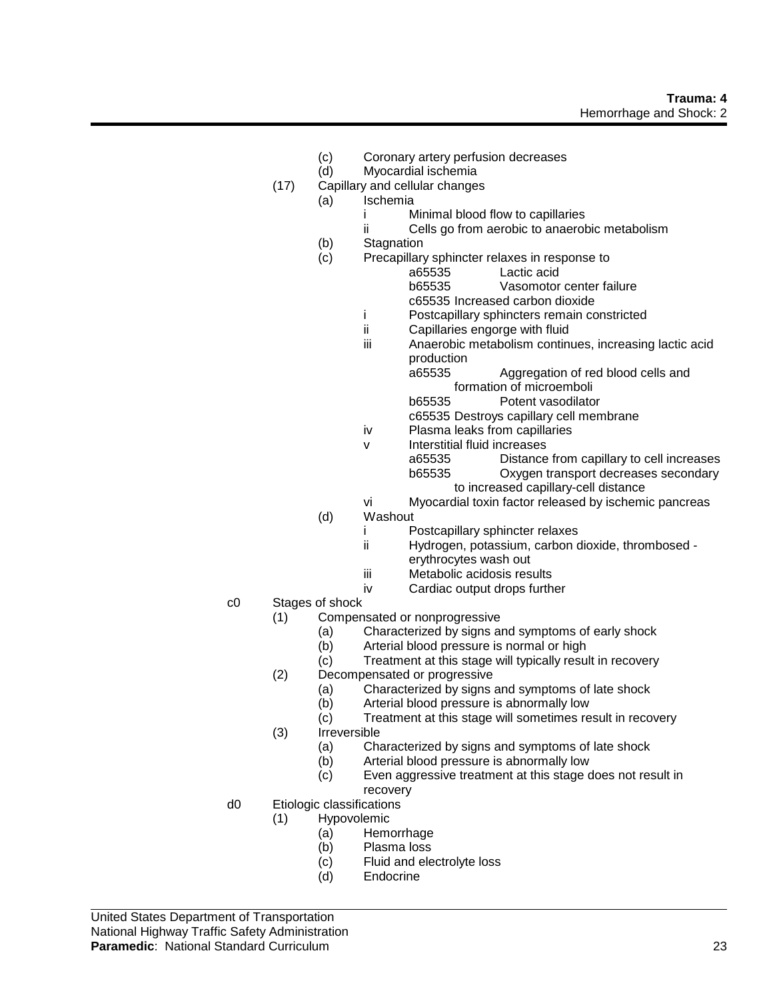- (c) Coronary artery perfusion decreases
- (d) Myocardial ischemia
- (17) Capillary and cellular changes
	- (a) Ischemia
		- i Minimal blood flow to capillaries
		- ii Cells go from aerobic to anaerobic metabolism
		- (b) Stagnation
		- (c) Precapillary sphincter relaxes in response to

Lactic acid

- b65535 Vasomotor center failure
- c65535 Increased carbon dioxide
- i Postcapillary sphincters remain constricted
- ii Capillaries engorge with fluid
- iii Anaerobic metabolism continues, increasing lactic acid production

a65535 Aggregation of red blood cells and formation of microemboli

b65535 Potent vasodilator

- c65535 Destroys capillary cell membrane
- iv Plasma leaks from capillaries
- v Interstitial fluid increases a65535 Distance from capillary to cell increases b65535 Oxygen transport decreases secondary to increased capillary-cell distance

vi Myocardial toxin factor released by ischemic pancreas

- (d) Washout
	- i Postcapillary sphincter relaxes
	- ii Hydrogen, potassium, carbon dioxide, thrombosed erythrocytes wash out
	- iii Metabolic acidosis results
	- iv Cardiac output drops further
- c0 Stages of shock
	- (1) Compensated or nonprogressive
		- (a) Characterized by signs and symptoms of early shock
		- (b) Arterial blood pressure is normal or high
		- (c) Treatment at this stage will typically result in recovery
	- (2) Decompensated or progressive
		- (a) Characterized by signs and symptoms of late shock
		- (b) Arterial blood pressure is abnormally low
		- (c) Treatment at this stage will sometimes result in recovery
	- (3) Irreversible
		- (a) Characterized by signs and symptoms of late shock
		- (b) Arterial blood pressure is abnormally low
		- (c) Even aggressive treatment at this stage does not result in recovery
- d0 Etiologic classifications
	- (1) Hypovolemic
		- (a) Hemorrhage
		- (b) Plasma loss
		- (c) Fluid and electrolyte loss
		- (d) Endocrine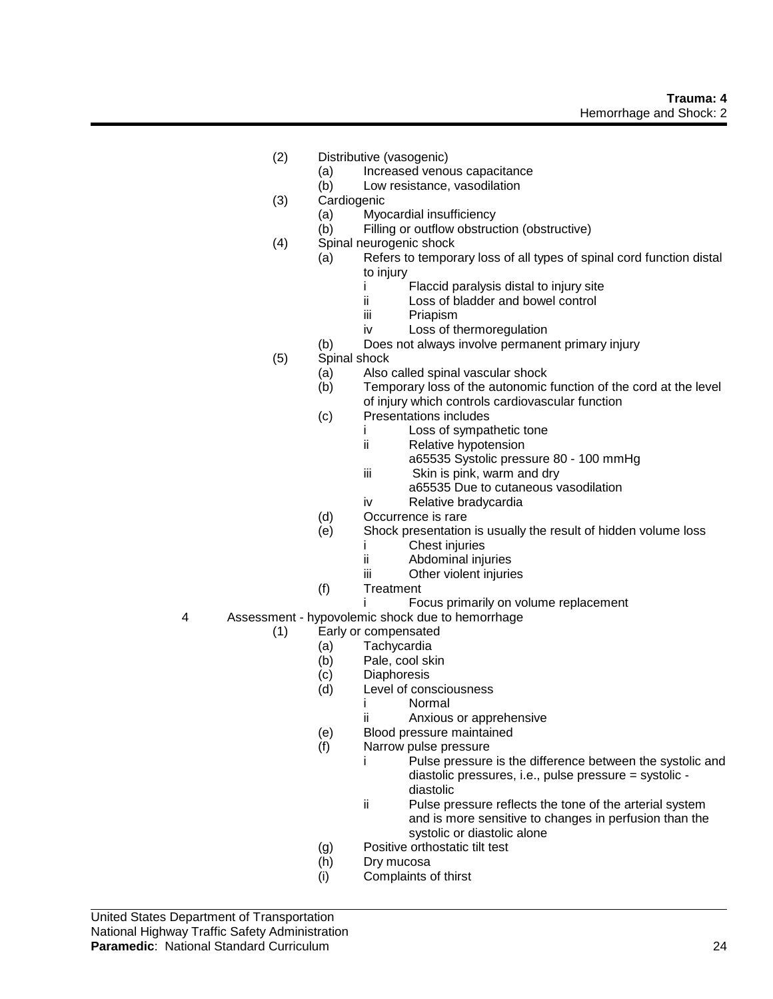- (2) Distributive (vasogenic)
	- (a) Increased venous capacitance
	- (b) Low resistance, vasodilation
- (3) Cardiogenic
	- (a) Myocardial insufficiency
	- (b) Filling or outflow obstruction (obstructive)
- (4) Spinal neurogenic shock
	- (a) Refers to temporary loss of all types of spinal cord function distal to injury
		- i Flaccid paralysis distal to injury site
		- ii Loss of bladder and bowel control
		- iii Priapism
		- iv Loss of thermoregulation
		- (b) Does not always involve permanent primary injury
- (5) Spinal shock
	- (a) Also called spinal vascular shock
	- (b) Temporary loss of the autonomic function of the cord at the level of injury which controls cardiovascular function
	- (c) Presentations includes
		- i Loss of sympathetic tone
			- ii Relative hypotension
				- a65535 Systolic pressure 80 100 mmHg
			- iii Skin is pink, warm and dry
				- a65535 Due to cutaneous vasodilation
			- iv Relative bradycardia
	- (d) Occurrence is rare
	- (e) Shock presentation is usually the result of hidden volume loss
		- i Chest injuries
		- ii Abdominal injuries
		- iii Other violent injuries
	- (f) Treatment
		- i Focus primarily on volume replacement
- 4 Assessment hypovolemic shock due to hemorrhage
	- (1) Early or compensated
		- (a) Tachycardia
		- (b) Pale, cool skin
		- (c) Diaphoresis
		- (d) Level of consciousness
			- i Normal
			- ii Anxious or apprehensive
		- (e) Blood pressure maintained
		- (f) Narrow pulse pressure
			- i Pulse pressure is the difference between the systolic and diastolic pressures, i.e., pulse pressure = systolic diastolic
			- ii Pulse pressure reflects the tone of the arterial system and is more sensitive to changes in perfusion than the systolic or diastolic alone
		- (g) Positive orthostatic tilt test
		- (h) Dry mucosa
		- (i) Complaints of thirst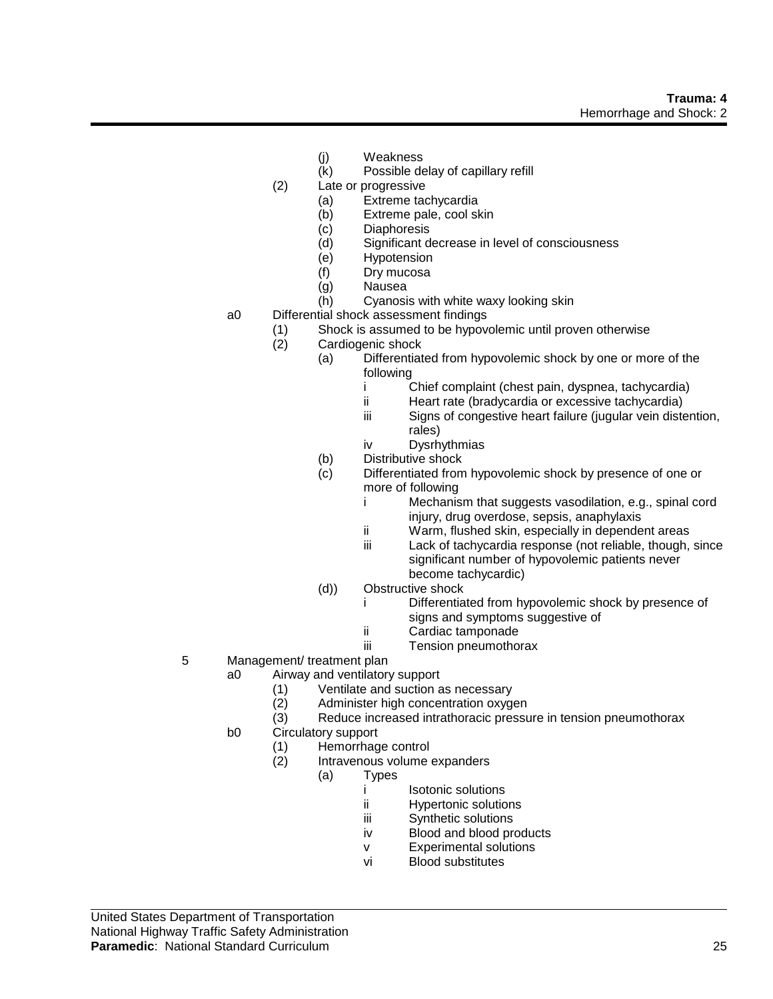- (j) Weakness
- (k) Possible delay of capillary refill
- (2) Late or progressive
	- (a) Extreme tachycardia
	- (b) Extreme pale, cool skin
	- (c) Diaphoresis
	- (d) Significant decrease in level of consciousness
	- (e) Hypotension
	- (f) Dry mucosa
	- (g) Nausea
	- (h) Cyanosis with white waxy looking skin
- a0 Differential shock assessment findings
	- (1) Shock is assumed to be hypovolemic until proven otherwise
	- (2) Cardiogenic shock
		- (a) Differentiated from hypovolemic shock by one or more of the following
			- i Chief complaint (chest pain, dyspnea, tachycardia)
			- ii Heart rate (bradycardia or excessive tachycardia)
			- iii Signs of congestive heart failure (jugular vein distention, rales)
			- iv Dysrhythmias
			- (b) Distributive shock
			- (c) Differentiated from hypovolemic shock by presence of one or more of following
				- i Mechanism that suggests vasodilation, e.g., spinal cord injury, drug overdose, sepsis, anaphylaxis
				- ii Warm, flushed skin, especially in dependent areas
				- iii Lack of tachycardia response (not reliable, though, since significant number of hypovolemic patients never become tachycardic)
			- (d)) Obstructive shock
				- i Differentiated from hypovolemic shock by presence of signs and symptoms suggestive of
				- ii Cardiac tamponade
				- iii Tension pneumothorax
- 5 Management/ treatment plan
	- a0 Airway and ventilatory support
		- (1) Ventilate and suction as necessary
		- (2) Administer high concentration oxygen
		- (3) Reduce increased intrathoracic pressure in tension pneumothorax
	- b0 Circulatory support
		- (1) Hemorrhage control
		- (2) Intravenous volume expanders
			- (a) Types
				- i Isotonic solutions
				- ii Hypertonic solutions
				- iii Synthetic solutions
				- iv Blood and blood products
				- v Experimental solutions
				- vi Blood substitutes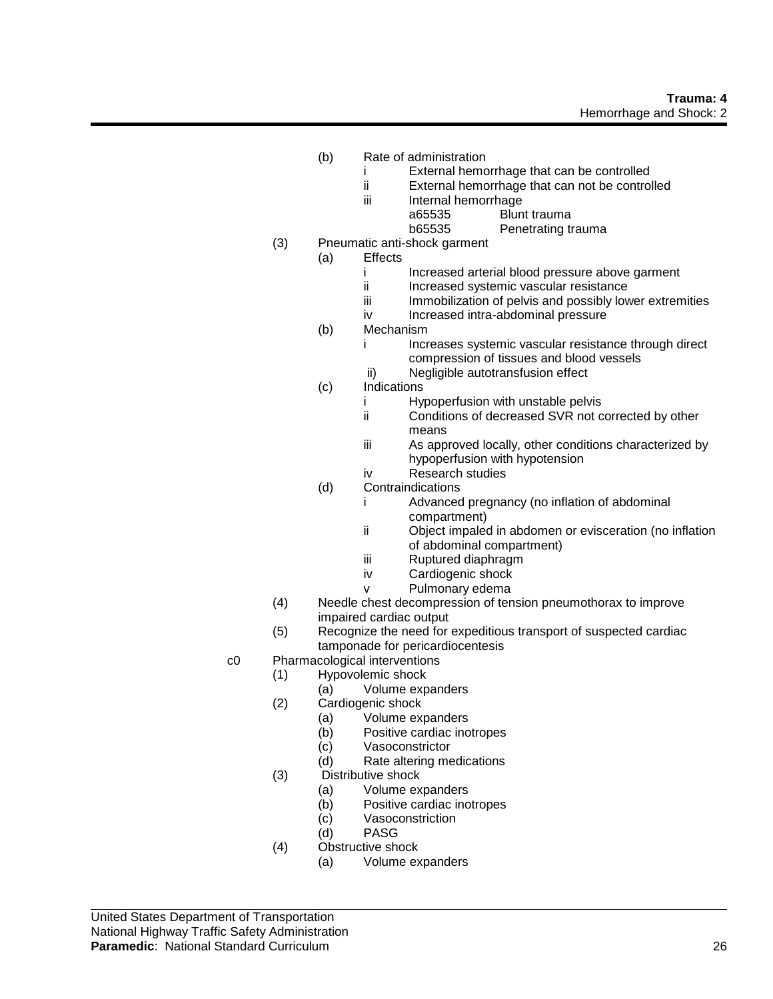## **Trauma: 4** Hemorrhage and Shock: 2

- (b) Rate of administration
	- i External hemorrhage that can be controlled
	- ii External hemorrhage that can not be controlled
	- iii Internal hemorrhage
		- a65535 Blunt trauma
		- b65535 Penetrating trauma
- (3) Pneumatic anti-shock garment
	- (a) Effects
		- i Increased arterial blood pressure above garment<br>ii Increased systemic vascular resistance
		- Increased systemic vascular resistance
		- iii Immobilization of pelvis and possibly lower extremities
		- iv Increased intra-abdominal pressure
		- (b) Mechanism
			- i Increases systemic vascular resistance through direct compression of tissues and blood vessels
			- ii) Negligible autotransfusion effect
		- (c) Indications
			- i Hypoperfusion with unstable pelvis
			- ii Conditions of decreased SVR not corrected by other means
			- iii As approved locally, other conditions characterized by hypoperfusion with hypotension
			- iv Research studies
		- (d) Contraindications
			- i Advanced pregnancy (no inflation of abdominal compartment)
			- ii Object impaled in abdomen or evisceration (no inflation of abdominal compartment)
			- iii Ruptured diaphragm
			- iv Cardiogenic shock
			- v Pulmonary edema
- (4) Needle chest decompression of tension pneumothorax to improve impaired cardiac output
- (5) Recognize the need for expeditious transport of suspected cardiac tamponade for pericardiocentesis
- c0 Pharmacological interventions
	- (1) Hypovolemic shock
		- (a) Volume expanders
		- (2) Cardiogenic shock
			- (a) Volume expanders
			- (b) Positive cardiac inotropes
			- (c) Vasoconstrictor
			- (d) Rate altering medications
		- (3) Distributive shock
			- (a) Volume expanders
			- (b) Positive cardiac inotropes
			- (c) Vasoconstriction
			- (d) PASG
		- (4) Obstructive shock
			- (a) Volume expanders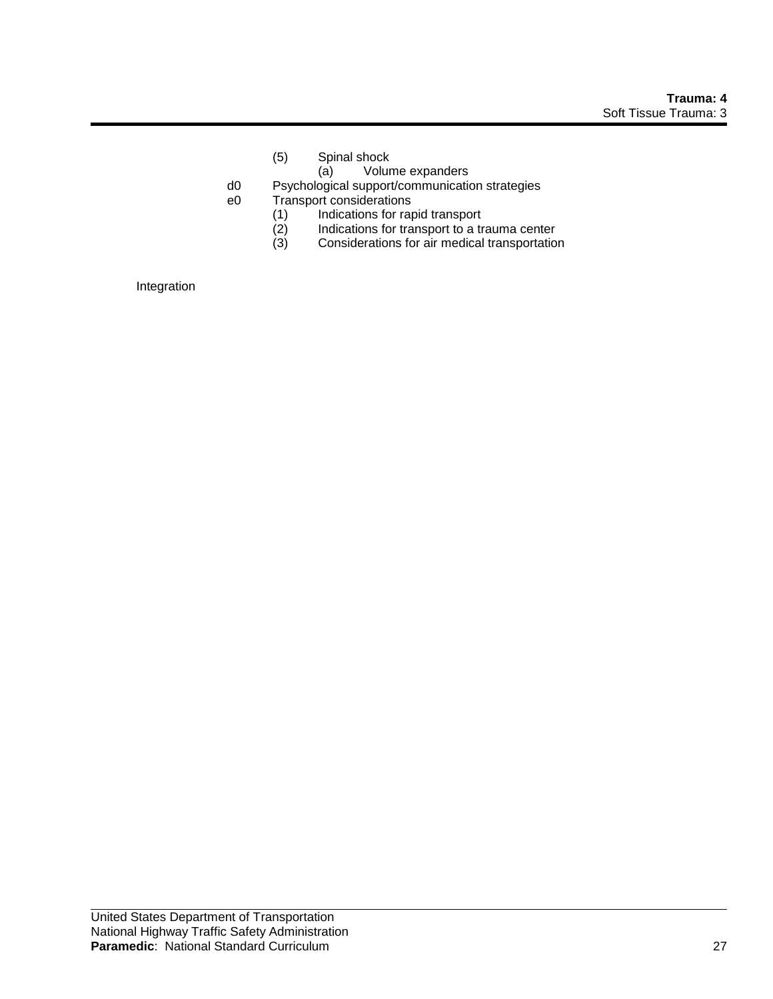- (5) Spinal shock
	- (a) Volume expanders
- d0 Psychological support/communication strategies
- e0 Transport considerations
	-
	- (1) Indications for rapid transport<br>
	(2) Indications for transport to a tr<br>
	(3) Considerations for air medical Indications for transport to a trauma center
	- Considerations for air medical transportation

Integration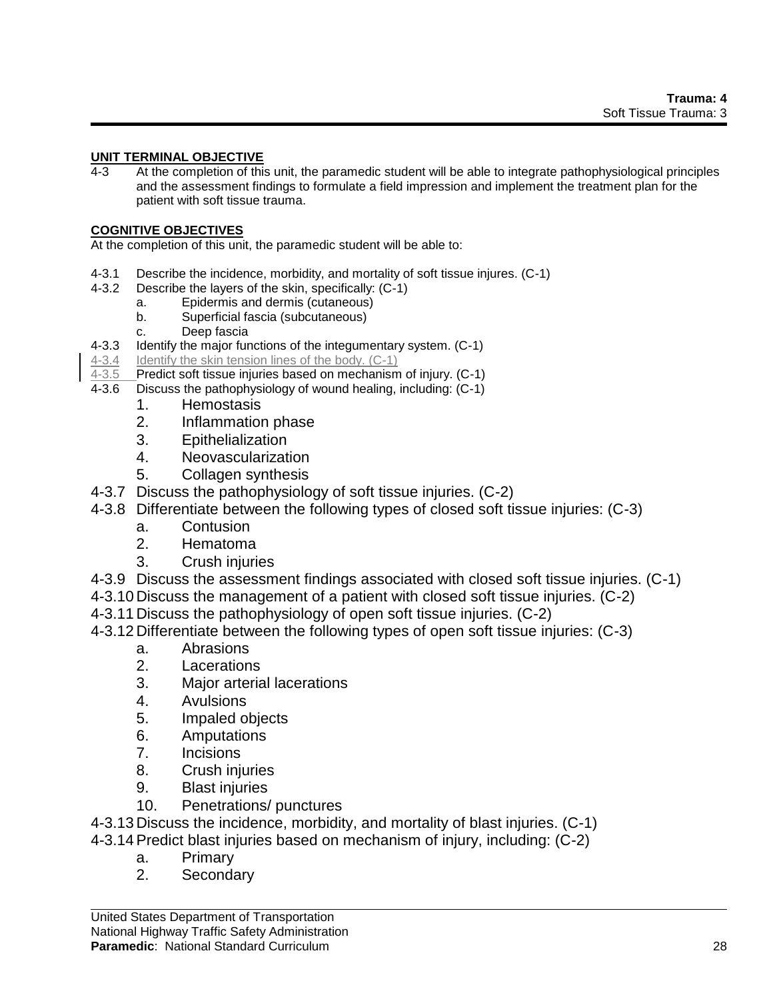## **UNIT TERMINAL OBJECTIVE**

4-3 At the completion of this unit, the paramedic student will be able to integrate pathophysiological principles and the assessment findings to formulate a field impression and implement the treatment plan for the patient with soft tissue trauma.

# **COGNITIVE OBJECTIVES**

At the completion of this unit, the paramedic student will be able to:

- 4-3.1 Describe the incidence, morbidity, and mortality of soft tissue injures. (C-1)
- 4-3.2 Describe the layers of the skin, specifically: (C-1)
	- a. Epidermis and dermis (cutaneous)
	- b. Superficial fascia (subcutaneous)
	- c. Deep fascia
- 4-3.3 Identify the major functions of the integumentary system. (C-1)
- 4-3.4 Identify the skin tension lines of the body. (C-1)
- 4-3.5 Predict soft tissue injuries based on mechanism of injury. (C-1)
- 4-3.6 Discuss the pathophysiology of wound healing, including: (C-1)
	- 1. Hemostasis
	- 2. Inflammation phase
	- 3. Epithelialization
	- 4. Neovascularization
	- 5. Collagen synthesis
- 4-3.7 Discuss the pathophysiology of soft tissue injuries. (C-2)
- 4-3.8 Differentiate between the following types of closed soft tissue injuries: (C-3)
	- a. Contusion
	- 2. Hematoma
	- 3. Crush injuries
- 4-3.9 Discuss the assessment findings associated with closed soft tissue injuries. (C-1)
- 4-3.10 Discuss the management of a patient with closed soft tissue injuries. (C-2)
- 4-3.11 Discuss the pathophysiology of open soft tissue injuries. (C-2)
- 4-3.12 Differentiate between the following types of open soft tissue injuries: (C-3)
	- a. Abrasions
	- 2. Lacerations
	- 3. Major arterial lacerations
	- 4. Avulsions
	- 5. Impaled objects
	- 6. Amputations
	- 7. Incisions
	- 8. Crush injuries
	- 9. Blast injuries
	- 10. Penetrations/ punctures
- 4-3.13 Discuss the incidence, morbidity, and mortality of blast injuries. (C-1)
- 4-3.14Predict blast injuries based on mechanism of injury, including: (C-2)
	- a. Primary
	- 2. Secondary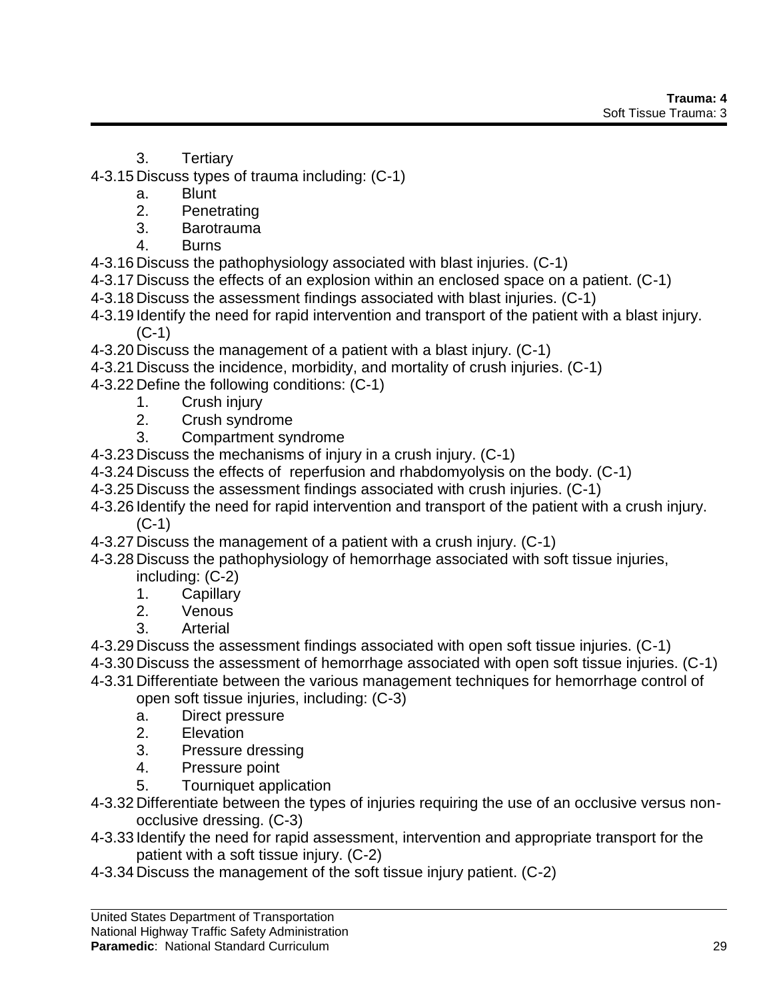- 3. Tertiary
- 4-3.15 Discuss types of trauma including: (C-1)
	- a. Blunt
	- 2. Penetrating
	- 3. Barotrauma
	- 4. Burns
- 4-3.16 Discuss the pathophysiology associated with blast injuries. (C-1)
- 4-3.17 Discuss the effects of an explosion within an enclosed space on a patient. (C-1)
- 4-3.18 Discuss the assessment findings associated with blast injuries. (C-1)
- 4-3.19 Identify the need for rapid intervention and transport of the patient with a blast injury. (C-1)
- 4-3.20 Discuss the management of a patient with a blast injury. (C-1)
- 4-3.21 Discuss the incidence, morbidity, and mortality of crush injuries. (C-1)
- 4-3.22 Define the following conditions: (C-1)
	- 1. Crush injury
	- 2. Crush syndrome
	- 3. Compartment syndrome
- 4-3.23 Discuss the mechanisms of injury in a crush injury. (C-1)
- 4-3.24 Discuss the effects of reperfusion and rhabdomyolysis on the body. (C-1)
- 4-3.25 Discuss the assessment findings associated with crush injuries. (C-1)
- 4-3.26 Identify the need for rapid intervention and transport of the patient with a crush injury. (C-1)
- 4-3.27 Discuss the management of a patient with a crush injury. (C-1)
- 4-3.28 Discuss the pathophysiology of hemorrhage associated with soft tissue injuries,
	- including: (C-2)
	- 1. Capillary
	- 2. Venous
	- 3. Arterial
- 4-3.29 Discuss the assessment findings associated with open soft tissue injuries. (C-1)
- 4-3.30 Discuss the assessment of hemorrhage associated with open soft tissue injuries. (C-1)
- 4-3.31 Differentiate between the various management techniques for hemorrhage control of open soft tissue injuries, including: (C-3)
	- a. Direct pressure
	- 2. Elevation
	- 3. Pressure dressing
	- 4. Pressure point
	- 5. Tourniquet application
- 4-3.32 Differentiate between the types of injuries requiring the use of an occlusive versus nonocclusive dressing. (C-3)
- 4-3.33 Identify the need for rapid assessment, intervention and appropriate transport for the patient with a soft tissue injury. (C-2)
- 4-3.34 Discuss the management of the soft tissue injury patient. (C-2)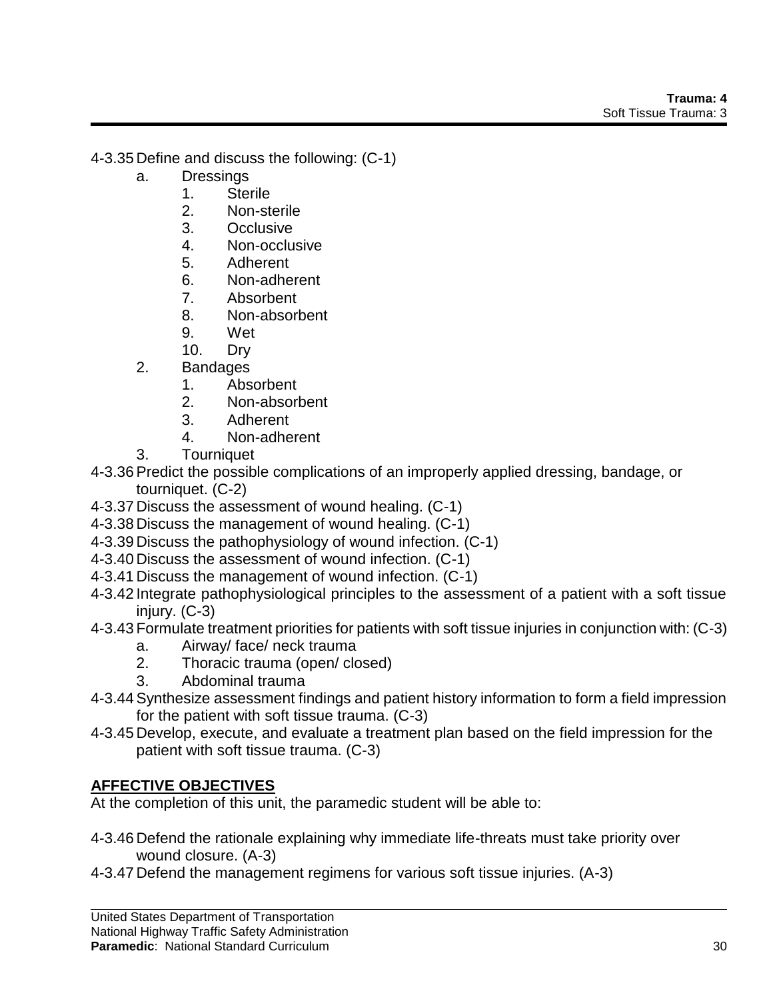4-3.35 Define and discuss the following: (C-1)

- a. Dressings
	- 1. Sterile
	- 2. Non-sterile
	- 3. Occlusive
	- 4. Non-occlusive
	- 5. Adherent
	- 6. Non-adherent
	- 7. Absorbent
	- 8. Non-absorbent
	- 9. Wet
	- 10. Dry
- 2. Bandages
	- 1. Absorbent
	- 2. Non-absorbent
	- 3. Adherent
	- 4. Non-adherent
- 3. Tourniquet
- 4-3.36Predict the possible complications of an improperly applied dressing, bandage, or tourniquet. (C-2)
- 4-3.37 Discuss the assessment of wound healing. (C-1)
- 4-3.38 Discuss the management of wound healing. (C-1)
- 4-3.39 Discuss the pathophysiology of wound infection. (C-1)
- 4-3.40 Discuss the assessment of wound infection. (C-1)
- 4-3.41 Discuss the management of wound infection. (C-1)
- 4-3.42 Integrate pathophysiological principles to the assessment of a patient with a soft tissue injury. (C-3)
- 4-3.43 Formulate treatment priorities for patients with soft tissue injuries in conjunction with: (C-3)
	- a. Airway/ face/ neck trauma
	- 2. Thoracic trauma (open/ closed)
	- 3. Abdominal trauma
- 4-3.44Synthesize assessment findings and patient history information to form a field impression for the patient with soft tissue trauma. (C-3)
- 4-3.45 Develop, execute, and evaluate a treatment plan based on the field impression for the patient with soft tissue trauma. (C-3)

# **AFFECTIVE OBJECTIVES**

At the completion of this unit, the paramedic student will be able to:

- 4-3.46 Defend the rationale explaining why immediate life-threats must take priority over wound closure. (A-3)
- 4-3.47 Defend the management regimens for various soft tissue injuries. (A-3)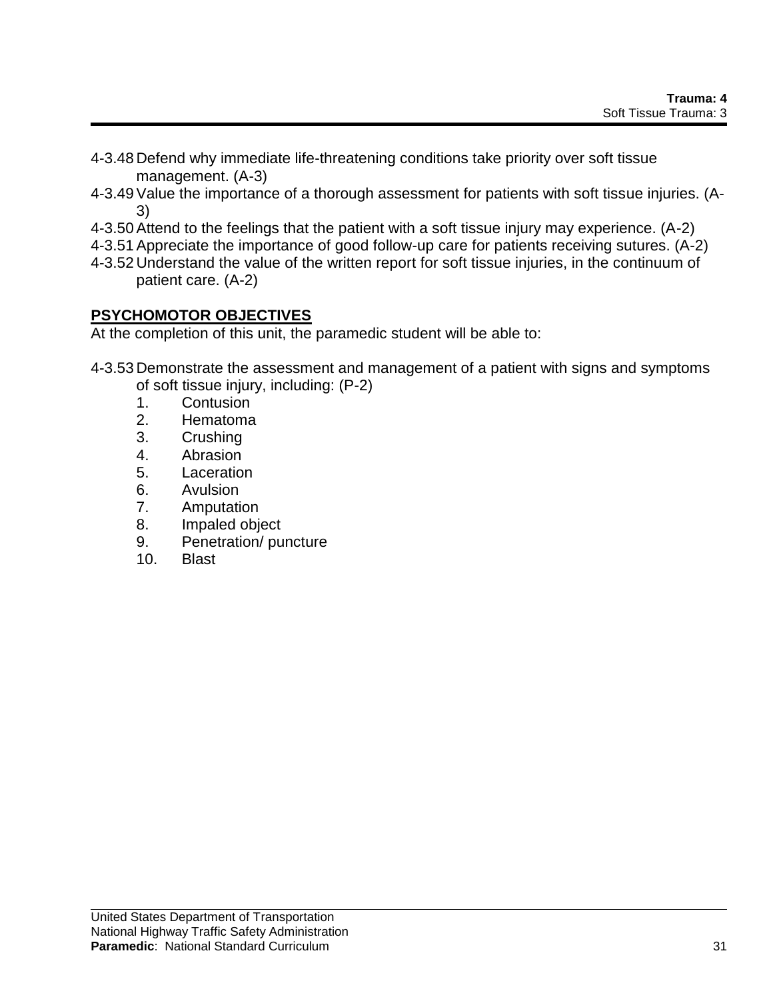- 4-3.48 Defend why immediate life-threatening conditions take priority over soft tissue management. (A-3)
- 4-3.49Value the importance of a thorough assessment for patients with soft tissue injuries. (A-3)
- 4-3.50Attend to the feelings that the patient with a soft tissue injury may experience. (A-2)
- 4-3.51Appreciate the importance of good follow-up care for patients receiving sutures. (A-2)
- 4-3.52 Understand the value of the written report for soft tissue injuries, in the continuum of patient care. (A-2)

# **PSYCHOMOTOR OBJECTIVES**

At the completion of this unit, the paramedic student will be able to:

4-3.53 Demonstrate the assessment and management of a patient with signs and symptoms of soft tissue injury, including: (P-2)

- 1. Contusion
- 2. Hematoma
- 3. Crushing
- 4. Abrasion
- 5. Laceration
- 6. Avulsion
- 7. Amputation
- 8. Impaled object
- 9. Penetration/ puncture
- 10. Blast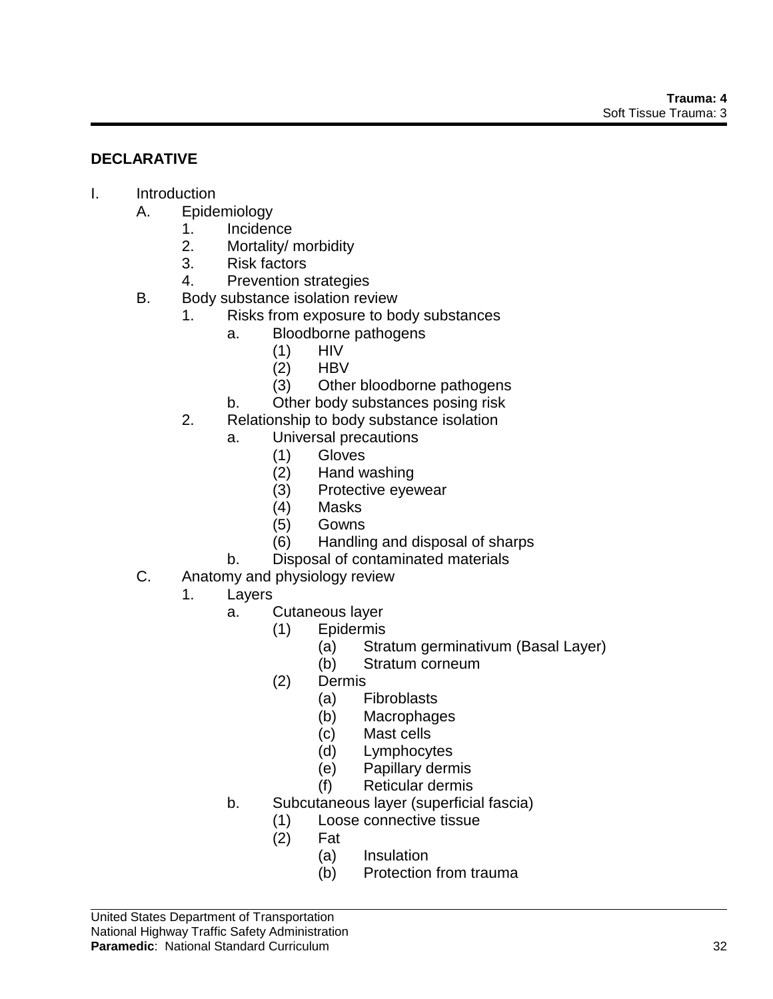# **DECLARATIVE**

- I. Introduction
	- A. Epidemiology
		- 1. Incidence
		- 2. Mortality/ morbidity
		- 3. Risk factors
		- 4. Prevention strategies
	- B. Body substance isolation review
		- 1. Risks from exposure to body substances
			- a. Bloodborne pathogens
				- (1) HIV
				- (2) HBV
				- (3) Other bloodborne pathogens
			- b. Other body substances posing risk
		- 2. Relationship to body substance isolation
			- a. Universal precautions
				- (1) Gloves
				- (2) Hand washing
				- (3) Protective eyewear
				- (4) Masks
				- (5) Gowns
				- (6) Handling and disposal of sharps
			- b. Disposal of contaminated materials
	- C. Anatomy and physiology review
		- 1. Layers
			- a. Cutaneous layer
				- (1) Epidermis
					- (a) Stratum germinativum (Basal Layer)
					- (b) Stratum corneum
					- (2) Dermis
						- (a) Fibroblasts
						- (b) Macrophages
						- (c) Mast cells
						- (d) Lymphocytes
						- (e) Papillary dermis
						- (f) Reticular dermis
			- b. Subcutaneous layer (superficial fascia)
				- (1) Loose connective tissue
				- (2) Fat
					- (a) Insulation
					- (b) Protection from trauma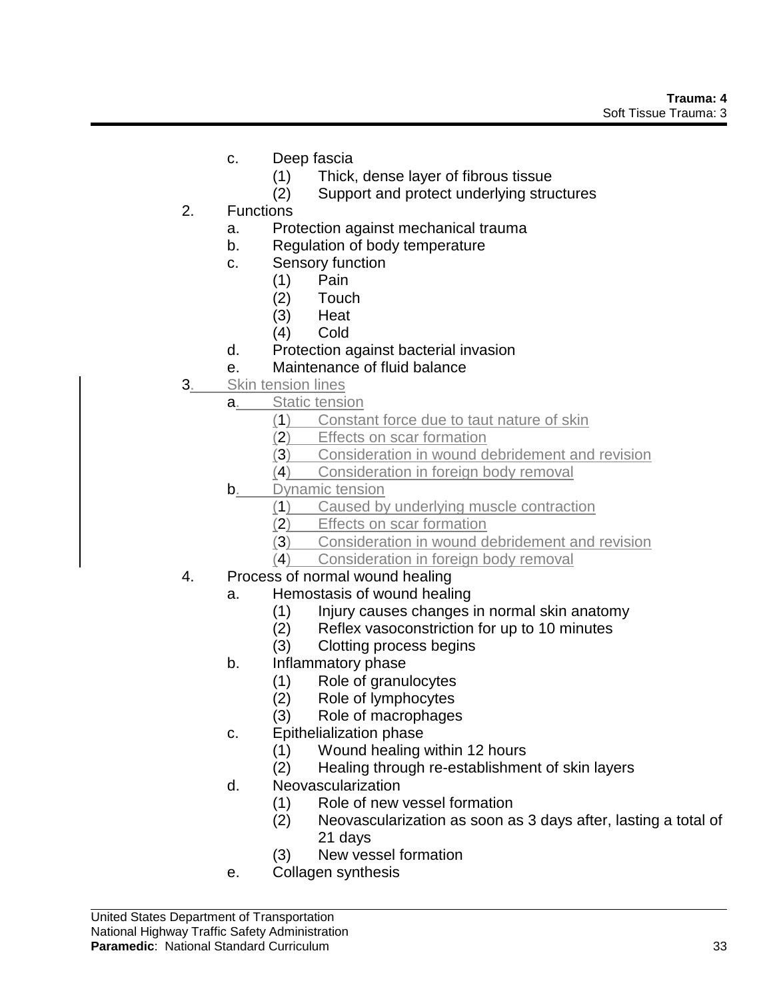- c. Deep fascia
	- (1) Thick, dense layer of fibrous tissue
	- (2) Support and protect underlying structures
- 2. Functions
	- a. Protection against mechanical trauma
	- b. Regulation of body temperature
	- c. Sensory function
		- (1) Pain
		- (2) Touch
		- (3) Heat
		- (4) Cold
	- d. Protection against bacterial invasion
	- e. Maintenance of fluid balance
- 3. Skin tension lines
	- a. Static tension
		- (1) Constant force due to taut nature of skin
		- (2) Effects on scar formation
		- (3) Consideration in wound debridement and revision
		- (4) Consideration in foreign body removal
	- **b.** Dynamic tension
		- (1) Caused by underlying muscle contraction
		- (2) Effects on scar formation
		- (3) Consideration in wound debridement and revision
		- (4) Consideration in foreign body removal
- 4. Process of normal wound healing
	- a. Hemostasis of wound healing
		- (1) Injury causes changes in normal skin anatomy
		- (2) Reflex vasoconstriction for up to 10 minutes
		- (3) Clotting process begins
	- b. Inflammatory phase
		- (1) Role of granulocytes
		- (2) Role of lymphocytes
		- (3) Role of macrophages
	- c. Epithelialization phase
		- (1) Wound healing within 12 hours
		- (2) Healing through re-establishment of skin layers
	- d. Neovascularization
		- (1) Role of new vessel formation
		- (2) Neovascularization as soon as 3 days after, lasting a total of 21 days
		- (3) New vessel formation
	- e. Collagen synthesis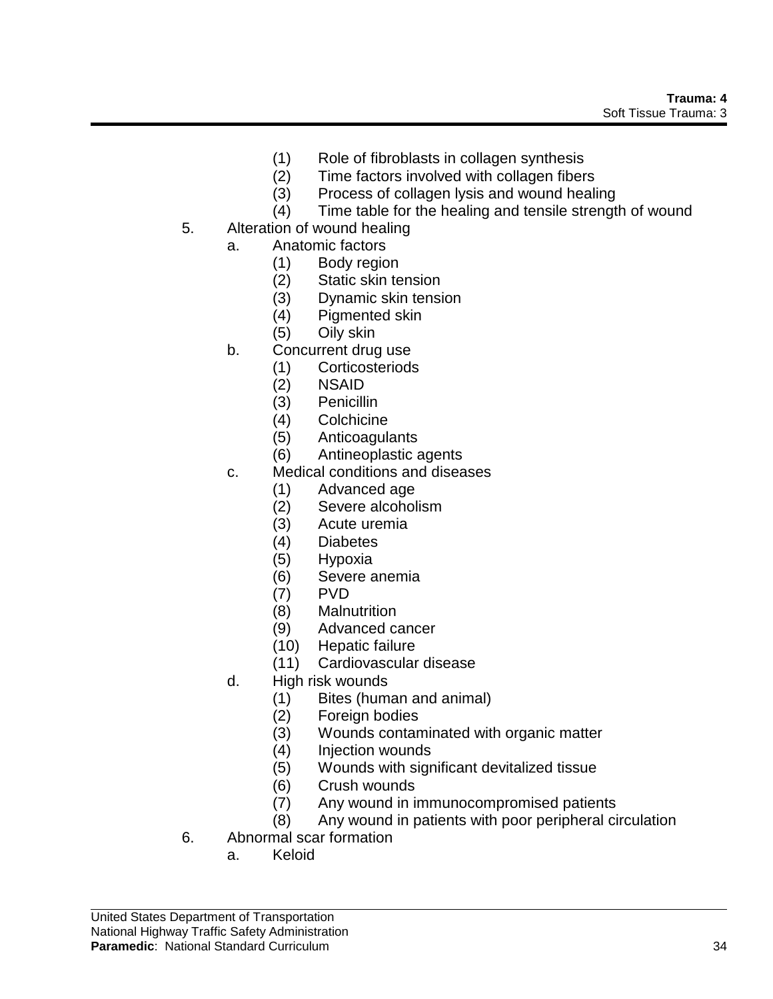- (1) Role of fibroblasts in collagen synthesis
- (2) Time factors involved with collagen fibers
- (3) Process of collagen lysis and wound healing
- (4) Time table for the healing and tensile strength of wound
- 5. Alteration of wound healing
	- a. Anatomic factors
		- (1) Body region
		- (2) Static skin tension
		- (3) Dynamic skin tension
		- (4) Pigmented skin
		- (5) Oily skin
	- b. Concurrent drug use
		- (1) Corticosteriods
			- (2) NSAID
			- (3) Penicillin
			- (4) Colchicine
			- (5) Anticoagulants
			- (6) Antineoplastic agents
	- c. Medical conditions and diseases
		- (1) Advanced age
		- (2) Severe alcoholism
		- (3) Acute uremia
		- (4) Diabetes
		- (5) Hypoxia
		- (6) Severe anemia
		- (7) PVD
		- (8) Malnutrition
		- (9) Advanced cancer
		- (10) Hepatic failure
		- (11) Cardiovascular disease
	- d. High risk wounds
		- (1) Bites (human and animal)
		- (2) Foreign bodies
		- (3) Wounds contaminated with organic matter
		- (4) Injection wounds
		- (5) Wounds with significant devitalized tissue
		- (6) Crush wounds
		- (7) Any wound in immunocompromised patients
		- (8) Any wound in patients with poor peripheral circulation
- 6. Abnormal scar formation
	- a. Keloid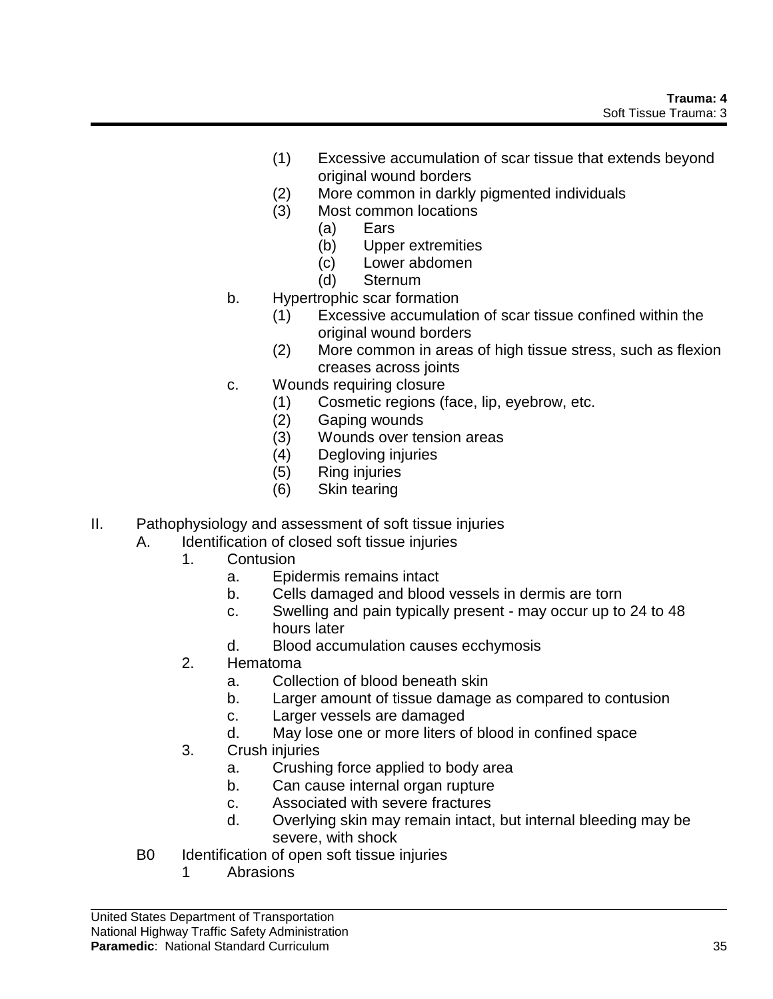- (1) Excessive accumulation of scar tissue that extends beyond original wound borders
- (2) More common in darkly pigmented individuals
- (3) Most common locations
	- (a) Ears
	- (b) Upper extremities
	- (c) Lower abdomen
	- (d) Sternum
- b. Hypertrophic scar formation
	- (1) Excessive accumulation of scar tissue confined within the original wound borders
	- (2) More common in areas of high tissue stress, such as flexion creases across joints
- c. Wounds requiring closure
	- (1) Cosmetic regions (face, lip, eyebrow, etc.
	- (2) Gaping wounds
	- (3) Wounds over tension areas
	- (4) Degloving injuries
	- (5) Ring injuries
	- (6) Skin tearing
- II. Pathophysiology and assessment of soft tissue injuries
	- A. Identification of closed soft tissue injuries
		- 1. Contusion
			- a. Epidermis remains intact
			- b. Cells damaged and blood vessels in dermis are torn
			- c. Swelling and pain typically present may occur up to 24 to 48 hours later
			- d. Blood accumulation causes ecchymosis
		- 2. Hematoma
			- a. Collection of blood beneath skin
			- b. Larger amount of tissue damage as compared to contusion
			- c. Larger vessels are damaged
			- d. May lose one or more liters of blood in confined space
		- 3. Crush injuries
			- a. Crushing force applied to body area
			- b. Can cause internal organ rupture
			- c. Associated with severe fractures
			- d. Overlying skin may remain intact, but internal bleeding may be severe, with shock
	- B0 Identification of open soft tissue injuries
		- 1 Abrasions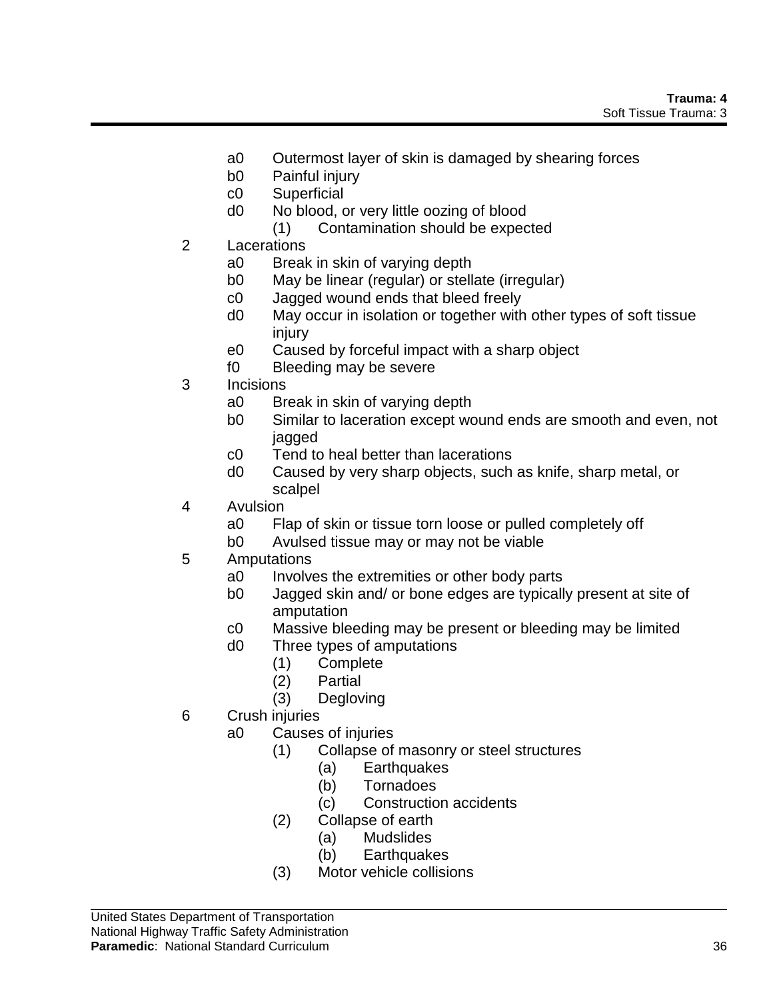- a0 Outermost layer of skin is damaged by shearing forces
- b0 Painful injury
- c0 Superficial
- d0 No blood, or very little oozing of blood
	- (1) Contamination should be expected
- 2 Lacerations
	- a0 Break in skin of varying depth
	- b0 May be linear (regular) or stellate (irregular)
	- c0 Jagged wound ends that bleed freely
	- d0 May occur in isolation or together with other types of soft tissue injury
	- e0 Caused by forceful impact with a sharp object
	- f0 Bleeding may be severe
- 3 Incisions
	- a0 Break in skin of varying depth
	- b0 Similar to laceration except wound ends are smooth and even, not jagged
	- c0 Tend to heal better than lacerations
	- d0 Caused by very sharp objects, such as knife, sharp metal, or scalpel
- 4 Avulsion
	- a0 Flap of skin or tissue torn loose or pulled completely off
	- b0 Avulsed tissue may or may not be viable
- 5 Amputations
	- a0 Involves the extremities or other body parts
	- b0 Jagged skin and/ or bone edges are typically present at site of amputation
	- c0 Massive bleeding may be present or bleeding may be limited
	- d0 Three types of amputations
		- (1) Complete
		- (2) Partial
		- (3) Degloving
- 6 Crush injuries
	- a0 Causes of injuries
		- (1) Collapse of masonry or steel structures
			- (a) Earthquakes
			- (b) Tornadoes
			- (c) Construction accidents
		- (2) Collapse of earth
			- (a) Mudslides
			- (b) Earthquakes
		- (3) Motor vehicle collisions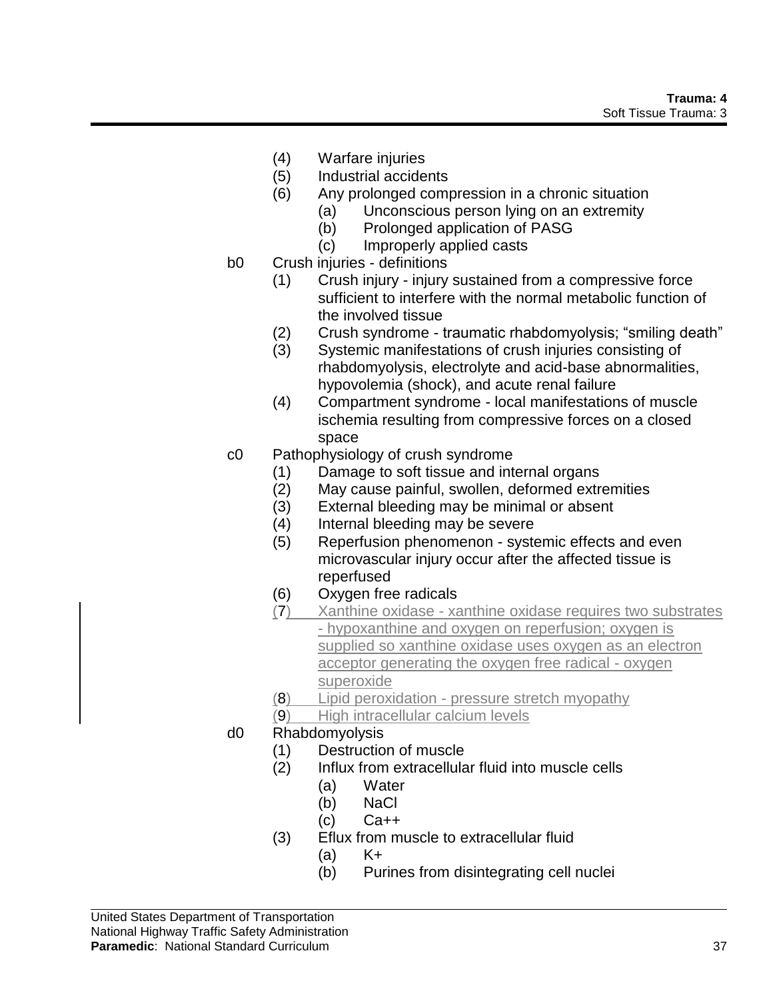- (4) Warfare injuries
- (5) Industrial accidents
- (6) Any prolonged compression in a chronic situation
	- (a) Unconscious person lying on an extremity
	- (b) Prolonged application of PASG
	- (c) Improperly applied casts
- b0 Crush injuries definitions
	- (1) Crush injury injury sustained from a compressive force sufficient to interfere with the normal metabolic function of the involved tissue
	- (2) Crush syndrome traumatic rhabdomyolysis; "smiling death"
	- (3) Systemic manifestations of crush injuries consisting of rhabdomyolysis, electrolyte and acid-base abnormalities, hypovolemia (shock), and acute renal failure
	- (4) Compartment syndrome local manifestations of muscle ischemia resulting from compressive forces on a closed space
- c0 Pathophysiology of crush syndrome
	- (1) Damage to soft tissue and internal organs
	- (2) May cause painful, swollen, deformed extremities
	- (3) External bleeding may be minimal or absent
	- (4) Internal bleeding may be severe
	- (5) Reperfusion phenomenon systemic effects and even microvascular injury occur after the affected tissue is reperfused
	- (6) Oxygen free radicals
	- (7) Xanthine oxidase xanthine oxidase requires two substrates - hypoxanthine and oxygen on reperfusion; oxygen is supplied so xanthine oxidase uses oxygen as an electron acceptor generating the oxygen free radical - oxygen superoxide
	- (8) Lipid peroxidation pressure stretch myopathy
	- (9) High intracellular calcium levels
- d0 Rhabdomyolysis
	- (1) Destruction of muscle
	- (2) Influx from extracellular fluid into muscle cells
		- (a) Water
			- (b) NaCl
		- $(c)$   $Ca++$
	- (3) Eflux from muscle to extracellular fluid
		- $(a)$   $K<sub>+</sub>$
		- (b) Purines from disintegrating cell nuclei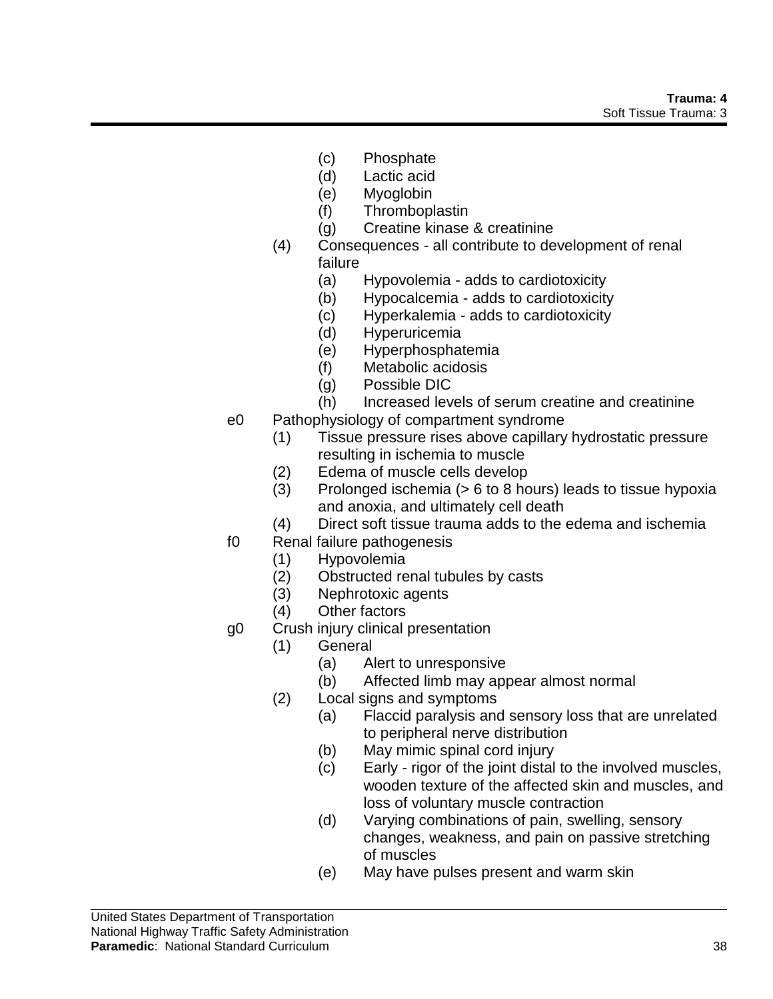- (c) Phosphate
- (d) Lactic acid
- (e) Myoglobin
- (f) Thromboplastin
- (g) Creatine kinase & creatinine
- (4) Consequences all contribute to development of renal
	- failure
		- (a) Hypovolemia adds to cardiotoxicity
	- (b) Hypocalcemia adds to cardiotoxicity
	- (c) Hyperkalemia adds to cardiotoxicity
	- (d) Hyperuricemia
	- (e) Hyperphosphatemia
	- (f) Metabolic acidosis
	- (g) Possible DIC
	- (h) Increased levels of serum creatine and creatinine
- e0 Pathophysiology of compartment syndrome
	- (1) Tissue pressure rises above capillary hydrostatic pressure resulting in ischemia to muscle
	- (2) Edema of muscle cells develop
	- (3) Prolonged ischemia (> 6 to 8 hours) leads to tissue hypoxia and anoxia, and ultimately cell death
	- (4) Direct soft tissue trauma adds to the edema and ischemia
- f0 Renal failure pathogenesis
	- (1) Hypovolemia
	- (2) Obstructed renal tubules by casts
	- (3) Nephrotoxic agents
	- (4) Other factors
- g0 Crush injury clinical presentation
	- (1) General
		- (a) Alert to unresponsive
		- (b) Affected limb may appear almost normal
	- (2) Local signs and symptoms
		- (a) Flaccid paralysis and sensory loss that are unrelated to peripheral nerve distribution
		- (b) May mimic spinal cord injury
		- (c) Early rigor of the joint distal to the involved muscles, wooden texture of the affected skin and muscles, and loss of voluntary muscle contraction
		- (d) Varying combinations of pain, swelling, sensory changes, weakness, and pain on passive stretching of muscles
		- (e) May have pulses present and warm skin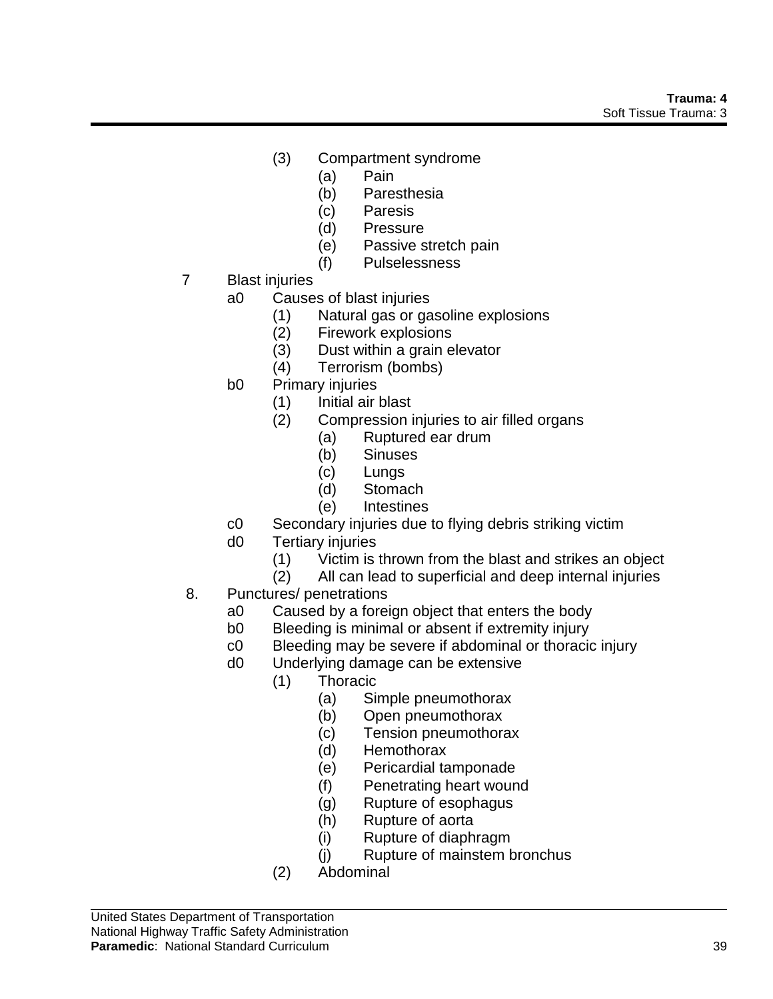- (3) Compartment syndrome
	- (a) Pain
	- (b) Paresthesia
	- (c) Paresis
	- (d) Pressure
	- (e) Passive stretch pain
	- (f) Pulselessness
- 7 Blast injuries
	- a0 Causes of blast injuries
		- (1) Natural gas or gasoline explosions
		- (2) Firework explosions
		- (3) Dust within a grain elevator
		- (4) Terrorism (bombs)
	- b0 Primary injuries
		- (1) Initial air blast
		- (2) Compression injuries to air filled organs
			- (a) Ruptured ear drum
			- (b) Sinuses
			- (c) Lungs
			- (d) Stomach
			- (e) Intestines
	- c0 Secondary injuries due to flying debris striking victim
	- d0 Tertiary injuries
		- (1) Victim is thrown from the blast and strikes an object
		- (2) All can lead to superficial and deep internal injuries
- 8. Punctures/ penetrations
	- a0 Caused by a foreign object that enters the body
	- b0 Bleeding is minimal or absent if extremity injury
	- c0 Bleeding may be severe if abdominal or thoracic injury
	- d0 Underlying damage can be extensive
		- (1) Thoracic
			- (a) Simple pneumothorax
			- (b) Open pneumothorax
			- (c) Tension pneumothorax
			- (d) Hemothorax
			- (e) Pericardial tamponade
			- (f) Penetrating heart wound
			- (g) Rupture of esophagus
			- (h) Rupture of aorta
			- (i) Rupture of diaphragm
			- (j) Rupture of mainstem bronchus
		- (2) Abdominal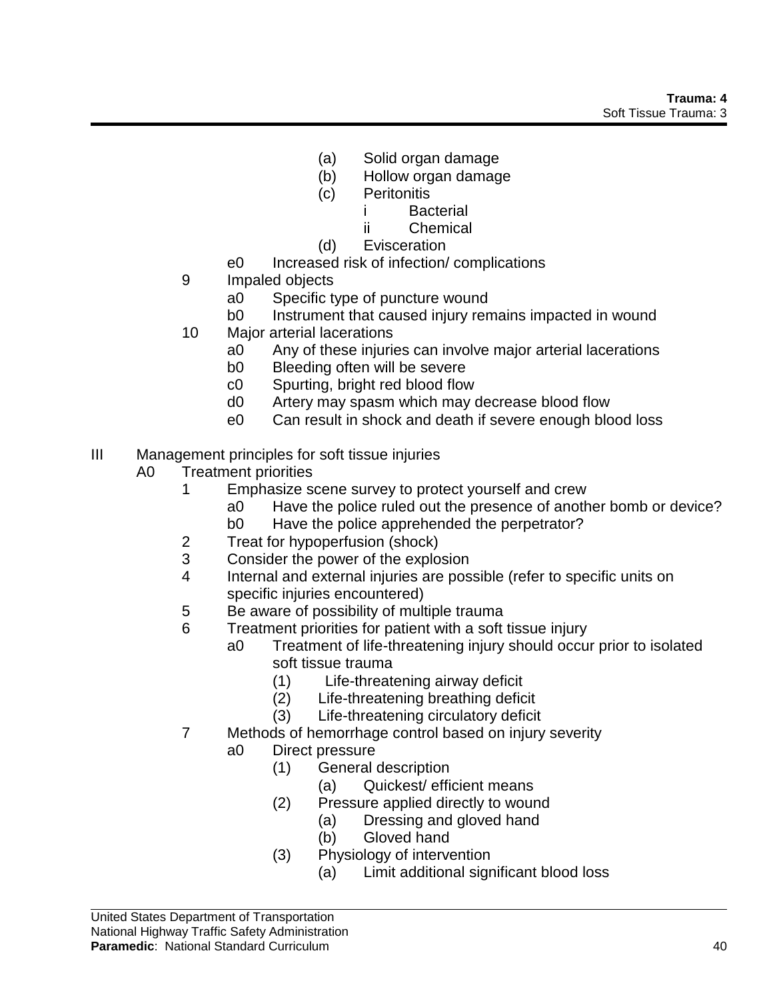- (a) Solid organ damage
- (b) Hollow organ damage
- (c) Peritonitis
	- i Bacterial
	- ii Chemical
- (d) Evisceration
- e0 Increased risk of infection/ complications
- 9 Impaled objects
	- a0 Specific type of puncture wound
	- b0 Instrument that caused injury remains impacted in wound
- 10 Major arterial lacerations
	- a0 Any of these injuries can involve major arterial lacerations
	- b0 Bleeding often will be severe
	- c0 Spurting, bright red blood flow
	- d0 Artery may spasm which may decrease blood flow
	- e0 Can result in shock and death if severe enough blood loss
- III Management principles for soft tissue injuries
	- A0 Treatment priorities
		- 1 Emphasize scene survey to protect yourself and crew
			- a0 Have the police ruled out the presence of another bomb or device?
			- b0 Have the police apprehended the perpetrator?
		- 2 Treat for hypoperfusion (shock)
		- 3 Consider the power of the explosion
		- 4 Internal and external injuries are possible (refer to specific units on specific injuries encountered)
		- 5 Be aware of possibility of multiple trauma
		- 6 Treatment priorities for patient with a soft tissue injury
			- a0 Treatment of life-threatening injury should occur prior to isolated soft tissue trauma
				- (1) Life-threatening airway deficit
				- (2) Life-threatening breathing deficit
				- (3) Life-threatening circulatory deficit
		- 7 Methods of hemorrhage control based on injury severity
			- a0 Direct pressure
				- (1) General description
					- (a) Quickest/ efficient means
				- (2) Pressure applied directly to wound
					- (a) Dressing and gloved hand
					- (b) Gloved hand
				- (3) Physiology of intervention
					- (a) Limit additional significant blood loss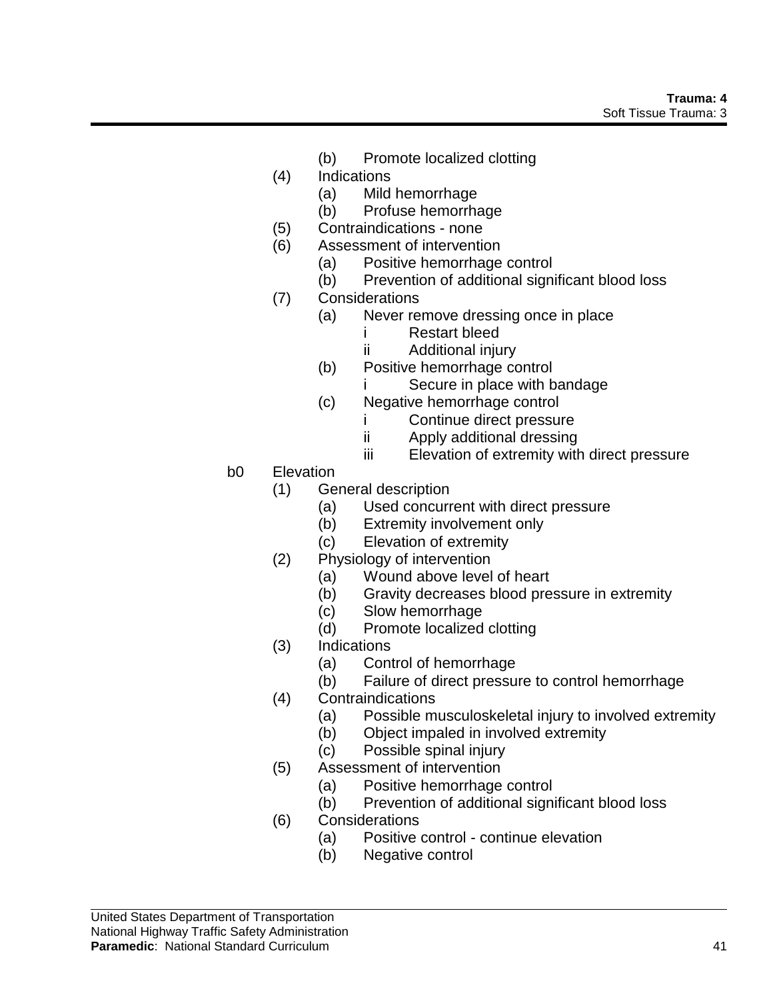- (b) Promote localized clotting
- (4) Indications
	- (a) Mild hemorrhage
	- (b) Profuse hemorrhage
- (5) Contraindications none
- (6) Assessment of intervention
	- (a) Positive hemorrhage control
	- (b) Prevention of additional significant blood loss
- (7) Considerations
	- (a) Never remove dressing once in place
		- i Restart bleed
		- ii Additional injury
	- (b) Positive hemorrhage control
		- Secure in place with bandage
	- (c) Negative hemorrhage control
		- i Continue direct pressure
		- ii Apply additional dressing
		- iii Elevation of extremity with direct pressure
- b0 Elevation
	- (1) General description
		- (a) Used concurrent with direct pressure
		- (b) Extremity involvement only
		- (c) Elevation of extremity
	- (2) Physiology of intervention
		- (a) Wound above level of heart
		- (b) Gravity decreases blood pressure in extremity
		- (c) Slow hemorrhage
		- (d) Promote localized clotting
	- (3) Indications
		- (a) Control of hemorrhage
		- (b) Failure of direct pressure to control hemorrhage
	- (4) Contraindications
		- (a) Possible musculoskeletal injury to involved extremity
		- (b) Object impaled in involved extremity
		- (c) Possible spinal injury
	- (5) Assessment of intervention
		- (a) Positive hemorrhage control
		- (b) Prevention of additional significant blood loss
	- (6) Considerations
		- (a) Positive control continue elevation
		- (b) Negative control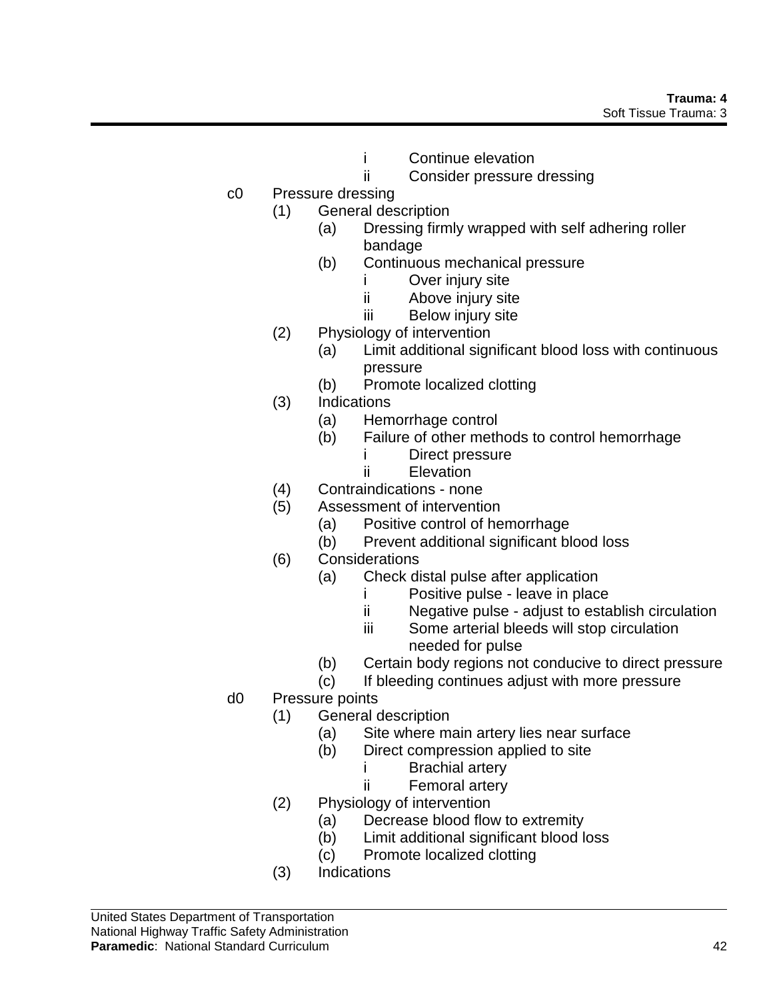- i Continue elevation
- ii Consider pressure dressing
- c0 Pressure dressing
	- (1) General description
		- (a) Dressing firmly wrapped with self adhering roller bandage
		- (b) Continuous mechanical pressure
			- i Over injury site
			- ii Above injury site
			- iii Below injury site
		- (2) Physiology of intervention
			- (a) Limit additional significant blood loss with continuous pressure
			- (b) Promote localized clotting
		- (3) Indications
			- (a) Hemorrhage control
			- (b) Failure of other methods to control hemorrhage
				- i Direct pressure
				- ii Elevation
		- (4) Contraindications none
		- (5) Assessment of intervention
			- (a) Positive control of hemorrhage
			- (b) Prevent additional significant blood loss
		- (6) Considerations
			- (a) Check distal pulse after application
				- i Positive pulse leave in place
				- ii Negative pulse adjust to establish circulation
				- iii Some arterial bleeds will stop circulation needed for pulse
			- (b) Certain body regions not conducive to direct pressure
			- (c) If bleeding continues adjust with more pressure
- d0 Pressure points
	- (1) General description
		- (a) Site where main artery lies near surface
		- (b) Direct compression applied to site
			- i Brachial artery
			- ii Femoral artery
	- (2) Physiology of intervention
		- (a) Decrease blood flow to extremity
		- (b) Limit additional significant blood loss
		- (c) Promote localized clotting
	- (3) Indications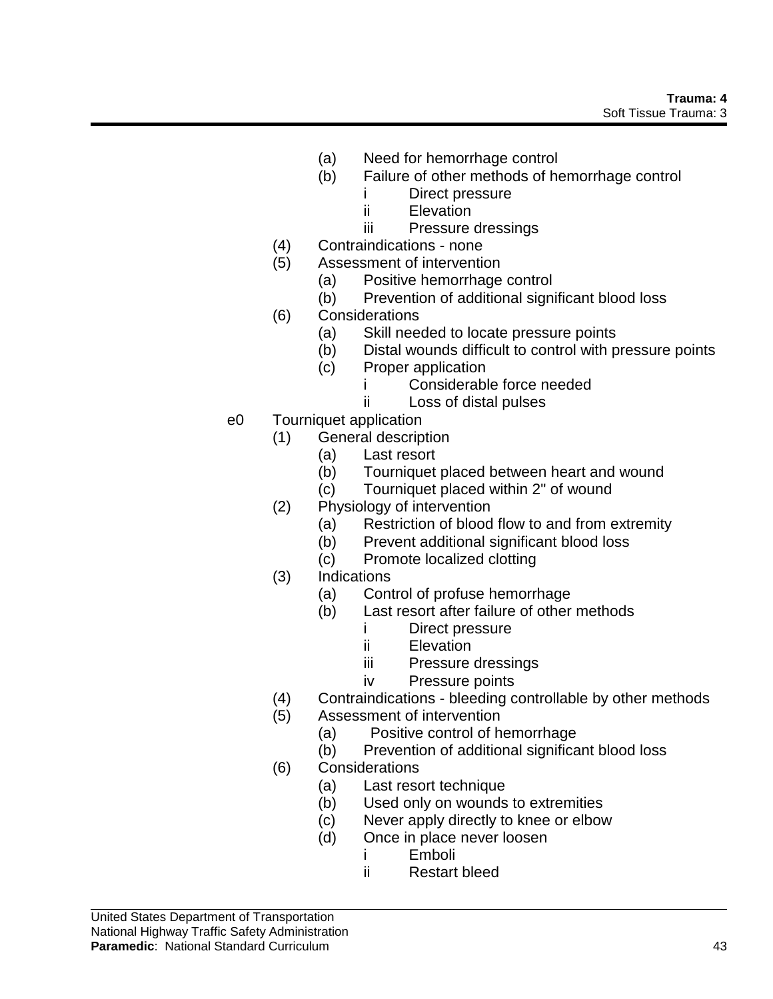- (a) Need for hemorrhage control
- (b) Failure of other methods of hemorrhage control
	- i Direct pressure
	- ii Elevation
	- iii Pressure dressings
- (4) Contraindications none
- (5) Assessment of intervention
	- (a) Positive hemorrhage control
	- (b) Prevention of additional significant blood loss
- (6) Considerations
	- (a) Skill needed to locate pressure points
	- (b) Distal wounds difficult to control with pressure points
	- (c) Proper application
		- i Considerable force needed
		- ii Loss of distal pulses
- e0 Tourniquet application
	- (1) General description
		- (a) Last resort
		- (b) Tourniquet placed between heart and wound
		- (c) Tourniquet placed within 2" of wound
	- (2) Physiology of intervention
		- (a) Restriction of blood flow to and from extremity
		- (b) Prevent additional significant blood loss
		- (c) Promote localized clotting
	- (3) Indications
		- (a) Control of profuse hemorrhage
		- (b) Last resort after failure of other methods
			- i Direct pressure
			- ii Elevation
			- iii Pressure dressings
			- iv Pressure points
	- (4) Contraindications bleeding controllable by other methods
	- (5) Assessment of intervention
		- (a) Positive control of hemorrhage
		- (b) Prevention of additional significant blood loss
	- (6) Considerations
		- (a) Last resort technique
		- (b) Used only on wounds to extremities
		- (c) Never apply directly to knee or elbow
		- (d) Once in place never loosen
			- i Emboli
			- ii Restart bleed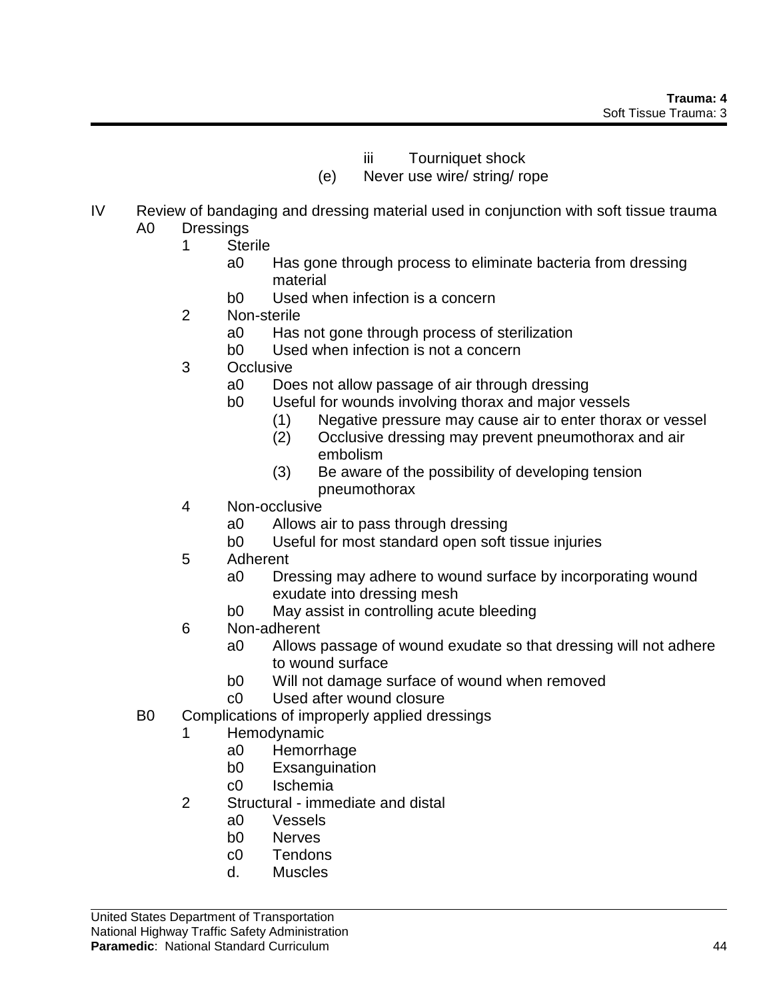- iii Tourniquet shock
- (e) Never use wire/ string/ rope
- IV Review of bandaging and dressing material used in conjunction with soft tissue trauma A0 Dressings
	- 1 Sterile
		- a0 Has gone through process to eliminate bacteria from dressing material
		- b0 Used when infection is a concern
		- 2 Non-sterile
			- a0 Has not gone through process of sterilization
			- b0 Used when infection is not a concern
		- 3 Occlusive
			- a0 Does not allow passage of air through dressing
			- b0 Useful for wounds involving thorax and major vessels
				- (1) Negative pressure may cause air to enter thorax or vessel
				- (2) Occlusive dressing may prevent pneumothorax and air embolism
				- (3) Be aware of the possibility of developing tension pneumothorax
		- 4 Non-occlusive
			- a0 Allows air to pass through dressing
			- b0 Useful for most standard open soft tissue injuries
		- 5 Adherent
			- a0 Dressing may adhere to wound surface by incorporating wound exudate into dressing mesh
			- b0 May assist in controlling acute bleeding
		- 6 Non-adherent
			- a0 Allows passage of wound exudate so that dressing will not adhere to wound surface
			- b0 Will not damage surface of wound when removed
			- c0 Used after wound closure
	- B0 Complications of improperly applied dressings
		- **Hemodynamic** 
			- a0 Hemorrhage
			- b0 Exsanguination
			- c0 Ischemia
		- 2 Structural immediate and distal
			- a0 Vessels
			- b0 Nerves
			- c0 Tendons
			- d. Muscles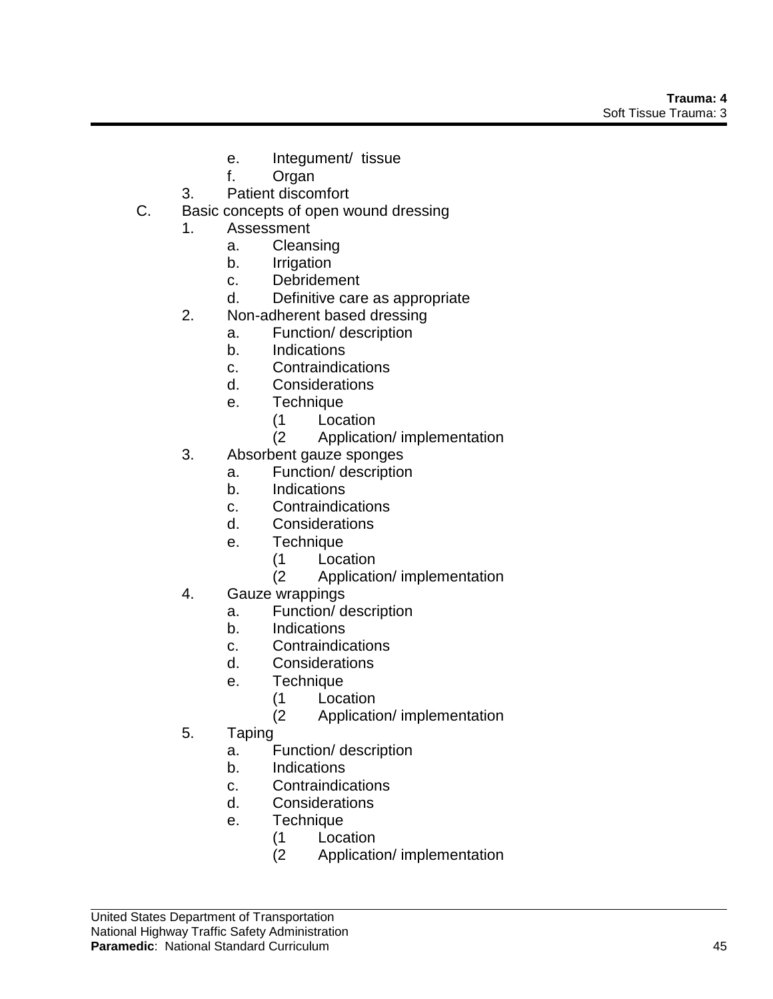- e. Integument/ tissue
- f. Organ
- 3. Patient discomfort
- C. Basic concepts of open wound dressing
	- 1. Assessment
		- a. Cleansing
		- b. Irrigation
		- c. Debridement
		- d. Definitive care as appropriate
	- 2. Non-adherent based dressing
		- a. Function/ description
		- b. Indications
		- c. Contraindications
		- d. Considerations
		- e. Technique
			- (1 Location
			- (2 Application/ implementation
	- 3. Absorbent gauze sponges
		- a. Function/ description
			- b. Indications
			- c. Contraindications
			- d. Considerations
			- e. Technique
				- (1 Location
				- (2 Application/ implementation
	- 4. Gauze wrappings
		- a. Function/ description
		- b. Indications
		- c. Contraindications
		- d. Considerations
		- e. Technique
			- (1 Location
			- (2 Application/ implementation
	- 5. Taping
		- a. Function/ description
		- b. Indications
		- c. Contraindications
		- d. Considerations
		- e. Technique
			- (1 Location
			- (2 Application/ implementation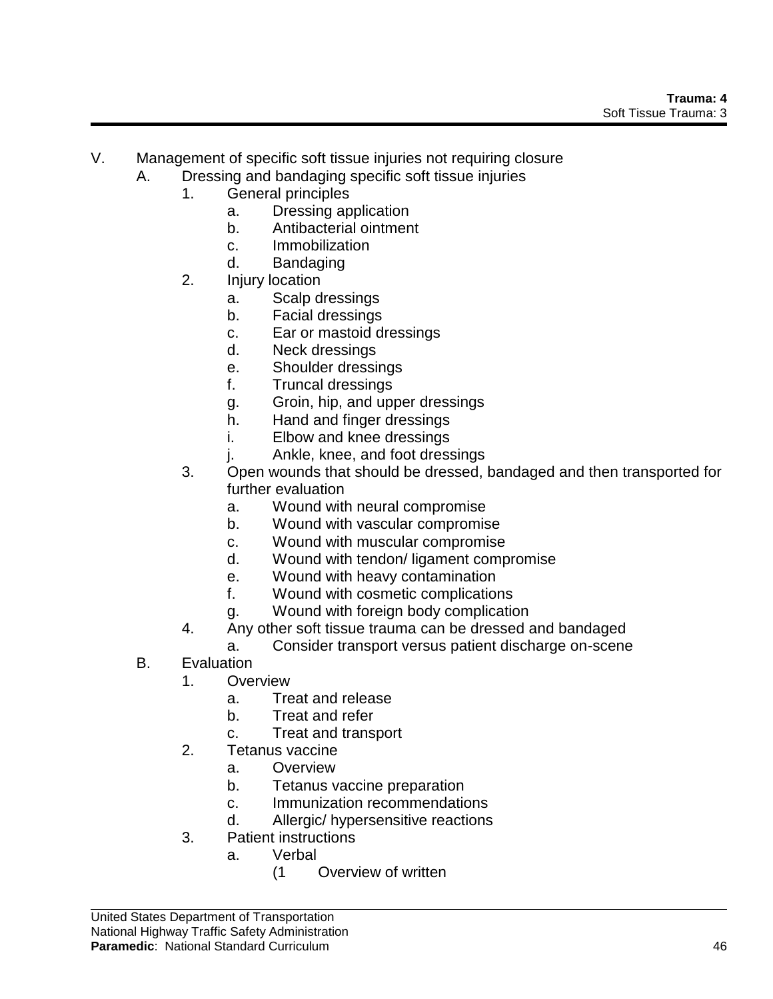- V. Management of specific soft tissue injuries not requiring closure
	- A. Dressing and bandaging specific soft tissue injuries
		- 1. General principles
			- a. Dressing application
			- b. Antibacterial ointment
			- c. Immobilization
			- d. Bandaging
		- 2. Injury location
			- a. Scalp dressings
			- b. Facial dressings
			- c. Ear or mastoid dressings
			- d. Neck dressings
			- e. Shoulder dressings
			- f. Truncal dressings
			- g. Groin, hip, and upper dressings
			- h. Hand and finger dressings
			- i. Elbow and knee dressings
			- j. Ankle, knee, and foot dressings
		- 3. Open wounds that should be dressed, bandaged and then transported for further evaluation
			- a. Wound with neural compromise
			- b. Wound with vascular compromise
			- c. Wound with muscular compromise
			- d. Wound with tendon/ ligament compromise
			- e. Wound with heavy contamination
			- f. Wound with cosmetic complications
			- g. Wound with foreign body complication
		- 4. Any other soft tissue trauma can be dressed and bandaged
			- a. Consider transport versus patient discharge on-scene
	- B. Evaluation
		- 1. Overview
			- a. Treat and release
			- b. Treat and refer
			- c. Treat and transport
		- 2. Tetanus vaccine
			- a. Overview
			- b. Tetanus vaccine preparation
			- c. Immunization recommendations
			- d. Allergic/ hypersensitive reactions
		- 3. Patient instructions
			- a. Verbal
				- (1 Overview of written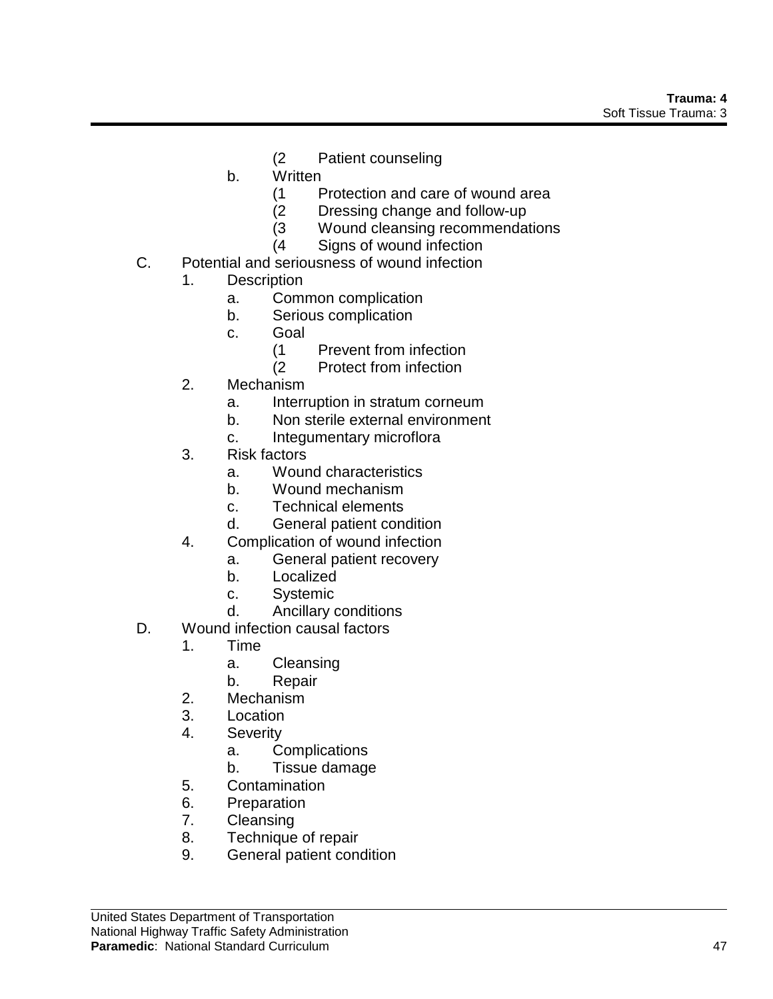- (2 Patient counseling
- b. Written
	- (1 Protection and care of wound area
	- (2 Dressing change and follow-up
	- (3 Wound cleansing recommendations
	- (4 Signs of wound infection
- C. Potential and seriousness of wound infection
	- 1. Description
		- a. Common complication
		- b. Serious complication
		- c. Goal
			- (1 Prevent from infection
			- (2 Protect from infection
	- 2. Mechanism
		- a. Interruption in stratum corneum
		- b. Non sterile external environment
		- c. Integumentary microflora
	- 3. Risk factors
		- a. Wound characteristics
		- b. Wound mechanism
		- c. Technical elements
		- d. General patient condition
	- 4. Complication of wound infection
		- a. General patient recovery
		- b. Localized
		- c. Systemic
		- d. Ancillary conditions
- D. Wound infection causal factors
	- 1. Time
		- a. Cleansing
		- b. Repair
	- 2. Mechanism
	- 3. Location
	- 4. Severity
		- a. Complications
		- b. Tissue damage
	- 5. Contamination
	- 6. Preparation
	- 7. Cleansing
	- 8. Technique of repair
	- 9. General patient condition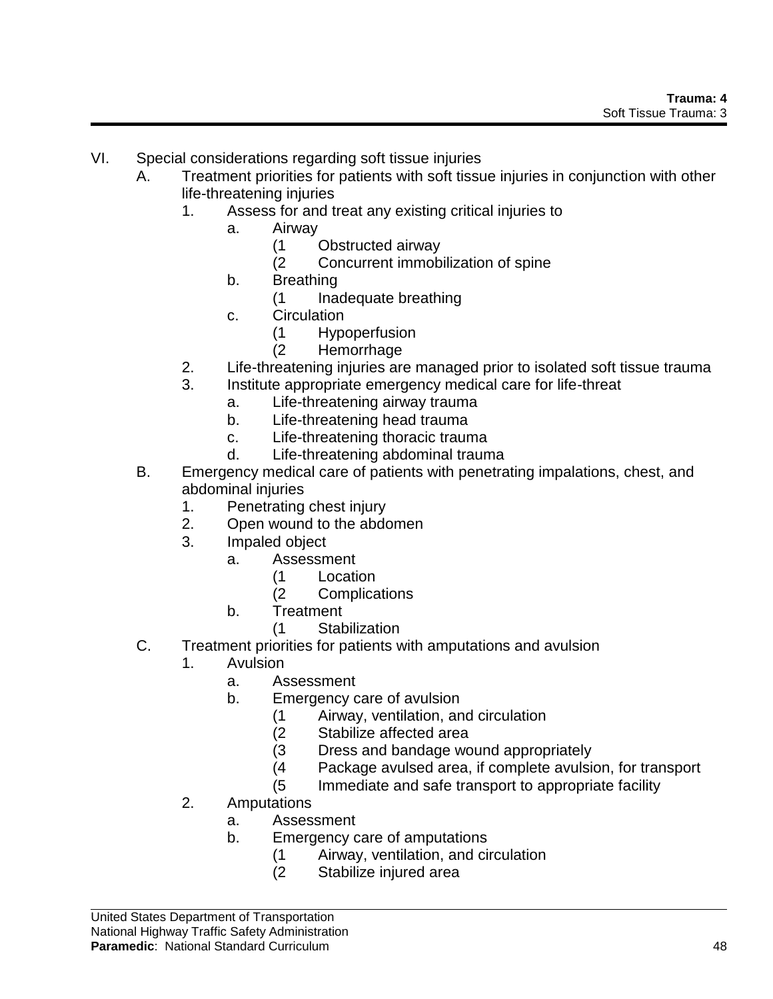- VI. Special considerations regarding soft tissue injuries
	- A. Treatment priorities for patients with soft tissue injuries in conjunction with other life-threatening injuries
		- 1. Assess for and treat any existing critical injuries to
			- a. Airway
				- (1 Obstructed airway
				- (2 Concurrent immobilization of spine
			- b. Breathing
				- (1 Inadequate breathing
			- c. Circulation
				- (1 Hypoperfusion
				- (2 Hemorrhage
		- 2. Life-threatening injuries are managed prior to isolated soft tissue trauma
		- 3. Institute appropriate emergency medical care for life-threat
			- a. Life-threatening airway trauma
			- b. Life-threatening head trauma
			- c. Life-threatening thoracic trauma
			- d. Life-threatening abdominal trauma
	- B. Emergency medical care of patients with penetrating impalations, chest, and abdominal injuries
		- 1. Penetrating chest injury
		- 2. Open wound to the abdomen
		- 3. Impaled object
			- a. Assessment
				- (1 Location
				- (2 Complications
			- b. Treatment
				- (1 Stabilization
	- C. Treatment priorities for patients with amputations and avulsion
		- 1. Avulsion
			- a. Assessment
			- b. Emergency care of avulsion
				- (1 Airway, ventilation, and circulation
				- Stabilize affected area
				- (3 Dress and bandage wound appropriately
				- (4 Package avulsed area, if complete avulsion, for transport
				- (5 Immediate and safe transport to appropriate facility
		- 2. Amputations
			- a. Assessment
			- b. Emergency care of amputations
				- (1 Airway, ventilation, and circulation
				- (2 Stabilize injured area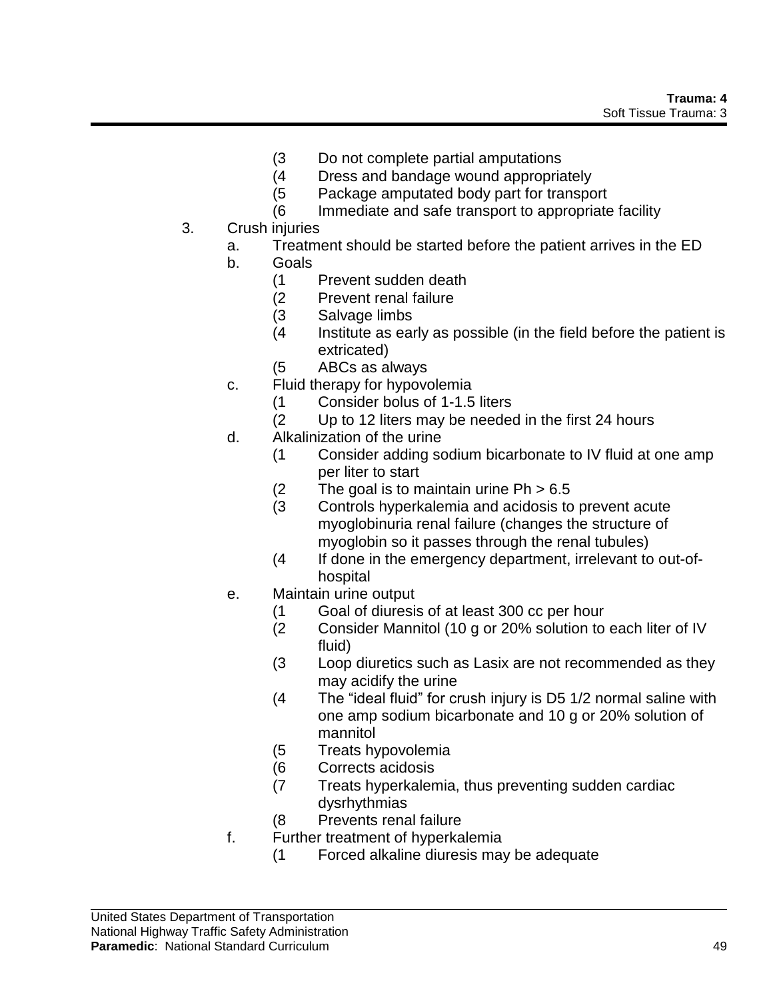- (3 Do not complete partial amputations
- (4 Dress and bandage wound appropriately
- (5 Package amputated body part for transport
- (6 Immediate and safe transport to appropriate facility
- 3. Crush injuries
	- a. Treatment should be started before the patient arrives in the ED
	- b. Goals
		- (1 Prevent sudden death
		- (2 Prevent renal failure
		- (3 Salvage limbs
		- (4 Institute as early as possible (in the field before the patient is extricated)
		- (5 ABCs as always
	- c. Fluid therapy for hypovolemia
		- (1 Consider bolus of 1-1.5 liters
		- (2 Up to 12 liters may be needed in the first 24 hours
	- d. Alkalinization of the urine
		- (1 Consider adding sodium bicarbonate to IV fluid at one amp per liter to start
		- $(2$  The goal is to maintain urine Ph  $> 6.5$
		- (3 Controls hyperkalemia and acidosis to prevent acute myoglobinuria renal failure (changes the structure of myoglobin so it passes through the renal tubules)
		- (4 If done in the emergency department, irrelevant to out-ofhospital
	- e. Maintain urine output
		- (1 Goal of diuresis of at least 300 cc per hour
		- (2 Consider Mannitol (10 g or 20% solution to each liter of IV fluid)
		- (3 Loop diuretics such as Lasix are not recommended as they may acidify the urine
		- (4 The "ideal fluid" for crush injury is D5 1/2 normal saline with one amp sodium bicarbonate and 10 g or 20% solution of mannitol
		- (5 Treats hypovolemia
		- (6 Corrects acidosis
		- (7 Treats hyperkalemia, thus preventing sudden cardiac dysrhythmias
		- (8 Prevents renal failure
	- f. Further treatment of hyperkalemia
		- (1 Forced alkaline diuresis may be adequate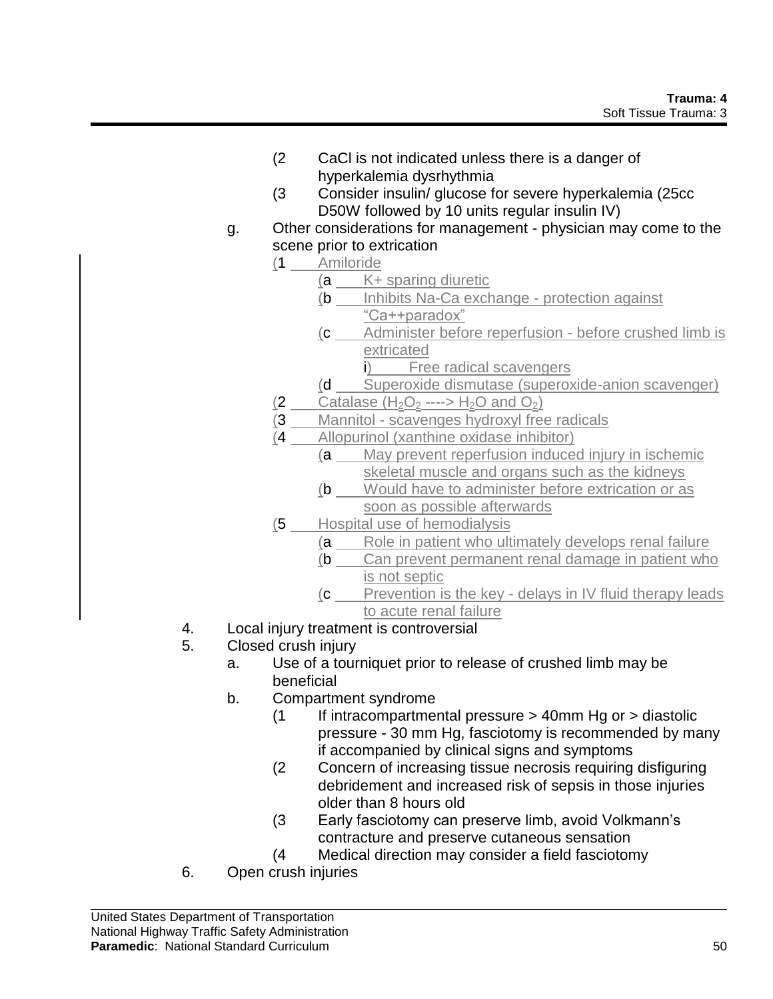- (2 CaCl is not indicated unless there is a danger of hyperkalemia dysrhythmia
- (3 Consider insulin/ glucose for severe hyperkalemia (25cc D50W followed by 10 units regular insulin IV)
- g. Other considerations for management physician may come to the scene prior to extrication
	- (1 Amiloride
		- (a K+ sparing diuretic
		- (b Inhibits Na-Ca exchange protection against "Ca++paradox"
		- (c Administer before reperfusion before crushed limb is extricated
			- i) Free radical scavengers
		- (d Superoxide dismutase (superoxide-anion scavenger)
	- (2 Catalase  $(H_2O_2$  ---->  $H_2O$  and  $O_2$ )
	- (3 Mannitol scavenges hydroxyl free radicals
	- (4 Allopurinol (xanthine oxidase inhibitor)
		- (a May prevent reperfusion induced injury in ischemic skeletal muscle and organs such as the kidneys
		- (b Would have to administer before extrication or as soon as possible afterwards
	- (5 Hospital use of hemodialysis
		- (a Role in patient who ultimately develops renal failure
		- (b Can prevent permanent renal damage in patient who is not septic
		- (c Prevention is the key delays in IV fluid therapy leads to acute renal failure
- 4. Local injury treatment is controversial
- 5. Closed crush injury
	- a. Use of a tourniquet prior to release of crushed limb may be beneficial
	- b. Compartment syndrome
		- (1 If intracompartmental pressure > 40mm Hg or > diastolic pressure - 30 mm Hg, fasciotomy is recommended by many if accompanied by clinical signs and symptoms
		- (2 Concern of increasing tissue necrosis requiring disfiguring debridement and increased risk of sepsis in those injuries older than 8 hours old
		- (3 Early fasciotomy can preserve limb, avoid Volkmann's contracture and preserve cutaneous sensation
		- (4 Medical direction may consider a field fasciotomy
- 6. Open crush injuries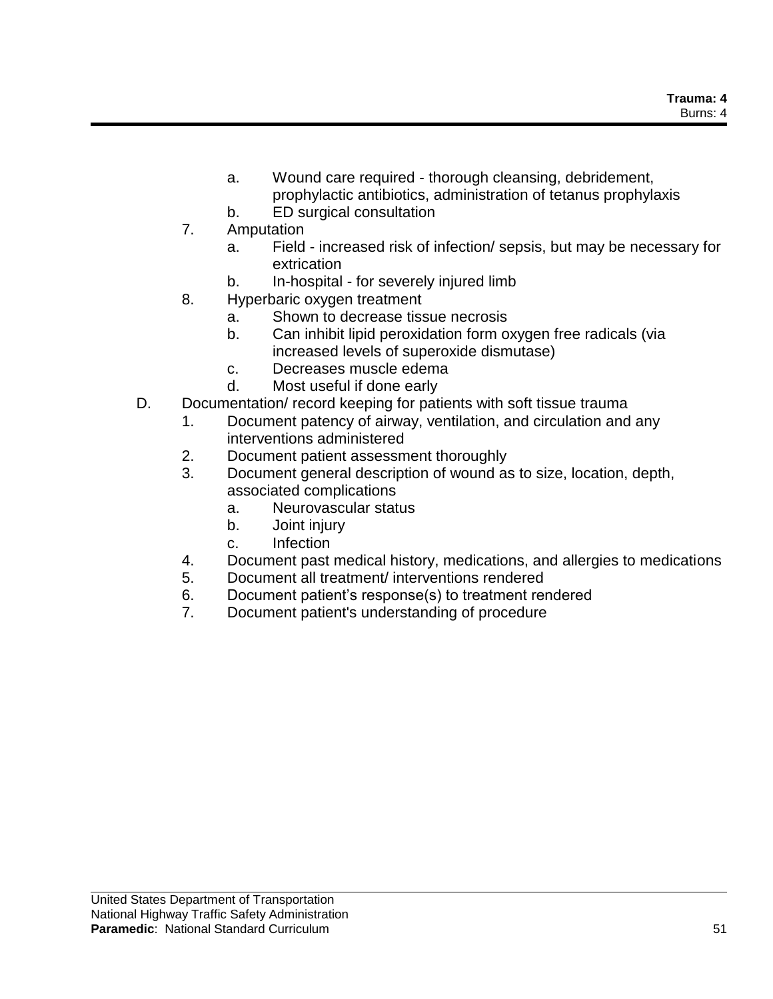- a. Wound care required thorough cleansing, debridement, prophylactic antibiotics, administration of tetanus prophylaxis
- b. ED surgical consultation
- 7. Amputation
	- a. Field increased risk of infection/ sepsis, but may be necessary for extrication
	- b. In-hospital for severely injured limb
- 8. Hyperbaric oxygen treatment
	- a. Shown to decrease tissue necrosis
	- b. Can inhibit lipid peroxidation form oxygen free radicals (via increased levels of superoxide dismutase)
	- c. Decreases muscle edema
	- d. Most useful if done early
- D. Documentation/ record keeping for patients with soft tissue trauma
	- 1. Document patency of airway, ventilation, and circulation and any interventions administered
	- 2. Document patient assessment thoroughly
	- 3. Document general description of wound as to size, location, depth, associated complications
		- a. Neurovascular status
		- b. Joint injury
		- c. Infection
	- 4. Document past medical history, medications, and allergies to medications
	- 5. Document all treatment/ interventions rendered
	- 6. Document patient's response(s) to treatment rendered
	- 7. Document patient's understanding of procedure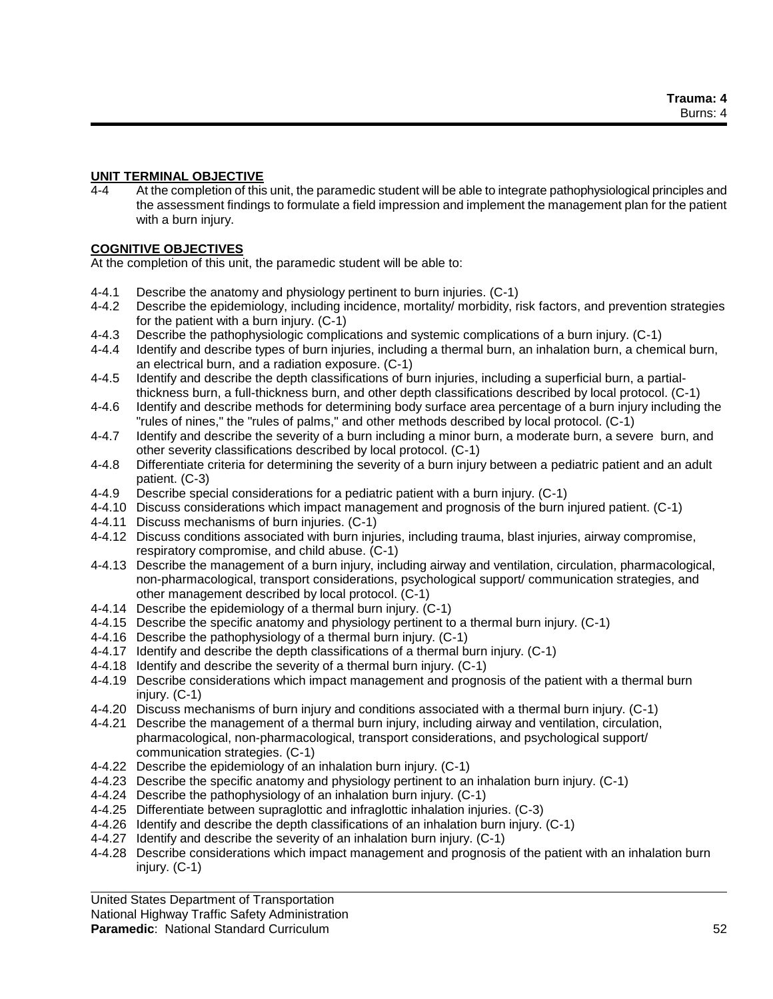## **UNIT TERMINAL OBJECTIVE**

4-4 At the completion of this unit, the paramedic student will be able to integrate pathophysiological principles and the assessment findings to formulate a field impression and implement the management plan for the patient with a burn injury.

### **COGNITIVE OBJECTIVES**

At the completion of this unit, the paramedic student will be able to:

- 4-4.1 Describe the anatomy and physiology pertinent to burn injuries. (C-1)
- 4-4.2 Describe the epidemiology, including incidence, mortality/ morbidity, risk factors, and prevention strategies for the patient with a burn injury. (C-1)
- 4-4.3 Describe the pathophysiologic complications and systemic complications of a burn injury. (C-1)
- 4-4.4 Identify and describe types of burn injuries, including a thermal burn, an inhalation burn, a chemical burn, an electrical burn, and a radiation exposure. (C-1)
- 4-4.5 Identify and describe the depth classifications of burn injuries, including a superficial burn, a partialthickness burn, a full-thickness burn, and other depth classifications described by local protocol. (C-1)
- 4-4.6 Identify and describe methods for determining body surface area percentage of a burn injury including the "rules of nines," the "rules of palms," and other methods described by local protocol. (C-1)
- 4-4.7 Identify and describe the severity of a burn including a minor burn, a moderate burn, a severe burn, and other severity classifications described by local protocol. (C-1)
- 4-4.8 Differentiate criteria for determining the severity of a burn injury between a pediatric patient and an adult patient. (C-3)
- 4-4.9 Describe special considerations for a pediatric patient with a burn injury. (C-1)
- 4-4.10 Discuss considerations which impact management and prognosis of the burn injured patient. (C-1)
- 4-4.11 Discuss mechanisms of burn injuries. (C-1)
- 4-4.12 Discuss conditions associated with burn injuries, including trauma, blast injuries, airway compromise, respiratory compromise, and child abuse. (C-1)
- 4-4.13 Describe the management of a burn injury, including airway and ventilation, circulation, pharmacological, non-pharmacological, transport considerations, psychological support/ communication strategies, and other management described by local protocol. (C-1)
- 4-4.14 Describe the epidemiology of a thermal burn injury. (C-1)
- 4-4.15 Describe the specific anatomy and physiology pertinent to a thermal burn injury. (C-1)
- 4-4.16 Describe the pathophysiology of a thermal burn injury. (C-1)
- 4-4.17 Identify and describe the depth classifications of a thermal burn injury. (C-1)
- 4-4.18 Identify and describe the severity of a thermal burn injury. (C-1)
- 4-4.19 Describe considerations which impact management and prognosis of the patient with a thermal burn injury. (C-1)
- 4-4.20 Discuss mechanisms of burn injury and conditions associated with a thermal burn injury. (C-1)
- 4-4.21 Describe the management of a thermal burn injury, including airway and ventilation, circulation, pharmacological, non-pharmacological, transport considerations, and psychological support/ communication strategies. (C-1)
- 4-4.22 Describe the epidemiology of an inhalation burn injury. (C-1)
- 4-4.23 Describe the specific anatomy and physiology pertinent to an inhalation burn injury. (C-1)
- 4-4.24 Describe the pathophysiology of an inhalation burn injury. (C-1)
- 4-4.25 Differentiate between supraglottic and infraglottic inhalation injuries. (C-3)
- 4-4.26 Identify and describe the depth classifications of an inhalation burn injury. (C-1)
- 4-4.27 Identify and describe the severity of an inhalation burn injury. (C-1)
- 4-4.28 Describe considerations which impact management and prognosis of the patient with an inhalation burn injury. (C-1)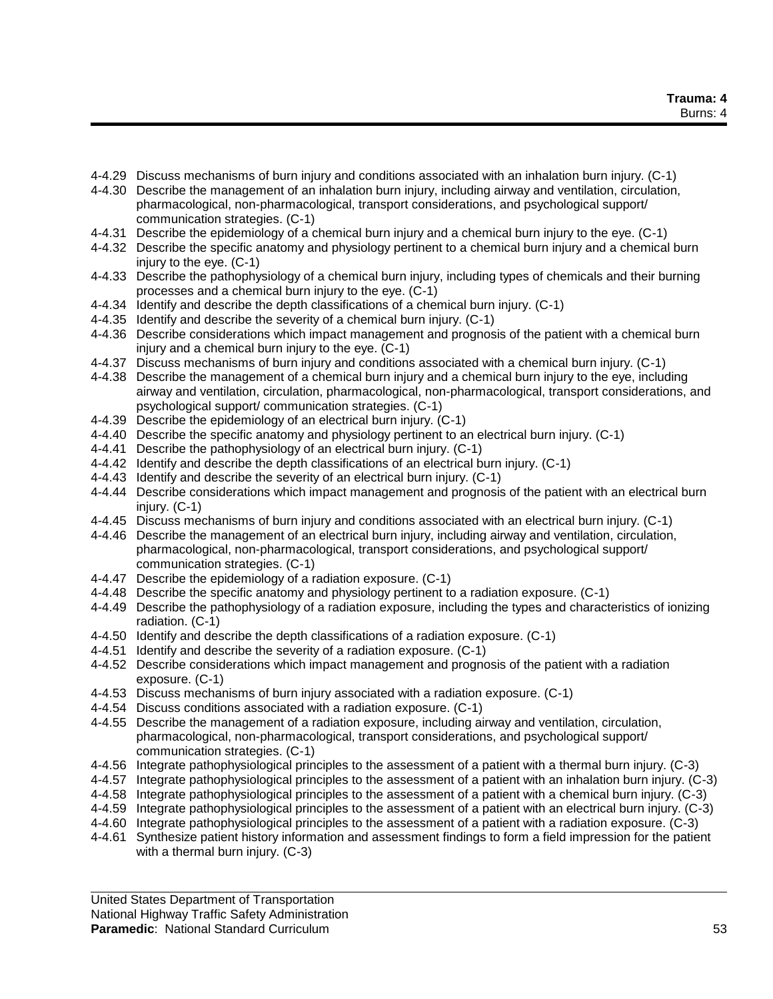- 4-4.29 Discuss mechanisms of burn injury and conditions associated with an inhalation burn injury. (C-1)
- 4-4.30 Describe the management of an inhalation burn injury, including airway and ventilation, circulation, pharmacological, non-pharmacological, transport considerations, and psychological support/ communication strategies. (C-1)
- 4-4.31 Describe the epidemiology of a chemical burn injury and a chemical burn injury to the eye. (C-1)
- 4-4.32 Describe the specific anatomy and physiology pertinent to a chemical burn injury and a chemical burn injury to the eye. (C-1)
- 4-4.33 Describe the pathophysiology of a chemical burn injury, including types of chemicals and their burning processes and a chemical burn injury to the eye. (C-1)
- 4-4.34 Identify and describe the depth classifications of a chemical burn injury. (C-1)
- 4-4.35 Identify and describe the severity of a chemical burn injury. (C-1)
- 4-4.36 Describe considerations which impact management and prognosis of the patient with a chemical burn injury and a chemical burn injury to the eye. (C-1)
- 4-4.37 Discuss mechanisms of burn injury and conditions associated with a chemical burn injury. (C-1)
- 4-4.38 Describe the management of a chemical burn injury and a chemical burn injury to the eye, including airway and ventilation, circulation, pharmacological, non-pharmacological, transport considerations, and psychological support/ communication strategies. (C-1)
- 4-4.39 Describe the epidemiology of an electrical burn injury. (C-1)
- 4-4.40 Describe the specific anatomy and physiology pertinent to an electrical burn injury. (C-1)
- 4-4.41 Describe the pathophysiology of an electrical burn injury. (C-1)
- 4-4.42 Identify and describe the depth classifications of an electrical burn injury. (C-1)
- 4-4.43 Identify and describe the severity of an electrical burn injury. (C-1)
- 4-4.44 Describe considerations which impact management and prognosis of the patient with an electrical burn injury. (C-1)
- 4-4.45 Discuss mechanisms of burn injury and conditions associated with an electrical burn injury. (C-1)
- 4-4.46 Describe the management of an electrical burn injury, including airway and ventilation, circulation, pharmacological, non-pharmacological, transport considerations, and psychological support/ communication strategies. (C-1)
- 4-4.47 Describe the epidemiology of a radiation exposure. (C-1)
- 4-4.48 Describe the specific anatomy and physiology pertinent to a radiation exposure. (C-1)
- 4-4.49 Describe the pathophysiology of a radiation exposure, including the types and characteristics of ionizing radiation. (C-1)
- 4-4.50 Identify and describe the depth classifications of a radiation exposure. (C-1)
- 4-4.51 Identify and describe the severity of a radiation exposure. (C-1)
- 4-4.52 Describe considerations which impact management and prognosis of the patient with a radiation exposure. (C-1)
- 4-4.53 Discuss mechanisms of burn injury associated with a radiation exposure. (C-1)
- 4-4.54 Discuss conditions associated with a radiation exposure. (C-1)
- 4-4.55 Describe the management of a radiation exposure, including airway and ventilation, circulation, pharmacological, non-pharmacological, transport considerations, and psychological support/ communication strategies. (C-1)
- 4-4.56 Integrate pathophysiological principles to the assessment of a patient with a thermal burn injury. (C-3)
- 4-4.57 Integrate pathophysiological principles to the assessment of a patient with an inhalation burn injury. (C-3)
- 4-4.58 Integrate pathophysiological principles to the assessment of a patient with a chemical burn injury. (C-3)
- 4-4.59 Integrate pathophysiological principles to the assessment of a patient with an electrical burn injury. (C-3)
- 4-4.60 Integrate pathophysiological principles to the assessment of a patient with a radiation exposure. (C-3)
- 4-4.61 Synthesize patient history information and assessment findings to form a field impression for the patient with a thermal burn injury. (C-3)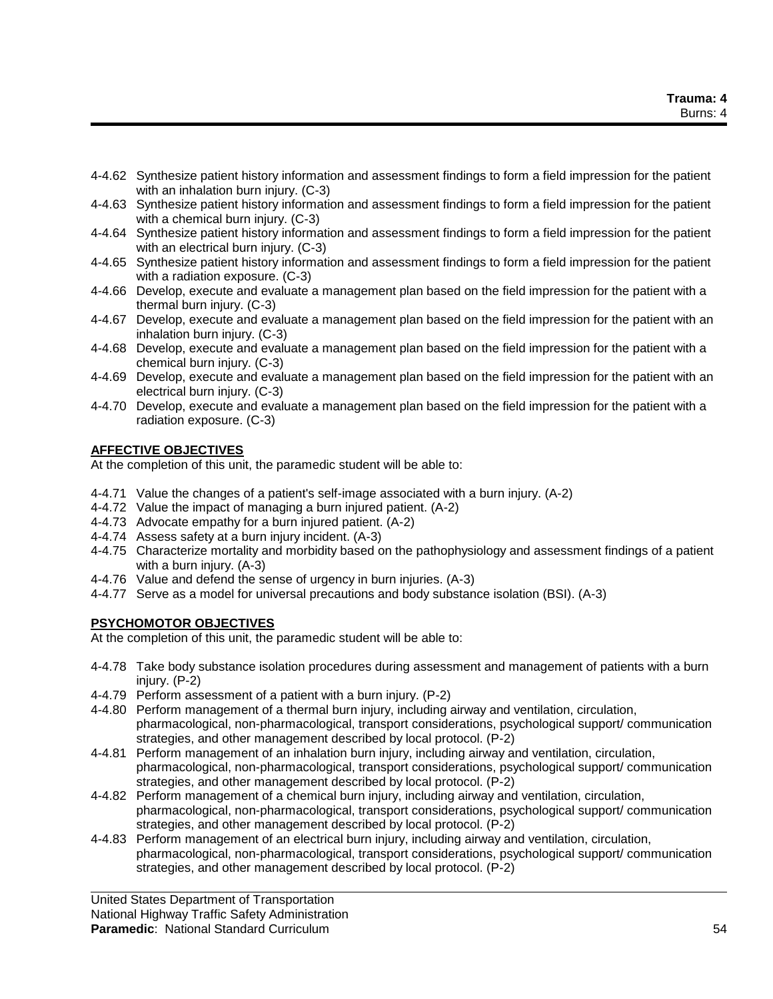- 4-4.62 Synthesize patient history information and assessment findings to form a field impression for the patient with an inhalation burn injury. (C-3)
- 4-4.63 Synthesize patient history information and assessment findings to form a field impression for the patient with a chemical burn injury. (C-3)
- 4-4.64 Synthesize patient history information and assessment findings to form a field impression for the patient with an electrical burn injury. (C-3)
- 4-4.65 Synthesize patient history information and assessment findings to form a field impression for the patient with a radiation exposure. (C-3)
- 4-4.66 Develop, execute and evaluate a management plan based on the field impression for the patient with a thermal burn injury. (C-3)
- 4-4.67 Develop, execute and evaluate a management plan based on the field impression for the patient with an inhalation burn injury. (C-3)
- 4-4.68 Develop, execute and evaluate a management plan based on the field impression for the patient with a chemical burn injury. (C-3)
- 4-4.69 Develop, execute and evaluate a management plan based on the field impression for the patient with an electrical burn injury. (C-3)
- 4-4.70 Develop, execute and evaluate a management plan based on the field impression for the patient with a radiation exposure. (C-3)

## **AFFECTIVE OBJECTIVES**

At the completion of this unit, the paramedic student will be able to:

- 4-4.71 Value the changes of a patient's self-image associated with a burn injury. (A-2)
- 4-4.72 Value the impact of managing a burn injured patient. (A-2)
- 4-4.73 Advocate empathy for a burn injured patient. (A-2)
- 4-4.74 Assess safety at a burn injury incident. (A-3)
- 4-4.75 Characterize mortality and morbidity based on the pathophysiology and assessment findings of a patient with a burn injury. (A-3)
- 4-4.76 Value and defend the sense of urgency in burn injuries. (A-3)
- 4-4.77 Serve as a model for universal precautions and body substance isolation (BSI). (A-3)

## **PSYCHOMOTOR OBJECTIVES**

At the completion of this unit, the paramedic student will be able to:

- 4-4.78 Take body substance isolation procedures during assessment and management of patients with a burn injury. (P-2)
- 4-4.79 Perform assessment of a patient with a burn injury. (P-2)
- 4-4.80 Perform management of a thermal burn injury, including airway and ventilation, circulation, pharmacological, non-pharmacological, transport considerations, psychological support/ communication strategies, and other management described by local protocol. (P-2)
- 4-4.81 Perform management of an inhalation burn injury, including airway and ventilation, circulation, pharmacological, non-pharmacological, transport considerations, psychological support/ communication strategies, and other management described by local protocol. (P-2)
- 4-4.82 Perform management of a chemical burn injury, including airway and ventilation, circulation, pharmacological, non-pharmacological, transport considerations, psychological support/ communication strategies, and other management described by local protocol. (P-2)
- 4-4.83 Perform management of an electrical burn injury, including airway and ventilation, circulation, pharmacological, non-pharmacological, transport considerations, psychological support/ communication strategies, and other management described by local protocol. (P-2)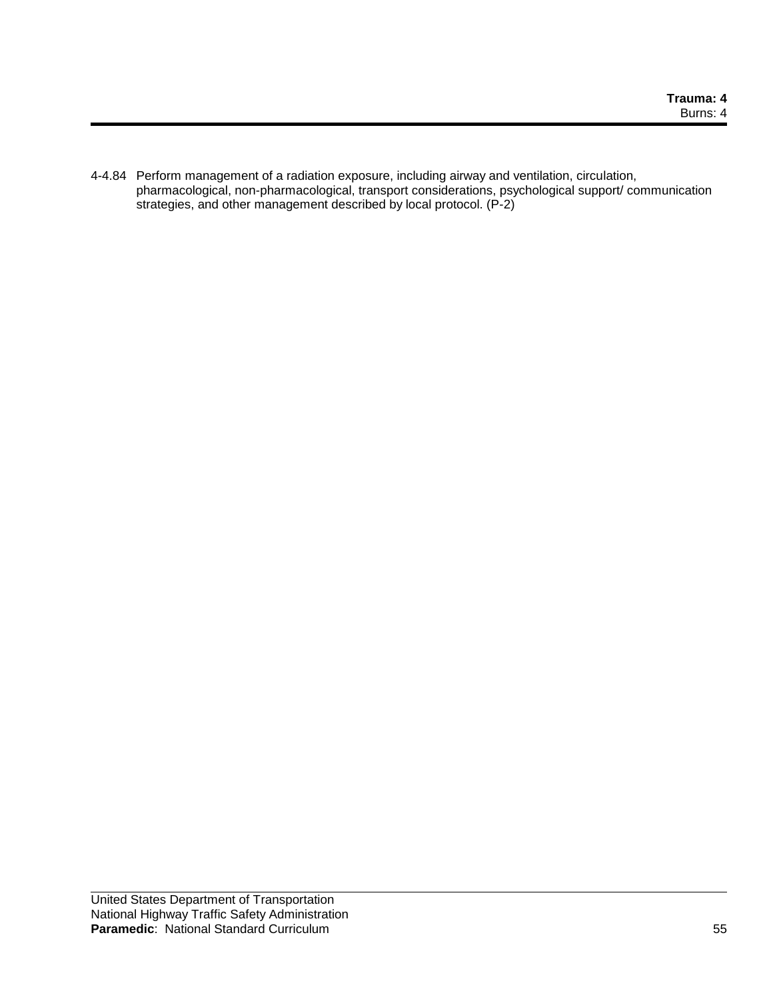4-4.84 Perform management of a radiation exposure, including airway and ventilation, circulation, pharmacological, non-pharmacological, transport considerations, psychological support/ communication strategies, and other management described by local protocol. (P-2)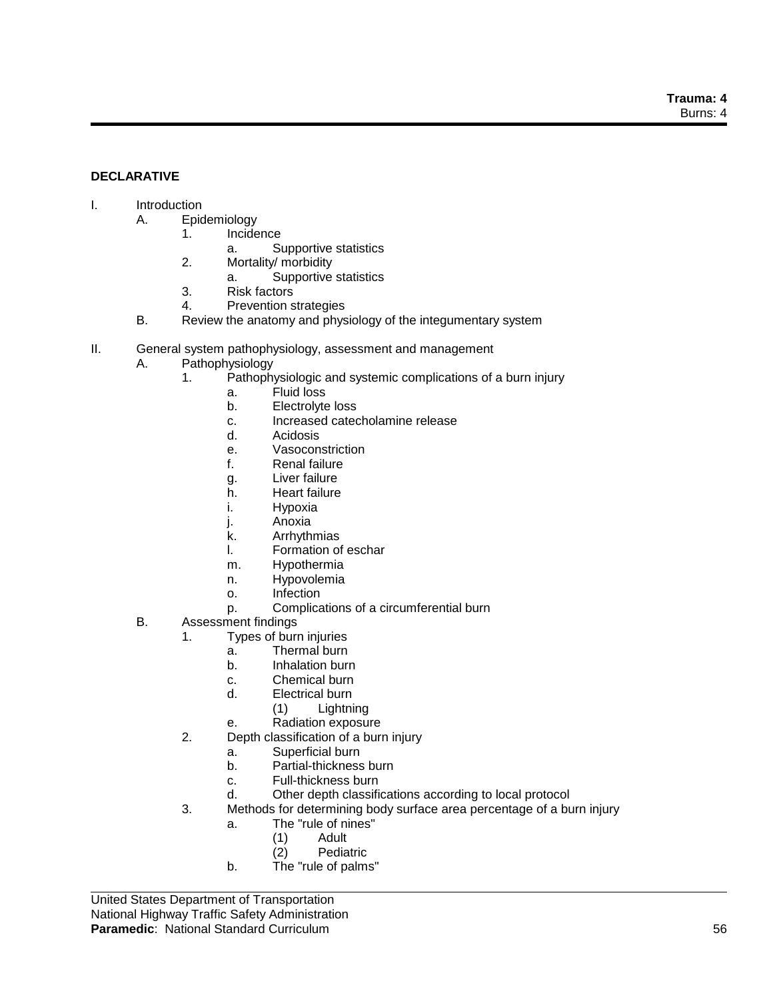### **DECLARATIVE**

### I. Introduction

#### A. Epidemiology

- 1. Incidence
	- a. Supportive statistics
- 2. Mortality/ morbidity
	- a. Supportive statistics
- 3. Risk factors
- 4. Prevention strategies
- B. Review the anatomy and physiology of the integumentary system
- II. General system pathophysiology, assessment and management
	- A. Pathophysiology
		- 1. Pathophysiologic and systemic complications of a burn injury
			- a. Fluid loss
			- b. Electrolyte loss
			- c. Increased catecholamine release
			- d. Acidosis
			- e. Vasoconstriction
			- f. Renal failure
			- g. Liver failure
			- h. Heart failure
			- i. Hypoxia
			- j. Anoxia
			- k. Arrhythmias
			- l. Formation of eschar
			- m. Hypothermia
			- n. Hypovolemia
			- o. Infection
			- p. Complications of a circumferential burn
	- B. Assessment findings
		- 1. Types of burn injuries
			- a. Thermal burn
			- b. Inhalation burn
			- c. Chemical burn
			- d. Electrical burn
				- (1) Lightning
			- e. Radiation exposure
		- 2. Depth classification of a burn injury
			- a. Superficial burn
			- b. Partial-thickness burn
			- c. Full-thickness burn
			- d. Other depth classifications according to local protocol
		- 3. Methods for determining body surface area percentage of a burn injury
			- a. The "rule of nines"
				- (1) Adult
				- (2) Pediatric
			- b. The "rule of palms"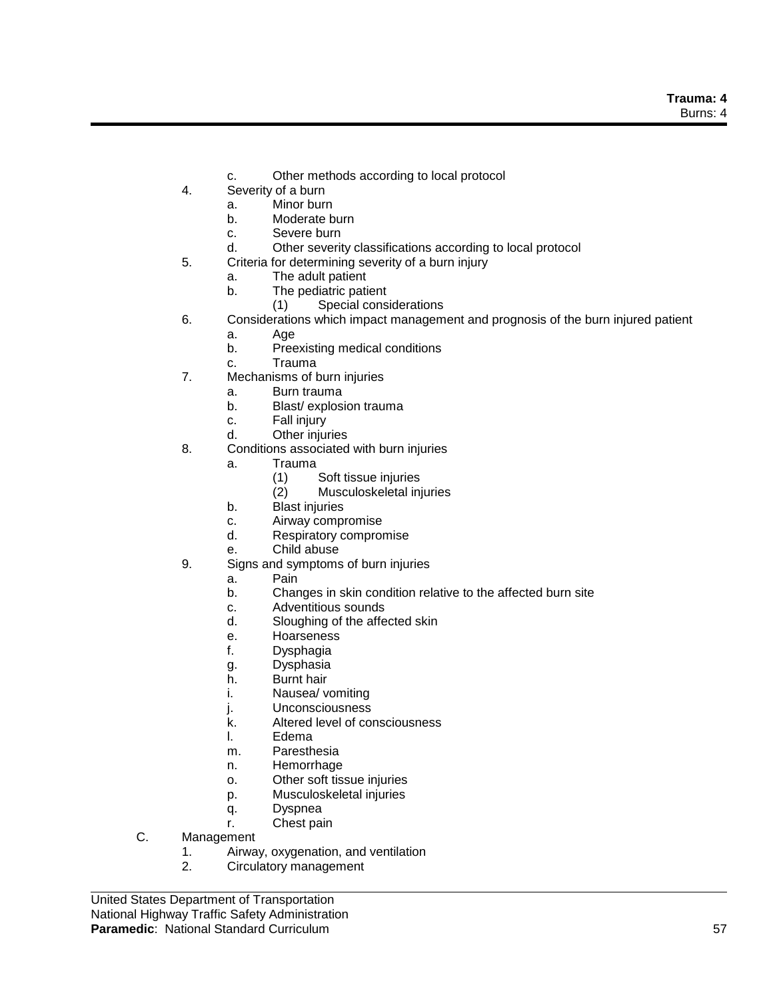- c. Other methods according to local protocol
- 4. Severity of a burn
	- a. Minor burn
	- b. Moderate burn
	- c. Severe burn
	- d. Other severity classifications according to local protocol
- 5. Criteria for determining severity of a burn injury
	- a. The adult patient
	- b. The pediatric patient
		- (1) Special considerations
- 6. Considerations which impact management and prognosis of the burn injured patient
	- a. Age
	- b. Preexisting medical conditions
	- c. Trauma
- 7. Mechanisms of burn injuries
	- a. Burn trauma
	- b. Blast/ explosion trauma
	- c. Fall injury
	- d. Other injuries
- 8. Conditions associated with burn injuries
	- a. Trauma
		- (1) Soft tissue injuries
		- (2) Musculoskeletal injuries
	- b. Blast injuries
	- c. Airway compromise
	- d. Respiratory compromise
	- e. Child abuse
- 9. Signs and symptoms of burn injuries
	- a. Pain
	- b. Changes in skin condition relative to the affected burn site
	- c. Adventitious sounds
	- d. Sloughing of the affected skin
	- e. Hoarseness
	- f. Dysphagia
	- g. Dysphasia
	- h. Burnt hair
	- i. Nausea/ vomiting
	- j. Unconsciousness
	- k. Altered level of consciousness
	- l. Edema
	- m. Paresthesia
	- n. Hemorrhage
	- o. Other soft tissue injuries
	- p. Musculoskeletal injuries
	- q. Dyspnea
	- r. Chest pain
- C. Management
	- 1. Airway, oxygenation, and ventilation
	- 2. Circulatory management

United States Department of Transportation National Highway Traffic Safety Administration **Paramedic**: National Standard Curriculum 57 **1999 12:30 12:30 13:30 14:30 14:30 14:30 14:30 14:30 15:30 15:30 15:30 15:30 15:30 15:30 15:30 15:30 15:30 15:30 15:30 15:30 15:30 15:30 15:30 15:30 15:30 15:30 15:30 15:30 15:**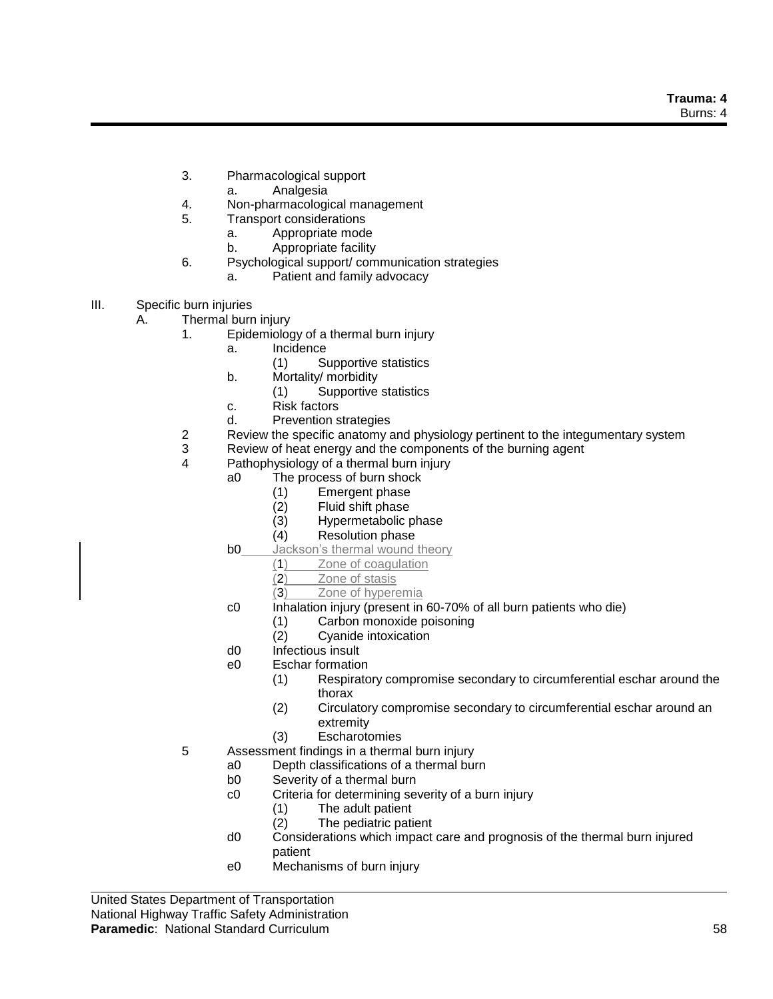- 3. Pharmacological support
	- a. Analgesia
- 4. Non-pharmacological management
- 5. Transport considerations
	- a. Appropriate mode
	- b. Appropriate facility
- 6. Psychological support/ communication strategies
	- a. Patient and family advocacy
- III. Specific burn injuries

A. Thermal burn injury

- 1. Epidemiology of a thermal burn injury
	- a. Incidence
		- (1) Supportive statistics
	- b. Mortality/ morbidity
		- (1) Supportive statistics
	- c. Risk factors
	- d. Prevention strategies
- 2 Review the specific anatomy and physiology pertinent to the integumentary system
- 3 Review of heat energy and the components of the burning agent
- 4 Pathophysiology of a thermal burn injury
	- a0 The process of burn shock
		- (1) Emergent phase
		- (2) Fluid shift phase<br>(3) Hypermetabolic p
		- (3) Hypermetabolic phase<br>(4) Resolution phase
		- **Resolution phase**
	- **b0** Jackson's thermal wound theory
		- (1) Zone of coagulation
		- (2) Zone of stasis
		- (3) Zone of hyperemia
	- c0 Inhalation injury (present in 60-70% of all burn patients who die)
		- (1) Carbon monoxide poisoning
		- (2) Cyanide intoxication
	- d0 Infectious insult
	- e0 Eschar formation
		- (1) Respiratory compromise secondary to circumferential eschar around the thorax
		- (2) Circulatory compromise secondary to circumferential eschar around an extremity
		- (3) Escharotomies
- 5 Assessment findings in a thermal burn injury
	- a0 Depth classifications of a thermal burn
	- b0 Severity of a thermal burn
	- c0 Criteria for determining severity of a burn injury
		- (1) The adult patient
		- (2) The pediatric patient
	- d0 Considerations which impact care and prognosis of the thermal burn injured patient
	- e0 Mechanisms of burn injury

United States Department of Transportation National Highway Traffic Safety Administration **Paramedic**: National Standard Curriculum 58 **1999 12:30 12:30 13:30 14:30 14:30 14:30 14:30 15:30 15:30 15:30 15:30 15:30 15:30 15:30 15:30 15:30 15:30 15:30 15:30 15:30 15:30 15:30 15:30 15:30 15:30 15:30 15:30 15:30 15:**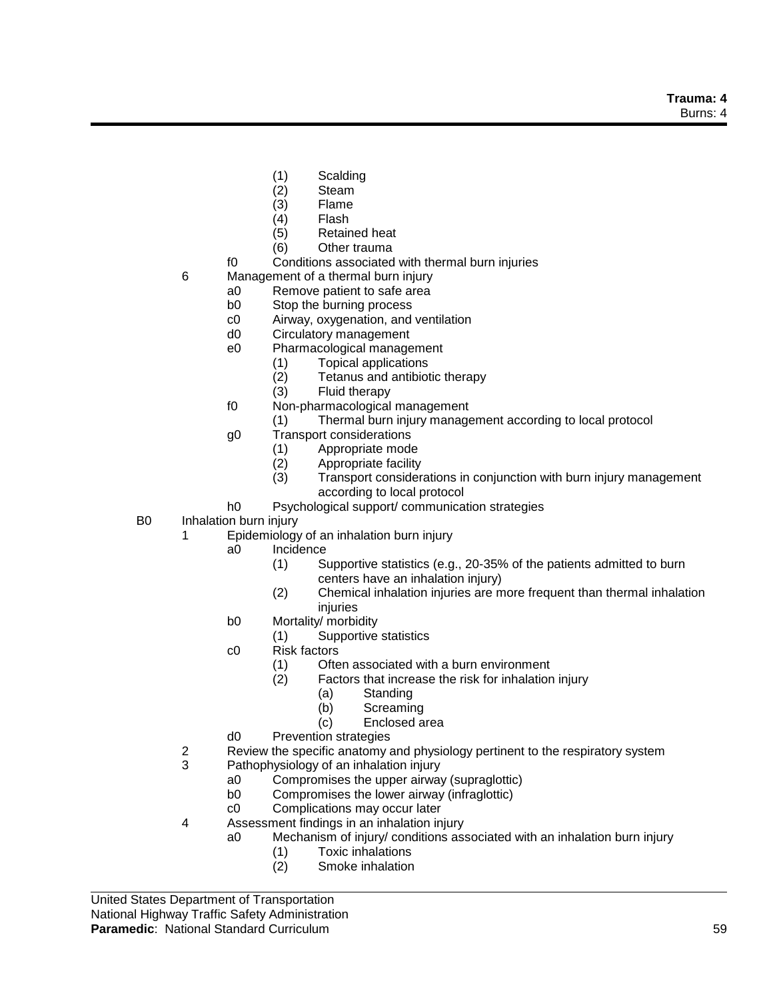- (1) Scalding
- (2) Steam
- (3) Flame
- Flash
- (5) Retained heat
- (6) Other trauma
- f0 Conditions associated with thermal burn injuries
- 6 Management of a thermal burn injury
	- a0 Remove patient to safe area
	- b0 Stop the burning process
	- c0 Airway, oxygenation, and ventilation
	- d0 Circulatory management
	- e0 Pharmacological management
		- (1) Topical applications
		- (2) Tetanus and antibiotic therapy
		- Fluid therapy
	- f0 Non-pharmacological management
		- (1) Thermal burn injury management according to local protocol
	- g0 Transport considerations
		- (1) Appropriate mode
		- (2) Appropriate facility
		- (3) Transport considerations in conjunction with burn injury management according to local protocol
	- h0 Psychological support/ communication strategies
- B0 Inhalation burn injury
	- 1 Epidemiology of an inhalation burn injury
		- a0 Incidence
			- (1) Supportive statistics (e.g., 20-35% of the patients admitted to burn centers have an inhalation injury)
			- (2) Chemical inhalation injuries are more frequent than thermal inhalation injuries
		- b0 Mortality/ morbidity
			- (1) Supportive statistics
		- c0 Risk factors
			- (1) Often associated with a burn environment
			- (2) Factors that increase the risk for inhalation injury
				- (a) Standing
				- (b) Screaming
				- (c) Enclosed area
		- d0 Prevention strategies
	- 2 Review the specific anatomy and physiology pertinent to the respiratory system
	- 3 Pathophysiology of an inhalation injury
		- a0 Compromises the upper airway (supraglottic)
		- b0 Compromises the lower airway (infraglottic)
		- c0 Complications may occur later
	- 4 Assessment findings in an inhalation injury
		- a0 Mechanism of injury/ conditions associated with an inhalation burn injury
			- (1) Toxic inhalations
			- (2) Smoke inhalation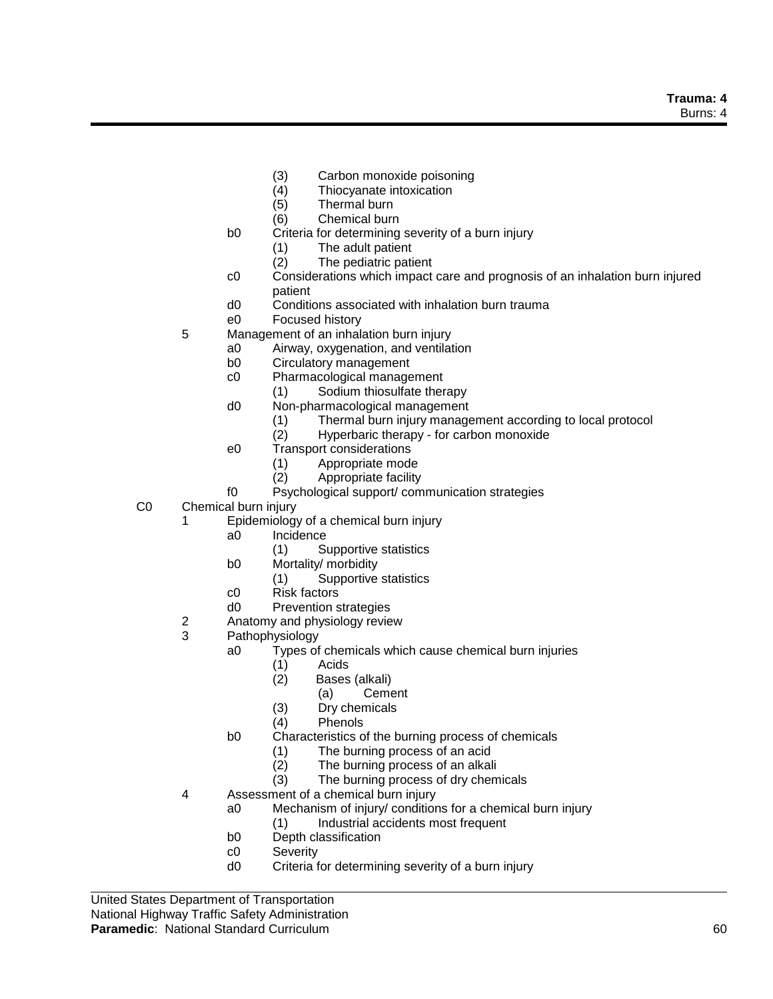**Trauma: 4** Burns: 4

- (3) Carbon monoxide poisoning
- (4) Thiocyanate intoxication
- Thermal burn
- (6) Chemical burn
- b0 Criteria for determining severity of a burn injury
	- (1) The adult patient
	- (2) The pediatric patient
- c0 Considerations which impact care and prognosis of an inhalation burn injured patient
- d0 Conditions associated with inhalation burn trauma
- e0 Focused history
- 5 Management of an inhalation burn injury
	- a0 Airway, oxygenation, and ventilation
	- b0 Circulatory management
	- c0 Pharmacological management
		- (1) Sodium thiosulfate therapy
	- d0 Non-pharmacological management
		- (1) Thermal burn injury management according to local protocol
		- (2) Hyperbaric therapy for carbon monoxide
	- e0 Transport considerations
		- (1) Appropriate mode
		- (2) Appropriate facility
	- f0 Psychological support/ communication strategies
- C0 Chemical burn injury
	- 1 Epidemiology of a chemical burn injury
		- a0 Incidence
			- (1) Supportive statistics
		- b0 Mortality/ morbidity
			- (1) Supportive statistics
		- c0 Risk factors
		- d0 Prevention strategies
	- 2 Anatomy and physiology review
	- 3 Pathophysiology
		- a0 Types of chemicals which cause chemical burn injuries
			- (1) Acids
				- (2) Bases (alkali)
					- (a) Cement
				- (3) Dry chemicals
			- (4) Phenols
		- b0 Characteristics of the burning process of chemicals
			- (1) The burning process of an acid
			- (2) The burning process of an alkali
			- (3) The burning process of dry chemicals
	- 4 Assessment of a chemical burn injury
		- a0 Mechanism of injury/ conditions for a chemical burn injury
			- (1) Industrial accidents most frequent
		- b0 Depth classification
		- c0 Severity
		- d0 Criteria for determining severity of a burn injury

United States Department of Transportation National Highway Traffic Safety Administration **Paramedic**: National Standard Curriculum 60 and 100 and 100 and 100 and 100 and 100 and 100 and 100 and 100 and 100 and 100 and 100 and 100 and 100 and 100 and 100 and 100 and 100 and 100 and 100 and 100 and 100 and 100 a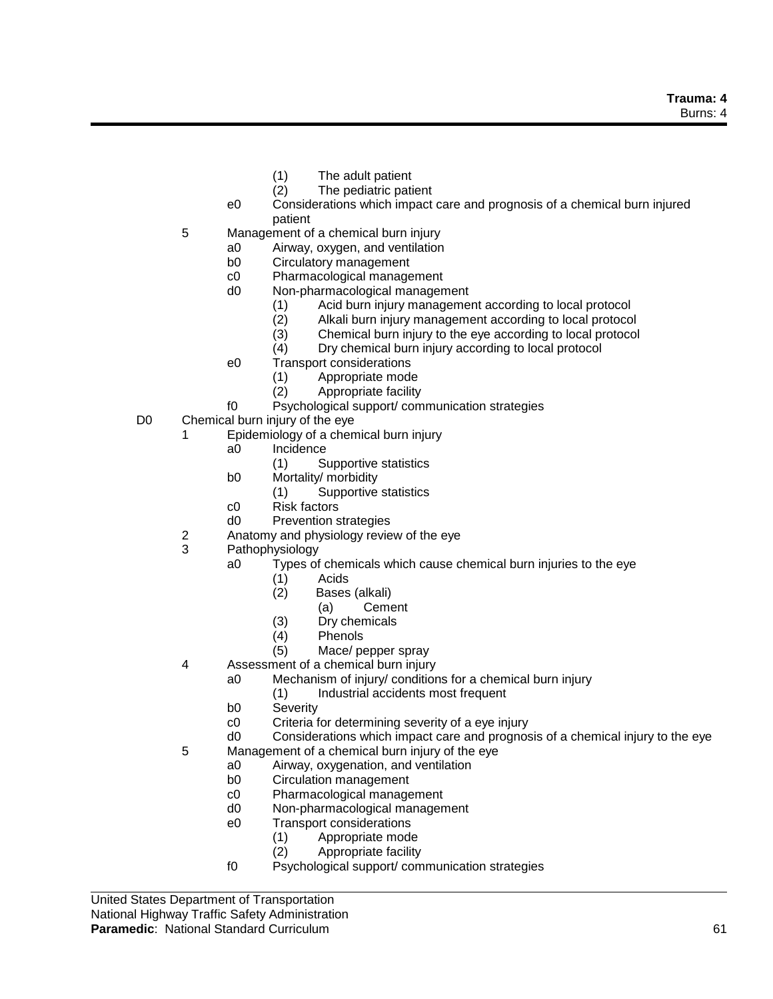- (1) The adult patient
- (2) The pediatric patient
- e0 Considerations which impact care and prognosis of a chemical burn injured patient
- 5 Management of a chemical burn injury
	- a0 Airway, oxygen, and ventilation
	- b0 Circulatory management
	- c0 Pharmacological management
	- d0 Non-pharmacological management
		- (1) Acid burn injury management according to local protocol
		- (2) Alkali burn injury management according to local protocol
		- (3) Chemical burn injury to the eye according to local protocol
		- (4) Dry chemical burn injury according to local protocol
	- e0 Transport considerations
		- (1) Appropriate mode
		- (2) Appropriate facility
	- f0 Psychological support/ communication strategies
- D0 Chemical burn injury of the eye
	- 1 Epidemiology of a chemical burn injury
		- a0 Incidence
			- (1) Supportive statistics
		- b0 Mortality/ morbidity
			- (1) Supportive statistics
		- c0 Risk factors
		- d0 Prevention strategies
	- 2 Anatomy and physiology review of the eye
	- 3 Pathophysiology
		- a0 Types of chemicals which cause chemical burn injuries to the eye
			- (1) Acids
			- (2) Bases (alkali)
				- (a) Cement
			- (3) Dry chemicals
			- (4) Phenols
			- (5) Mace/ pepper spray
	- 4 Assessment of a chemical burn injury
		- a0 Mechanism of injury/ conditions for a chemical burn injury
			- (1) Industrial accidents most frequent
		- b0 Severity
		- c0 Criteria for determining severity of a eye injury
		- d0 Considerations which impact care and prognosis of a chemical injury to the eye
	- 5 Management of a chemical burn injury of the eye
		- a0 Airway, oxygenation, and ventilation
		- b0 Circulation management
		- c0 Pharmacological management
		- d0 Non-pharmacological management
		- e0 Transport considerations
			- (1) Appropriate mode
			- (2) Appropriate facility
		- f0 Psychological support/ communication strategies

United States Department of Transportation National Highway Traffic Safety Administration **Paramedic**: National Standard Curriculum 61 and 61 and 61 and 61 and 61 and 61 and 61 and 61 and 61 and 61 and 61 and 61 and 61 and 61 and 61 and 61 and 61 and 61 and 61 and 61 and 61 and 61 and 61 and 61 and 61 and 61 an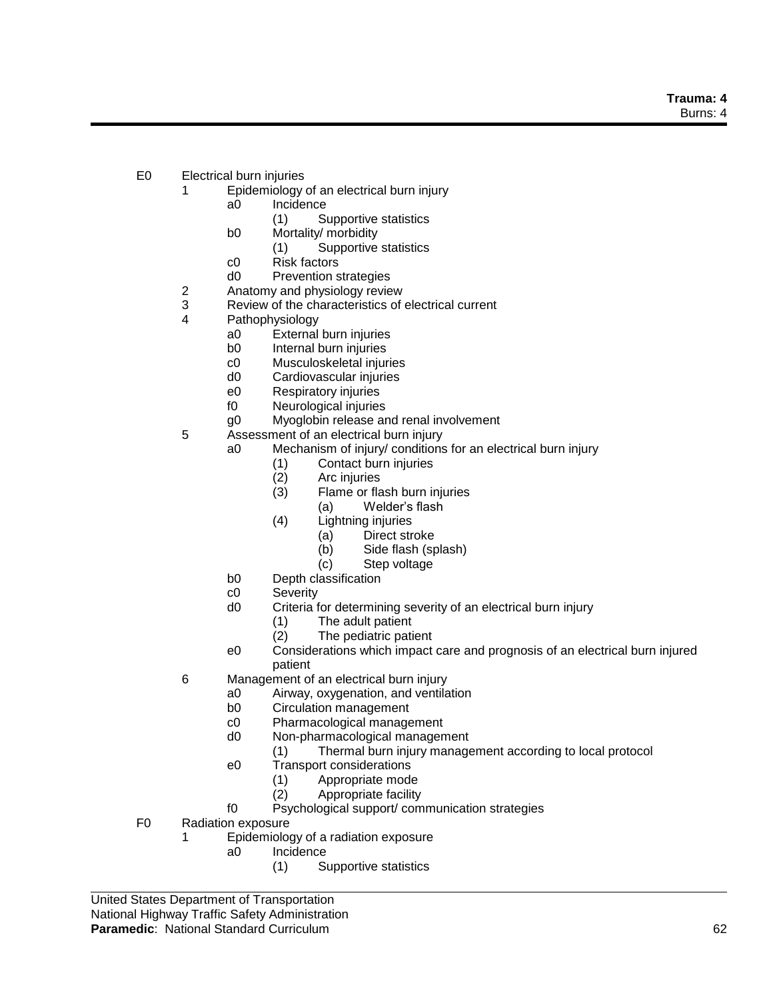**Trauma: 4** Burns: 4

- E0 Electrical burn injuries
	- 1 Epidemiology of an electrical burn injury
		- a0 Incidence
			- (1) Supportive statistics
		- b0 Mortality/ morbidity
			- (1) Supportive statistics
		- c0 Risk factors
		- d0 Prevention strategies
	- 2 Anatomy and physiology review<br>3 Review of the characteristics of
	- Review of the characteristics of electrical current
	- 4 Pathophysiology
		- a0 External burn injuries
		- b0 Internal burn injuries
		- c0 Musculoskeletal injuries
		- d0 Cardiovascular injuries
		- e0 Respiratory injuries
		- f0 Neurological injuries
		- g0 Myoglobin release and renal involvement
	- 5 Assessment of an electrical burn injury
		- a0 Mechanism of injury/ conditions for an electrical burn injury
			- (1) Contact burn injuries
			- (2) Arc injuries
			- Flame or flash burn injuries
				- (a) Welder's flash
			- (4) Lightning injuries
				- (a) Direct stroke
				- (b) Side flash (splash)
				- (c) Step voltage
		- b0 Depth classification
		- c0 Severity
		- d0 Criteria for determining severity of an electrical burn injury
			- (1) The adult patient
			- (2) The pediatric patient
		- e0 Considerations which impact care and prognosis of an electrical burn injured patient
	- 6 Management of an electrical burn injury
		- a0 Airway, oxygenation, and ventilation
		- b0 Circulation management
		- c0 Pharmacological management
		- d0 Non-pharmacological management
			- (1) Thermal burn injury management according to local protocol
		- e0 Transport considerations
			- (1) Appropriate mode
			- (2) Appropriate facility
		- f0 Psychological support/ communication strategies
- F0 Radiation exposure
	- 1 Epidemiology of a radiation exposure
		- a0 Incidence
			- (1) Supportive statistics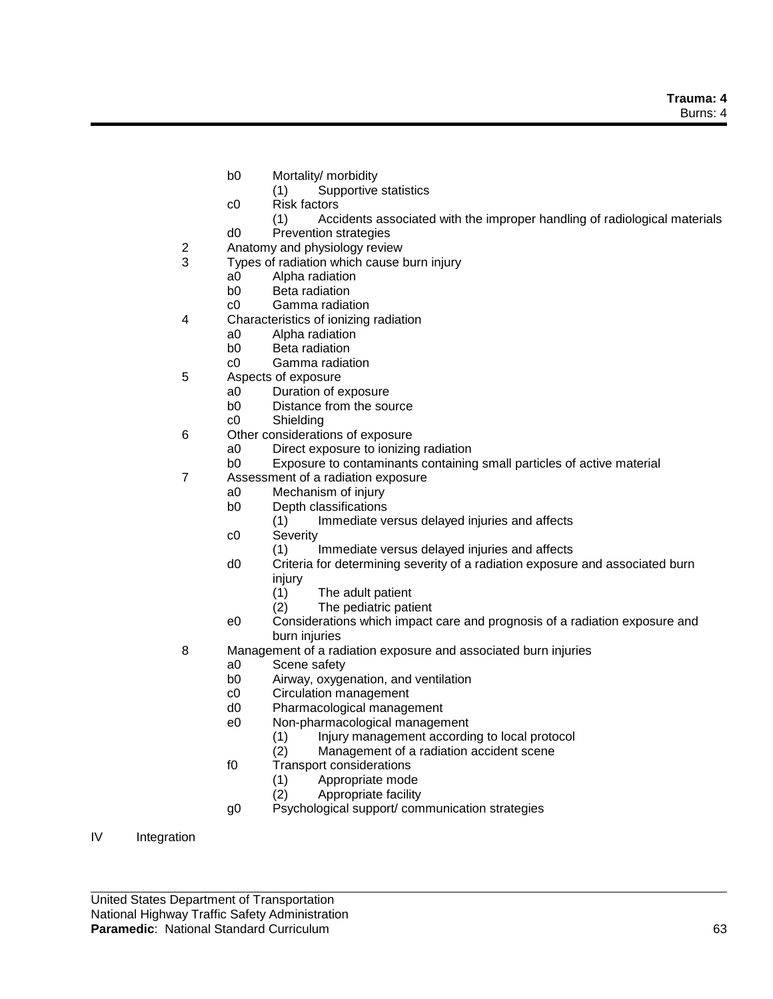- b0 Mortality/ morbidity
	- (1) Supportive statistics
- c0 Risk factors
	- (1) Accidents associated with the improper handling of radiological materials
- d0 Prevention strategies
- 2 Anatomy and physiology review
- 3 Types of radiation which cause burn injury
	- a0 Alpha radiation
	- b0 Beta radiation
	- c0 Gamma radiation
- 4 Characteristics of ionizing radiation
	- a0 Alpha radiation
	- b0 Beta radiation
	- c0 Gamma radiation
- 5 Aspects of exposure
	- a0 Duration of exposure
	- b0 Distance from the source
	- c0 Shielding
- 6 Other considerations of exposure
	- a0 Direct exposure to ionizing radiation
	- b0 Exposure to contaminants containing small particles of active material
- 7 Assessment of a radiation exposure
	- a0 Mechanism of injury
		- b0 Depth classifications
			- (1) Immediate versus delayed injuries and affects
		- c0 Severity
			- (1) Immediate versus delayed injuries and affects
		- d0 Criteria for determining severity of a radiation exposure and associated burn injury
			- (1) The adult patient
			- (2) The pediatric patient
	- e0 Considerations which impact care and prognosis of a radiation exposure and burn injuries
- 8 Management of a radiation exposure and associated burn injuries
	- a0 Scene safety
		- b0 Airway, oxygenation, and ventilation
		- c0 Circulation management
		- d0 Pharmacological management
		- e0 Non-pharmacological management
			- (1) Injury management according to local protocol
			- (2) Management of a radiation accident scene
		- f0 Transport considerations
			- (1) Appropriate mode
			- (2) Appropriate facility
		- g0 Psychological support/ communication strategies
- IV Integration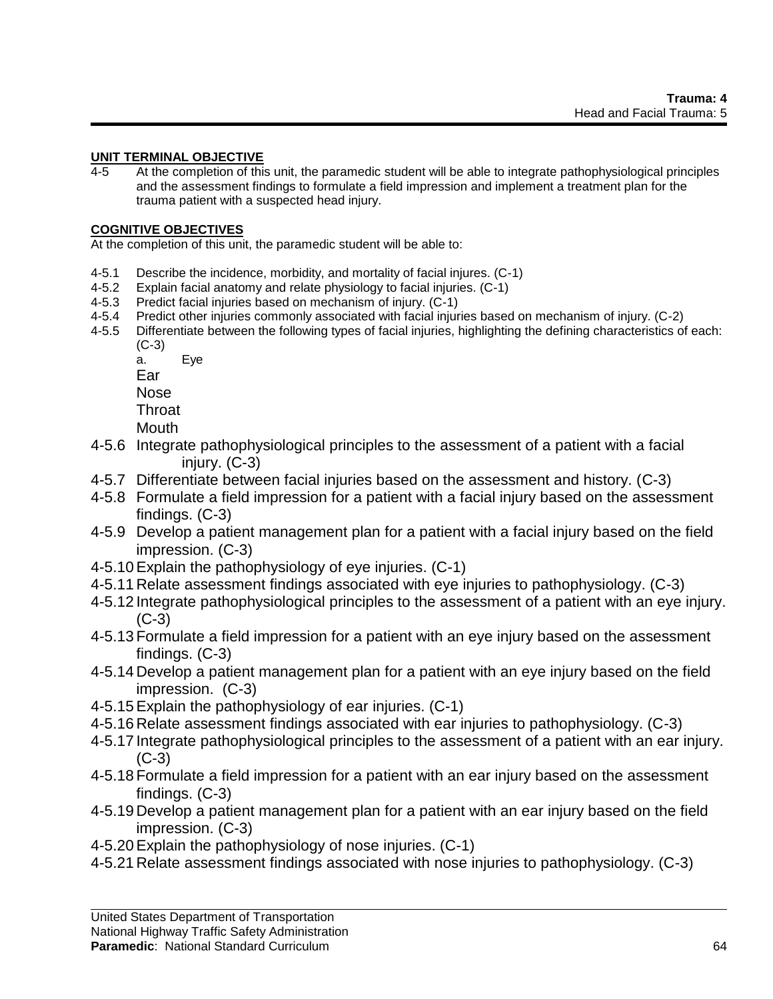## **UNIT TERMINAL OBJECTIVE**

4-5 At the completion of this unit, the paramedic student will be able to integrate pathophysiological principles and the assessment findings to formulate a field impression and implement a treatment plan for the trauma patient with a suspected head injury.

### **COGNITIVE OBJECTIVES**

At the completion of this unit, the paramedic student will be able to:

- 4-5.1 Describe the incidence, morbidity, and mortality of facial injures. (C-1)
- 4-5.2 Explain facial anatomy and relate physiology to facial injuries. (C-1)
- 4-5.3 Predict facial injuries based on mechanism of injury. (C-1)
- 4-5.4 Predict other injuries commonly associated with facial injuries based on mechanism of injury. (C-2)
- 4-5.5 Differentiate between the following types of facial injuries, highlighting the defining characteristics of each: (C-3)
	- a. Eye

Ear

Nose

Throat

Mouth

- 4-5.6 Integrate pathophysiological principles to the assessment of a patient with a facial injury. (C-3)
- 4-5.7 Differentiate between facial injuries based on the assessment and history. (C-3)
- 4-5.8 Formulate a field impression for a patient with a facial injury based on the assessment findings. (C-3)
- 4-5.9 Develop a patient management plan for a patient with a facial injury based on the field impression. (C-3)
- 4-5.10Explain the pathophysiology of eye injuries. (C-1)
- 4-5.11 Relate assessment findings associated with eye injuries to pathophysiology. (C-3)
- 4-5.12 Integrate pathophysiological principles to the assessment of a patient with an eye injury. (C-3)
- 4-5.13 Formulate a field impression for a patient with an eye injury based on the assessment findings. (C-3)
- 4-5.14 Develop a patient management plan for a patient with an eye injury based on the field impression. (C-3)
- 4-5.15Explain the pathophysiology of ear injuries. (C-1)
- 4-5.16 Relate assessment findings associated with ear injuries to pathophysiology. (C-3)
- 4-5.17 Integrate pathophysiological principles to the assessment of a patient with an ear injury.  $(C-3)$
- 4-5.18 Formulate a field impression for a patient with an ear injury based on the assessment findings. (C-3)
- 4-5.19 Develop a patient management plan for a patient with an ear injury based on the field impression. (C-3)
- 4-5.20Explain the pathophysiology of nose injuries. (C-1)
- 4-5.21 Relate assessment findings associated with nose injuries to pathophysiology. (C-3)

#### **Paramedic**: National Standard Curriculum 64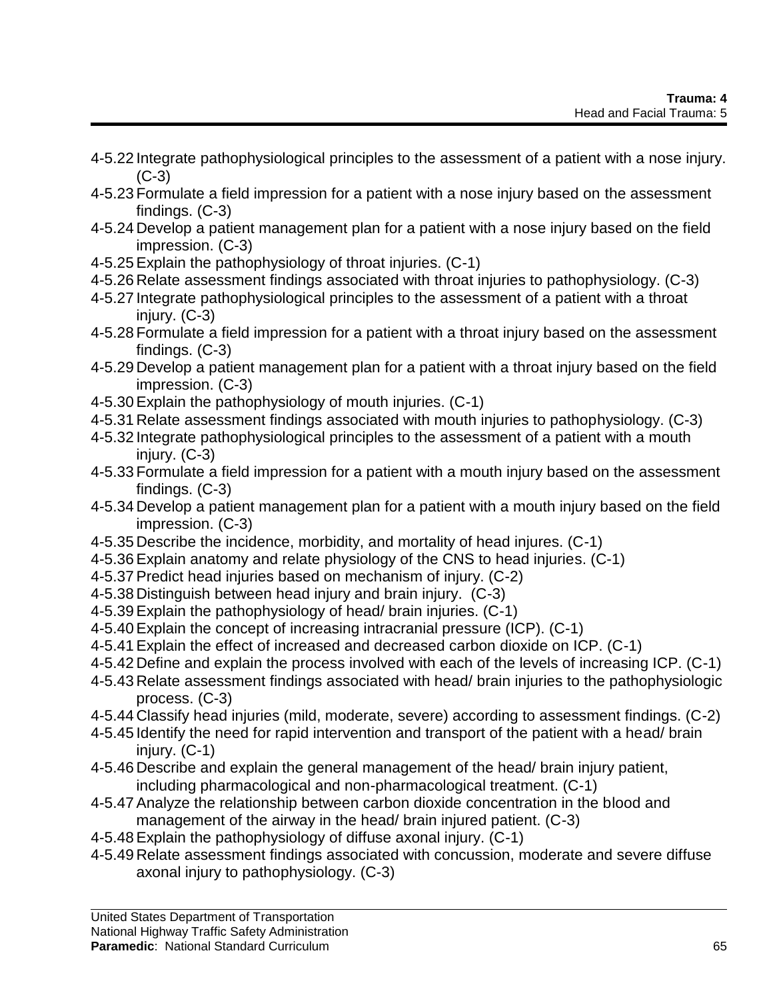- 4-5.22 Integrate pathophysiological principles to the assessment of a patient with a nose injury.  $(C-3)$
- 4-5.23 Formulate a field impression for a patient with a nose injury based on the assessment findings. (C-3)
- 4-5.24 Develop a patient management plan for a patient with a nose injury based on the field impression. (C-3)
- 4-5.25Explain the pathophysiology of throat injuries. (C-1)
- 4-5.26 Relate assessment findings associated with throat injuries to pathophysiology. (C-3)
- 4-5.27 Integrate pathophysiological principles to the assessment of a patient with a throat injury. (C-3)
- 4-5.28 Formulate a field impression for a patient with a throat injury based on the assessment findings. (C-3)
- 4-5.29 Develop a patient management plan for a patient with a throat injury based on the field impression. (C-3)
- 4-5.30Explain the pathophysiology of mouth injuries. (C-1)
- 4-5.31 Relate assessment findings associated with mouth injuries to pathophysiology. (C-3)
- 4-5.32 Integrate pathophysiological principles to the assessment of a patient with a mouth injury. (C-3)
- 4-5.33 Formulate a field impression for a patient with a mouth injury based on the assessment findings. (C-3)
- 4-5.34 Develop a patient management plan for a patient with a mouth injury based on the field impression. (C-3)
- 4-5.35 Describe the incidence, morbidity, and mortality of head injures. (C-1)
- 4-5.36Explain anatomy and relate physiology of the CNS to head injuries. (C-1)
- 4-5.37Predict head injuries based on mechanism of injury. (C-2)
- 4-5.38 Distinguish between head injury and brain injury. (C-3)
- 4-5.39Explain the pathophysiology of head/ brain injuries. (C-1)
- 4-5.40Explain the concept of increasing intracranial pressure (ICP). (C-1)
- 4-5.41Explain the effect of increased and decreased carbon dioxide on ICP. (C-1)
- 4-5.42 Define and explain the process involved with each of the levels of increasing ICP. (C-1)
- 4-5.43 Relate assessment findings associated with head/ brain injuries to the pathophysiologic process. (C-3)
- 4-5.44 Classify head injuries (mild, moderate, severe) according to assessment findings. (C-2)
- 4-5.45 Identify the need for rapid intervention and transport of the patient with a head/ brain injury. (C-1)
- 4-5.46 Describe and explain the general management of the head/ brain injury patient, including pharmacological and non-pharmacological treatment. (C-1)
- 4-5.47Analyze the relationship between carbon dioxide concentration in the blood and management of the airway in the head/ brain injured patient. (C-3)
- 4-5.48Explain the pathophysiology of diffuse axonal injury. (C-1)
- 4-5.49 Relate assessment findings associated with concussion, moderate and severe diffuse axonal injury to pathophysiology. (C-3)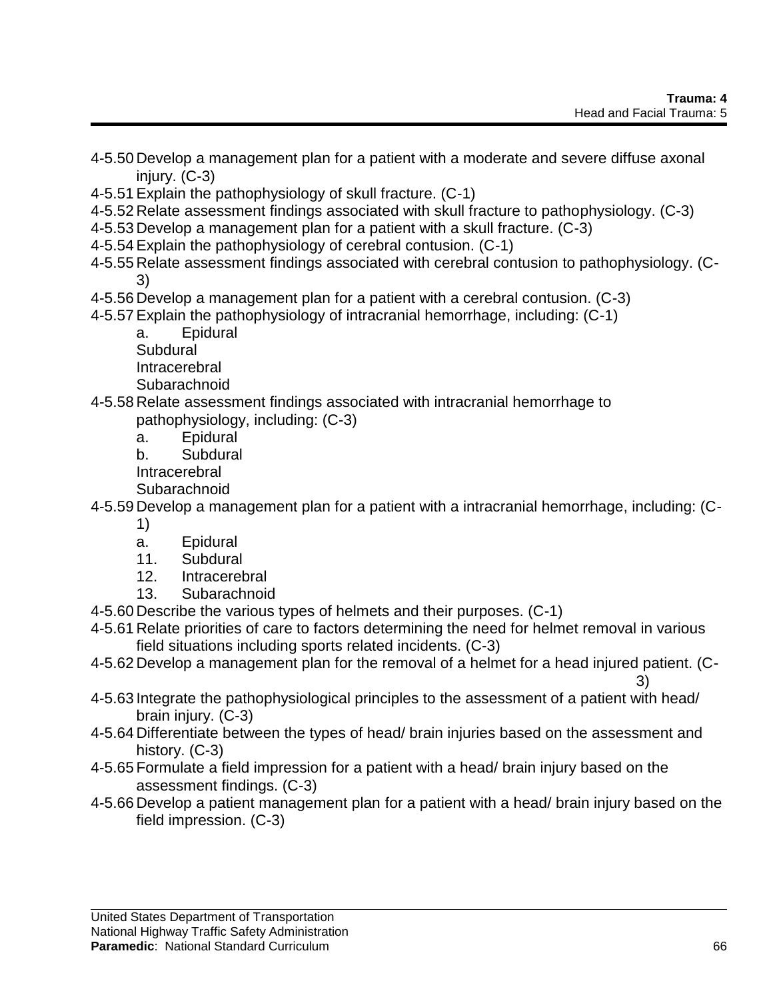- 4-5.50 Develop a management plan for a patient with a moderate and severe diffuse axonal injury. (C-3)
- 4-5.51Explain the pathophysiology of skull fracture. (C-1)
- 4-5.52 Relate assessment findings associated with skull fracture to pathophysiology. (C-3)
- 4-5.53 Develop a management plan for a patient with a skull fracture. (C-3)
- 4-5.54Explain the pathophysiology of cerebral contusion. (C-1)
- 4-5.55 Relate assessment findings associated with cerebral contusion to pathophysiology. (C-3)
- 4-5.56 Develop a management plan for a patient with a cerebral contusion. (C-3)
- 4-5.57Explain the pathophysiology of intracranial hemorrhage, including: (C-1)
	- a. Epidural

Subdural

Intracerebral

Subarachnoid

- 4-5.58 Relate assessment findings associated with intracranial hemorrhage to pathophysiology, including: (C-3)
	- a. Epidural
	- b. Subdural

**Intracerebral** 

Subarachnoid

4-5.59 Develop a management plan for a patient with a intracranial hemorrhage, including: (C-

- 1)
- a. Epidural
- 11. Subdural
- 12. Intracerebral
- 13. Subarachnoid
- 4-5.60 Describe the various types of helmets and their purposes. (C-1)
- 4-5.61 Relate priorities of care to factors determining the need for helmet removal in various field situations including sports related incidents. (C-3)
- 4-5.62 Develop a management plan for the removal of a helmet for a head injured patient. (C-3)
- 4-5.63 Integrate the pathophysiological principles to the assessment of a patient with head/ brain injury. (C-3)
- 4-5.64 Differentiate between the types of head/ brain injuries based on the assessment and history. (C-3)
- 4-5.65 Formulate a field impression for a patient with a head/ brain injury based on the assessment findings. (C-3)
- 4-5.66 Develop a patient management plan for a patient with a head/ brain injury based on the field impression. (C-3)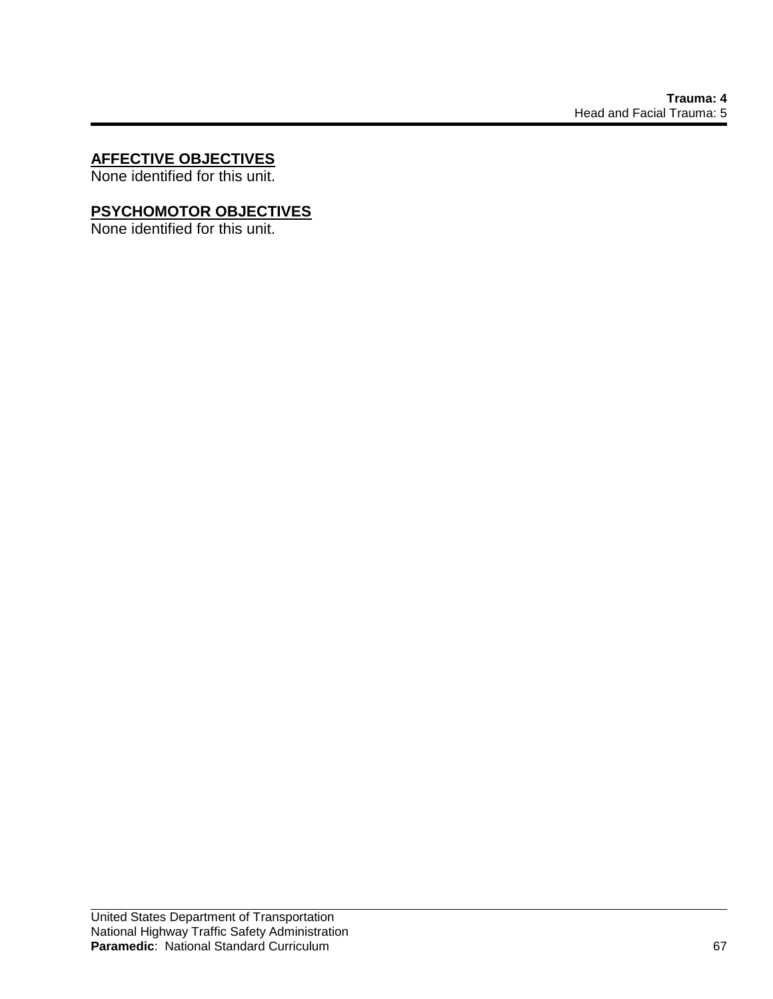# **AFFECTIVE OBJECTIVES**

None identified for this unit.

# **PSYCHOMOTOR OBJECTIVES**

None identified for this unit.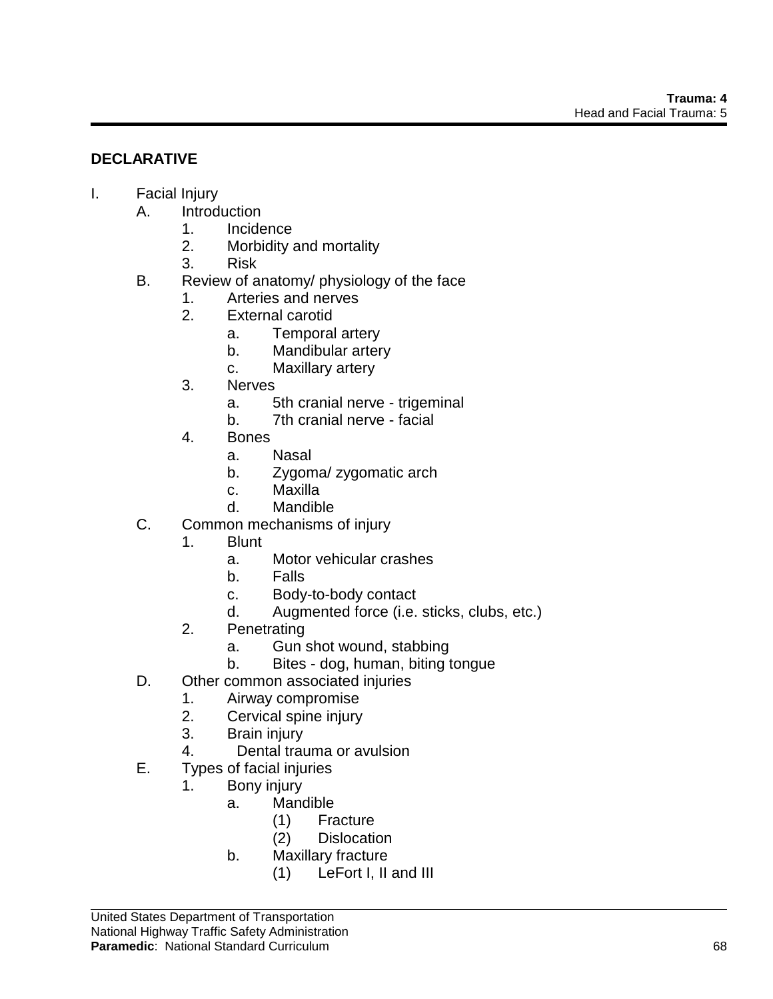# **DECLARATIVE**

## I. Facial Injury

- A. Introduction
	- 1. Incidence
	- 2. Morbidity and mortality
	- 3. Risk
- B. Review of anatomy/ physiology of the face
	- 1. Arteries and nerves
	- 2. External carotid
		- a. Temporal artery
		- b. Mandibular artery
		- c. Maxillary artery
	- 3. Nerves
		- a. 5th cranial nerve trigeminal
		- b. 7th cranial nerve facial
	- 4. Bones
		- a. Nasal
		- b. Zygoma/ zygomatic arch
		- c. Maxilla
		- d. Mandible
- C. Common mechanisms of injury
	- 1. Blunt
		- a. Motor vehicular crashes
		- b. Falls
		- c. Body-to-body contact
		- d. Augmented force (i.e. sticks, clubs, etc.)
	- 2. Penetrating
		- a. Gun shot wound, stabbing
		- b. Bites dog, human, biting tongue
- D. Other common associated injuries
	- 1. Airway compromise
	- 2. Cervical spine injury
	- 3. Brain injury
	- 4. Dental trauma or avulsion
- E. Types of facial injuries
	- 1. Bony injury
		- a. Mandible
			- (1) Fracture
			- (2) Dislocation
		- b. Maxillary fracture
			- (1) LeFort I, II and III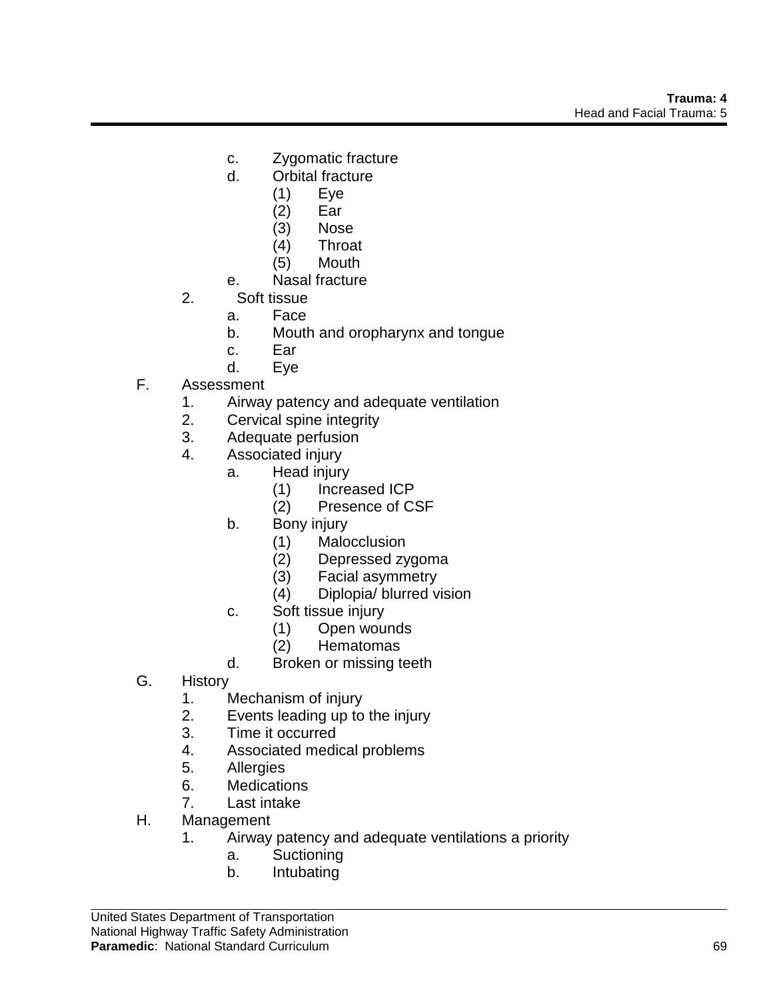- c. Zygomatic fracture
- d. Orbital fracture
	- (1) Eye
	- (2) Ear
	- (3) Nose
	- (4) Throat
	- (5) Mouth
- e. Nasal fracture
- 2. Soft tissue
	- a. Face
	- b. Mouth and oropharynx and tongue
	- c. Ear
	- d. Eye
- F. Assessment
	- 1. Airway patency and adequate ventilation
	- 2. Cervical spine integrity
	- 3. Adequate perfusion
	- 4. Associated injury
		- a. Head injury
			- (1) Increased ICP
			- (2) Presence of CSF
			- b. Bony injury
				- (1) Malocclusion
				- (2) Depressed zygoma
				- (3) Facial asymmetry
				- (4) Diplopia/ blurred vision
			- c. Soft tissue injury
				- (1) Open wounds
				- Hematomas
			- d. Broken or missing teeth
- G. History
	- 1. Mechanism of injury
	- 2. Events leading up to the injury
	- 3. Time it occurred
	- 4. Associated medical problems
	- 5. Allergies
	- 6. Medications
	- 7. Last intake
- H. Management
	- 1. Airway patency and adequate ventilations a priority
		- a. Suctioning
		- b. Intubating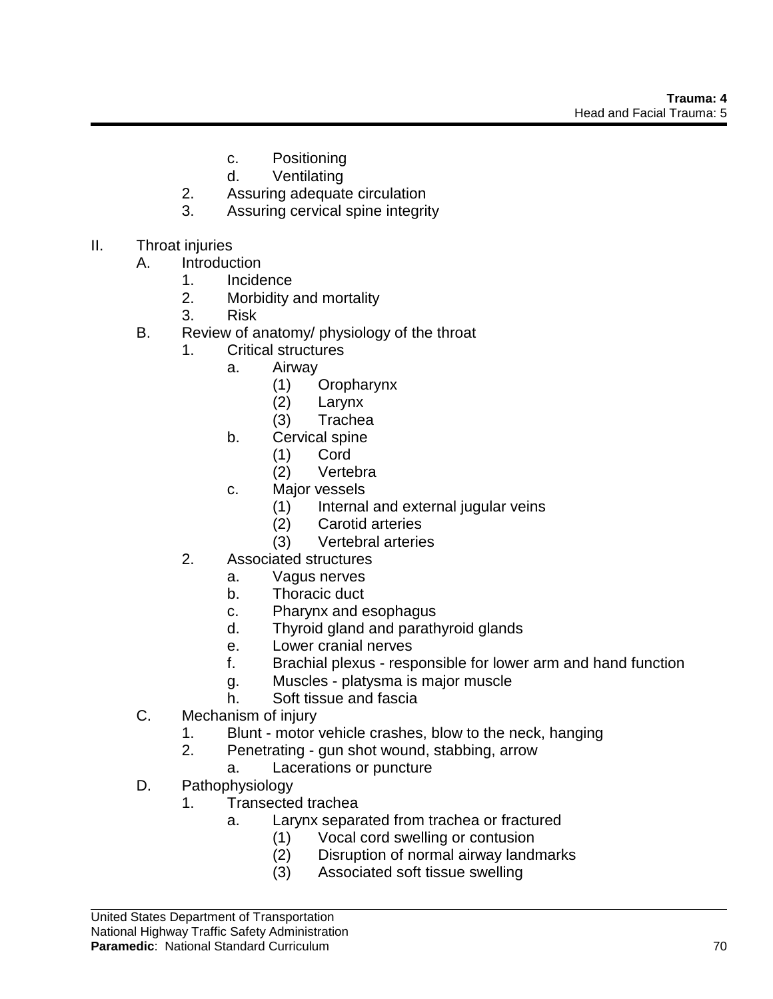- c. Positioning
- d. Ventilating
- 2. Assuring adequate circulation
- 3. Assuring cervical spine integrity
- II. Throat injuries
	- A. Introduction
		- 1. Incidence
		- 2. Morbidity and mortality
		- 3. Risk
	- B. Review of anatomy/ physiology of the throat
		- 1. Critical structures
			- a. Airway
				- (1) Oropharynx
				- (2) Larynx
				- (3) Trachea
			- b. Cervical spine
				- (1) Cord
				- (2) Vertebra
			- c. Major vessels
				- (1) Internal and external jugular veins
				- (2) Carotid arteries
				- (3) Vertebral arteries
		- 2. Associated structures
			- a. Vagus nerves
			- b. Thoracic duct
			- c. Pharynx and esophagus
			- d. Thyroid gland and parathyroid glands
			- e. Lower cranial nerves
			- f. Brachial plexus responsible for lower arm and hand function
			- g. Muscles platysma is major muscle
			- h. Soft tissue and fascia
	- C. Mechanism of injury
		- 1. Blunt motor vehicle crashes, blow to the neck, hanging
		- 2. Penetrating gun shot wound, stabbing, arrow
			- a. Lacerations or puncture
	- D. Pathophysiology
		- 1. Transected trachea
			- a. Larynx separated from trachea or fractured
				- (1) Vocal cord swelling or contusion
				- (2) Disruption of normal airway landmarks
				- (3) Associated soft tissue swelling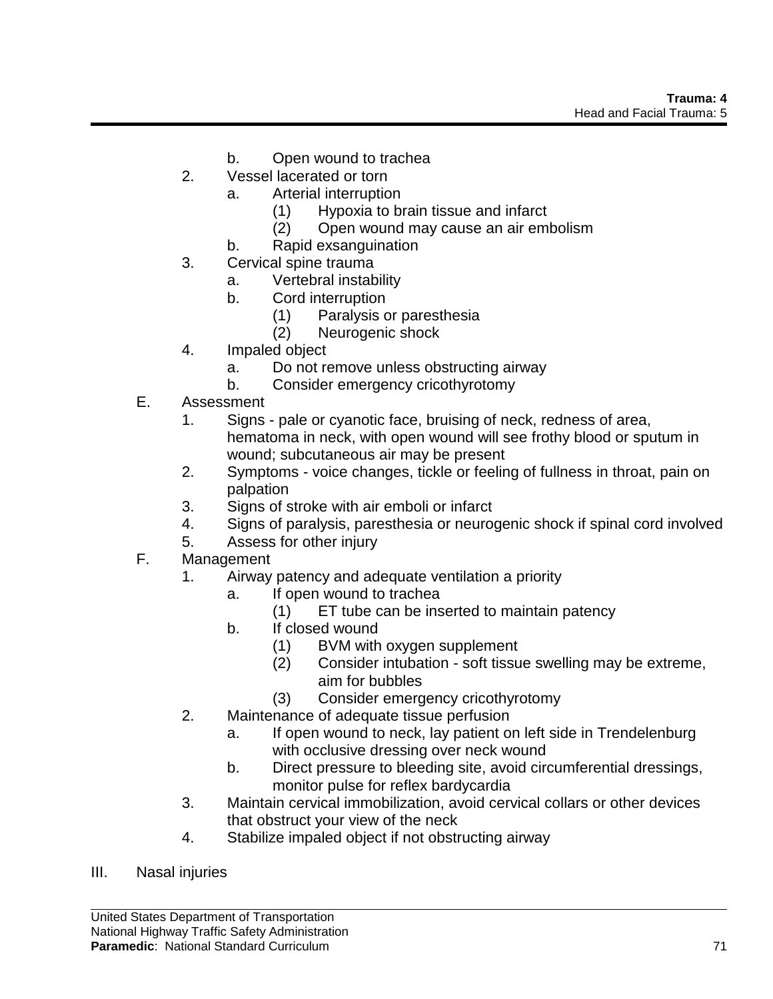- b. Open wound to trachea
- 2. Vessel lacerated or torn
	- a. Arterial interruption
		- (1) Hypoxia to brain tissue and infarct
		- (2) Open wound may cause an air embolism
	- b. Rapid exsanguination
- 3. Cervical spine trauma
	- a. Vertebral instability
	- b. Cord interruption
		- (1) Paralysis or paresthesia
		- (2) Neurogenic shock
- 4. Impaled object
	- a. Do not remove unless obstructing airway
	- b. Consider emergency cricothyrotomy
- E. Assessment
	- 1. Signs pale or cyanotic face, bruising of neck, redness of area, hematoma in neck, with open wound will see frothy blood or sputum in wound; subcutaneous air may be present
	- 2. Symptoms voice changes, tickle or feeling of fullness in throat, pain on palpation
	- 3. Signs of stroke with air emboli or infarct
	- 4. Signs of paralysis, paresthesia or neurogenic shock if spinal cord involved
	- 5. Assess for other injury
- F. Management
	- 1. Airway patency and adequate ventilation a priority
		- a. If open wound to trachea
			- (1) ET tube can be inserted to maintain patency
		- b. If closed wound
			- (1) BVM with oxygen supplement
			- (2) Consider intubation soft tissue swelling may be extreme, aim for bubbles
			- (3) Consider emergency cricothyrotomy
	- 2. Maintenance of adequate tissue perfusion
		- a. If open wound to neck, lay patient on left side in Trendelenburg with occlusive dressing over neck wound
		- b. Direct pressure to bleeding site, avoid circumferential dressings, monitor pulse for reflex bardycardia
	- 3. Maintain cervical immobilization, avoid cervical collars or other devices that obstruct your view of the neck
	- 4. Stabilize impaled object if not obstructing airway
- III. Nasal injuries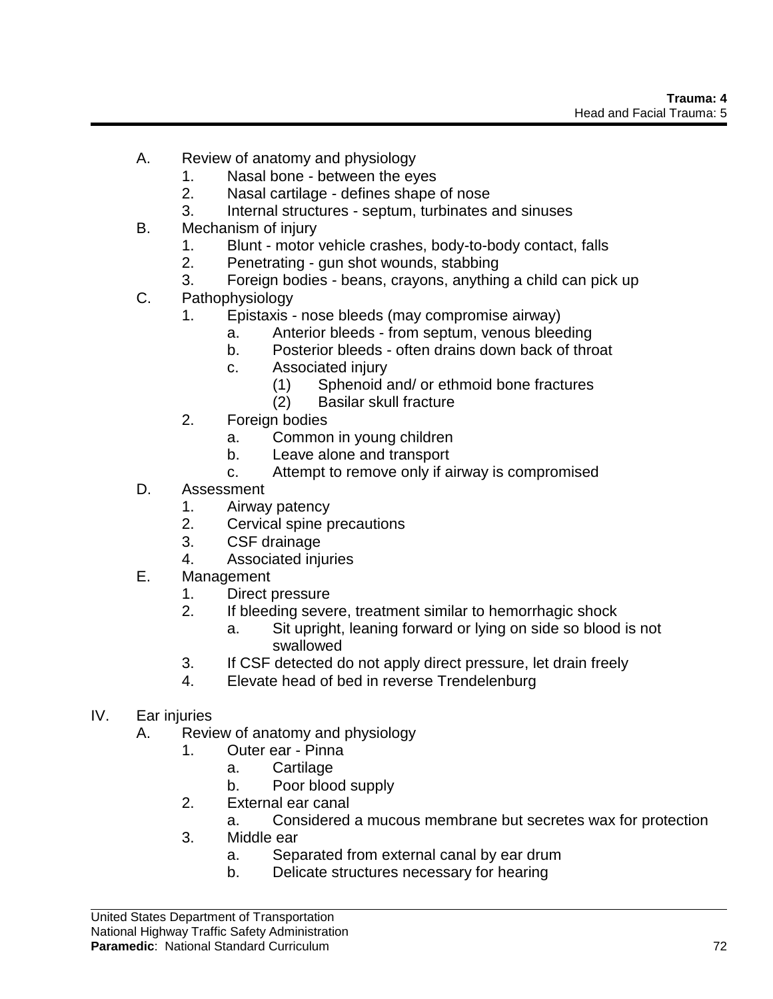- A. Review of anatomy and physiology
	- 1. Nasal bone between the eyes
	- 2. Nasal cartilage defines shape of nose
	- 3. Internal structures septum, turbinates and sinuses
- B. Mechanism of injury
	- 1. Blunt motor vehicle crashes, body-to-body contact, falls
	- 2. Penetrating gun shot wounds, stabbing
	- 3. Foreign bodies beans, crayons, anything a child can pick up
- C. Pathophysiology
	- 1. Epistaxis nose bleeds (may compromise airway)
		- a. Anterior bleeds from septum, venous bleeding
		- b. Posterior bleeds often drains down back of throat
		- c. Associated injury
			- (1) Sphenoid and/ or ethmoid bone fractures
			- (2) Basilar skull fracture
	- 2. Foreign bodies
		- a. Common in young children
		- b. Leave alone and transport
		- c. Attempt to remove only if airway is compromised
- D. Assessment
	- 1. Airway patency
	- 2. Cervical spine precautions
	- 3. CSF drainage
	- 4. Associated injuries
- E. Management
	- 1. Direct pressure
	- 2. If bleeding severe, treatment similar to hemorrhagic shock
		- a. Sit upright, leaning forward or lying on side so blood is not swallowed
	- 3. If CSF detected do not apply direct pressure, let drain freely
	- 4. Elevate head of bed in reverse Trendelenburg
- IV. Ear injuries
	- A. Review of anatomy and physiology
		- 1. Outer ear Pinna
			- a. Cartilage
			- b. Poor blood supply
		- 2. External ear canal
			- a. Considered a mucous membrane but secretes wax for protection
		- 3. Middle ear
			- a. Separated from external canal by ear drum
			- b. Delicate structures necessary for hearing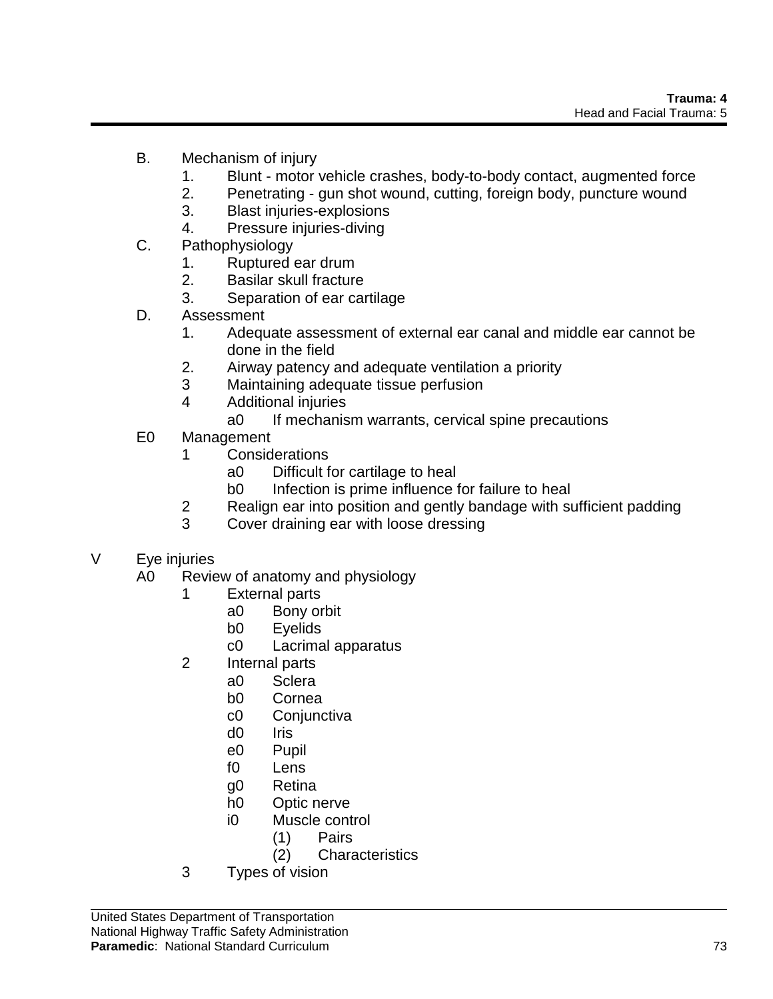- B. Mechanism of injury
	- 1. Blunt motor vehicle crashes, body-to-body contact, augmented force
	- 2. Penetrating gun shot wound, cutting, foreign body, puncture wound
	- 3. Blast injuries-explosions
	- 4. Pressure injuries-diving
- C. Pathophysiology
	- 1. Ruptured ear drum
	- 2. Basilar skull fracture
	- 3. Separation of ear cartilage
- D. Assessment
	- 1. Adequate assessment of external ear canal and middle ear cannot be done in the field
	- 2. Airway patency and adequate ventilation a priority
	- 3 Maintaining adequate tissue perfusion
	- 4 Additional injuries
		- a0 If mechanism warrants, cervical spine precautions
- E0 Management
	- 1 Considerations
		- a0 Difficult for cartilage to heal
		- b0 Infection is prime influence for failure to heal
	- 2 Realign ear into position and gently bandage with sufficient padding
	- 3 Cover draining ear with loose dressing
- V Eye injuries
	- A0 Review of anatomy and physiology
		- 1 External parts
			- a0 Bony orbit
			- b0 Eyelids
			- c0 Lacrimal apparatus
		- 2 Internal parts
			- a0 Sclera
				- b0 Cornea
				- c0 Conjunctiva
				- d0 Iris
				- e0 Pupil
				- f0 Lens
				- g0 Retina
				- h0 Optic nerve
				- i0 Muscle control
					- (1) Pairs
					- (2) Characteristics
		- 3 Types of vision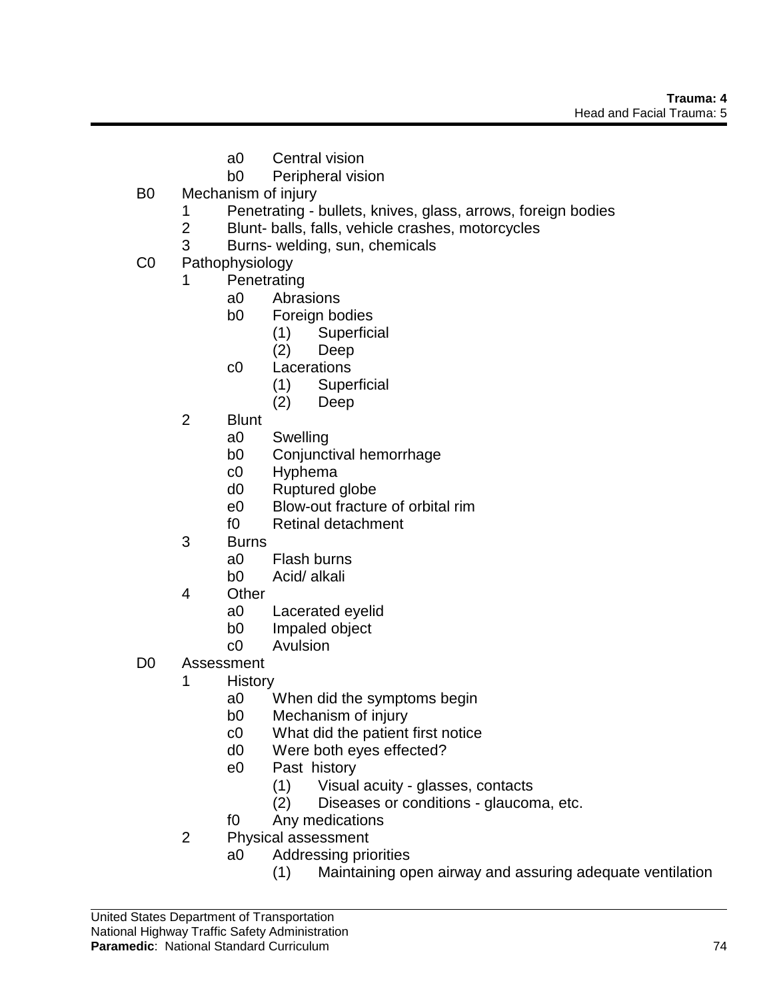- a0 Central vision
- b0 Peripheral vision
- B0 Mechanism of injury
	- 1 Penetrating bullets, knives, glass, arrows, foreign bodies
	- 2 Blunt- balls, falls, vehicle crashes, motorcycles
	- 3 Burns- welding, sun, chemicals
- C0 Pathophysiology
	- 1 Penetrating
		- a0 Abrasions
		- b0 Foreign bodies
			- (1) Superficial
			- (2) Deep
		- c0 Lacerations
			- (1) Superficial
			- (2) Deep
	- 2 Blunt
		- a0 Swelling
		- b0 Conjunctival hemorrhage
		- c0 Hyphema
		- d0 Ruptured globe
		- e0 Blow-out fracture of orbital rim
		- f0 Retinal detachment
	- 3 Burns
		- a0 Flash burns
		- b0 Acid/ alkali
	- 4 Other
		- a0 Lacerated eyelid
		- b0 Impaled object
		- c0 Avulsion
- D0 Assessment
	- 1 History
		- a0 When did the symptoms begin
		- b0 Mechanism of injury
		- c0 What did the patient first notice
		- d0 Were both eyes effected?
		- e0 Past history
			- (1) Visual acuity glasses, contacts
			- (2) Diseases or conditions glaucoma, etc.
		- f0 Any medications
	- 2 Physical assessment
		- a0 Addressing priorities
			- (1) Maintaining open airway and assuring adequate ventilation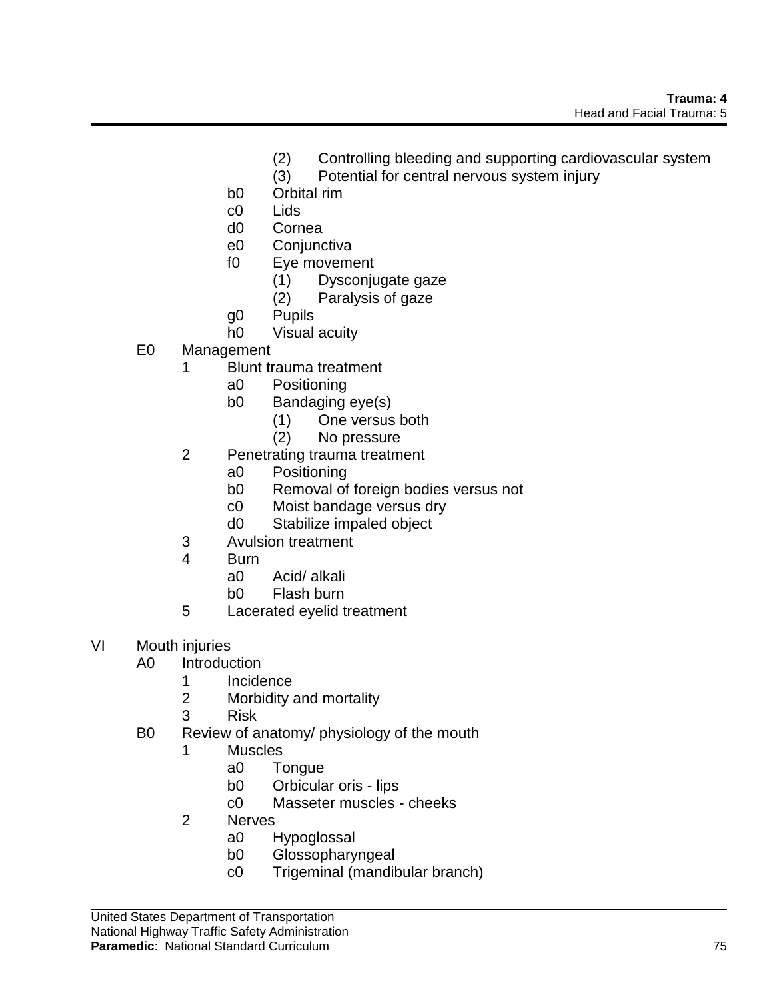- (2) Controlling bleeding and supporting cardiovascular system
- (3) Potential for central nervous system injury
- b0 Orbital rim
- c0 Lids
- d0 Cornea
- e0 Conjunctiva
- f0 Eye movement
	- (1) Dysconjugate gaze
	- (2) Paralysis of gaze
- g0 Pupils
- h0 Visual acuity
- E0 Management
	- 1 Blunt trauma treatment
		- a0 Positioning
		- b0 Bandaging eye(s)
			- (1) One versus both
			- (2) No pressure
	- 2 Penetrating trauma treatment
		- a0 Positioning
		- b0 Removal of foreign bodies versus not
		- c0 Moist bandage versus dry
		- d0 Stabilize impaled object
	- 3 Avulsion treatment
	- 4 Burn
		- a0 Acid/ alkali
		- b0 Flash burn
	- 5 Lacerated eyelid treatment
- VI Mouth injuries
	- A0 Introduction
		- 1 Incidence
		- 2 Morbidity and mortality
		- 3 Risk
	- B0 Review of anatomy/ physiology of the mouth
		- 1 Muscles
			- a0 Tongue
			- b0 Orbicular oris lips
			- c0 Masseter muscles cheeks
		- 2 Nerves
			- a0 Hypoglossal
			- b0 Glossopharyngeal
			- c0 Trigeminal (mandibular branch)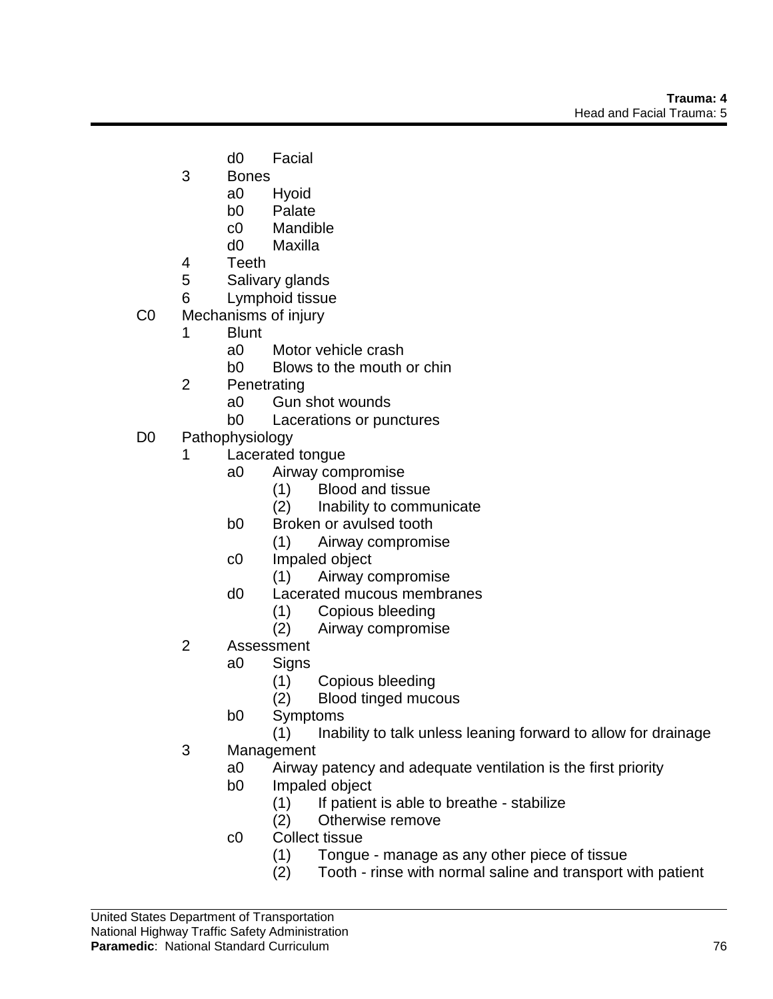- d0 Facial
- 3 Bones
	- a0 Hyoid
	- b0 Palate
	- c0 Mandible
	- d0 Maxilla
- 4 Teeth
- 5 Salivary glands
- 6 Lymphoid tissue
- C0 Mechanisms of injury
	- 1 Blunt
		- a0 Motor vehicle crash
		- b0 Blows to the mouth or chin
	- 2 Penetrating
		- a0 Gun shot wounds
		- b0 Lacerations or punctures
- D0 Pathophysiology
	- 1 Lacerated tongue
		- a0 Airway compromise
			- (1) Blood and tissue
			- (2) Inability to communicate
		- b0 Broken or avulsed tooth
			- (1) Airway compromise
		- c0 Impaled object
			- (1) Airway compromise
		- d0 Lacerated mucous membranes
			- (1) Copious bleeding
			- (2) Airway compromise
	- 2 Assessment
		- a0 Signs
			- (1) Copious bleeding
			- (2) Blood tinged mucous
			- b0 Symptoms
				- (1) Inability to talk unless leaning forward to allow for drainage
	- 3 Management
		- a0 Airway patency and adequate ventilation is the first priority
		- b0 Impaled object
			- (1) If patient is able to breathe stabilize  $(2)$  Otherwise remove
			- Otherwise remove
		- c0 Collect tissue
			- (1) Tongue manage as any other piece of tissue
			- (2) Tooth rinse with normal saline and transport with patient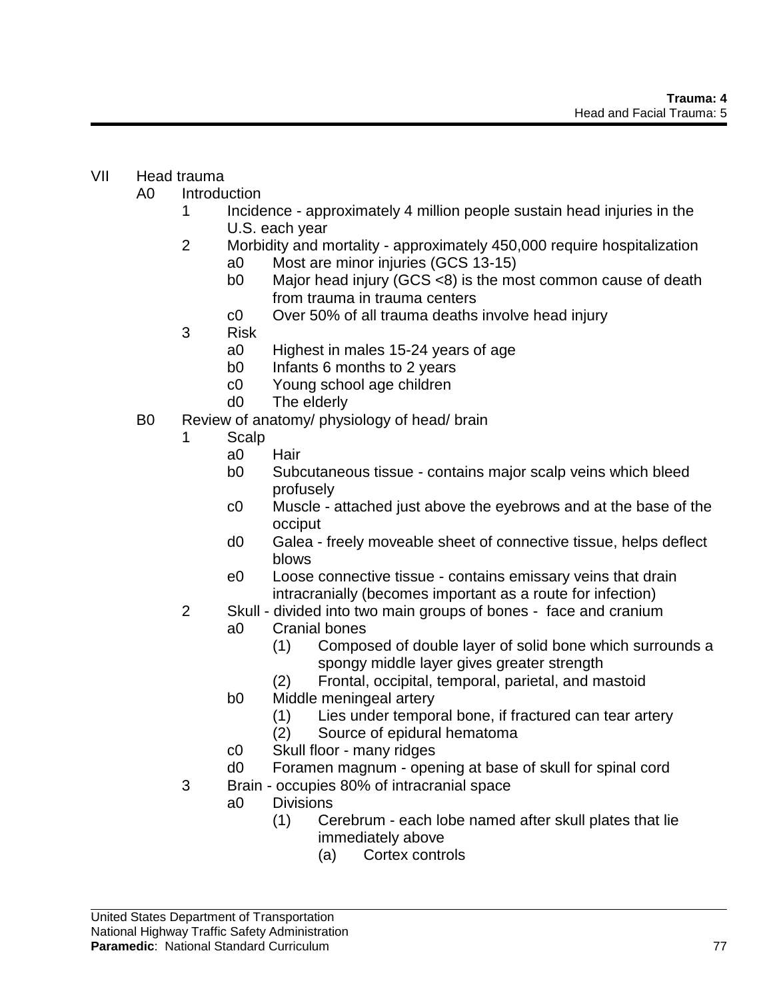## VII Head trauma

- A0 Introduction
	- 1 Incidence approximately 4 million people sustain head injuries in the U.S. each year
	- 2 Morbidity and mortality approximately 450,000 require hospitalization a0 Most are minor injuries (GCS 13-15)
		- b0 Major head injury (GCS <8) is the most common cause of death from trauma in trauma centers
		- c0 Over 50% of all trauma deaths involve head injury
	- 3 Risk
		- a0 Highest in males 15-24 years of age
		- b0 Infants 6 months to 2 years
		- c0 Young school age children
		- d0 The elderly
- B0 Review of anatomy/ physiology of head/ brain
	- 1 Scalp
		- a0 Hair
		- b0 Subcutaneous tissue contains major scalp veins which bleed profusely
		- c0 Muscle attached just above the eyebrows and at the base of the occiput
		- d0 Galea freely moveable sheet of connective tissue, helps deflect blows
		- e0 Loose connective tissue contains emissary veins that drain intracranially (becomes important as a route for infection)
	- 2 Skull divided into two main groups of bones face and cranium
		- a0 Cranial bones
			- (1) Composed of double layer of solid bone which surrounds a spongy middle layer gives greater strength
			- (2) Frontal, occipital, temporal, parietal, and mastoid
		- b0 Middle meningeal artery
			- (1) Lies under temporal bone, if fractured can tear artery
			- (2) Source of epidural hematoma
		- c0 Skull floor many ridges
		- d0 Foramen magnum opening at base of skull for spinal cord
	- 3 Brain occupies 80% of intracranial space
		- a0 Divisions
			- (1) Cerebrum each lobe named after skull plates that lie immediately above
				- (a) Cortex controls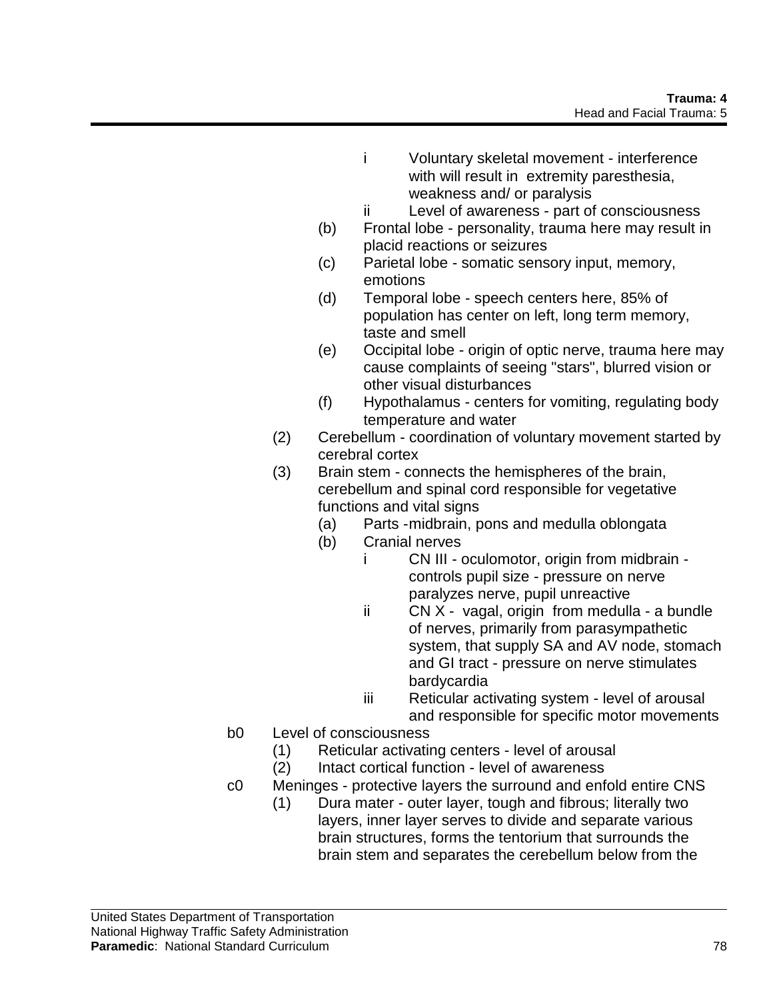- i Voluntary skeletal movement interference with will result in extremity paresthesia, weakness and/ or paralysis
- ii Level of awareness part of consciousness
- (b) Frontal lobe personality, trauma here may result in placid reactions or seizures
- (c) Parietal lobe somatic sensory input, memory, emotions
- (d) Temporal lobe speech centers here, 85% of population has center on left, long term memory, taste and smell
- (e) Occipital lobe origin of optic nerve, trauma here may cause complaints of seeing "stars", blurred vision or other visual disturbances
- (f) Hypothalamus centers for vomiting, regulating body temperature and water
- (2) Cerebellum coordination of voluntary movement started by cerebral cortex
- (3) Brain stem connects the hemispheres of the brain, cerebellum and spinal cord responsible for vegetative functions and vital signs
	- (a) Parts -midbrain, pons and medulla oblongata
	- (b) Cranial nerves
		- i CN III oculomotor, origin from midbrain controls pupil size - pressure on nerve paralyzes nerve, pupil unreactive
			- ii CN X vagal, origin from medulla a bundle of nerves, primarily from parasympathetic system, that supply SA and AV node, stomach and GI tract - pressure on nerve stimulates bardycardia
			- iii Reticular activating system level of arousal and responsible for specific motor movements
- b0 Level of consciousness
	- (1) Reticular activating centers level of arousal
	- (2) Intact cortical function level of awareness
- c0 Meninges protective layers the surround and enfold entire CNS
	- (1) Dura mater outer layer, tough and fibrous; literally two layers, inner layer serves to divide and separate various brain structures, forms the tentorium that surrounds the brain stem and separates the cerebellum below from the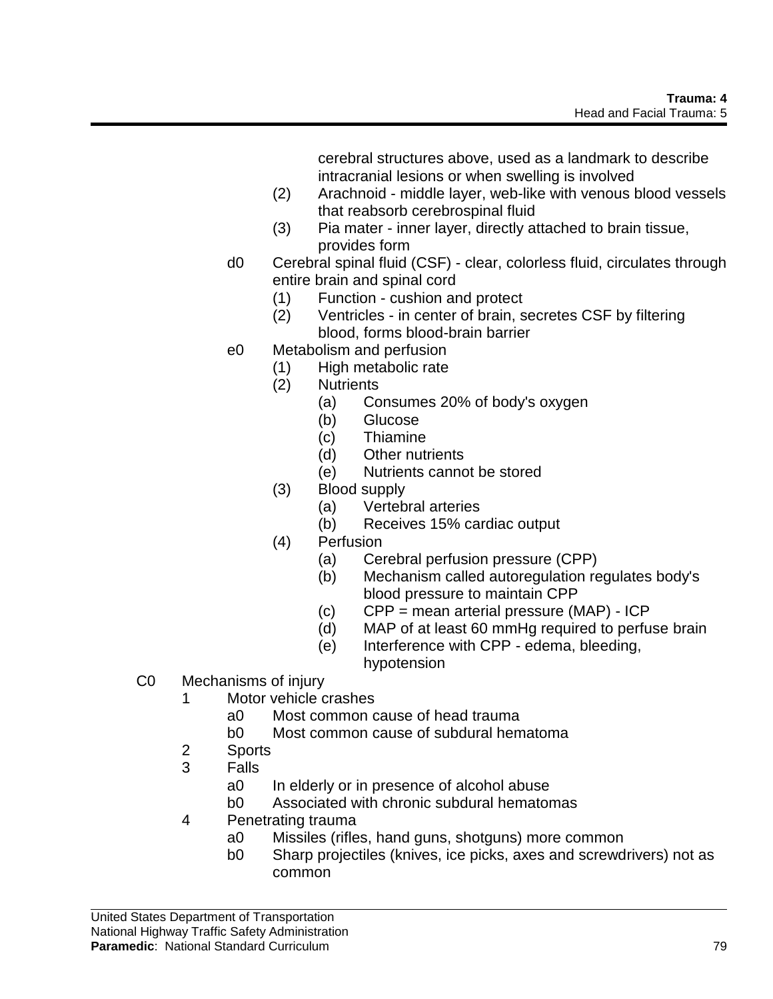cerebral structures above, used as a landmark to describe intracranial lesions or when swelling is involved

- (2) Arachnoid middle layer, web-like with venous blood vessels that reabsorb cerebrospinal fluid
- (3) Pia mater inner layer, directly attached to brain tissue, provides form
- d0 Cerebral spinal fluid (CSF) clear, colorless fluid, circulates through entire brain and spinal cord
	- (1) Function cushion and protect
	- (2) Ventricles in center of brain, secretes CSF by filtering blood, forms blood-brain barrier
- e0 Metabolism and perfusion
	- (1) High metabolic rate
	- (2) Nutrients
		- (a) Consumes 20% of body's oxygen
		- (b) Glucose
		- (c) Thiamine
		- (d) Other nutrients
		- (e) Nutrients cannot be stored
	- (3) Blood supply
		- (a) Vertebral arteries
		- (b) Receives 15% cardiac output
	- (4) Perfusion
		- (a) Cerebral perfusion pressure (CPP)
		- (b) Mechanism called autoregulation regulates body's blood pressure to maintain CPP
		- (c) CPP = mean arterial pressure (MAP) ICP
		- (d) MAP of at least 60 mmHg required to perfuse brain
		- (e) Interference with CPP edema, bleeding, hypotension
- C0 Mechanisms of injury
	- 1 Motor vehicle crashes
		- a0 Most common cause of head trauma
		- b0 Most common cause of subdural hematoma
	- 2 Sports
	- 3 Falls
		- a0 In elderly or in presence of alcohol abuse
		- b0 Associated with chronic subdural hematomas
	- 4 Penetrating trauma
		- a0 Missiles (rifles, hand guns, shotguns) more common
		- b0 Sharp projectiles (knives, ice picks, axes and screwdrivers) not as common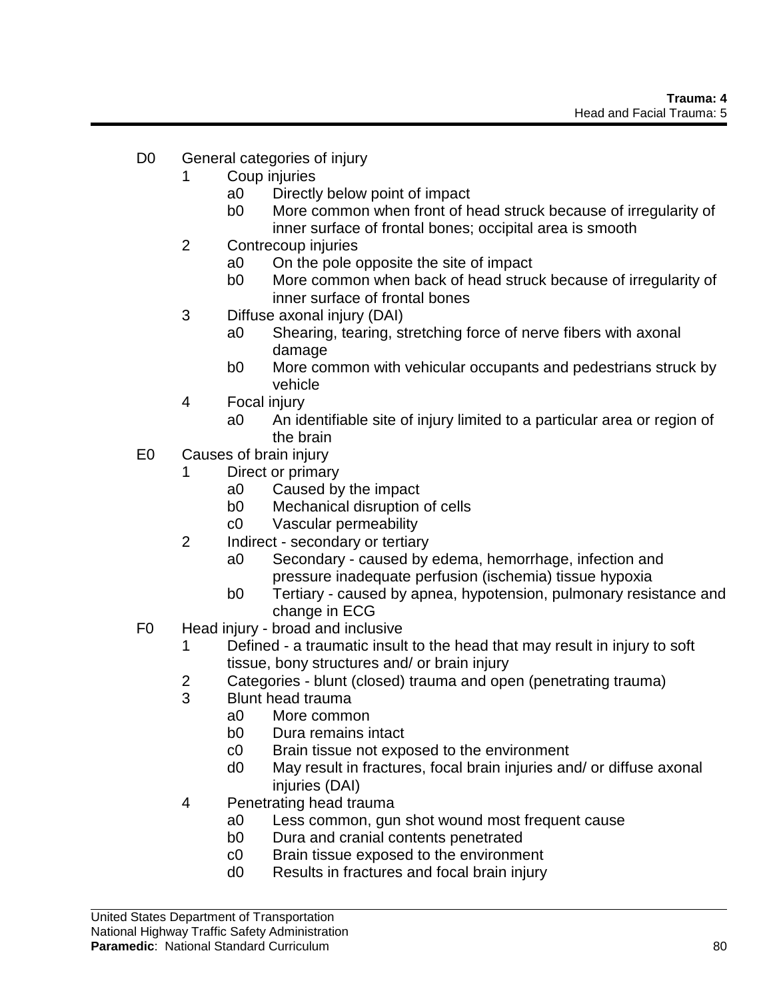- D0 General categories of injury
	- 1 Coup injuries
		- a0 Directly below point of impact
		- b0 More common when front of head struck because of irregularity of inner surface of frontal bones; occipital area is smooth
	- 2 Contrecoup injuries
		- a0 On the pole opposite the site of impact
		- b0 More common when back of head struck because of irregularity of inner surface of frontal bones
	- 3 Diffuse axonal injury (DAI)
		- a0 Shearing, tearing, stretching force of nerve fibers with axonal damage
		- b0 More common with vehicular occupants and pedestrians struck by vehicle
	- 4 Focal injury
		- a0 An identifiable site of injury limited to a particular area or region of the brain
- E0 Causes of brain injury
	- 1 Direct or primary
		- a0 Caused by the impact
		- b0 Mechanical disruption of cells
		- c0 Vascular permeability
	- 2 Indirect secondary or tertiary
		- a0 Secondary caused by edema, hemorrhage, infection and pressure inadequate perfusion (ischemia) tissue hypoxia
		- b0 Tertiary caused by apnea, hypotension, pulmonary resistance and change in ECG
- F0 Head injury broad and inclusive
	- 1 Defined a traumatic insult to the head that may result in injury to soft tissue, bony structures and/ or brain injury
	- 2 Categories blunt (closed) trauma and open (penetrating trauma)
	- 3 Blunt head trauma
		- a0 More common
		- b0 Dura remains intact
		- c0 Brain tissue not exposed to the environment
		- d0 May result in fractures, focal brain injuries and/ or diffuse axonal injuries (DAI)
	- 4 Penetrating head trauma
		- a0 Less common, gun shot wound most frequent cause
		- b0 Dura and cranial contents penetrated
		- c0 Brain tissue exposed to the environment
		- d0 Results in fractures and focal brain injury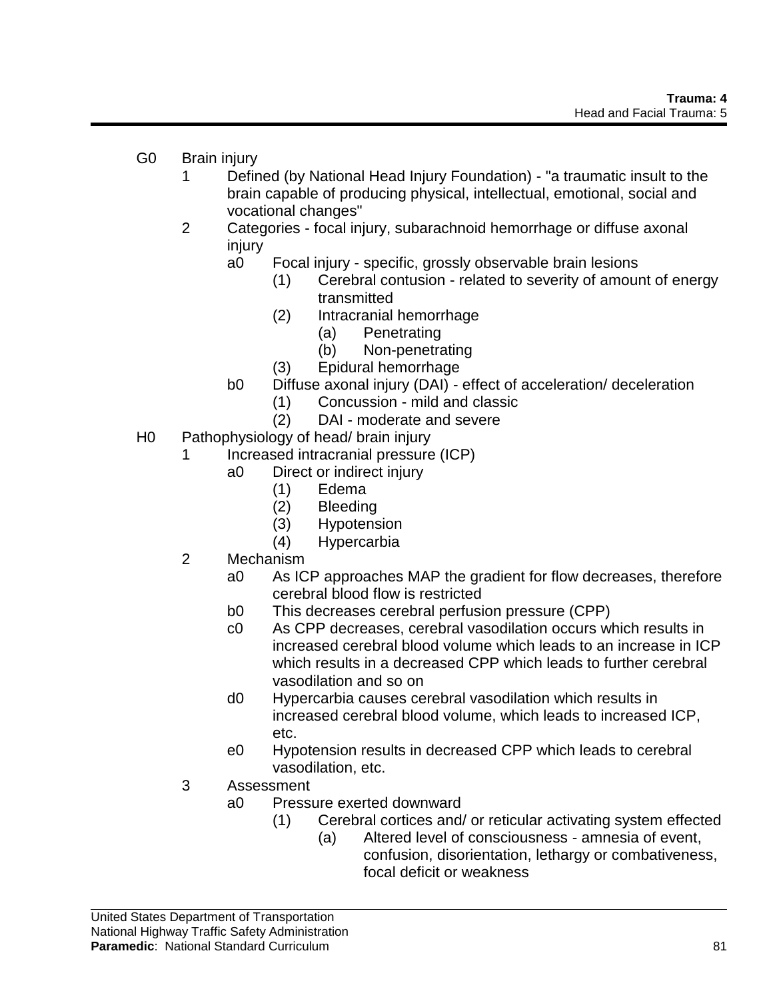- G0 Brain injury
	- 1 Defined (by National Head Injury Foundation) "a traumatic insult to the brain capable of producing physical, intellectual, emotional, social and vocational changes"
	- 2 Categories focal injury, subarachnoid hemorrhage or diffuse axonal injury
		- a0 Focal injury specific, grossly observable brain lesions
			- (1) Cerebral contusion related to severity of amount of energy transmitted
			- (2) Intracranial hemorrhage
				- (a) Penetrating
				- (b) Non-penetrating
			- (3) Epidural hemorrhage
		- b0 Diffuse axonal injury (DAI) effect of acceleration/ deceleration
			- (1) Concussion mild and classic
			- (2) DAI moderate and severe
- H0 Pathophysiology of head/ brain injury
	- 1 Increased intracranial pressure (ICP)
		- a0 Direct or indirect injury
			- (1) Edema
			- (2) Bleeding
			- (3) Hypotension
			- (4) Hypercarbia
	- 2 Mechanism
		- a0 As ICP approaches MAP the gradient for flow decreases, therefore cerebral blood flow is restricted
		- b0 This decreases cerebral perfusion pressure (CPP)
		- c0 As CPP decreases, cerebral vasodilation occurs which results in increased cerebral blood volume which leads to an increase in ICP which results in a decreased CPP which leads to further cerebral vasodilation and so on
		- d0 Hypercarbia causes cerebral vasodilation which results in increased cerebral blood volume, which leads to increased ICP, etc.
		- e0 Hypotension results in decreased CPP which leads to cerebral vasodilation, etc.
	- 3 Assessment
		- a0 Pressure exerted downward
			- (1) Cerebral cortices and/ or reticular activating system effected
				- (a) Altered level of consciousness amnesia of event, confusion, disorientation, lethargy or combativeness, focal deficit or weakness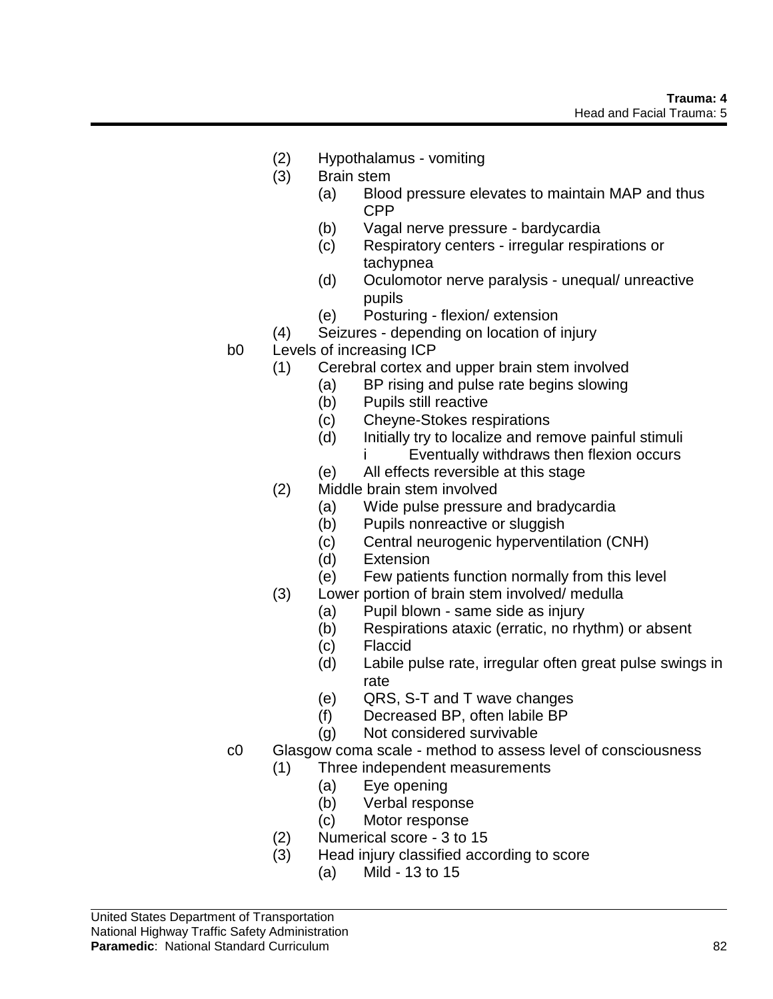- (2) Hypothalamus vomiting
- (3) Brain stem
	- (a) Blood pressure elevates to maintain MAP and thus CPP
	- (b) Vagal nerve pressure bardycardia
	- (c) Respiratory centers irregular respirations or tachypnea
	- (d) Oculomotor nerve paralysis unequal/ unreactive pupils
	- (e) Posturing flexion/ extension
- (4) Seizures depending on location of injury
- b0 Levels of increasing ICP
	- (1) Cerebral cortex and upper brain stem involved
		- (a) BP rising and pulse rate begins slowing
		- (b) Pupils still reactive
		- (c) Cheyne-Stokes respirations
		- (d) Initially try to localize and remove painful stimuli
			- i Eventually withdraws then flexion occurs
		- (e) All effects reversible at this stage
	- (2) Middle brain stem involved
		- (a) Wide pulse pressure and bradycardia
		- (b) Pupils nonreactive or sluggish
		- (c) Central neurogenic hyperventilation (CNH)
		- (d) Extension
		- (e) Few patients function normally from this level
	- (3) Lower portion of brain stem involved/ medulla
		- (a) Pupil blown same side as injury
		- (b) Respirations ataxic (erratic, no rhythm) or absent
		- (c) Flaccid
		- (d) Labile pulse rate, irregular often great pulse swings in rate
		- (e) QRS, S-T and T wave changes
		- (f) Decreased BP, often labile BP
		- (g) Not considered survivable
- c0 Glasgow coma scale method to assess level of consciousness (1) Three independent measurements
	- (a) Eye opening
		- (b) Verbal response
		- (c) Motor response
	- (2) Numerical score 3 to 15
	- (3) Head injury classified according to score
		- (a) Mild 13 to 15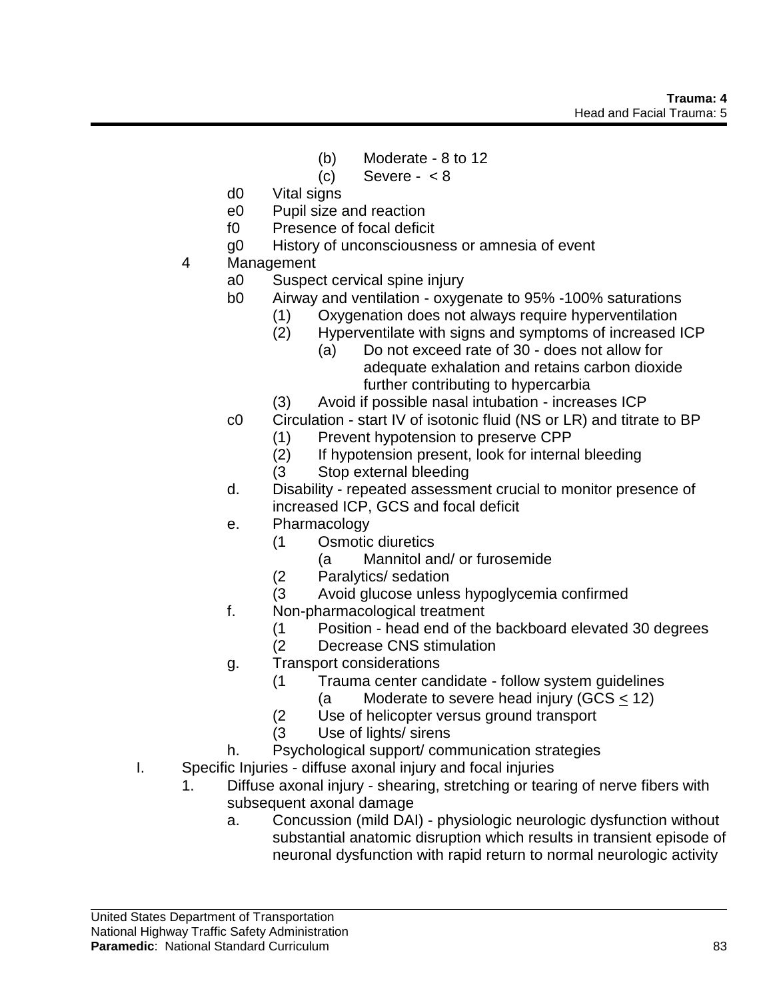- (b) Moderate 8 to 12
- $(c)$  Severe  $< 8$
- d0 Vital signs
- e0 Pupil size and reaction
- f0 Presence of focal deficit
- g0 History of unconsciousness or amnesia of event
- 4 Management
	- a0 Suspect cervical spine injury
	- b0 Airway and ventilation oxygenate to 95% -100% saturations
		- (1) Oxygenation does not always require hyperventilation
		- (2) Hyperventilate with signs and symptoms of increased ICP
			- (a) Do not exceed rate of 30 does not allow for adequate exhalation and retains carbon dioxide further contributing to hypercarbia
		- (3) Avoid if possible nasal intubation increases ICP
	- c0 Circulation start IV of isotonic fluid (NS or LR) and titrate to BP
		- (1) Prevent hypotension to preserve CPP
		- (2) If hypotension present, look for internal bleeding
		- (3 Stop external bleeding
	- d. Disability repeated assessment crucial to monitor presence of increased ICP, GCS and focal deficit
	- e. Pharmacology
		- (1 Osmotic diuretics
			- (a Mannitol and/ or furosemide
		- (2 Paralytics/ sedation
		- (3 Avoid glucose unless hypoglycemia confirmed
	- f. Non-pharmacological treatment
		- (1 Position head end of the backboard elevated 30 degrees
		- Decrease CNS stimulation
	- g. Transport considerations
		- (1 Trauma center candidate follow system guidelines
			- (a Moderate to severe head injury (GCS < 12)
		- (2 Use of helicopter versus ground transport
		- (3 Use of lights/ sirens
	- h. Psychological support/ communication strategies
- I. Specific Injuries diffuse axonal injury and focal injuries
	- 1. Diffuse axonal injury shearing, stretching or tearing of nerve fibers with subsequent axonal damage
		- a. Concussion (mild DAI) physiologic neurologic dysfunction without substantial anatomic disruption which results in transient episode of neuronal dysfunction with rapid return to normal neurologic activity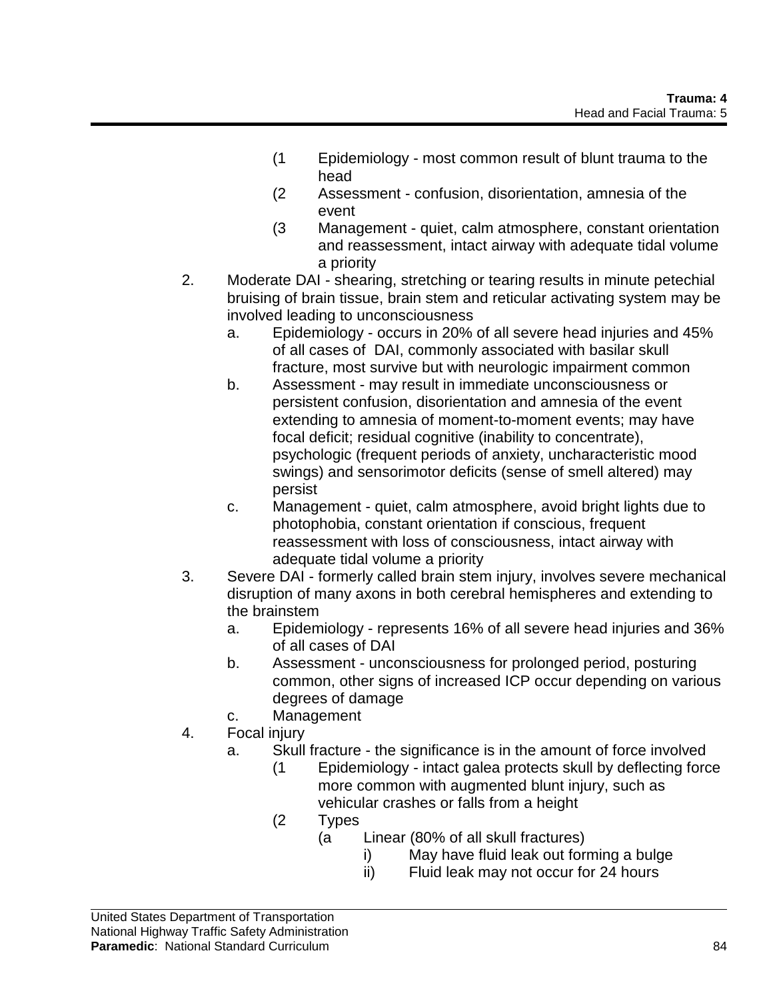- (1 Epidemiology most common result of blunt trauma to the head
- (2 Assessment confusion, disorientation, amnesia of the event
- (3 Management quiet, calm atmosphere, constant orientation and reassessment, intact airway with adequate tidal volume a priority
- 2. Moderate DAI shearing, stretching or tearing results in minute petechial bruising of brain tissue, brain stem and reticular activating system may be involved leading to unconsciousness
	- a. Epidemiology occurs in 20% of all severe head injuries and 45% of all cases of DAI, commonly associated with basilar skull fracture, most survive but with neurologic impairment common
	- b. Assessment may result in immediate unconsciousness or persistent confusion, disorientation and amnesia of the event extending to amnesia of moment-to-moment events; may have focal deficit; residual cognitive (inability to concentrate), psychologic (frequent periods of anxiety, uncharacteristic mood swings) and sensorimotor deficits (sense of smell altered) may persist
	- c. Management quiet, calm atmosphere, avoid bright lights due to photophobia, constant orientation if conscious, frequent reassessment with loss of consciousness, intact airway with adequate tidal volume a priority
- 3. Severe DAI formerly called brain stem injury, involves severe mechanical disruption of many axons in both cerebral hemispheres and extending to the brainstem
	- a. Epidemiology represents 16% of all severe head injuries and 36% of all cases of DAI
	- b. Assessment unconsciousness for prolonged period, posturing common, other signs of increased ICP occur depending on various degrees of damage
	- c. Management
- 4. Focal injury
	- a. Skull fracture the significance is in the amount of force involved
		- (1 Epidemiology intact galea protects skull by deflecting force more common with augmented blunt injury, such as vehicular crashes or falls from a height
		- (2 Types
			- (a Linear (80% of all skull fractures)
				- i) May have fluid leak out forming a bulge
				- ii) Fluid leak may not occur for 24 hours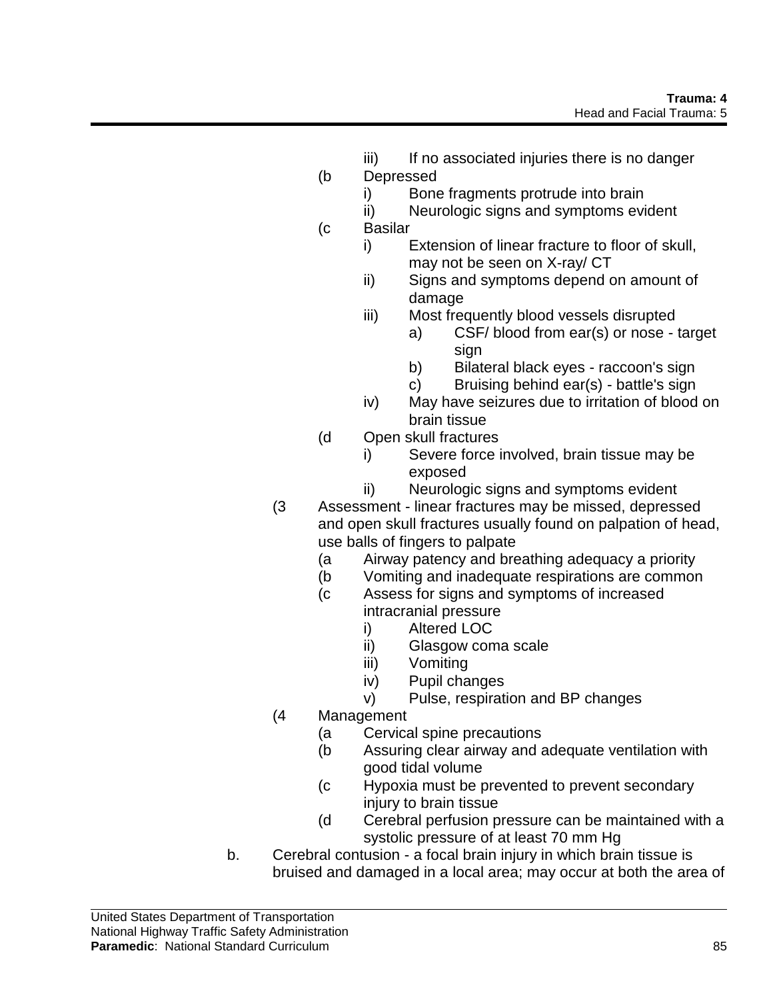- iii) If no associated injuries there is no danger
- (b Depressed
	- i) Bone fragments protrude into brain
	- ii) Neurologic signs and symptoms evident
- (c Basilar
	- i) Extension of linear fracture to floor of skull, may not be seen on X-ray/ CT
	- ii) Signs and symptoms depend on amount of damage
	- iii) Most frequently blood vessels disrupted
		- a) CSF/ blood from ear(s) or nose target sign
		- b) Bilateral black eyes raccoon's sign
		- c) Bruising behind ear(s) battle's sign
	- iv) May have seizures due to irritation of blood on brain tissue
- (d Open skull fractures
	- i) Severe force involved, brain tissue may be exposed
	- ii) Neurologic signs and symptoms evident
- (3 Assessment linear fractures may be missed, depressed and open skull fractures usually found on palpation of head, use balls of fingers to palpate
	- (a Airway patency and breathing adequacy a priority
	- (b Vomiting and inadequate respirations are common
	- (c Assess for signs and symptoms of increased intracranial pressure
		-
		- i) Altered LOC<br>ii) Glasgow com Glasgow coma scale
		- iii) Vomiting
		- iv) Pupil changes
		- v) Pulse, respiration and BP changes
- (4 Management
	- (a Cervical spine precautions
	- (b Assuring clear airway and adequate ventilation with good tidal volume
	- (c Hypoxia must be prevented to prevent secondary injury to brain tissue
	- (d Cerebral perfusion pressure can be maintained with a systolic pressure of at least 70 mm Hg
- b. Cerebral contusion a focal brain injury in which brain tissue is bruised and damaged in a local area; may occur at both the area of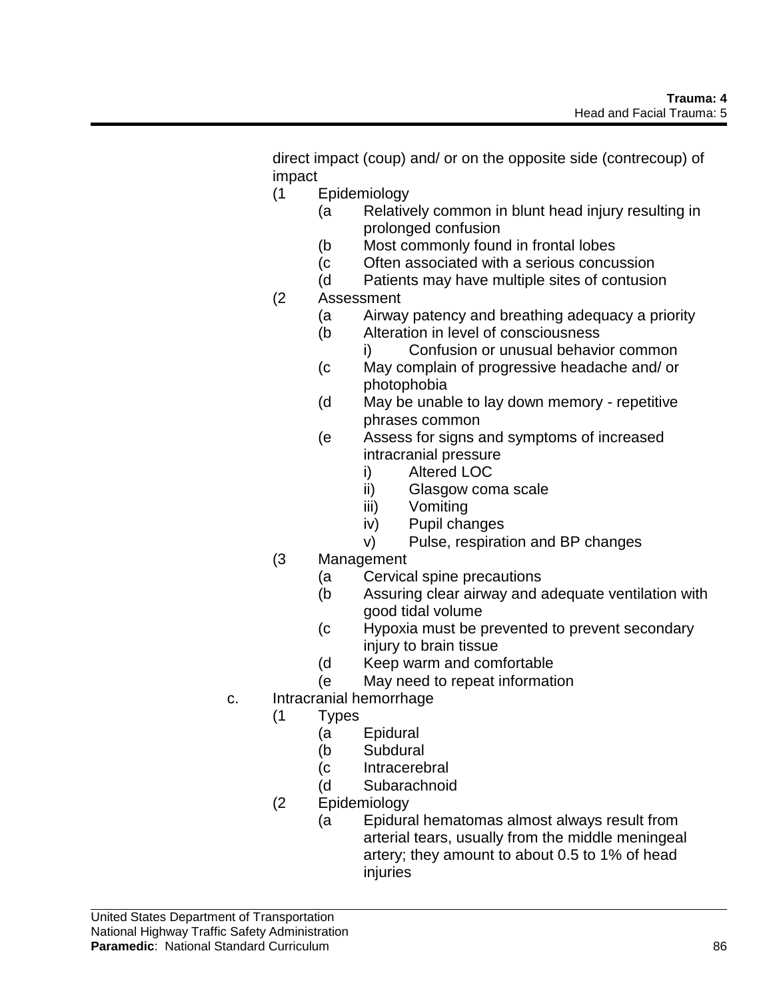direct impact (coup) and/ or on the opposite side (contrecoup) of impact

- (1 Epidemiology
	- (a Relatively common in blunt head injury resulting in prolonged confusion
	- (b Most commonly found in frontal lobes
	- (c Often associated with a serious concussion
	- (d Patients may have multiple sites of contusion
- (2 Assessment
	- (a Airway patency and breathing adequacy a priority
	- (b Alteration in level of consciousness
		- i) Confusion or unusual behavior common
	- (c May complain of progressive headache and/ or photophobia
	- (d May be unable to lay down memory repetitive phrases common
	- (e Assess for signs and symptoms of increased intracranial pressure
		- i) Altered LOC
		- ii) Glasgow coma scale
		- iii) Vomiting
		- iv) Pupil changes
		- v) Pulse, respiration and BP changes
- (3 Management
	- (a Cervical spine precautions
	- (b Assuring clear airway and adequate ventilation with good tidal volume
	- (c Hypoxia must be prevented to prevent secondary injury to brain tissue
	- (d Keep warm and comfortable
	- (e May need to repeat information
- c. Intracranial hemorrhage
	- (1 Types
		- (a Epidural
		- (b Subdural
		- (c Intracerebral
		- (d Subarachnoid
	- (2 Epidemiology
		- (a Epidural hematomas almost always result from arterial tears, usually from the middle meningeal artery; they amount to about 0.5 to 1% of head injuries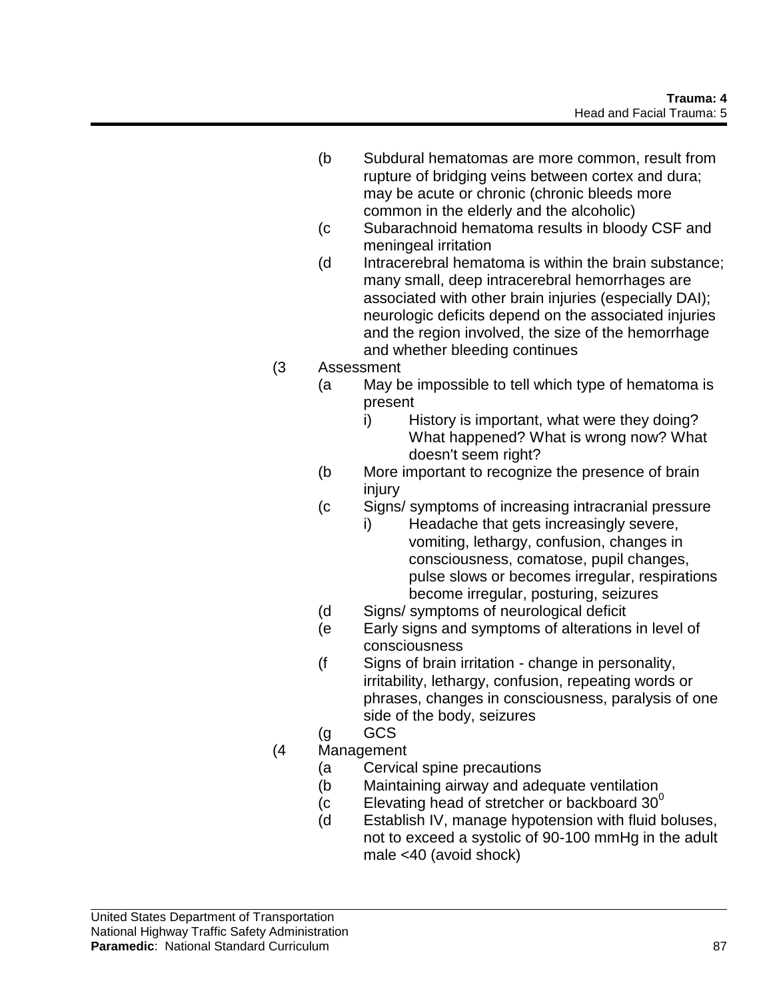- (b Subdural hematomas are more common, result from rupture of bridging veins between cortex and dura; may be acute or chronic (chronic bleeds more common in the elderly and the alcoholic)
- (c Subarachnoid hematoma results in bloody CSF and meningeal irritation
- (d Intracerebral hematoma is within the brain substance; many small, deep intracerebral hemorrhages are associated with other brain injuries (especially DAI); neurologic deficits depend on the associated injuries and the region involved, the size of the hemorrhage and whether bleeding continues
- (3 Assessment
	- (a May be impossible to tell which type of hematoma is present
		- i) History is important, what were they doing? What happened? What is wrong now? What doesn't seem right?
	- (b More important to recognize the presence of brain injury
	- (c Signs/ symptoms of increasing intracranial pressure
		- i) Headache that gets increasingly severe, vomiting, lethargy, confusion, changes in consciousness, comatose, pupil changes, pulse slows or becomes irregular, respirations become irregular, posturing, seizures
	- (d Signs/ symptoms of neurological deficit
	- (e Early signs and symptoms of alterations in level of consciousness
	- (f Signs of brain irritation change in personality, irritability, lethargy, confusion, repeating words or phrases, changes in consciousness, paralysis of one side of the body, seizures
	- (g GCS
- (4 Management
	- (a Cervical spine precautions
	- (b Maintaining airway and adequate ventilation
	- (c Elevating head of stretcher or backboard  $30^{\circ}$
	- (d Establish IV, manage hypotension with fluid boluses, not to exceed a systolic of 90-100 mmHg in the adult male <40 (avoid shock)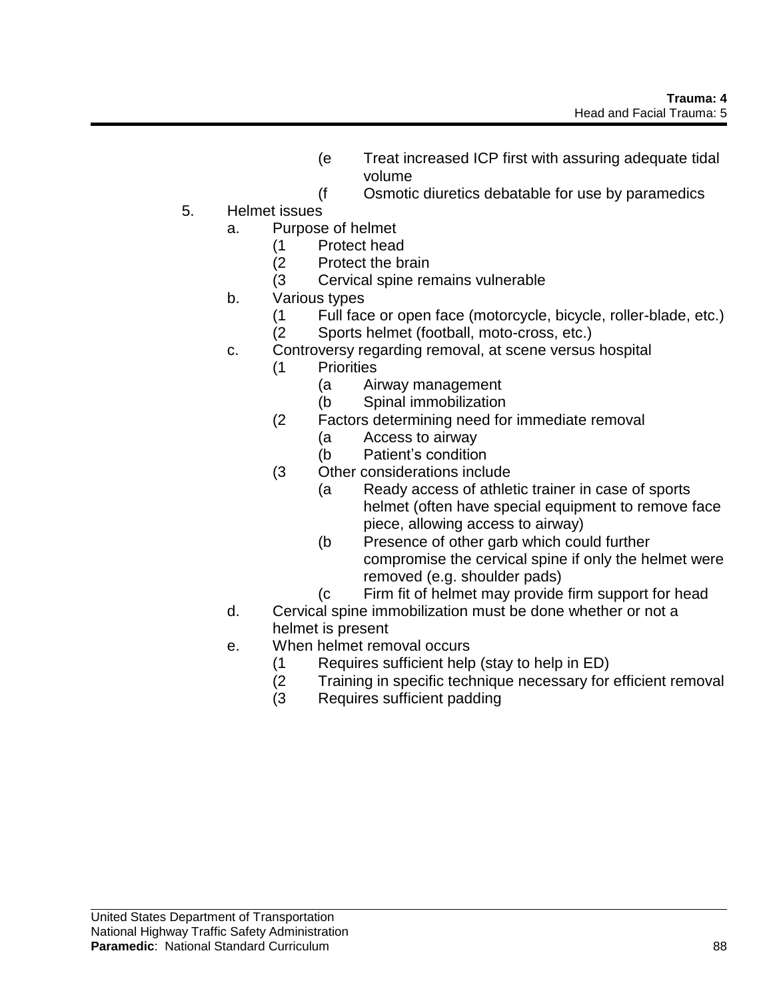- (e Treat increased ICP first with assuring adequate tidal volume
- (f Osmotic diuretics debatable for use by paramedics
- 5. Helmet issues
	- a. Purpose of helmet
		- (1 Protect head
		- (2 Protect the brain
		- (3 Cervical spine remains vulnerable
	- b. Various types
		- (1 Full face or open face (motorcycle, bicycle, roller-blade, etc.) (2 Sports helmet (football, moto-cross, etc.)
	- c. Controversy regarding removal, at scene versus hospital
		- (1 Priorities
			- (a Airway management
			- (b Spinal immobilization
		- (2 Factors determining need for immediate removal
			- (a Access to airway
			- (b Patient's condition
		- (3 Other considerations include
			- (a Ready access of athletic trainer in case of sports helmet (often have special equipment to remove face piece, allowing access to airway)
			- (b Presence of other garb which could further compromise the cervical spine if only the helmet were removed (e.g. shoulder pads)
			- (c Firm fit of helmet may provide firm support for head
	- d. Cervical spine immobilization must be done whether or not a helmet is present
	- e. When helmet removal occurs
		- (1 Requires sufficient help (stay to help in ED)
		- (2 Training in specific technique necessary for efficient removal
		- (3 Requires sufficient padding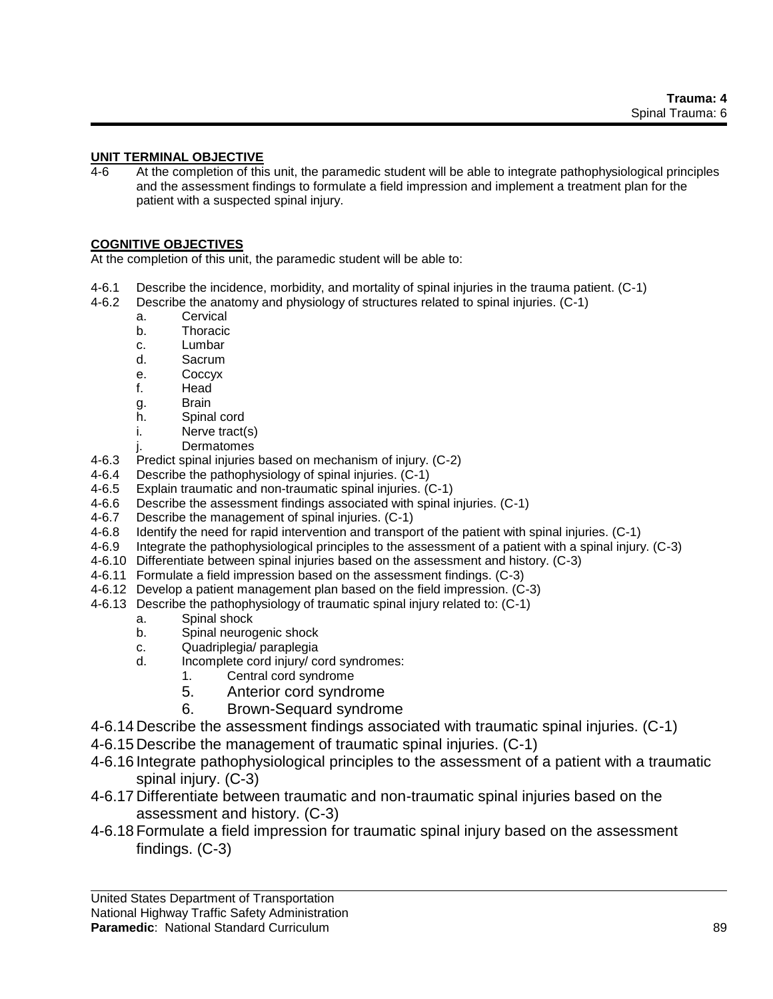### **UNIT TERMINAL OBJECTIVE**

4-6 At the completion of this unit, the paramedic student will be able to integrate pathophysiological principles and the assessment findings to formulate a field impression and implement a treatment plan for the patient with a suspected spinal injury.

### **COGNITIVE OBJECTIVES**

At the completion of this unit, the paramedic student will be able to:

- 4-6.1 Describe the incidence, morbidity, and mortality of spinal injuries in the trauma patient. (C-1)
- 4-6.2 Describe the anatomy and physiology of structures related to spinal injuries. (C-1)
	- a. Cervical
	- b. Thoracic
	- c. Lumbar
	- d. Sacrum
	- e. Coccyx
	- f. Head
	- g. Brain
	- h. Spinal cord
	- i. Nerve tract(s)
	- j. Dermatomes
- 4-6.3 Predict spinal injuries based on mechanism of injury. (C-2)
- 4-6.4 Describe the pathophysiology of spinal injuries. (C-1)
- 4-6.5 Explain traumatic and non-traumatic spinal injuries. (C-1)
- 4-6.6 Describe the assessment findings associated with spinal injuries. (C-1)
- 4-6.7 Describe the management of spinal injuries. (C-1)
- 4-6.8 Identify the need for rapid intervention and transport of the patient with spinal injuries. (C-1)
- 4-6.9 Integrate the pathophysiological principles to the assessment of a patient with a spinal injury. (C-3)
- 4-6.10 Differentiate between spinal injuries based on the assessment and history. (C-3)
- 4-6.11 Formulate a field impression based on the assessment findings. (C-3)
- 4-6.12 Develop a patient management plan based on the field impression. (C-3)
- 4-6.13 Describe the pathophysiology of traumatic spinal injury related to: (C-1)
	- a. Spinal shock
	- b. Spinal neurogenic shock
	- c. Quadriplegia/ paraplegia
	- d. Incomplete cord injury/ cord syndromes:
		- 1. Central cord syndrome
			- 5. Anterior cord syndrome
			- 6. Brown-Sequard syndrome
- 4-6.14 Describe the assessment findings associated with traumatic spinal injuries. (C-1)
- 4-6.15 Describe the management of traumatic spinal injuries. (C-1)
- 4-6.16 Integrate pathophysiological principles to the assessment of a patient with a traumatic spinal injury. (C-3)
- 4-6.17 Differentiate between traumatic and non-traumatic spinal injuries based on the assessment and history. (C-3)
- 4-6.18 Formulate a field impression for traumatic spinal injury based on the assessment findings. (C-3)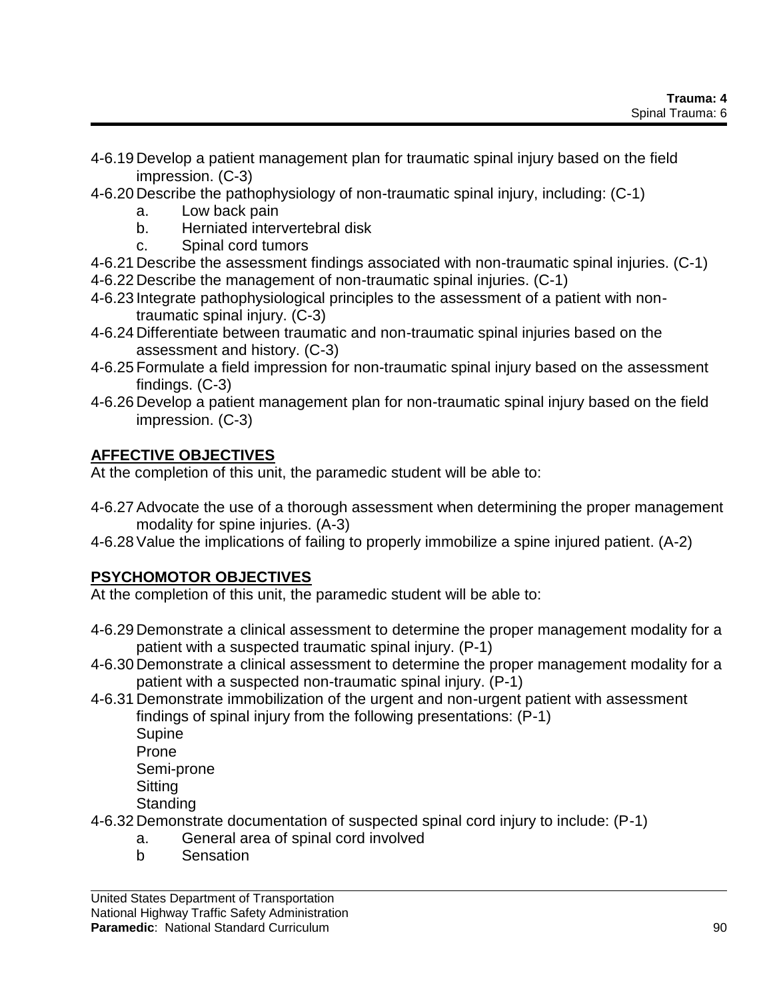- 4-6.19 Develop a patient management plan for traumatic spinal injury based on the field impression. (C-3)
- 4-6.20 Describe the pathophysiology of non-traumatic spinal injury, including: (C-1)
	- a. Low back pain
	- b. Herniated intervertebral disk
	- c. Spinal cord tumors
- 4-6.21 Describe the assessment findings associated with non-traumatic spinal injuries. (C-1)
- 4-6.22 Describe the management of non-traumatic spinal injuries. (C-1)
- 4-6.23 Integrate pathophysiological principles to the assessment of a patient with nontraumatic spinal injury. (C-3)
- 4-6.24 Differentiate between traumatic and non-traumatic spinal injuries based on the assessment and history. (C-3)
- 4-6.25 Formulate a field impression for non-traumatic spinal injury based on the assessment findings. (C-3)
- 4-6.26 Develop a patient management plan for non-traumatic spinal injury based on the field impression. (C-3)

# **AFFECTIVE OBJECTIVES**

At the completion of this unit, the paramedic student will be able to:

- 4-6.27Advocate the use of a thorough assessment when determining the proper management modality for spine injuries. (A-3)
- 4-6.28Value the implications of failing to properly immobilize a spine injured patient. (A-2)

# **PSYCHOMOTOR OBJECTIVES**

At the completion of this unit, the paramedic student will be able to:

- 4-6.29 Demonstrate a clinical assessment to determine the proper management modality for a patient with a suspected traumatic spinal injury. (P-1)
- 4-6.30 Demonstrate a clinical assessment to determine the proper management modality for a patient with a suspected non-traumatic spinal injury. (P-1)
- 4-6.31 Demonstrate immobilization of the urgent and non-urgent patient with assessment findings of spinal injury from the following presentations: (P-1) Supine Prone Semi-prone **Sitting** 
	- **Standing**
- 4-6.32 Demonstrate documentation of suspected spinal cord injury to include: (P-1)
	- a. General area of spinal cord involved
	- b Sensation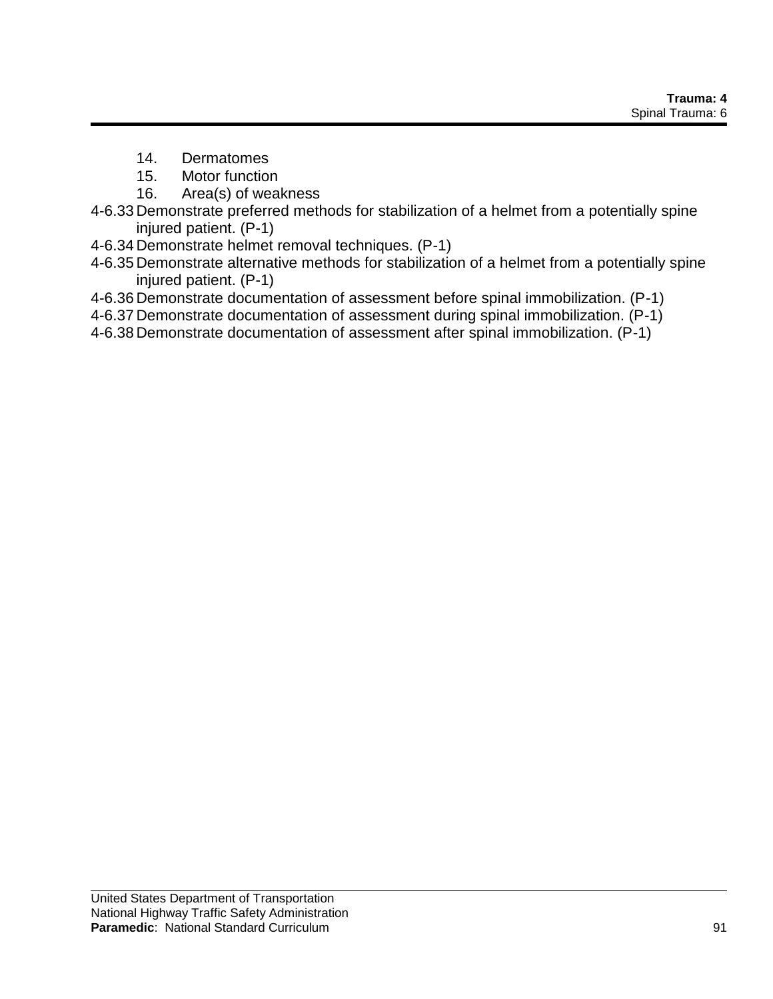- 14. Dermatomes
- 15. Motor function
- 16. Area(s) of weakness
- 4-6.33 Demonstrate preferred methods for stabilization of a helmet from a potentially spine injured patient. (P-1)
- 4-6.34 Demonstrate helmet removal techniques. (P-1)
- 4-6.35 Demonstrate alternative methods for stabilization of a helmet from a potentially spine injured patient. (P-1)
- 4-6.36 Demonstrate documentation of assessment before spinal immobilization. (P-1)
- 4-6.37 Demonstrate documentation of assessment during spinal immobilization. (P-1)
- 4-6.38 Demonstrate documentation of assessment after spinal immobilization. (P-1)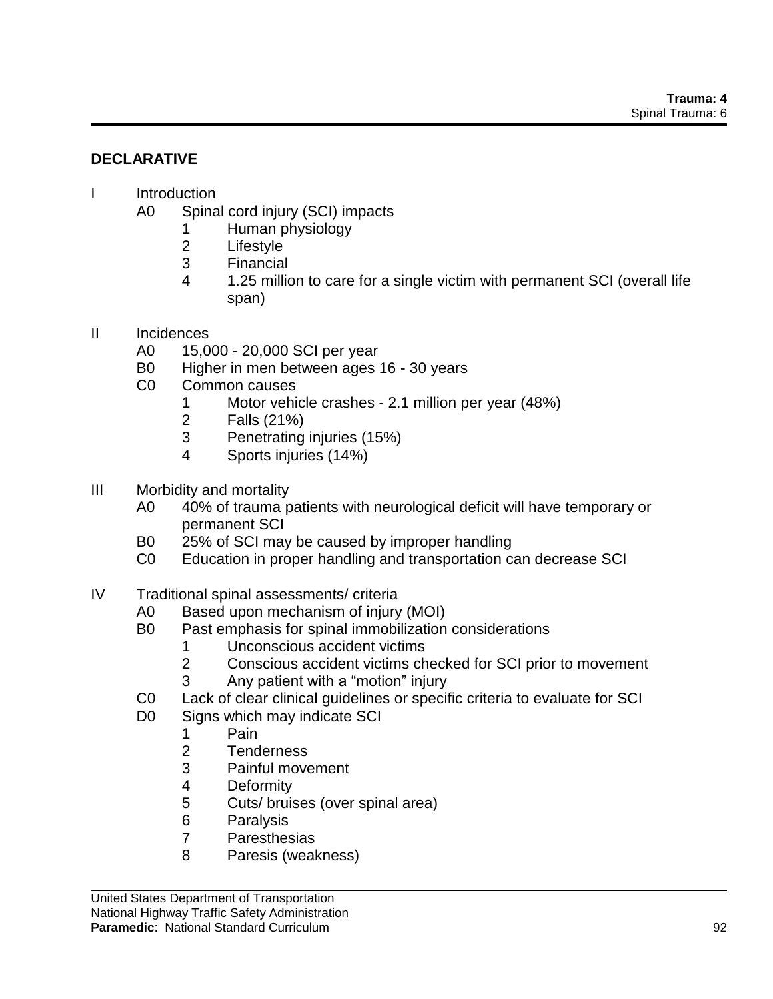## **DECLARATIVE**

### I Introduction

- A0 Spinal cord injury (SCI) impacts
	- 1 Human physiology
	- 2 Lifestyle
	- 3 Financial
	- 4 1.25 million to care for a single victim with permanent SCI (overall life span)
- II Incidences
	- A0 15,000 20,000 SCI per year
	- B0 Higher in men between ages 16 30 years
	- C0 Common causes
		- 1 Motor vehicle crashes 2.1 million per year (48%)
		- 2 Falls (21%)
		- 3 Penetrating injuries (15%)
		- 4 Sports injuries (14%)
- III Morbidity and mortality
	- A0 40% of trauma patients with neurological deficit will have temporary or permanent SCI
	- B0 25% of SCI may be caused by improper handling
	- C0 Education in proper handling and transportation can decrease SCI
- IV Traditional spinal assessments/ criteria
	- A0 Based upon mechanism of injury (MOI)
	- B0 Past emphasis for spinal immobilization considerations
		- 1 Unconscious accident victims
		- 2 Conscious accident victims checked for SCI prior to movement
			- 3 Any patient with a "motion" injury
	- C0 Lack of clear clinical guidelines or specific criteria to evaluate for SCI
	- D0 Signs which may indicate SCI
		- 1 Pain
		- 2 Tenderness
		- 3 Painful movement
		- 4 Deformity
		- 5 Cuts/ bruises (over spinal area)
		- 6 Paralysis
		- 7 Paresthesias
		- 8 Paresis (weakness)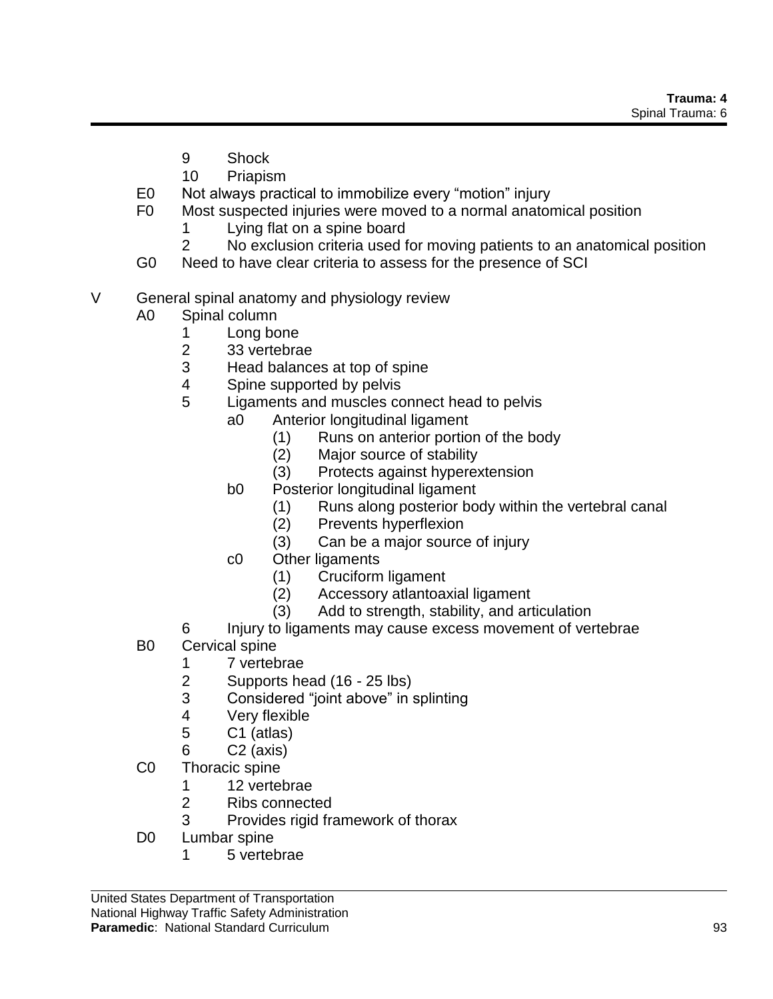- 9 Shock
- 10 Priapism
- E0 Not always practical to immobilize every "motion" injury
- F0 Most suspected injuries were moved to a normal anatomical position
	- 1 Lying flat on a spine board
	- 2 No exclusion criteria used for moving patients to an anatomical position
- G0 Need to have clear criteria to assess for the presence of SCI
- V General spinal anatomy and physiology review
	- A0 Spinal column
		- 1 Long bone
		- 2 33 vertebrae
		- 3 Head balances at top of spine
		- 4 Spine supported by pelvis
		- 5 Ligaments and muscles connect head to pelvis
			- a0 Anterior longitudinal ligament
				- (1) Runs on anterior portion of the body
				- (2) Major source of stability
				- (3) Protects against hyperextension
				- b0 Posterior longitudinal ligament
					- (1) Runs along posterior body within the vertebral canal
					- (2) Prevents hyperflexion
					- (3) Can be a major source of injury
				- c0 Other ligaments
					- (1) Cruciform ligament
					- (2) Accessory atlantoaxial ligament
					- (3) Add to strength, stability, and articulation
		- 6 Injury to ligaments may cause excess movement of vertebrae
	- B0 Cervical spine
		- 1 7 vertebrae
		- 2 Supports head (16 25 lbs)
		- 3 Considered "joint above" in splinting
		- 4 Very flexible
		- 5 C1 (atlas)
		- 6 C2 (axis)
	- C0 Thoracic spine
		- 1 12 vertebrae
		- 2 Ribs connected
		- 3 Provides rigid framework of thorax
	- D0 Lumbar spine
		- 1 5 vertebrae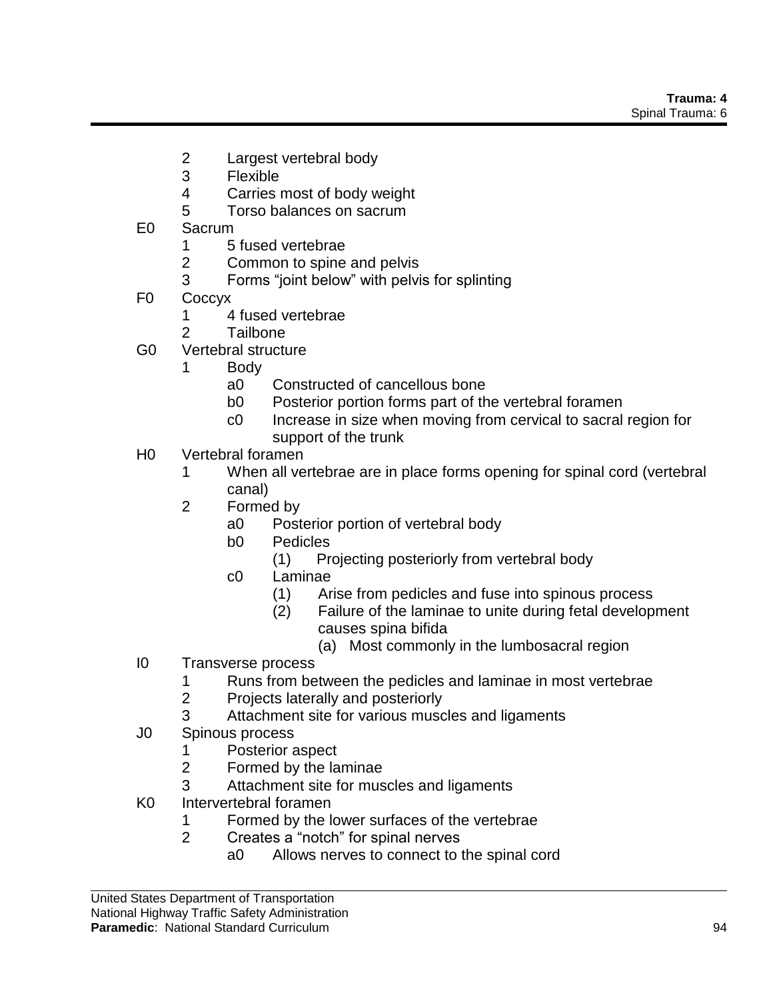- 2 Largest vertebral body
- 3 Flexible
- 4 Carries most of body weight
- 5 Torso balances on sacrum
- E0 Sacrum
	- 1 5 fused vertebrae
	- 2 Common to spine and pelvis
	- 3 Forms "joint below" with pelvis for splinting
- F0 Coccyx
	- 1 4 fused vertebrae
	- 2 Tailbone
- G0 Vertebral structure
	- 1 Body
		- a0 Constructed of cancellous bone
		- b0 Posterior portion forms part of the vertebral foramen
		- c0 Increase in size when moving from cervical to sacral region for support of the trunk
- H0 Vertebral foramen
	- 1 When all vertebrae are in place forms opening for spinal cord (vertebral canal)
	- 2 Formed by
		- a0 Posterior portion of vertebral body
		- b0 Pedicles
			- (1) Projecting posteriorly from vertebral body
		- c0 Laminae
			- (1) Arise from pedicles and fuse into spinous process
			- (2) Failure of the laminae to unite during fetal development causes spina bifida
				- (a) Most commonly in the lumbosacral region
- I0 Transverse process
	- 1 Runs from between the pedicles and laminae in most vertebrae
	- 2 Projects laterally and posteriorly
	- 3 Attachment site for various muscles and ligaments
- J0 Spinous process
	- 1 Posterior aspect
	- 2 Formed by the laminae
	- 3 Attachment site for muscles and ligaments
- K0 Intervertebral foramen
	- 1 Formed by the lower surfaces of the vertebrae
	- 2 Creates a "notch" for spinal nerves
		- a0 Allows nerves to connect to the spinal cord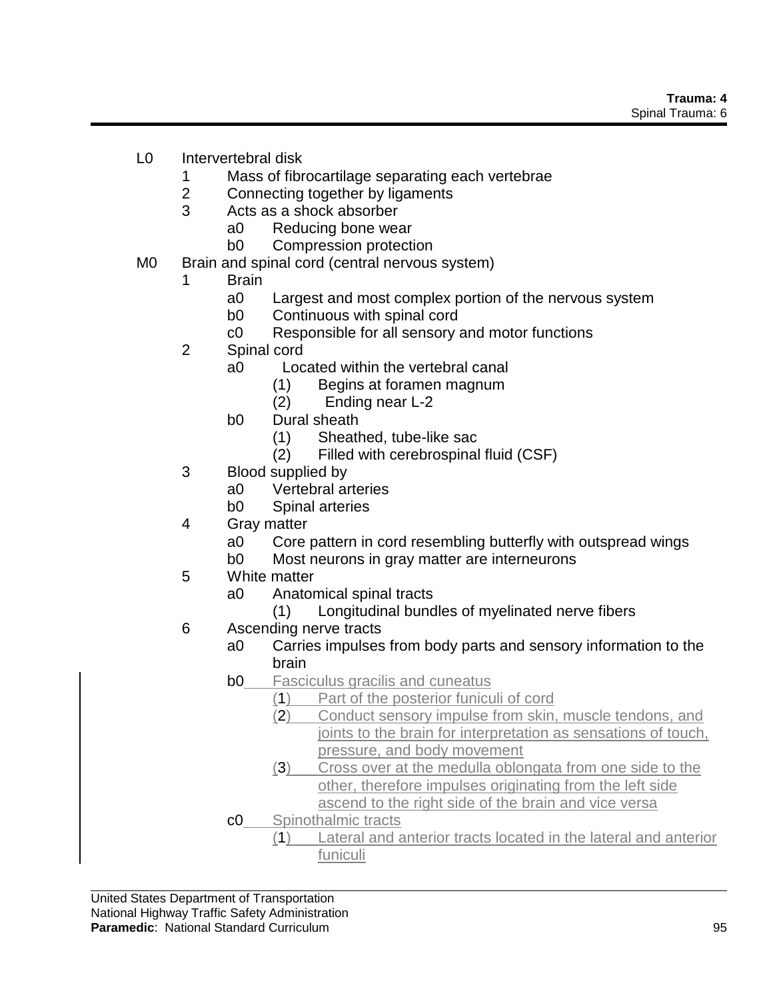- L0 Intervertebral disk
	- 1 Mass of fibrocartilage separating each vertebrae
	- 2 Connecting together by ligaments
	- 3 Acts as a shock absorber
		- a0 Reducing bone wear
		- b0 Compression protection
- M0 Brain and spinal cord (central nervous system)
	- 1 Brain
		- a0 Largest and most complex portion of the nervous system
		- b0 Continuous with spinal cord
		- c0 Responsible for all sensory and motor functions
	- 2 Spinal cord
		- a0 Located within the vertebral canal
			- (1) Begins at foramen magnum
			- (2) Ending near L-2
		- b0 Dural sheath
			- (1) Sheathed, tube-like sac
			- (2) Filled with cerebrospinal fluid (CSF)
	- 3 Blood supplied by
		- a0 Vertebral arteries
		- b0 Spinal arteries
	- 4 Gray matter
		- a0 Core pattern in cord resembling butterfly with outspread wings
		- b0 Most neurons in gray matter are interneurons
	- 5 White matter
		- a0 Anatomical spinal tracts
			- (1) Longitudinal bundles of myelinated nerve fibers
	- 6 Ascending nerve tracts
		- a0 Carries impulses from body parts and sensory information to the brain
		- **b0** Fasciculus gracilis and cuneatus
			- (1) Part of the posterior funiculi of cord
				- (2) Conduct sensory impulse from skin, muscle tendons, and joints to the brain for interpretation as sensations of touch, pressure, and body movement
				- (3) Cross over at the medulla oblongata from one side to the other, therefore impulses originating from the left side ascend to the right side of the brain and vice versa
		- c0 Spinothalmic tracts
			- (1) Lateral and anterior tracts located in the lateral and anterior funiculi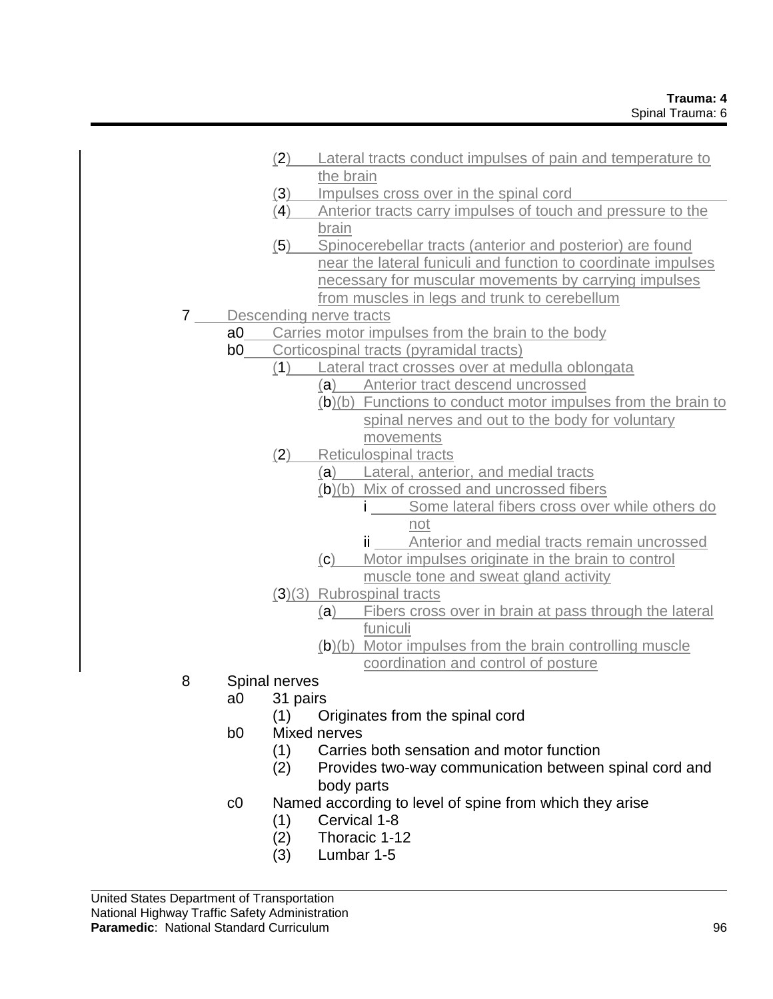|   |                | (2) | Lateral tracts conduct impulses of pain and temperature to     |  |  |
|---|----------------|-----|----------------------------------------------------------------|--|--|
|   |                |     | the brain                                                      |  |  |
|   |                | (3) | Impulses cross over in the spinal cord                         |  |  |
|   |                | (4) | Anterior tracts carry impulses of touch and pressure to the    |  |  |
|   |                |     | brain                                                          |  |  |
|   |                | (5) | Spinocerebellar tracts (anterior and posterior) are found      |  |  |
|   |                |     | near the lateral funiculi and function to coordinate impulses  |  |  |
|   |                |     | necessary for muscular movements by carrying impulses          |  |  |
|   |                |     | from muscles in legs and trunk to cerebellum                   |  |  |
| 7 |                |     | Descending nerve tracts                                        |  |  |
|   | a <sub>0</sub> |     | Carries motor impulses from the brain to the body              |  |  |
|   | b0             |     | Corticospinal tracts (pyramidal tracts)                        |  |  |
|   |                | (1) | Lateral tract crosses over at medulla oblongata                |  |  |
|   |                |     | (a) Anterior tract descend uncrossed                           |  |  |
|   |                |     | $(b)(b)$ Functions to conduct motor impulses from the brain to |  |  |
|   |                |     | spinal nerves and out to the body for voluntary                |  |  |
|   |                |     | movements                                                      |  |  |
|   |                | (2) | <b>Reticulospinal tracts</b>                                   |  |  |
|   |                |     | (a) Lateral, anterior, and medial tracts                       |  |  |
|   |                |     | (b)(b) Mix of crossed and uncrossed fibers                     |  |  |
|   |                |     | Some lateral fibers cross over while others do                 |  |  |
|   |                |     | not                                                            |  |  |
|   |                |     | ii <i>____</i> Anterior and medial tracts remain uncrossed     |  |  |
|   |                |     | (C)<br>Motor impulses originate in the brain to control        |  |  |
|   |                |     | muscle tone and sweat gland activity                           |  |  |
|   |                |     | (3)(3) Rubrospinal tracts                                      |  |  |
|   |                |     | (a) Fibers cross over in brain at pass through the lateral     |  |  |
|   |                |     | funiculi                                                       |  |  |
|   |                |     | (b)(b) Motor impulses from the brain controlling muscle        |  |  |
|   |                |     | coordination and control of posture                            |  |  |

- 8 Spinal nerves
	- a0 31 pairs
		- (1) Originates from the spinal cord
	- b0 Mixed nerves
		- (1) Carries both sensation and motor function
		- (2) Provides two-way communication between spinal cord and body parts
	- c0 Named according to level of spine from which they arise
		- (1) Cervical 1-8
		- (2) Thoracic 1-12
		- (3) Lumbar 1-5

United States Department of Transportation National Highway Traffic Safety Administration **Paramedic**: National Standard Curriculum **1998 Paramedic**: National Standard Curriculum 96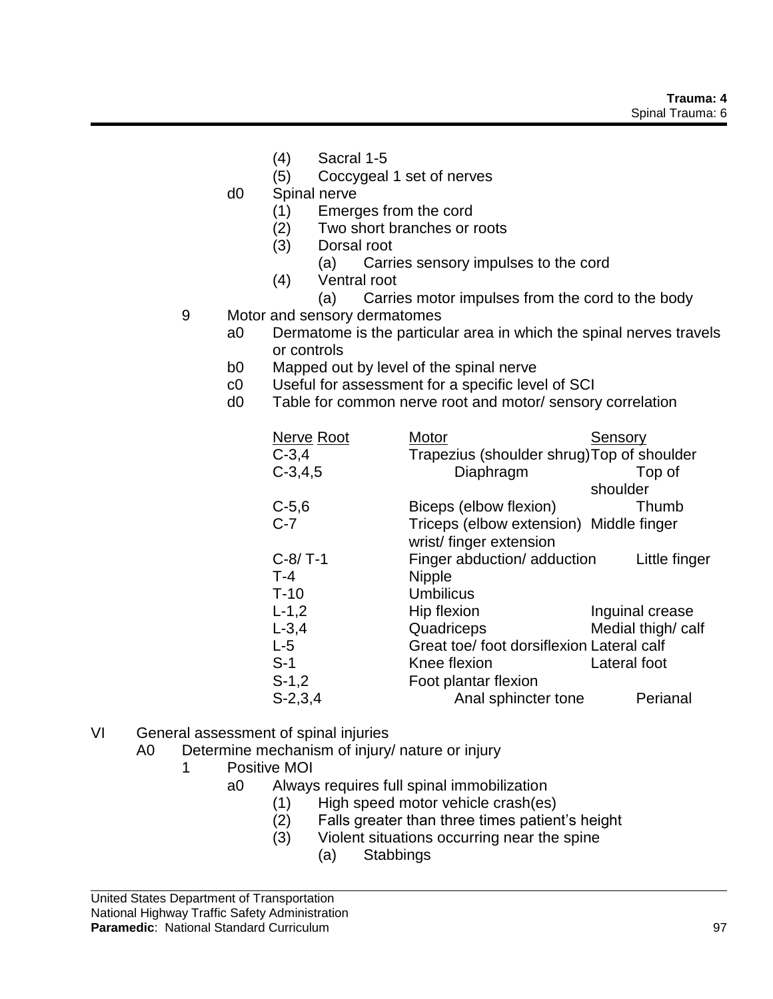- (4) Sacral 1-5
- (5) Coccygeal 1 set of nerves
- d0 Spinal nerve
	- (1) Emerges from the cord
	- (2) Two short branches or roots
	- (3) Dorsal root
		- (a) Carries sensory impulses to the cord
	- (4) Ventral root
		- (a) Carries motor impulses from the cord to the body
- 9 Motor and sensory dermatomes
	- a0 Dermatome is the particular area in which the spinal nerves travels or controls
	- b0 Mapped out by level of the spinal nerve
	- c0 Useful for assessment for a specific level of SCI
	- d0 Table for common nerve root and motor/ sensory correlation

| <b>Nerve Root</b><br>$C-3,4$ | Motor<br>Trapezius (shoulder shrug) Top of shoulder | Sensory           |
|------------------------------|-----------------------------------------------------|-------------------|
| $C-3, 4, 5$                  | Diaphragm                                           | Top of            |
|                              |                                                     | shoulder          |
| $C-5,6$                      | Biceps (elbow flexion)                              | Thumb             |
| $C-7$                        | Triceps (elbow extension) Middle finger             |                   |
|                              | wrist/finger extension                              |                   |
| $C-8/ T-1$                   | Finger abduction/ adduction                         | Little finger     |
| $T-4$                        | <b>Nipple</b>                                       |                   |
| $T-10$                       | <b>Umbilicus</b>                                    |                   |
| $L-1,2$                      | Hip flexion                                         | Inguinal crease   |
| $L - 3,4$                    | Quadriceps                                          | Medial thigh/calf |
| $L-5$                        | Great toe/ foot dorsiflexion Lateral calf           |                   |
| $S-1$                        | Knee flexion                                        | Lateral foot      |
| $S-1,2$                      | Foot plantar flexion                                |                   |
| $S-2,3,4$                    | Anal sphincter tone                                 | Perianal          |

- VI General assessment of spinal injuries
	- A0 Determine mechanism of injury/ nature or injury
		- 1 Positive MOI
			- a0 Always requires full spinal immobilization
				- (1) High speed motor vehicle crash(es)
				- (2) Falls greater than three times patient's height
				- (3) Violent situations occurring near the spine
					- (a) Stabbings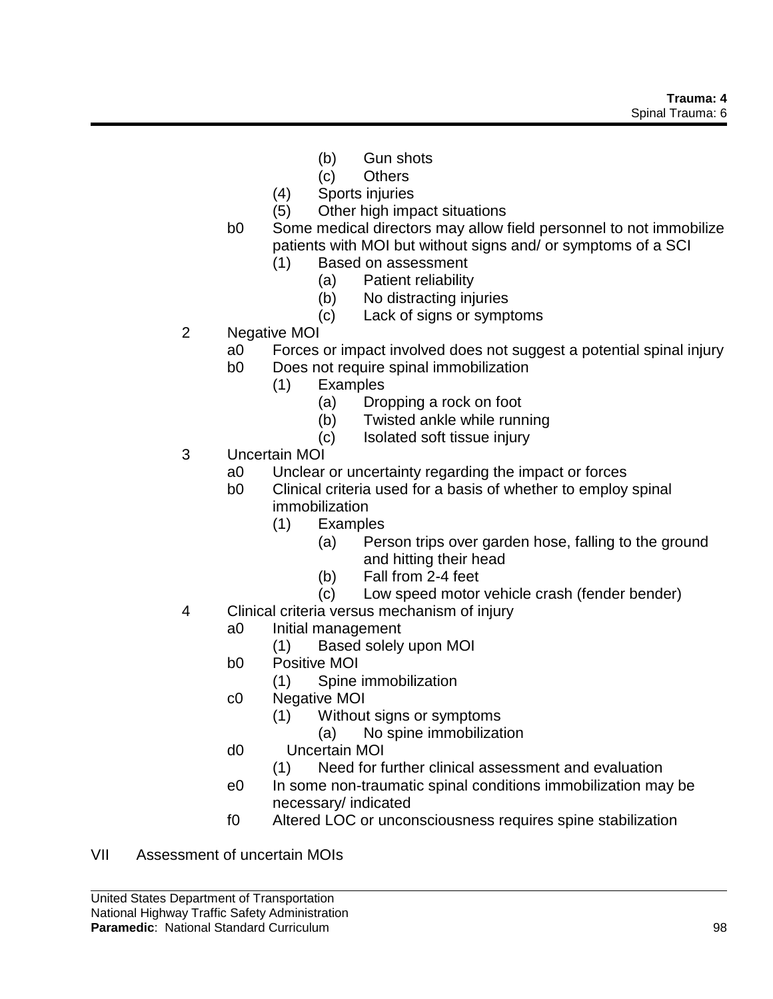- (b) Gun shots
- (c) Others
- (4) Sports injuries
- (5) Other high impact situations
- b0 Some medical directors may allow field personnel to not immobilize patients with MOI but without signs and/ or symptoms of a SCI
	- (1) Based on assessment
		- (a) Patient reliability
		- (b) No distracting injuries
		- (c) Lack of signs or symptoms
- 2 Negative MOI
	- a0 Forces or impact involved does not suggest a potential spinal injury
	- b0 Does not require spinal immobilization
		- (1) Examples
			- (a) Dropping a rock on foot
			- (b) Twisted ankle while running
			- (c) Isolated soft tissue injury
- 3 Uncertain MOI
	- a0 Unclear or uncertainty regarding the impact or forces
	- b0 Clinical criteria used for a basis of whether to employ spinal immobilization
		- (1) Examples
			- (a) Person trips over garden hose, falling to the ground and hitting their head
			- (b) Fall from 2-4 feet
			- (c) Low speed motor vehicle crash (fender bender)
- 4 Clinical criteria versus mechanism of injury
	- a0 Initial management
		- (1) Based solely upon MOI
	- b0 Positive MOI
		- (1) Spine immobilization
	- c0 Negative MOI
		- (1) Without signs or symptoms
			- (a) No spine immobilization
	- d0 Uncertain MOI
		- (1) Need for further clinical assessment and evaluation
	- e0 In some non-traumatic spinal conditions immobilization may be necessary/ indicated
	- f0 Altered LOC or unconsciousness requires spine stabilization
- VII Assessment of uncertain MOIs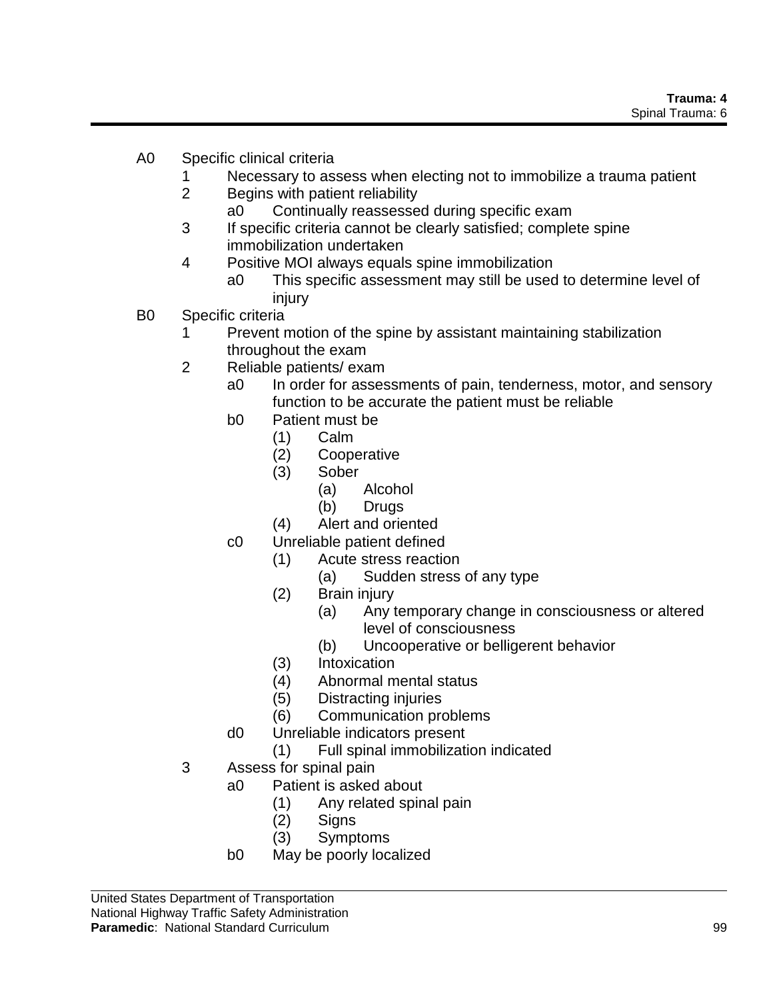- A0 Specific clinical criteria
	- 1 Necessary to assess when electing not to immobilize a trauma patient
	- 2 Begins with patient reliability
		- a0 Continually reassessed during specific exam
	- 3 If specific criteria cannot be clearly satisfied; complete spine immobilization undertaken
	- 4 Positive MOI always equals spine immobilization
		- a0 This specific assessment may still be used to determine level of injury
- B0 Specific criteria
	- 1 Prevent motion of the spine by assistant maintaining stabilization throughout the exam
	- 2 Reliable patients/ exam
		- a0 In order for assessments of pain, tenderness, motor, and sensory function to be accurate the patient must be reliable
		- b0 Patient must be
			- (1) Calm
			- (2) Cooperative
			- (3) Sober
				- (a) Alcohol
				- (b) Drugs
			- (4) Alert and oriented
		- c0 Unreliable patient defined
			- (1) Acute stress reaction
				- (a) Sudden stress of any type
			- (2) Brain injury
				- (a) Any temporary change in consciousness or altered level of consciousness
				- (b) Uncooperative or belligerent behavior
			- (3) Intoxication
			- (4) Abnormal mental status
			- (5) Distracting injuries
			- (6) Communication problems
		- d0 Unreliable indicators present
			- (1) Full spinal immobilization indicated
	- 3 Assess for spinal pain
		- a0 Patient is asked about
			- (1) Any related spinal pain
			- (2) Signs
			- (3) Symptoms
		- b0 May be poorly localized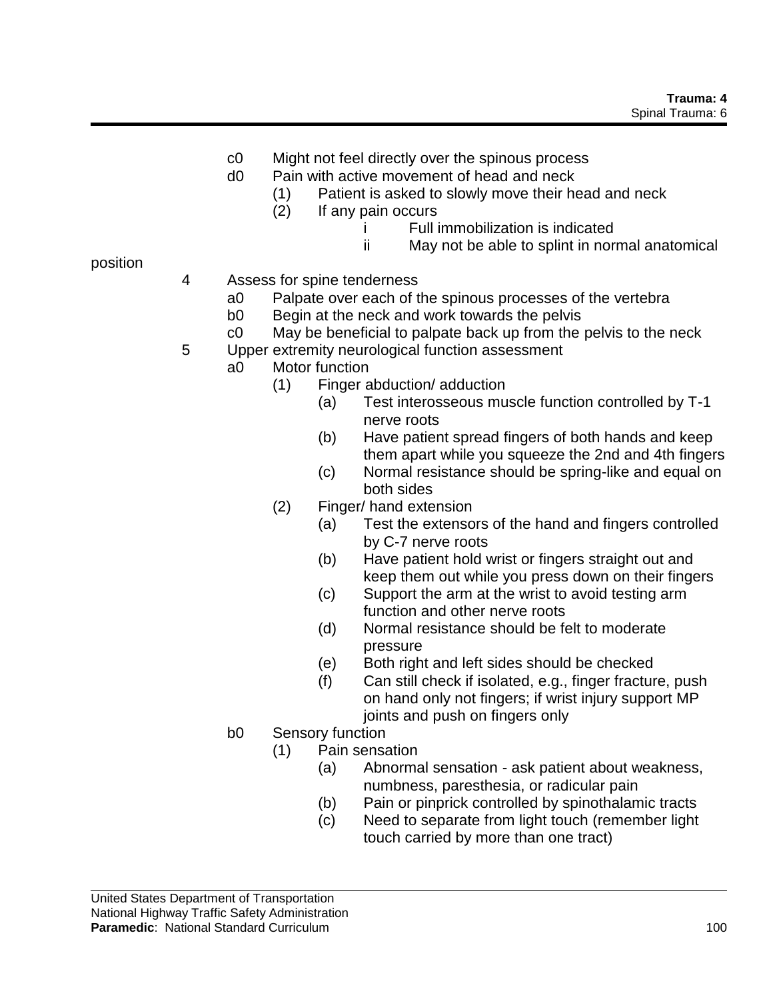- c0 Might not feel directly over the spinous process
- d0 Pain with active movement of head and neck
	- (1) Patient is asked to slowly move their head and neck
	- (2) If any pain occurs
		- i Full immobilization is indicated
		- ii May not be able to splint in normal anatomical

position

- 4 Assess for spine tenderness
	- a0 Palpate over each of the spinous processes of the vertebra
	- b0 Begin at the neck and work towards the pelvis
	- c0 May be beneficial to palpate back up from the pelvis to the neck
- 5 Upper extremity neurological function assessment
	- a0 Motor function
		- (1) Finger abduction/ adduction
			- (a) Test interosseous muscle function controlled by T-1 nerve roots
			- (b) Have patient spread fingers of both hands and keep them apart while you squeeze the 2nd and 4th fingers
			- (c) Normal resistance should be spring-like and equal on both sides
		- (2) Finger/ hand extension
			- (a) Test the extensors of the hand and fingers controlled by C-7 nerve roots
			- (b) Have patient hold wrist or fingers straight out and keep them out while you press down on their fingers
			- (c) Support the arm at the wrist to avoid testing arm function and other nerve roots
			- (d) Normal resistance should be felt to moderate pressure
			- (e) Both right and left sides should be checked
			- (f) Can still check if isolated, e.g., finger fracture, push on hand only not fingers; if wrist injury support MP joints and push on fingers only
		- b0 Sensory function
			- (1) Pain sensation
				- (a) Abnormal sensation ask patient about weakness, numbness, paresthesia, or radicular pain
				- (b) Pain or pinprick controlled by spinothalamic tracts
				- (c) Need to separate from light touch (remember light touch carried by more than one tract)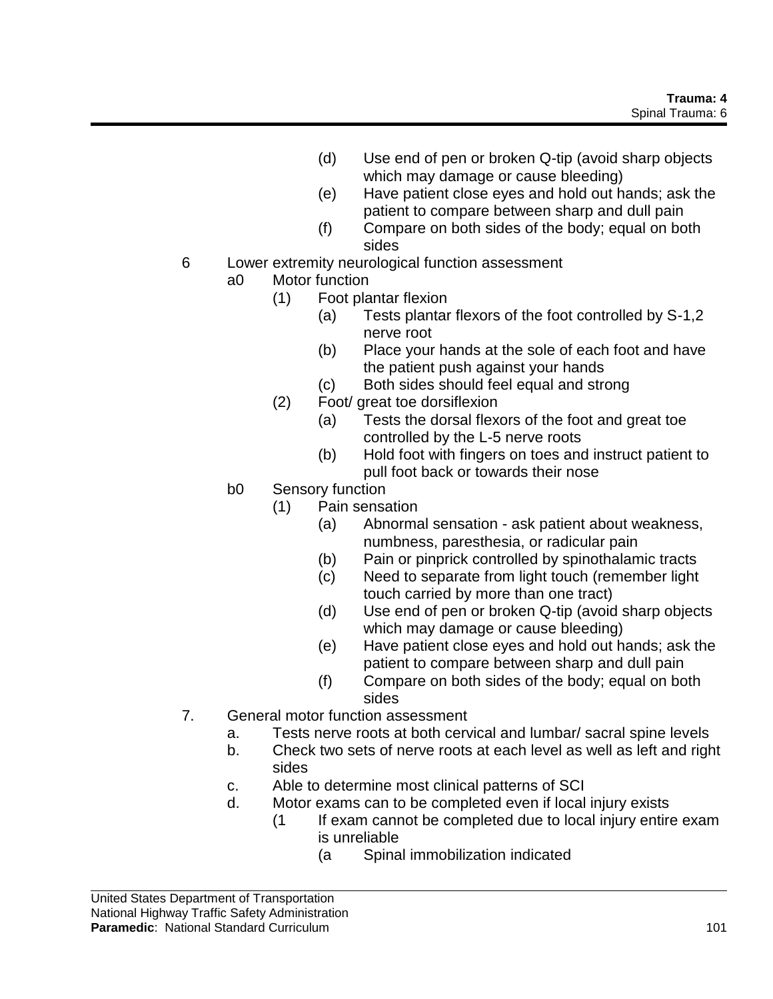- (d) Use end of pen or broken Q-tip (avoid sharp objects which may damage or cause bleeding)
- (e) Have patient close eyes and hold out hands; ask the patient to compare between sharp and dull pain
- (f) Compare on both sides of the body; equal on both sides
- 6 Lower extremity neurological function assessment
	- a0 Motor function
		- (1) Foot plantar flexion
			- (a) Tests plantar flexors of the foot controlled by S-1,2 nerve root
			- (b) Place your hands at the sole of each foot and have the patient push against your hands
			- (c) Both sides should feel equal and strong
		- (2) Foot/ great toe dorsiflexion
			- (a) Tests the dorsal flexors of the foot and great toe controlled by the L-5 nerve roots
			- (b) Hold foot with fingers on toes and instruct patient to pull foot back or towards their nose
	- b0 Sensory function
		- (1) Pain sensation
			- (a) Abnormal sensation ask patient about weakness, numbness, paresthesia, or radicular pain
			- (b) Pain or pinprick controlled by spinothalamic tracts
			- (c) Need to separate from light touch (remember light touch carried by more than one tract)
			- (d) Use end of pen or broken Q-tip (avoid sharp objects which may damage or cause bleeding)
			- (e) Have patient close eyes and hold out hands; ask the patient to compare between sharp and dull pain
			- (f) Compare on both sides of the body; equal on both sides
- 7. General motor function assessment
	- a. Tests nerve roots at both cervical and lumbar/ sacral spine levels
	- b. Check two sets of nerve roots at each level as well as left and right sides
	- c. Able to determine most clinical patterns of SCI
	- d. Motor exams can to be completed even if local injury exists
		- (1 If exam cannot be completed due to local injury entire exam is unreliable
			- (a Spinal immobilization indicated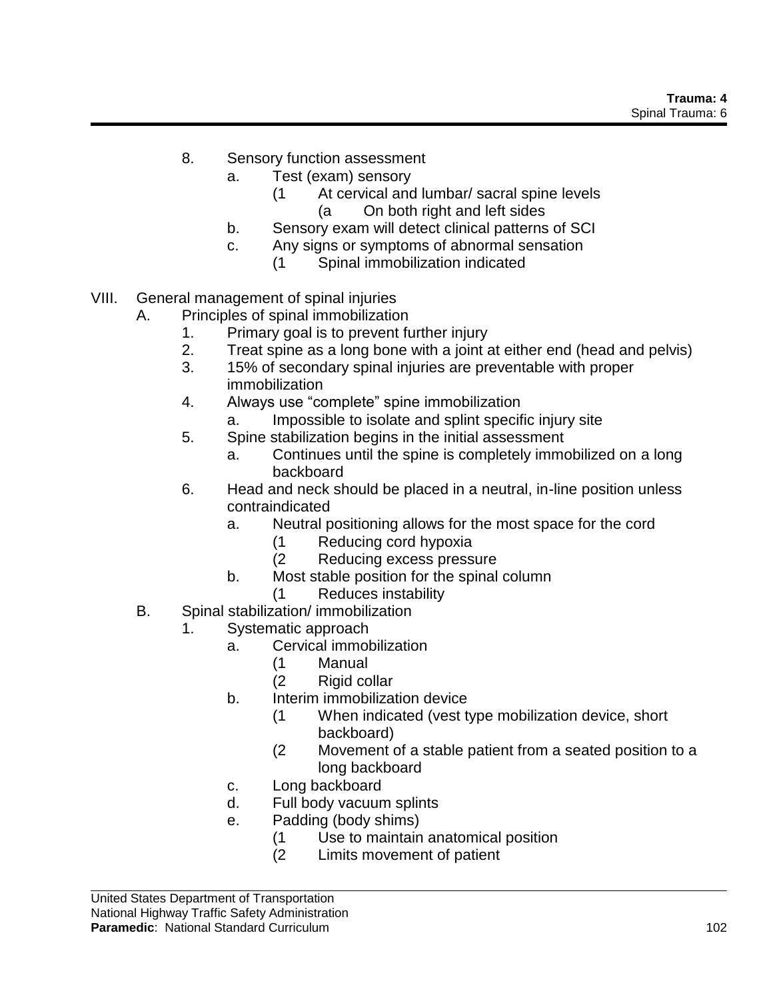- 8. Sensory function assessment
	- a. Test (exam) sensory
		- (1 At cervical and lumbar/ sacral spine levels (a On both right and left sides
	- b. Sensory exam will detect clinical patterns of SCI
	- c. Any signs or symptoms of abnormal sensation
		- (1 Spinal immobilization indicated
- VIII. General management of spinal injuries
	- A. Principles of spinal immobilization
		- 1. Primary goal is to prevent further injury
		- 2. Treat spine as a long bone with a joint at either end (head and pelvis)
		- 3. 15% of secondary spinal injuries are preventable with proper immobilization
		- 4. Always use "complete" spine immobilization
			- a. Impossible to isolate and splint specific injury site
		- 5. Spine stabilization begins in the initial assessment
			- a. Continues until the spine is completely immobilized on a long backboard
		- 6. Head and neck should be placed in a neutral, in-line position unless contraindicated
			- a. Neutral positioning allows for the most space for the cord
				- (1 Reducing cord hypoxia
				- (2 Reducing excess pressure
			- b. Most stable position for the spinal column
				- (1 Reduces instability
	- B. Spinal stabilization/ immobilization
		- 1. Systematic approach
			- a. Cervical immobilization
				- (1 Manual
				- (2 Rigid collar
			- b. Interim immobilization device
				- (1 When indicated (vest type mobilization device, short backboard)
				- (2 Movement of a stable patient from a seated position to a long backboard
			- c. Long backboard
			- d. Full body vacuum splints
			- e. Padding (body shims)
				- (1 Use to maintain anatomical position
				- (2 Limits movement of patient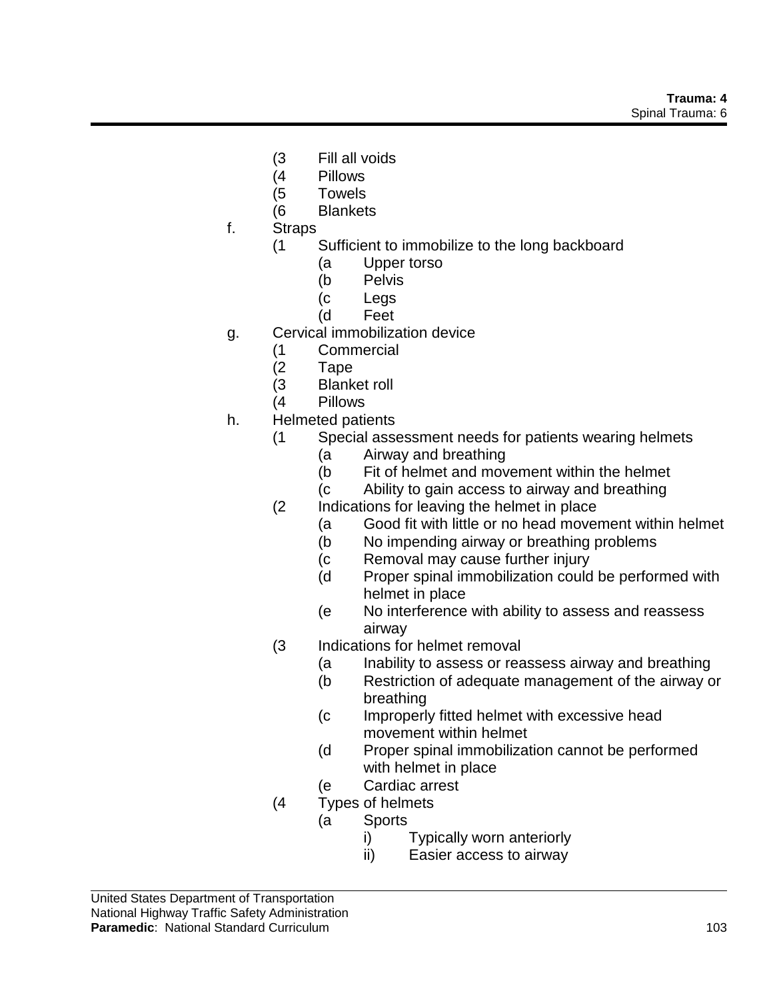- (3 Fill all voids
- (4 Pillows
- (5 Towels
- (6 Blankets
- f. Straps
	- (1 Sufficient to immobilize to the long backboard
		- (a Upper torso
		- (b Pelvis
		- (c Legs
		- (d Feet
- g. Cervical immobilization device
	- (1 Commercial
	- (2 Tape
	- (3 Blanket roll
	- (4 Pillows
- h. Helmeted patients
	- (1 Special assessment needs for patients wearing helmets
		- (a Airway and breathing
		- (b Fit of helmet and movement within the helmet
		- (c Ability to gain access to airway and breathing
	- (2 Indications for leaving the helmet in place
		- (a Good fit with little or no head movement within helmet
		- (b No impending airway or breathing problems
		- (c Removal may cause further injury
		- (d Proper spinal immobilization could be performed with helmet in place
		- (e No interference with ability to assess and reassess airway
	- (3 Indications for helmet removal
		- (a Inability to assess or reassess airway and breathing
		- (b Restriction of adequate management of the airway or breathing
		- (c Improperly fitted helmet with excessive head movement within helmet
		- (d Proper spinal immobilization cannot be performed with helmet in place
		- (e Cardiac arrest
	- (4 Types of helmets
		- (a Sports
			- i) Typically worn anteriorly
			- ii) Easier access to airway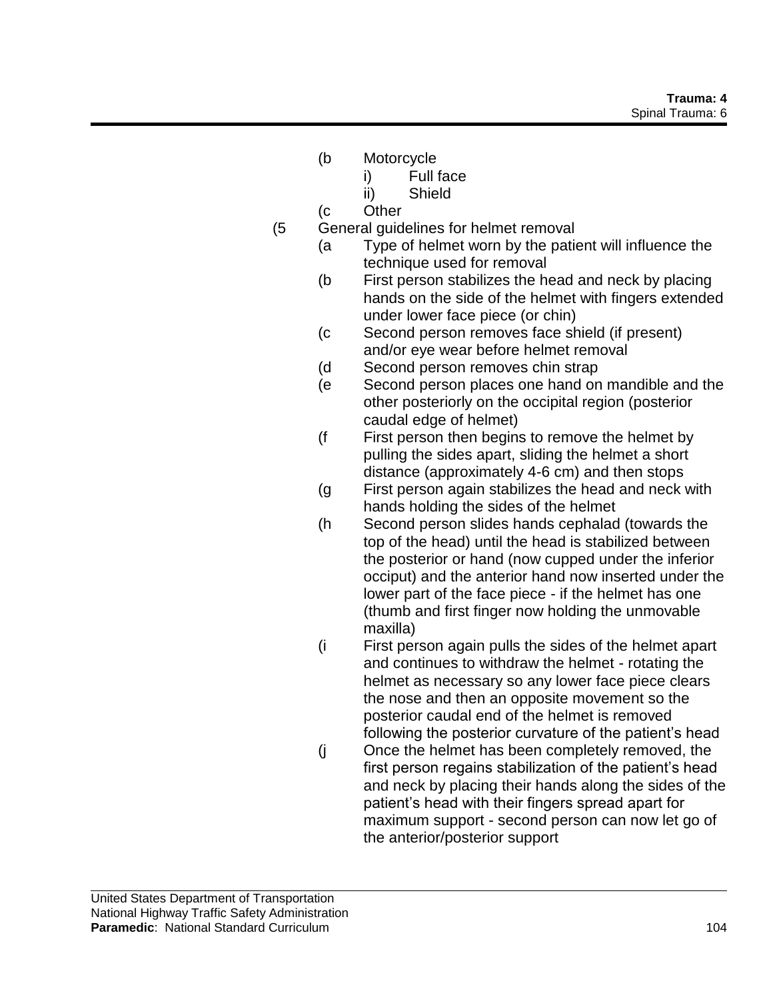- (b Motorcycle
	- i) Full face
	- ii) Shield
- (c Other
- (5 General guidelines for helmet removal
	- (a Type of helmet worn by the patient will influence the technique used for removal
	- (b First person stabilizes the head and neck by placing hands on the side of the helmet with fingers extended under lower face piece (or chin)
	- (c Second person removes face shield (if present) and/or eye wear before helmet removal
	- (d Second person removes chin strap
	- (e Second person places one hand on mandible and the other posteriorly on the occipital region (posterior caudal edge of helmet)
	- (f First person then begins to remove the helmet by pulling the sides apart, sliding the helmet a short distance (approximately 4-6 cm) and then stops
	- (g First person again stabilizes the head and neck with hands holding the sides of the helmet
	- (h Second person slides hands cephalad (towards the top of the head) until the head is stabilized between the posterior or hand (now cupped under the inferior occiput) and the anterior hand now inserted under the lower part of the face piece - if the helmet has one (thumb and first finger now holding the unmovable maxilla)
	- (i First person again pulls the sides of the helmet apart and continues to withdraw the helmet - rotating the helmet as necessary so any lower face piece clears the nose and then an opposite movement so the posterior caudal end of the helmet is removed following the posterior curvature of the patient's head
	- (j Once the helmet has been completely removed, the first person regains stabilization of the patient's head and neck by placing their hands along the sides of the patient's head with their fingers spread apart for maximum support - second person can now let go of the anterior/posterior support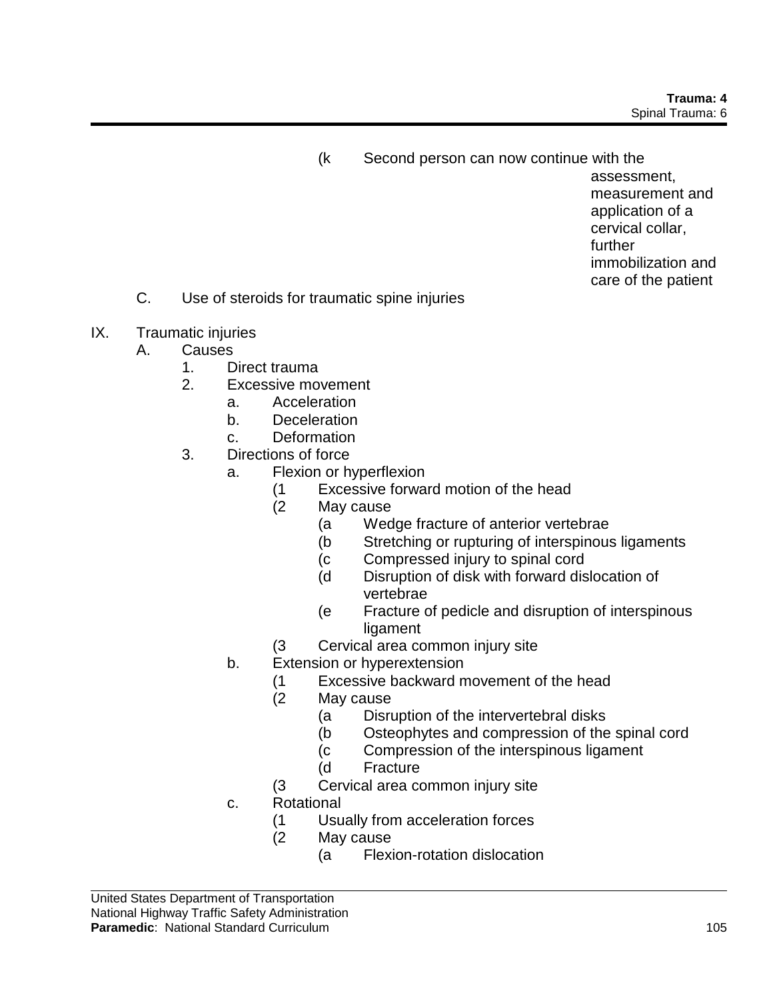(k Second person can now continue with the

assessment, measurement and application of a cervical collar, further immobilization and care of the patient

- C. Use of steroids for traumatic spine injuries
- IX. Traumatic injuries
	- A. Causes
		- 1. Direct trauma
		- 2. Excessive movement
			- a. Acceleration
			- b. Deceleration
			- c. Deformation
		- 3. Directions of force
			- a. Flexion or hyperflexion
				- (1 Excessive forward motion of the head
				- (2 May cause
					- (a Wedge fracture of anterior vertebrae
					- (b Stretching or rupturing of interspinous ligaments
					- (c Compressed injury to spinal cord
					- (d Disruption of disk with forward dislocation of vertebrae
					- (e Fracture of pedicle and disruption of interspinous ligament
				- (3 Cervical area common injury site
			- b. Extension or hyperextension
				- (1 Excessive backward movement of the head
				- (2 May cause
					- (a Disruption of the intervertebral disks
					- (b Osteophytes and compression of the spinal cord
					- (c Compression of the interspinous ligament
					- (d Fracture
				- (3 Cervical area common injury site
			- c. Rotational
				- (1 Usually from acceleration forces
				- (2 May cause
					- (a Flexion-rotation dislocation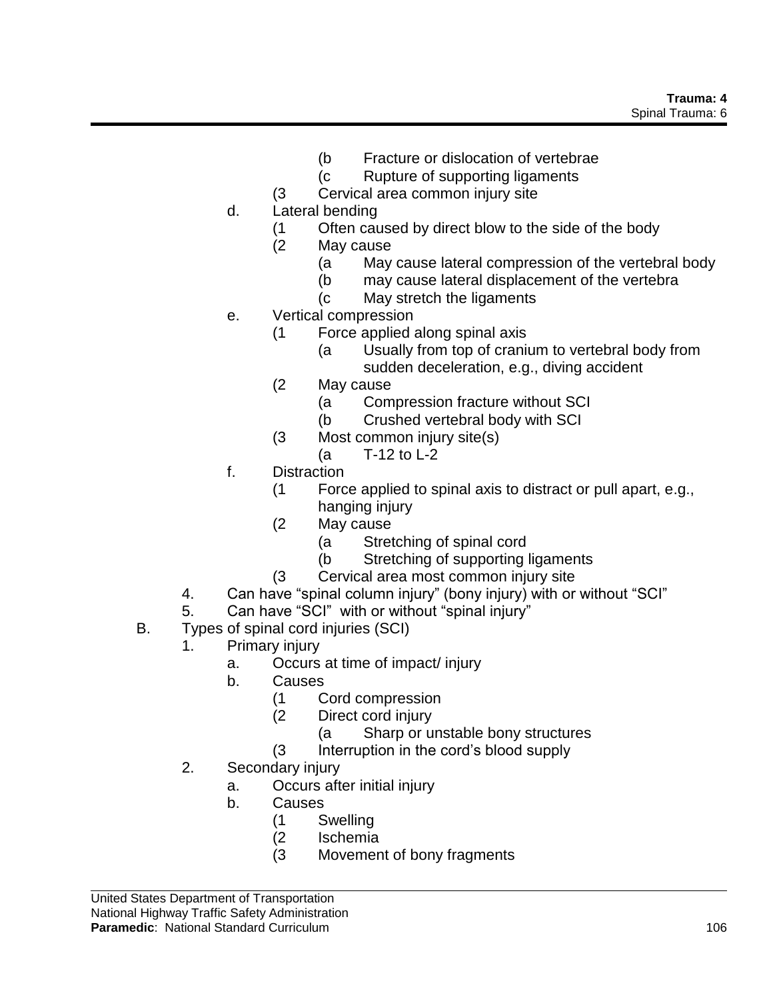- (b Fracture or dislocation of vertebrae
- (c Rupture of supporting ligaments
- (3 Cervical area common injury site
- d. Lateral bending
	- (1 Often caused by direct blow to the side of the body
	- (2 May cause
		- (a May cause lateral compression of the vertebral body
		- (b may cause lateral displacement of the vertebra
		- (c May stretch the ligaments
- e. Vertical compression
	- (1 Force applied along spinal axis
		- (a Usually from top of cranium to vertebral body from sudden deceleration, e.g., diving accident
	- (2 May cause
		- (a Compression fracture without SCI
		- (b Crushed vertebral body with SCI
	- (3 Most common injury site(s)
		- (a T-12 to L-2
- f. Distraction
	- (1 Force applied to spinal axis to distract or pull apart, e.g., hanging injury
	- (2 May cause
		- (a Stretching of spinal cord
		- (b Stretching of supporting ligaments
	- (3 Cervical area most common injury site
- 4. Can have "spinal column injury" (bony injury) with or without "SCI"
- 5. Can have "SCI" with or without "spinal injury"
- B. Types of spinal cord injuries (SCI)
	- 1. Primary injury
		- a. Occurs at time of impact/ injury
		- b. Causes
			- (1 Cord compression
			- (2 Direct cord injury
				- (a Sharp or unstable bony structures
			- (3 Interruption in the cord's blood supply
	- 2. Secondary injury
		- a. Occurs after initial injury
		- b. Causes
			- (1 Swelling
			- (2 Ischemia
			- (3 Movement of bony fragments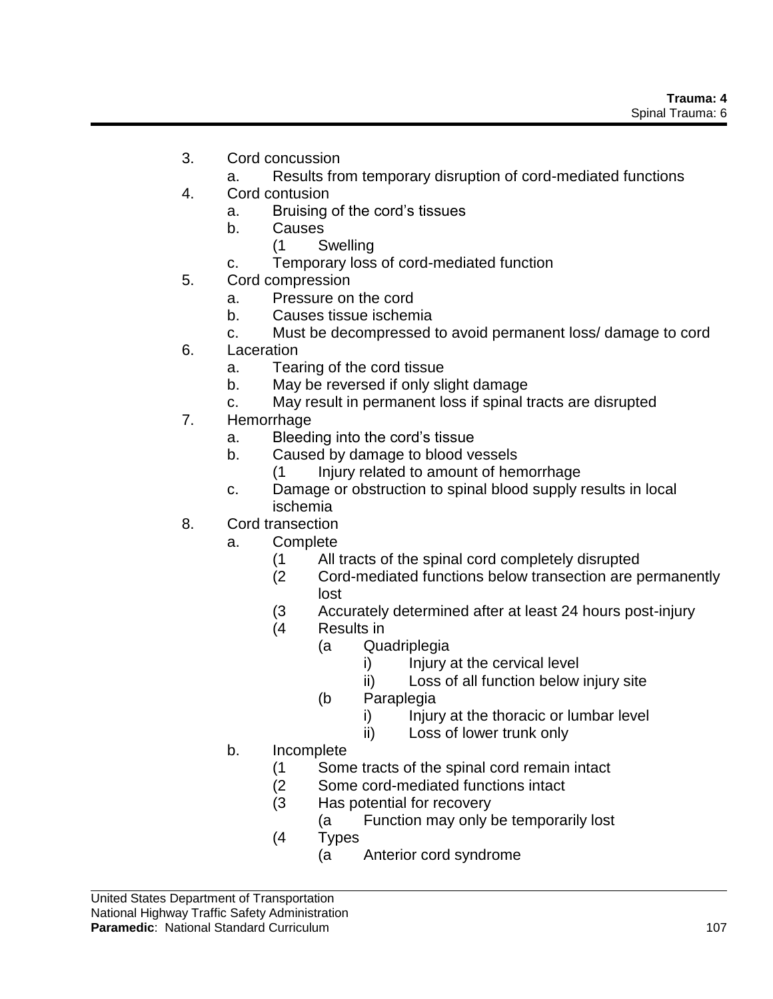- 3. Cord concussion
	- a. Results from temporary disruption of cord-mediated functions
- 4. Cord contusion
	- a. Bruising of the cord's tissues
	- b. Causes
		- (1 Swelling
	- c. Temporary loss of cord-mediated function
- 5. Cord compression
	- a. Pressure on the cord
	- b. Causes tissue ischemia
	- c. Must be decompressed to avoid permanent loss/ damage to cord
- 6. Laceration
	- a. Tearing of the cord tissue
	- b. May be reversed if only slight damage
	- c. May result in permanent loss if spinal tracts are disrupted
- 7. Hemorrhage
	- a. Bleeding into the cord's tissue
	- b. Caused by damage to blood vessels
		- (1 Injury related to amount of hemorrhage
	- c. Damage or obstruction to spinal blood supply results in local ischemia
- 8. Cord transection
	- a. Complete
		- (1 All tracts of the spinal cord completely disrupted
		- (2 Cord-mediated functions below transection are permanently lost
		- (3 Accurately determined after at least 24 hours post-injury
		- (4 Results in
			- (a Quadriplegia
				- i) Injury at the cervical level
				- ii) Loss of all function below injury site
			- (b Paraplegia
				- i) Injury at the thoracic or lumbar level
				- ii) Loss of lower trunk only
	- b. Incomplete
		- (1 Some tracts of the spinal cord remain intact
		- (2 Some cord-mediated functions intact
		- (3 Has potential for recovery
			- (a Function may only be temporarily lost
		- (4 Types
			- (a Anterior cord syndrome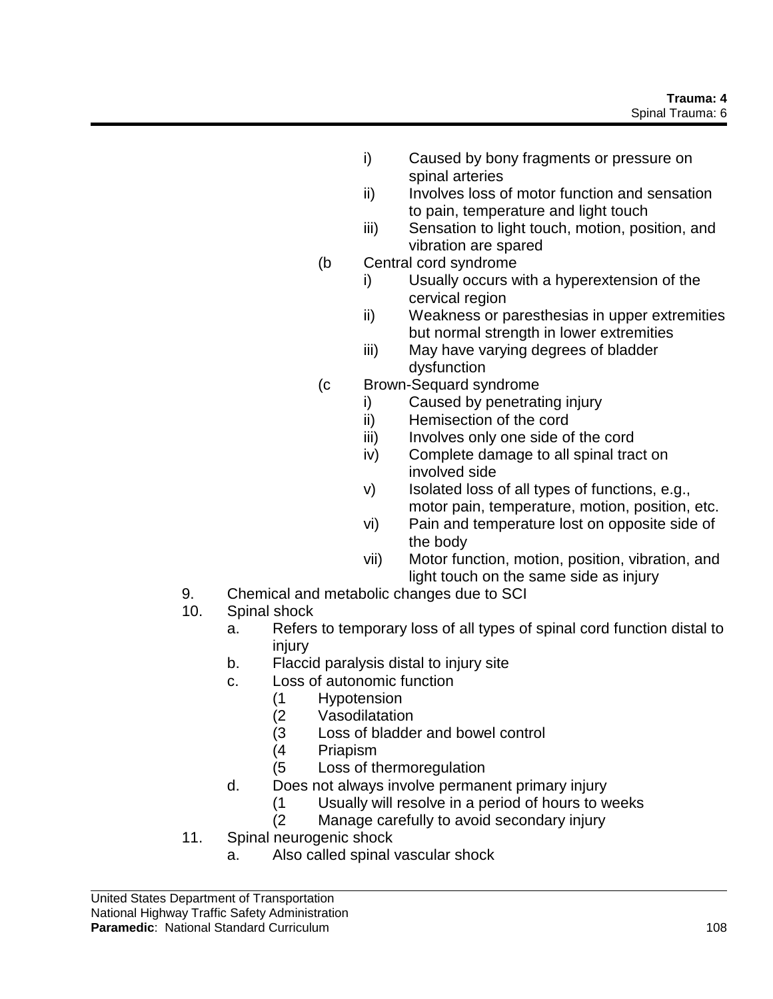- i) Caused by bony fragments or pressure on spinal arteries
- ii) Involves loss of motor function and sensation to pain, temperature and light touch
- iii) Sensation to light touch, motion, position, and vibration are spared
- (b Central cord syndrome
	- i) Usually occurs with a hyperextension of the cervical region
	- ii) Weakness or paresthesias in upper extremities but normal strength in lower extremities
	- iii) May have varying degrees of bladder dysfunction
- (c Brown-Sequard syndrome
	- i) Caused by penetrating injury
	- ii) Hemisection of the cord
	- iii) Involves only one side of the cord
	- iv) Complete damage to all spinal tract on involved side
	- v) Isolated loss of all types of functions, e.g., motor pain, temperature, motion, position, etc.
	- vi) Pain and temperature lost on opposite side of the body
	- vii) Motor function, motion, position, vibration, and light touch on the same side as injury
- 9. Chemical and metabolic changes due to SCI
- 10. Spinal shock
	- a. Refers to temporary loss of all types of spinal cord function distal to injury
	- b. Flaccid paralysis distal to injury site
	- c. Loss of autonomic function
		- (1 Hypotension
		- (2 Vasodilatation
		- (3 Loss of bladder and bowel control
		- (4 Priapism
		- (5 Loss of thermoregulation
	- d. Does not always involve permanent primary injury
		- (1 Usually will resolve in a period of hours to weeks
		- (2 Manage carefully to avoid secondary injury
- 11. Spinal neurogenic shock
	- a. Also called spinal vascular shock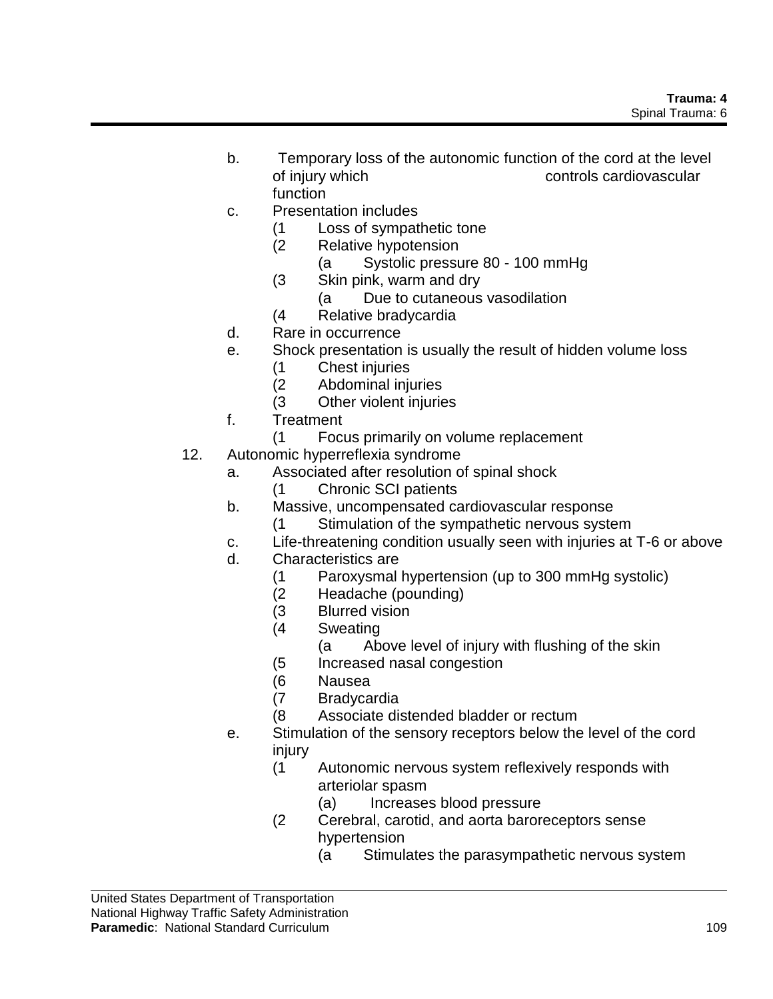- b. Temporary loss of the autonomic function of the cord at the level of injury which controls cardiovascular function
- c. Presentation includes
	- (1 Loss of sympathetic tone
	- (2 Relative hypotension
		- (a Systolic pressure 80 100 mmHg
	- (3 Skin pink, warm and dry
		- (a Due to cutaneous vasodilation
	- (4 Relative bradycardia
- d. Rare in occurrence
- e. Shock presentation is usually the result of hidden volume loss
	- (1 Chest injuries
	- (2 Abdominal injuries
	- (3 Other violent injuries
- f. Treatment
	- (1 Focus primarily on volume replacement
- 12. Autonomic hyperreflexia syndrome
	- a. Associated after resolution of spinal shock
		- (1 Chronic SCI patients
		- b. Massive, uncompensated cardiovascular response
			- (1 Stimulation of the sympathetic nervous system
		- c. Life-threatening condition usually seen with injuries at T-6 or above
		- d. Characteristics are
			- (1 Paroxysmal hypertension (up to 300 mmHg systolic)
			- (2 Headache (pounding)
			- (3 Blurred vision
			- (4 Sweating
				- (a Above level of injury with flushing of the skin
			- (5 Increased nasal congestion
			- (6 Nausea
			- (7 Bradycardia
			- (8 Associate distended bladder or rectum
		- e. Stimulation of the sensory receptors below the level of the cord injury
			- (1 Autonomic nervous system reflexively responds with arteriolar spasm
				- (a) Increases blood pressure
			- (2 Cerebral, carotid, and aorta baroreceptors sense hypertension
				- (a Stimulates the parasympathetic nervous system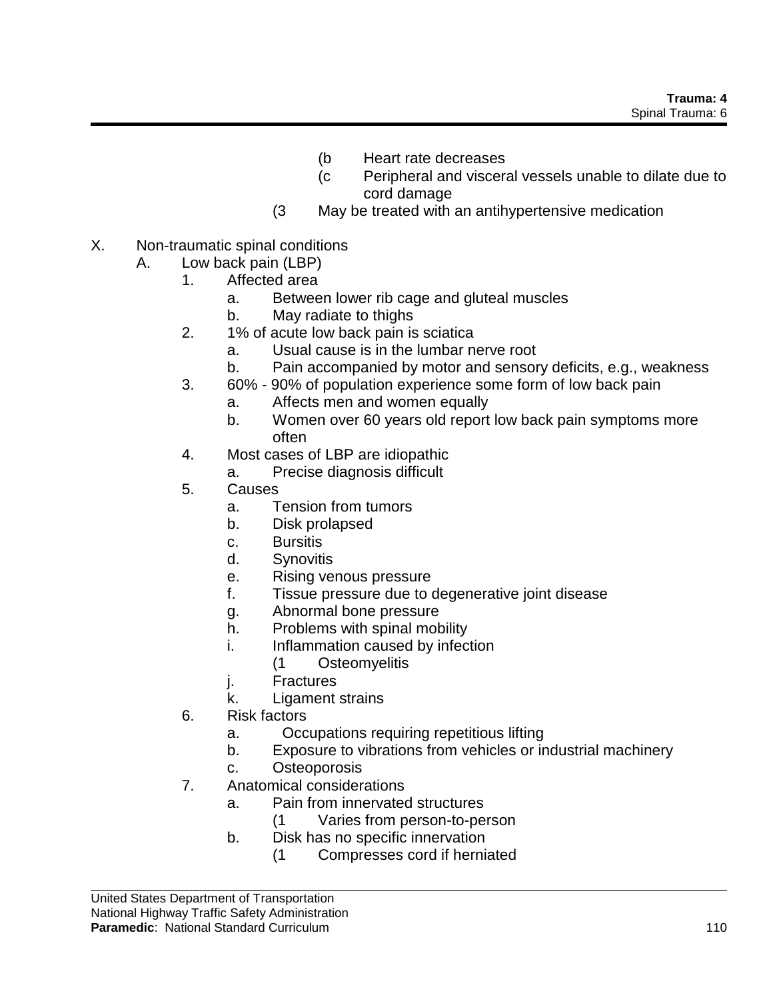- (b Heart rate decreases
- (c Peripheral and visceral vessels unable to dilate due to cord damage
- (3 May be treated with an antihypertensive medication
- X. Non-traumatic spinal conditions
	- A. Low back pain (LBP)
		- 1. Affected area
			- a. Between lower rib cage and gluteal muscles
			- b. May radiate to thighs
			- 2. 1% of acute low back pain is sciatica
				- a. Usual cause is in the lumbar nerve root
				- b. Pain accompanied by motor and sensory deficits, e.g., weakness
			- 3. 60% 90% of population experience some form of low back pain
				- a. Affects men and women equally
				- b. Women over 60 years old report low back pain symptoms more often
			- 4. Most cases of LBP are idiopathic
				- a. Precise diagnosis difficult
			- 5. Causes
				- a. Tension from tumors
				- b. Disk prolapsed
				- c. Bursitis
				- d. Synovitis
				- e. Rising venous pressure
				- f. Tissue pressure due to degenerative joint disease
				- g. Abnormal bone pressure
				- h. Problems with spinal mobility
				- i. Inflammation caused by infection
					- (1 Osteomyelitis
				- j. Fractures
				- k. Ligament strains
			- 6. Risk factors
				- a. Occupations requiring repetitious lifting
				- b. Exposure to vibrations from vehicles or industrial machinery
				- c. Osteoporosis
		- 7. Anatomical considerations
			- a. Pain from innervated structures
				- (1 Varies from person-to-person
			- b. Disk has no specific innervation
				- (1 Compresses cord if herniated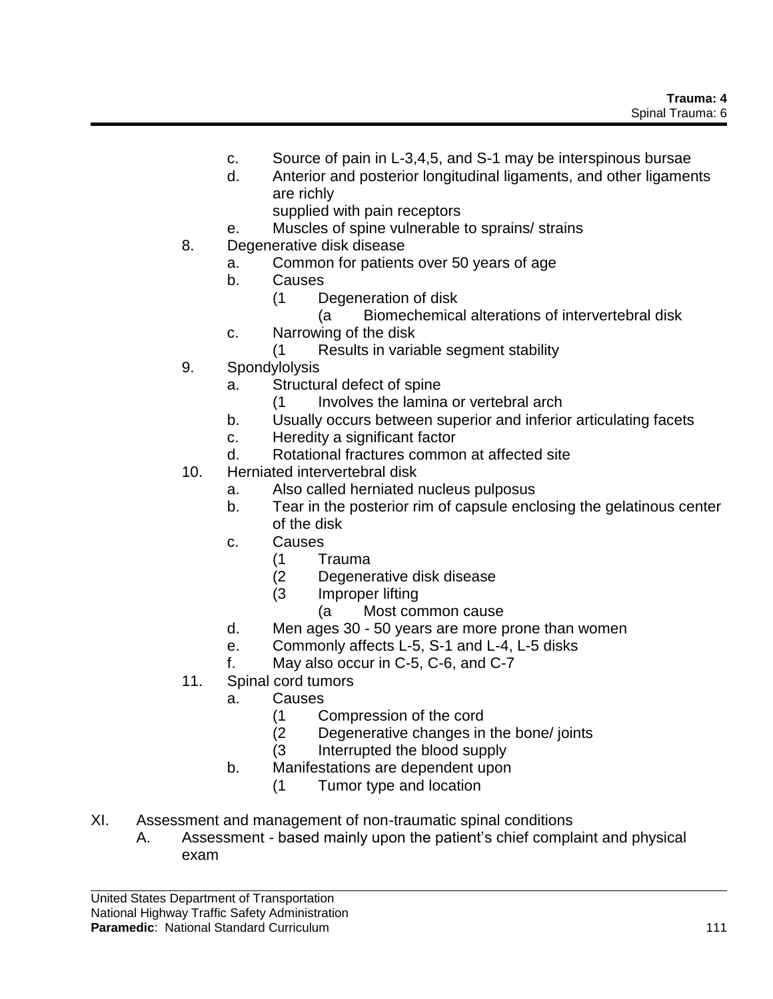- c. Source of pain in L-3,4,5, and S-1 may be interspinous bursae
- d. Anterior and posterior longitudinal ligaments, and other ligaments are richly
	- supplied with pain receptors
- e. Muscles of spine vulnerable to sprains/ strains
- 8. Degenerative disk disease
	- a. Common for patients over 50 years of age
	- b. Causes
		- (1 Degeneration of disk
			- (a Biomechemical alterations of intervertebral disk
	- c. Narrowing of the disk
		- (1 Results in variable segment stability
- 9. Spondylolysis
	- a. Structural defect of spine
		- (1 Involves the lamina or vertebral arch
	- b. Usually occurs between superior and inferior articulating facets
	- c. Heredity a significant factor
	- d. Rotational fractures common at affected site
- 10. Herniated intervertebral disk
	- a. Also called herniated nucleus pulposus
	- b. Tear in the posterior rim of capsule enclosing the gelatinous center of the disk
	- c. Causes
		- (1 Trauma
		- (2 Degenerative disk disease
		- (3 Improper lifting
			- (a Most common cause
	- d. Men ages 30 50 years are more prone than women
	- e. Commonly affects L-5, S-1 and L-4, L-5 disks
	- f. May also occur in C-5, C-6, and C-7
- 11. Spinal cord tumors
	- a. Causes
		- (1 Compression of the cord
		- (2 Degenerative changes in the bone/ joints
		- (3 Interrupted the blood supply
	- b. Manifestations are dependent upon
		- (1 Tumor type and location
- XI. Assessment and management of non-traumatic spinal conditions
	- A. Assessment based mainly upon the patient's chief complaint and physical exam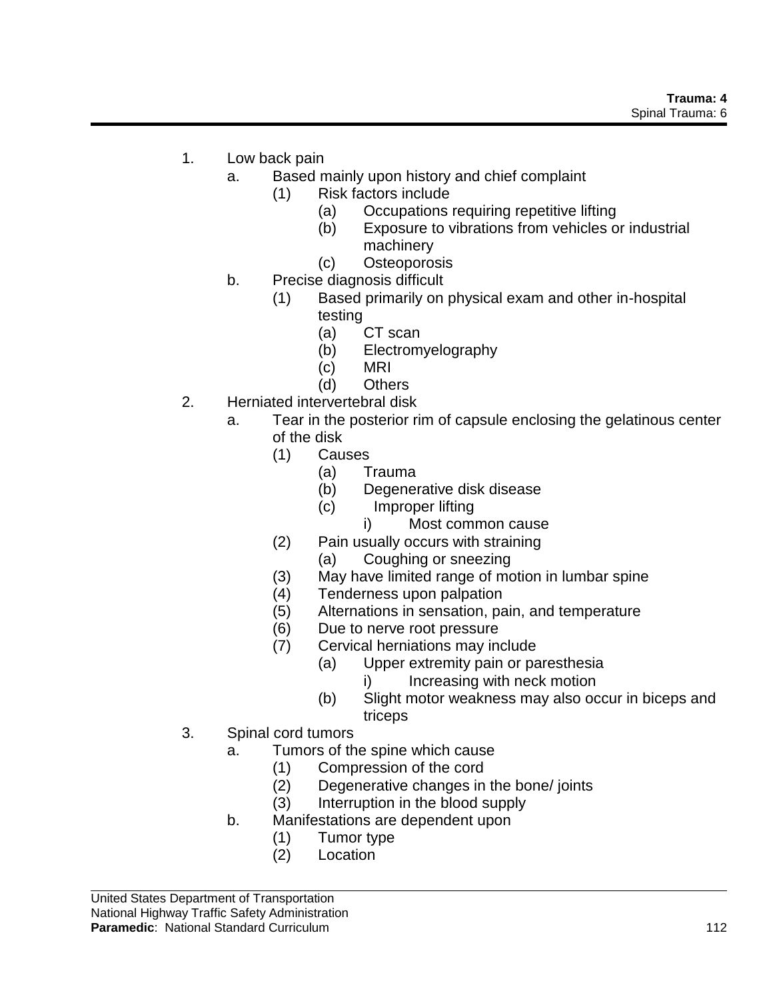- 1. Low back pain
	- a. Based mainly upon history and chief complaint
		- (1) Risk factors include
			- (a) Occupations requiring repetitive lifting
			- (b) Exposure to vibrations from vehicles or industrial machinery
			- (c) Osteoporosis
	- b. Precise diagnosis difficult
		- (1) Based primarily on physical exam and other in-hospital testing
			- (a) CT scan
			- (b) Electromyelography
			- (c) MRI
			- (d) Others
- 2. Herniated intervertebral disk
	- a. Tear in the posterior rim of capsule enclosing the gelatinous center of the disk
		- (1) Causes
			- (a) Trauma
			- (b) Degenerative disk disease
			- (c) Improper lifting
				- i) Most common cause
		- (2) Pain usually occurs with straining
			- (a) Coughing or sneezing
		- (3) May have limited range of motion in lumbar spine
		- (4) Tenderness upon palpation
		- (5) Alternations in sensation, pain, and temperature
		- (6) Due to nerve root pressure
		- (7) Cervical herniations may include
			- (a) Upper extremity pain or paresthesia
				- i) Increasing with neck motion
			- (b) Slight motor weakness may also occur in biceps and triceps
- 3. Spinal cord tumors
	- a. Tumors of the spine which cause
		- (1) Compression of the cord
		- (2) Degenerative changes in the bone/ joints
		- (3) Interruption in the blood supply
	- b. Manifestations are dependent upon
		- (1) Tumor type
		- (2) Location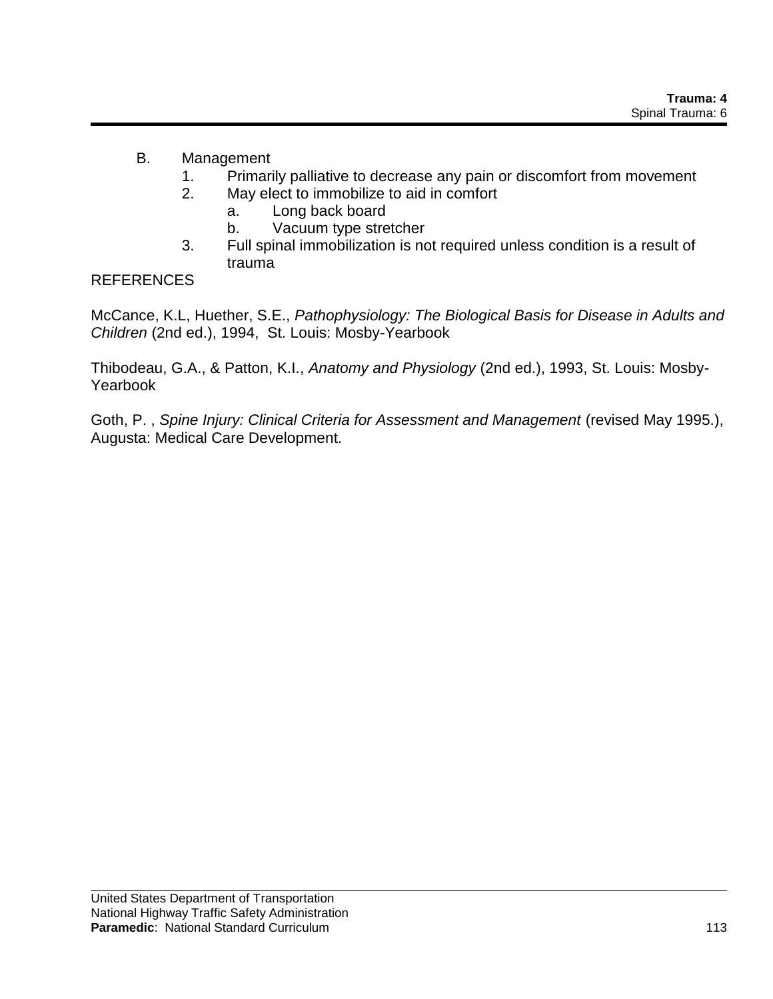## B. Management

- 1. Primarily palliative to decrease any pain or discomfort from movement
- 2. May elect to immobilize to aid in comfort
	- a. Long back board
	- b. Vacuum type stretcher
- 3. Full spinal immobilization is not required unless condition is a result of trauma

### **REFERENCES**

McCance, K.L, Huether, S.E., *Pathophysiology: The Biological Basis for Disease in Adults and Children* (2nd ed.), 1994, St. Louis: Mosby-Yearbook

Thibodeau, G.A., & Patton, K.I., *Anatomy and Physiology* (2nd ed.), 1993, St. Louis: Mosby-Yearbook

Goth, P. , *Spine Injury: Clinical Criteria for Assessment and Management* (revised May 1995.), Augusta: Medical Care Development.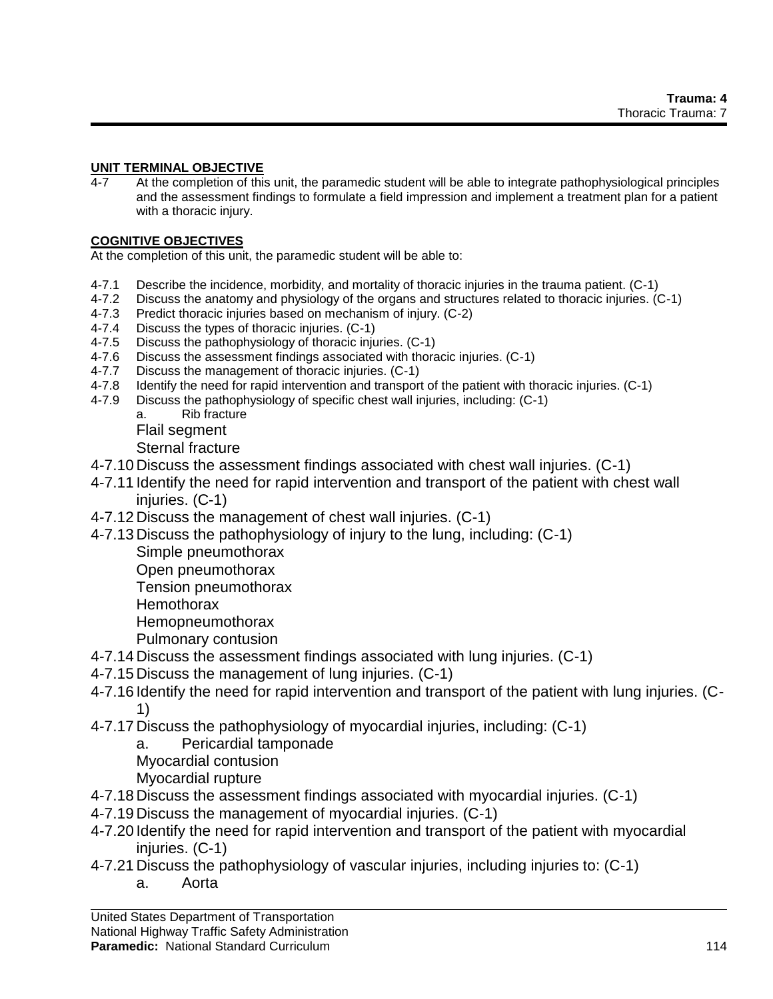#### **UNIT TERMINAL OBJECTIVE**

4-7 At the completion of this unit, the paramedic student will be able to integrate pathophysiological principles and the assessment findings to formulate a field impression and implement a treatment plan for a patient with a thoracic injury.

### **COGNITIVE OBJECTIVES**

At the completion of this unit, the paramedic student will be able to:

- 4-7.1 Describe the incidence, morbidity, and mortality of thoracic injuries in the trauma patient. (C-1)
- 4-7.2 Discuss the anatomy and physiology of the organs and structures related to thoracic injuries. (C-1)
- 4-7.3 Predict thoracic injuries based on mechanism of injury. (C-2)
- 4-7.4 Discuss the types of thoracic injuries. (C-1)
- 4-7.5 Discuss the pathophysiology of thoracic injuries. (C-1)
- 4-7.6 Discuss the assessment findings associated with thoracic injuries. (C-1)
- 4-7.7 Discuss the management of thoracic injuries. (C-1)<br>4-7.8 Identify the need for rapid intervention and transport
- Identify the need for rapid intervention and transport of the patient with thoracic injuries. (C-1)
- 4-7.9 Discuss the pathophysiology of specific chest wall injuries, including: (C-1)
	- a. Rib fracture
	- Flail segment

Sternal fracture

- 4-7.10 Discuss the assessment findings associated with chest wall injuries. (C-1)
- 4-7.11 Identify the need for rapid intervention and transport of the patient with chest wall injuries. (C-1)
- 4-7.12 Discuss the management of chest wall injuries. (C-1)
- 4-7.13 Discuss the pathophysiology of injury to the lung, including: (C-1)
	- Simple pneumothorax
	- Open pneumothorax

Tension pneumothorax

- **Hemothorax**
- Hemopneumothorax
- Pulmonary contusion
- 4-7.14 Discuss the assessment findings associated with lung injuries. (C-1)
- 4-7.15 Discuss the management of lung injuries. (C-1)
- 4-7.16 Identify the need for rapid intervention and transport of the patient with lung injuries. (C-1)
- 4-7.17 Discuss the pathophysiology of myocardial injuries, including: (C-1)
	- a. Pericardial tamponade
	- Myocardial contusion
	- Myocardial rupture
- 4-7.18 Discuss the assessment findings associated with myocardial injuries. (C-1)
- 4-7.19 Discuss the management of myocardial injuries. (C-1)
- 4-7.20 Identify the need for rapid intervention and transport of the patient with myocardial iniuries. (C-1)
- 4-7.21 Discuss the pathophysiology of vascular injuries, including injuries to: (C-1)
	- a. Aorta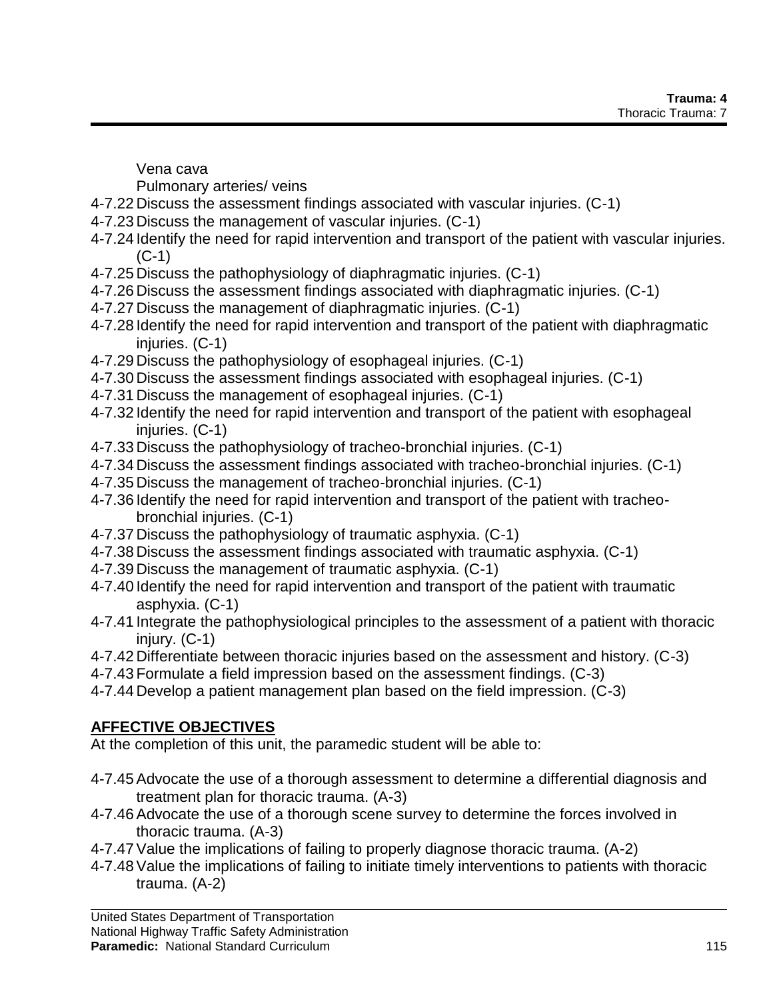Vena cava

Pulmonary arteries/ veins

- 4-7.22 Discuss the assessment findings associated with vascular injuries. (C-1)
- 4-7.23 Discuss the management of vascular injuries. (C-1)
- 4-7.24 Identify the need for rapid intervention and transport of the patient with vascular injuries. (C-1)
- 4-7.25 Discuss the pathophysiology of diaphragmatic injuries. (C-1)
- 4-7.26 Discuss the assessment findings associated with diaphragmatic injuries. (C-1)
- 4-7.27 Discuss the management of diaphragmatic injuries. (C-1)
- 4-7.28 Identify the need for rapid intervention and transport of the patient with diaphragmatic injuries. (C-1)
- 4-7.29 Discuss the pathophysiology of esophageal injuries. (C-1)
- 4-7.30 Discuss the assessment findings associated with esophageal injuries. (C-1)
- 4-7.31 Discuss the management of esophageal injuries. (C-1)
- 4-7.32 Identify the need for rapid intervention and transport of the patient with esophageal injuries. (C-1)
- 4-7.33 Discuss the pathophysiology of tracheo-bronchial injuries. (C-1)
- 4-7.34 Discuss the assessment findings associated with tracheo-bronchial injuries. (C-1)
- 4-7.35 Discuss the management of tracheo-bronchial injuries. (C-1)
- 4-7.36 Identify the need for rapid intervention and transport of the patient with tracheobronchial injuries. (C-1)
- 4-7.37 Discuss the pathophysiology of traumatic asphyxia. (C-1)
- 4-7.38 Discuss the assessment findings associated with traumatic asphyxia. (C-1)
- 4-7.39 Discuss the management of traumatic asphyxia. (C-1)
- 4-7.40 Identify the need for rapid intervention and transport of the patient with traumatic asphyxia. (C-1)
- 4-7.41 Integrate the pathophysiological principles to the assessment of a patient with thoracic  $ini$ urv.  $(C-1)$
- 4-7.42 Differentiate between thoracic injuries based on the assessment and history. (C-3)
- 4-7.43 Formulate a field impression based on the assessment findings. (C-3)
- 4-7.44 Develop a patient management plan based on the field impression. (C-3)

# **AFFECTIVE OBJECTIVES**

At the completion of this unit, the paramedic student will be able to:

- 4-7.45Advocate the use of a thorough assessment to determine a differential diagnosis and treatment plan for thoracic trauma. (A-3)
- 4-7.46Advocate the use of a thorough scene survey to determine the forces involved in thoracic trauma. (A-3)
- 4-7.47Value the implications of failing to properly diagnose thoracic trauma. (A-2)
- 4-7.48Value the implications of failing to initiate timely interventions to patients with thoracic trauma. (A-2)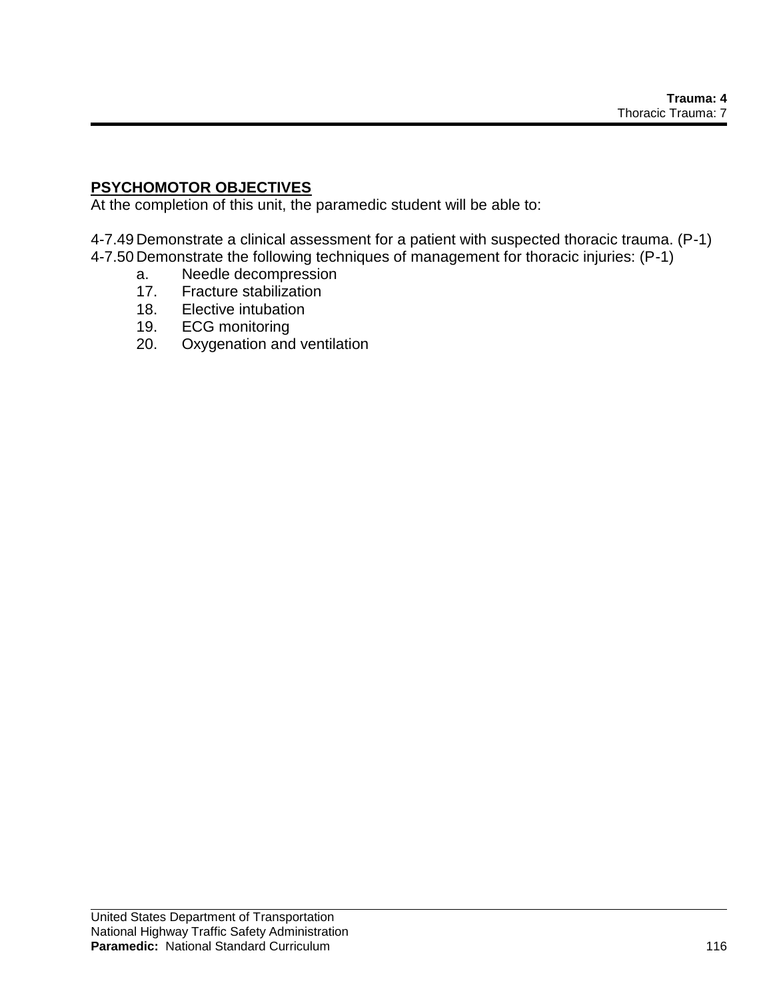### **PSYCHOMOTOR OBJECTIVES**

At the completion of this unit, the paramedic student will be able to:

4-7.49 Demonstrate a clinical assessment for a patient with suspected thoracic trauma. (P-1) 4-7.50 Demonstrate the following techniques of management for thoracic injuries: (P-1)

- a. Needle decompression
- 17. Fracture stabilization
- 18. Elective intubation
- 19. ECG monitoring
- 20. Oxygenation and ventilation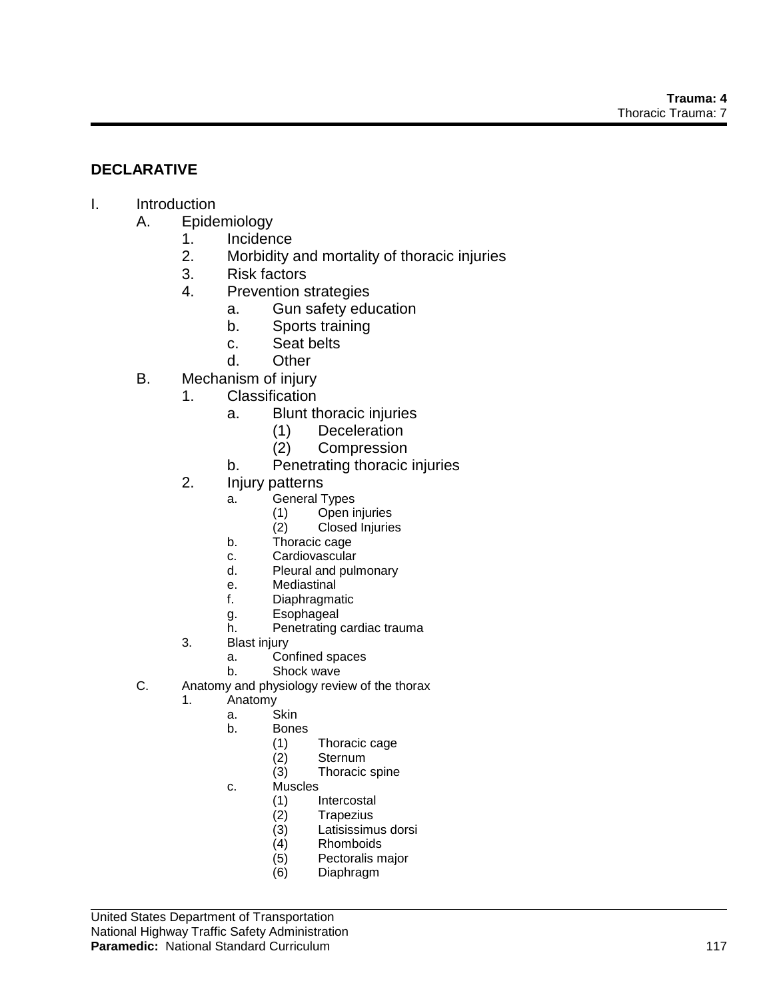### **DECLARATIVE**

### I. Introduction

- A. Epidemiology
	- 1. Incidence
	- 2. Morbidity and mortality of thoracic injuries
	- 3. Risk factors
	- 4. Prevention strategies
		- a. Gun safety education
		- b. Sports training
		- c. Seat belts
		- d. Other
- B. Mechanism of injury
	- 1. Classification
		- a. Blunt thoracic injuries
			- (1) Deceleration
			- (2) Compression
		- b. Penetrating thoracic injuries
	- 2. Injury patterns
		- a. General Types
			- (1) Open injuries<br>(2) Closed Injuries
			- Closed Injuries
		- b. Thoracic cage
		- c. Cardiovascular
		- d. Pleural and pulmonary
		- e. Mediastinal
		- f. Diaphragmatic
		- g. Esophageal
		- h. Penetrating cardiac trauma
	- 3. Blast injury
		- a. Confined spaces
		- b. Shock wave
- C. Anatomy and physiology review of the thorax
	- 1. Anatomy
		- a. Skin
		- b. Bones
			- (1) Thoracic cage
			- **Sternum**
			- (3) Thoracic spine
		- c. Muscles
			- (1) Intercostal<br>(2) Trapezius
			- **Trapezius**
			- (3) Latisissimus dorsi
			- (4) Rhomboids
			- (5) Pectoralis major
			- (6) Diaphragm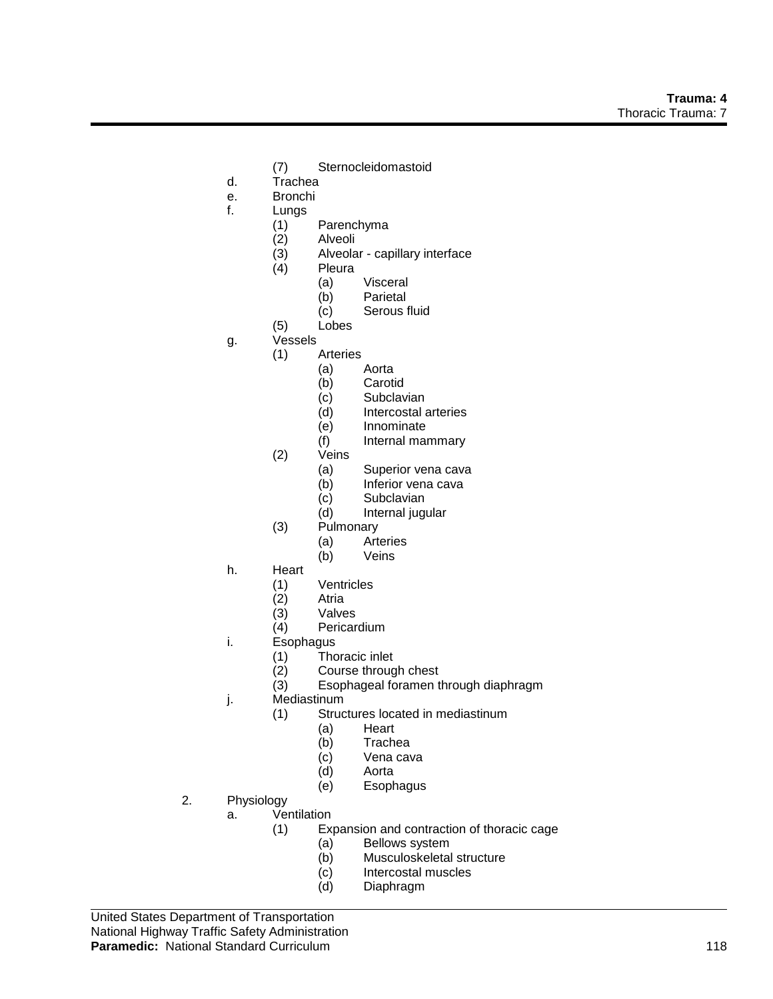- (7) Sternocleidomastoid
- d. Trachea
- e. Bronchi
- f. Lungs
	- (1) Parenchyma
	- (2) Alveoli
	- (3) Alveolar capillary interface
	- **Pleura** 
		- (a) Visceral
		- (b) Parietal
		- (c) Serous fluid
	- (5) Lobes
- g. Vessels
	- (1) Arteries
		- (a) Aorta
		- (b) Carotid
		- (c) Subclavian<br>(d) Intercostal a
		- Intercostal arteries
		- (e) Innominate
		- (f) Internal mammary
	- (2) Veins
		- (a) Superior vena cava
		- (b) Inferior vena cava
		- (c) Subclavian
		- (d) Internal jugular
	- (3) Pulmonary
		- (a) Arteries
		- (b) Veins
- h. Heart
	- (1) Ventricles
	- (2) Atria
	-
	- (3) Valves<br>(4) Pericar Pericardium
- i. Esophagus
	- (1) Thoracic inlet
	- (2) Course through chest<br>(3) Esophageal foramen to
	- Esophageal foramen through diaphragm
- j. Mediastinum
	- (1) Structures located in mediastinum
		- (a) Heart
		- (b) Trachea
		- (c) Vena cava<br>(d) Aorta
		- Aorta
		- (e) Esophagus
- 2. Physiology
	- a. Ventilation
		- (1) Expansion and contraction of thoracic cage
			- (a) Bellows system<br>(b) Musculoskeletal
				- Musculoskeletal structure
				- (c) Intercostal muscles
				- (d) Diaphragm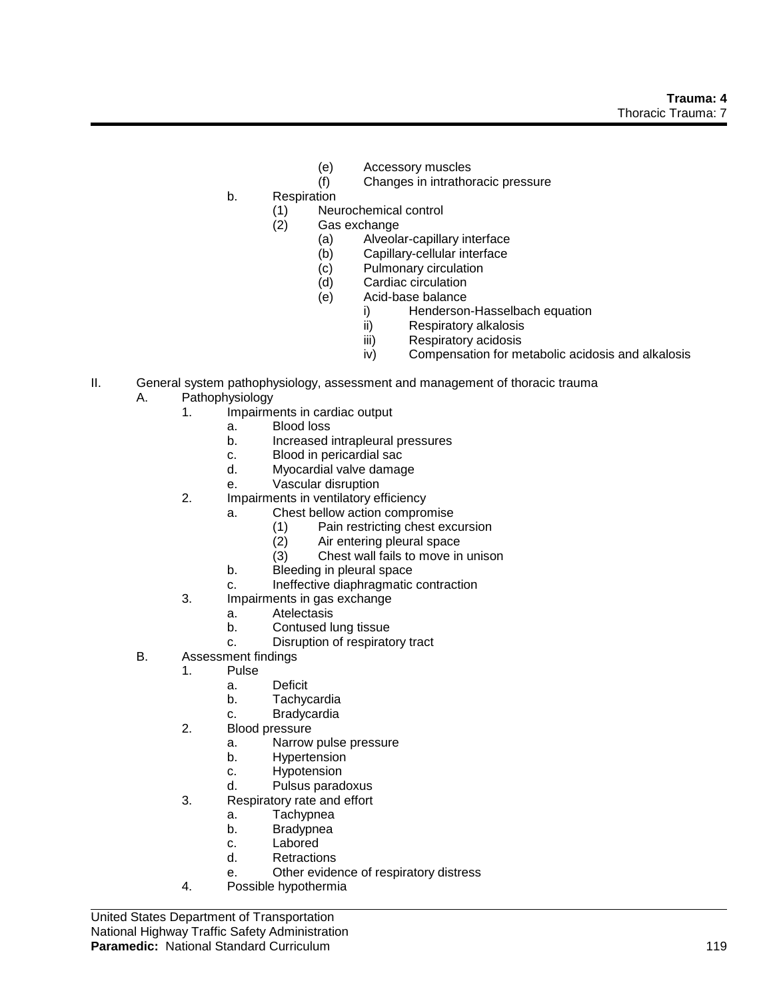- (e) Accessory muscles<br>
(f) Changes in intrathor
- Changes in intrathoracic pressure
- b. Respiration
	- (1) Neurochemical control
		- Gas exchange
			- (a) Alveolar-capillary interface
			- (b) Capillary-cellular interface
			- (c) Pulmonary circulation
			- (d) Cardiac circulation
			- (e) Acid-base balance
				- i) Henderson-Hasselbach equation<br>ii) Respiratory alkalosis
				- Respiratory alkalosis
				- iii) Respiratory acidosis
				- iv) Compensation for metabolic acidosis and alkalosis
- II. General system pathophysiology, assessment and management of thoracic trauma
	- A. Pathophysiology
		- 1. Impairments in cardiac output
			- a. Blood loss
			- b. Increased intrapleural pressures
			- c. Blood in pericardial sac
			- d. Myocardial valve damage
			- e. Vascular disruption
		- 2. Impairments in ventilatory efficiency
			- a. Chest bellow action compromise
				- (1) Pain restricting chest excursion<br>(2) Air entering pleural space
				- Air entering pleural space
				- (3) Chest wall fails to move in unison
			- b. Bleeding in pleural space
			- c. Ineffective diaphragmatic contraction
		- 3. Impairments in gas exchange
			- a. Atelectasis
			- b. Contused lung tissue
			- c. Disruption of respiratory tract
	- B. Assessment findings
		- 1. Pulse
			- a. Deficit
			- b. Tachycardia
			- c. Bradycardia
		- 2. Blood pressure
			- a. Narrow pulse pressure
			- b. Hypertension
			- c. Hypotension
			- d. Pulsus paradoxus
		- 3. Respiratory rate and effort
			- a. Tachypnea
			- b. Bradypnea
			- c. Labored
			- d. Retractions
			- e. Other evidence of respiratory distress
		- 4. Possible hypothermia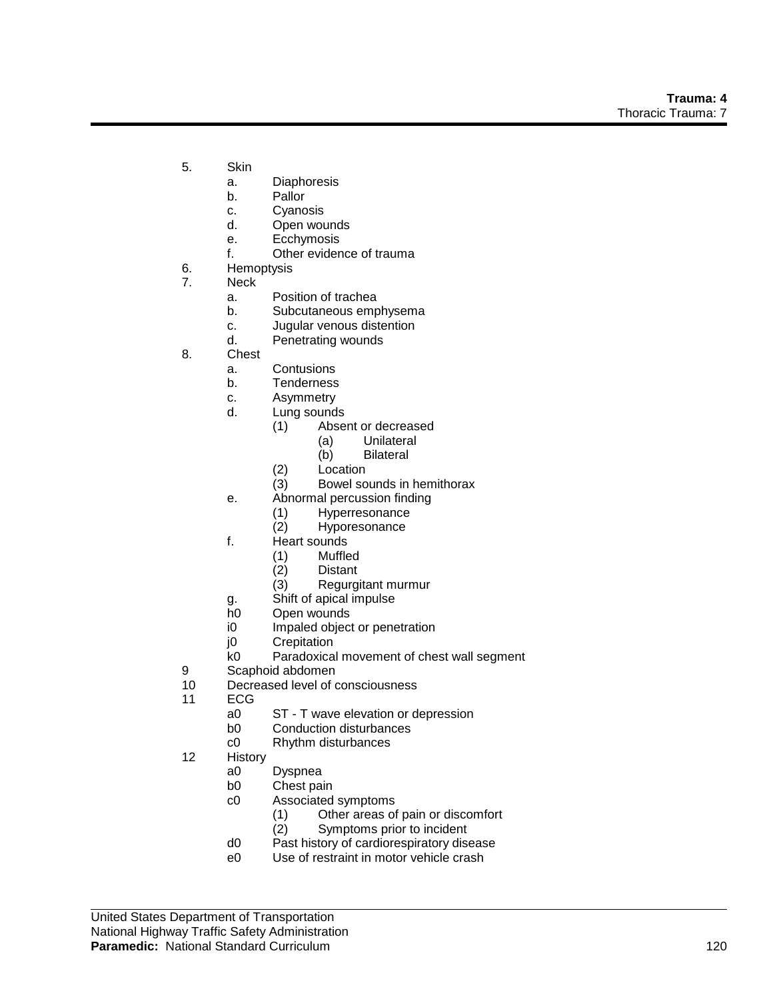- 5. Skin
	- a. Diaphoresis
	- b. Pallor
	- c. Cyanosis
	- d. Open wounds
	- e. Ecchymosis
	- f. Other evidence of trauma
- 6. Hemoptysis
- 7. Neck
	- a. Position of trachea
	- b. Subcutaneous emphysema
	- c. Jugular venous distention
	- d. Penetrating wounds
- 8. Chest
	- a. Contusions
	- b. Tenderness
	- c. Asymmetry
	- d. Lung sounds
		- (1) Absent or decreased
			- (a) Unilateral
			- (b) Bilateral
		- (2) Location
		- (3) Bowel sounds in hemithorax
	- e. Abnormal percussion finding
		- (1) Hyperresonance
		- (2) Hyporesonance
	- f. Heart sounds
		- (1) Muffled
		- (2) Distant
		- (3) Regurgitant murmur
	- g. Shift of apical impulse
	- h0 Open wounds
	- i0 Impaled object or penetration
	- j0 Crepitation
	- k0 Paradoxical movement of chest wall segment
- 9 Scaphoid abdomen<br>10 Decreased level of o
- Decreased level of consciousness
- 11 ECG
	- a0 ST T wave elevation or depression<br>b0 Conduction disturbances
	- **Conduction disturbances**
	- c0 Rhythm disturbances
- 12 History
	- a0 Dyspnea
	- b0 Chest pain
	- c0 Associated symptoms
		- (1) Other areas of pain or discomfort<br>(2) Symptoms prior to incident
		- Symptoms prior to incident
	- d0 Past history of cardiorespiratory disease
	- e0 Use of restraint in motor vehicle crash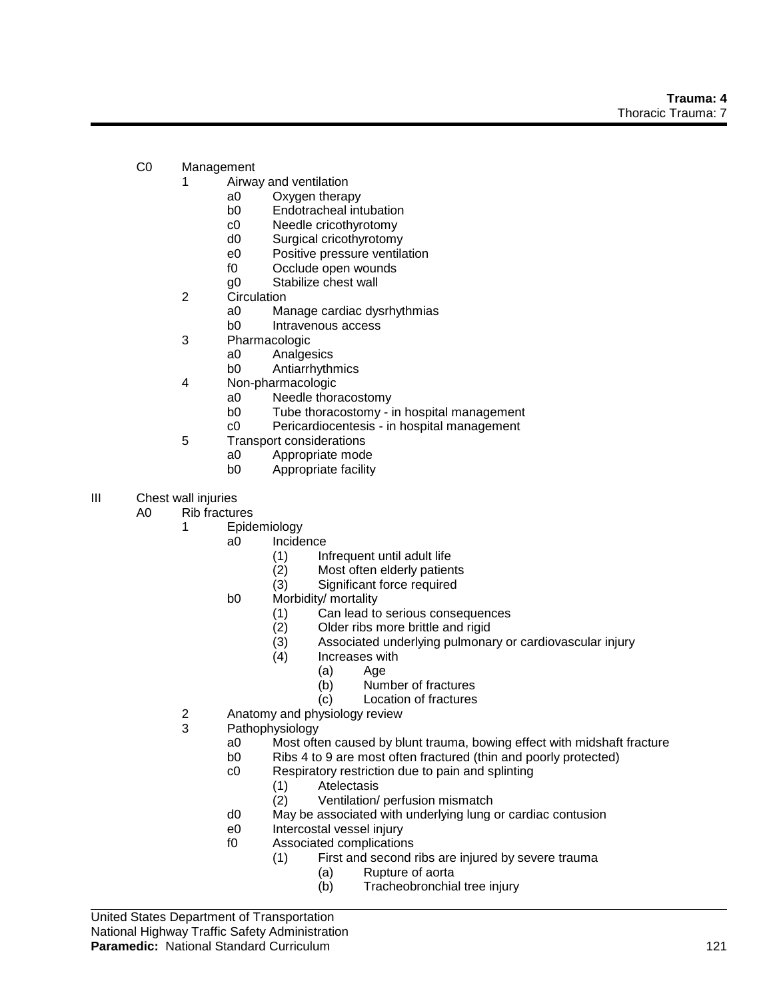- C0 Management
	- 1 Airway and ventilation
		- a0 Oxygen therapy
		- b0 Endotracheal intubation
		- c0 Needle cricothyrotomy
		- d0 Surgical cricothyrotomy
		- e0 Positive pressure ventilation
		- f0 Occlude open wounds
		- g0 Stabilize chest wall
	- 2 Circulation
		- a0 Manage cardiac dysrhythmias
		- b0 Intravenous access
	- 3 Pharmacologic
		- a0 Analgesics<br>b0 Antiarrhvthi
		- Antiarrhythmics
	- 4 Non-pharmacologic
		- a0 Needle thoracostomy
		- b0 Tube thoracostomy in hospital management
		- c0 Pericardiocentesis in hospital management
	- 5 Transport considerations
		- a0 Appropriate mode
		- b0 Appropriate facility
- III Chest wall injuries
	- A0 Rib fractures
		- 1 Epidemiology
			- a0 Incidence
				- (1) Infrequent until adult life
				- (2) Most often elderly patients
				- (3) Significant force required
			- b0 Morbidity/ mortality
				- (1) Can lead to serious consequences
				- (2) Older ribs more brittle and rigid
				- (3) Associated underlying pulmonary or cardiovascular injury
				- (4) Increases with
					- (a) Age
					- (b) Number of fractures
					- (c) Location of fractures
		- 2 Anatomy and physiology review<br>3 Pathophysiology
			- Pathophysiology
				- a0 Most often caused by blunt trauma, bowing effect with midshaft fracture
				- b0 Ribs 4 to 9 are most often fractured (thin and poorly protected)
				- c0 Respiratory restriction due to pain and splinting
					- (1) Atelectasis
					- (2) Ventilation/ perfusion mismatch
				- d0 May be associated with underlying lung or cardiac contusion
				- e0 Intercostal vessel injury
				- f0 Associated complications
					- (1) First and second ribs are injured by severe trauma
						- (a) Rupture of aorta
						- (b) Tracheobronchial tree injury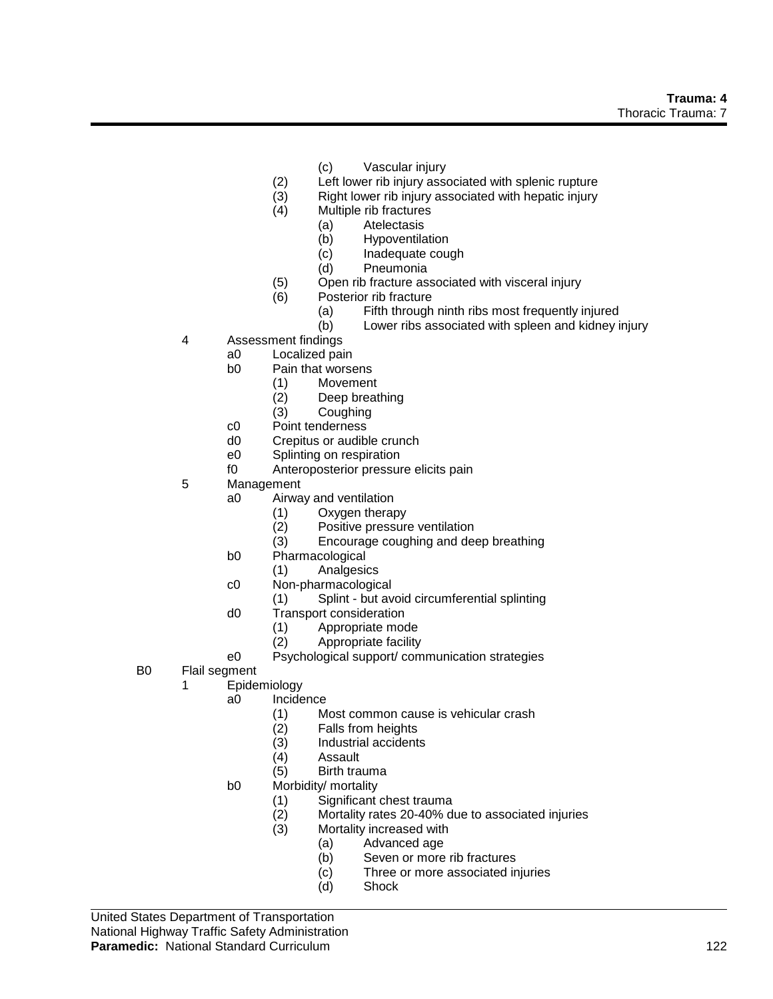- (c) Vascular injury
- (2) Left lower rib injury associated with splenic rupture
- (3) Right lower rib injury associated with hepatic injury
- (4) Multiple rib fractures
	- (a) Atelectasis
	- (b) Hypoventilation
	- (c) Inadequate cough
	- (d) Pneumonia
- (5) Open rib fracture associated with visceral injury
- (6) Posterior rib fracture
	- (a) Fifth through ninth ribs most frequently injured
	- (b) Lower ribs associated with spleen and kidney injury
- 4 Assessment findings
	- a0 Localized pain<br>b0 Pain that worse
		- Pain that worsens
			- (1) Movement
			- (2) Deep breathing<br>(3) Coughing
			- Coughing
	- c0 Point tenderness
	- d0 Crepitus or audible crunch
	- e0 Splinting on respiration
	- f0 Anteroposterior pressure elicits pain
- 5 Management
	- a0 Airway and ventilation
		- (1) Oxygen therapy
		- (2) Positive pressure ventilation<br>(3) Encourage coughing and deal
		- Encourage coughing and deep breathing
	- b0 Pharmacological
		- (1) Analgesics
	- c0 Non-pharmacological
		- (1) Splint but avoid circumferential splinting
	- d0 Transport consideration
		- (1) Appropriate mode
		- (2) Appropriate facility
	- e0 Psychological support/ communication strategies
- B0 Flail segment
	- 1 Epidemiology
		- a0 Incidence
			- (1) Most common cause is vehicular crash
			- Falls from heights
			- (3) Industrial accidents<br>(4) Assault
			- (4) Assault<br>(5) Birth tra
			- Birth trauma
		- b0 Morbidity/ mortality
			- (1) Significant chest trauma
			- (2) Mortality rates 20-40% due to associated injuries
			- (3) Mortality increased with
				- (a) Advanced age
					- (b) Seven or more rib fractures
					- (c) Three or more associated injuries
					- (d) Shock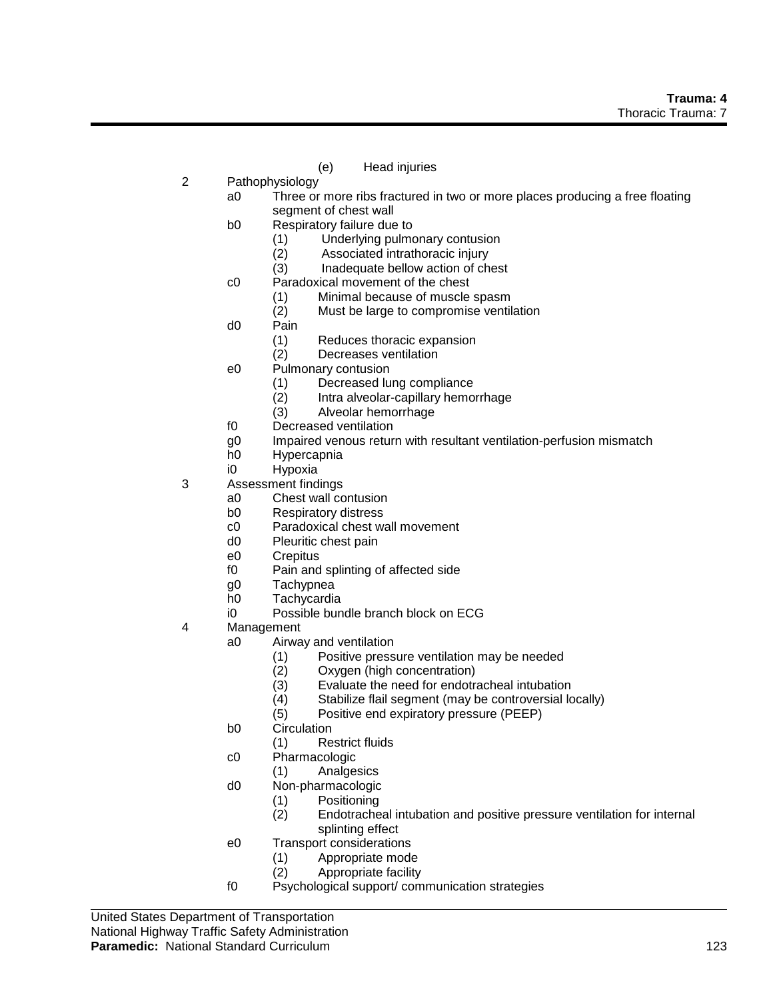- (e) Head injuries
- 2 Pathophysiology
	- a0 Three or more ribs fractured in two or more places producing a free floating segment of chest wall
	- b0 Respiratory failure due to
		- (1) Underlying pulmonary contusion
		- (2) Associated intrathoracic injury
		- (3) Inadequate bellow action of chest
	- c0 Paradoxical movement of the chest
		- (1) Minimal because of muscle spasm
		- (2) Must be large to compromise ventilation
	- d0 Pain
		- (1) Reduces thoracic expansion
		- (2) Decreases ventilation
	- e0 Pulmonary contusion
		- (1) Decreased lung compliance
		- (2) Intra alveolar-capillary hemorrhage<br>(3) Alveolar hemorrhage
		- Alveolar hemorrhage
	- f0 Decreased ventilation
	- g0 Impaired venous return with resultant ventilation-perfusion mismatch
	- h0 Hypercapnia
	- i0 Hypoxia
- 3 Assessment findings
	- a0 Chest wall contusion
	- b0 Respiratory distress
	- c0 Paradoxical chest wall movement<br>d0 Pleuritic chest pain
	- Pleuritic chest pain
	- e0 Crepitus
	- f0 Pain and splinting of affected side
	- g0 Tachypnea
	- h0 Tachycardia
	- i0 Possible bundle branch block on ECG
- 4 Management
	- a0 Airway and ventilation
		- (1) Positive pressure ventilation may be needed
		- (2) Oxygen (high concentration)<br>(3) Evaluate the need for endotra
		- Evaluate the need for endotracheal intubation
		- (4) Stabilize flail segment (may be controversial locally)
		- (5) Positive end expiratory pressure (PEEP)
	- b0 Circulation
		- (1) Restrict fluids
	- c0 Pharmacologic
	- (1) Analgesics
	- d0 Non-pharmacologic
		- (1) Positioning
		- Endotracheal intubation and positive pressure ventilation for internal splinting effect
	- e0 Transport considerations
		- (1) Appropriate mode
		- (2) Appropriate facility
	- f0 Psychological support/ communication strategies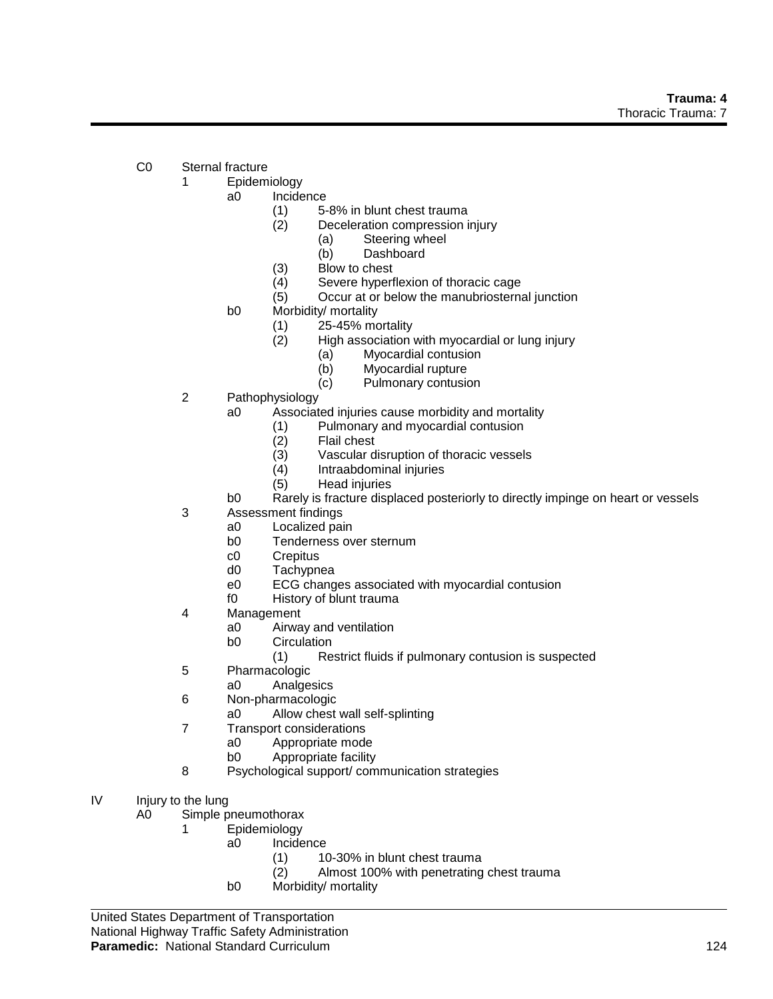- C0 Sternal fracture
	- 1 Epidemiology
		- a0 Incidence
			- (1) 5-8% in blunt chest trauma
			- (2) Deceleration compression injury
				- (a) Steering wheel
				- (b) Dashboard
			- (3) Blow to chest
			- (4) Severe hyperflexion of thoracic cage
			- (5) Occur at or below the manubriosternal junction
		- b0 Morbidity/ mortality
			- (1) 25-45% mortality
			- (2) High association with myocardial or lung injury
				- (a) Myocardial contusion
				- (b) Myocardial rupture
				- (c) Pulmonary contusion
	- 2 Pathophysiology
		- a0 Associated injuries cause morbidity and mortality
			- (1) Pulmonary and myocardial contusion
				- (2) Flail chest
				- (3) Vascular disruption of thoracic vessels
				- (4) Intraabdominal injuries
				- (5) Head injuries
		- b0 Rarely is fracture displaced posteriorly to directly impinge on heart or vessels
	- 3 Assessment findings
		- a0 Localized pain
		- b0 Tenderness over sternum
		- c0 Crepitus
		- d0 Tachypnea
		- e0 ECG changes associated with myocardial contusion
		- f0 History of blunt trauma
	- 4 Management
		- a0 Airway and ventilation
		- b0 Circulation
			- (1) Restrict fluids if pulmonary contusion is suspected
	- 5 Pharmacologic
		- a0 Analgesics
	- 6 Non-pharmacologic
		- a0 Allow chest wall self-splinting
	- 7 Transport considerations
		- a0 Appropriate mode
			- b0 Appropriate facility
	- 8 Psychological support/ communication strategies
- IV Injury to the lung

A0 Simple pneumothorax

- 1 Epidemiology
	- a0 Incidence
		- (1) 10-30% in blunt chest trauma
		- (2) Almost 100% with penetrating chest trauma
		- b0 Morbidity/ mortality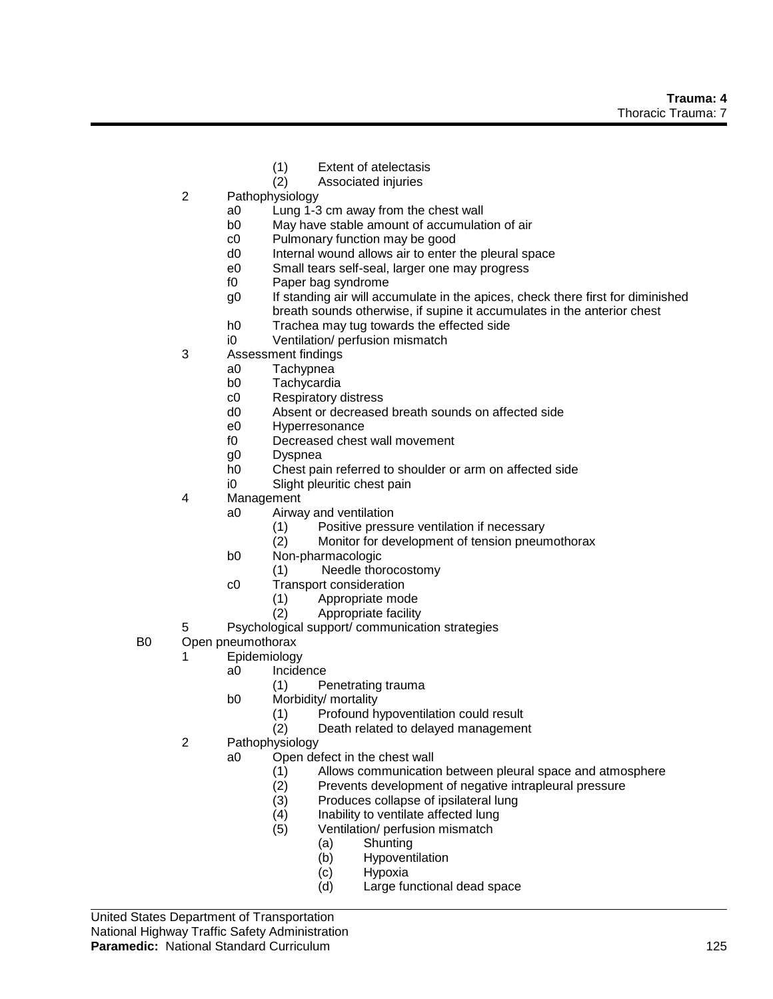- (1) Extent of atelectasis<br>(2) Associated injuries
- Associated injuries
- 2 Pathophysiology
	- a0 Lung 1-3 cm away from the chest wall
	- b0 May have stable amount of accumulation of air
	- c0 Pulmonary function may be good
	- d0 Internal wound allows air to enter the pleural space
	- e0 Small tears self-seal, larger one may progress
	- f0 Paper bag syndrome
	- g0 If standing air will accumulate in the apices, check there first for diminished breath sounds otherwise, if supine it accumulates in the anterior chest
	- h0 Trachea may tug towards the effected side
	- i0 Ventilation/ perfusion mismatch
- 3 Assessment findings
	- a0 Tachypnea
	- b0 Tachycardia
	- c0 Respiratory distress
	- d0 Absent or decreased breath sounds on affected side
	- e0 Hyperresonance
	- f0 Decreased chest wall movement
	- g0 Dyspnea
	- h0 Chest pain referred to shoulder or arm on affected side
	- i0 Slight pleuritic chest pain
- 4 Management
	- a0 Airway and ventilation
		- (1) Positive pressure ventilation if necessary<br>(2) Monitor for development of tension pneur
		- Monitor for development of tension pneumothorax
	- b0 Non-pharmacologic
		- (1) Needle thorocostomy
	- c0 Transport consideration
		- (1) Appropriate mode
		- (2) Appropriate facility
- 5 Psychological support/ communication strategies
- B0 Open pneumothorax
	- 1 Epidemiology
		- a0 Incidence
			- (1) Penetrating trauma
			- b0 Morbidity/ mortality
				- (1) Profound hypoventilation could result<br>(2) Death related to delayed managemen
					- Death related to delayed management
	- 2 Pathophysiology
		- a0 Open defect in the chest wall
			- (1) Allows communication between pleural space and atmosphere
			- (2) Prevents development of negative intrapleural pressure
			- (3) Produces collapse of ipsilateral lung
			- (4) Inability to ventilate affected lung
			- (5) Ventilation/ perfusion mismatch
				- (a) Shunting
				- (b) Hypoventilation
				- (c) Hypoxia
				- (d) Large functional dead space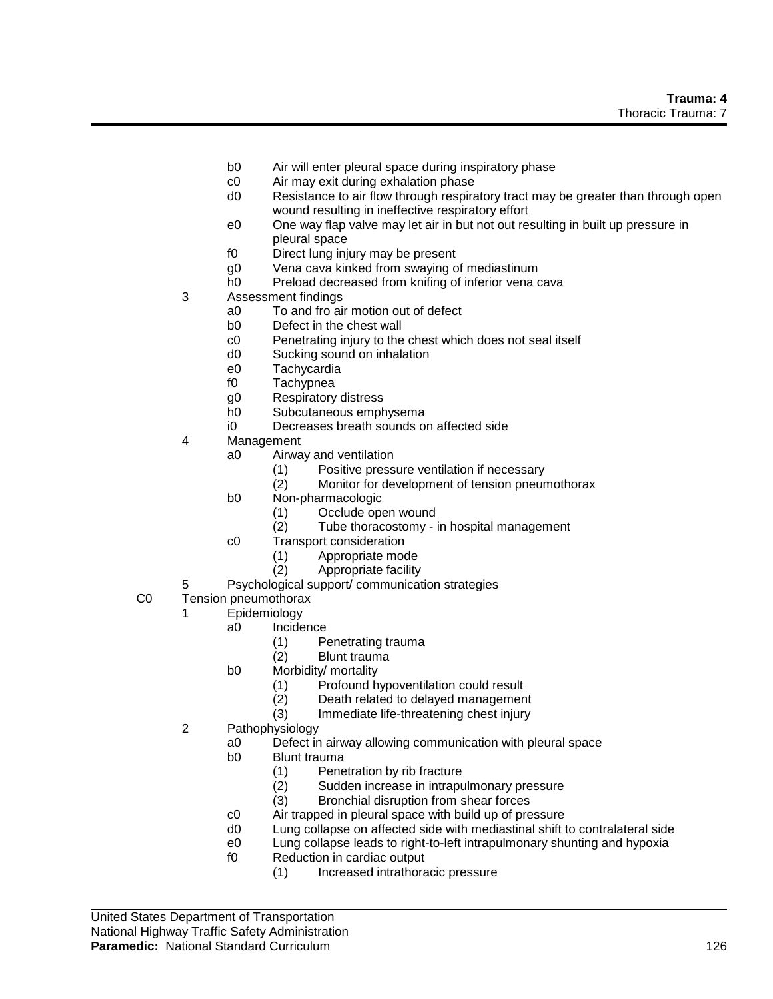- b0 Air will enter pleural space during inspiratory phase
- c0 Air may exit during exhalation phase
- d0 Resistance to air flow through respiratory tract may be greater than through open wound resulting in ineffective respiratory effort
- e0 One way flap valve may let air in but not out resulting in built up pressure in pleural space
- f0 Direct lung injury may be present
- g0 Vena cava kinked from swaying of mediastinum
- h0 Preload decreased from knifing of inferior vena cava
- 3 Assessment findings
	- a0 To and fro air motion out of defect
	- b0 Defect in the chest wall
	- c0 Penetrating injury to the chest which does not seal itself
	- d0 Sucking sound on inhalation
	- e0 Tachycardia
	- f0 Tachypnea
	- g0 Respiratory distress
	- h0 Subcutaneous emphysema
	- i0 Decreases breath sounds on affected side
- 4 Management
	- a0 Airway and ventilation
		- (1) Positive pressure ventilation if necessary
		- (2) Monitor for development of tension pneumothorax
	- b0 Non-pharmacologic
		- (1) Occlude open wound
		- (2) Tube thoracostomy in hospital management
		- c0 Transport consideration
			- (1) Appropriate mode
			- (2) Appropriate facility
- 5 Psychological support/ communication strategies
- C0 Tension pneumothorax
	- 1 Epidemiology
		- a0 Incidence
			- (1) Penetrating trauma
			- (2) Blunt trauma
		- b0 Morbidity/ mortality
			- (1) Profound hypoventilation could result
			- (2) Death related to delayed management
			- (3) Immediate life-threatening chest injury
	- 2 Pathophysiology
		- a0 Defect in airway allowing communication with pleural space
		- b0 Blunt trauma
			- (1) Penetration by rib fracture
			- (2) Sudden increase in intrapulmonary pressure
			- (3) Bronchial disruption from shear forces
		- c0 Air trapped in pleural space with build up of pressure
		- d0 Lung collapse on affected side with mediastinal shift to contralateral side
		- e0 Lung collapse leads to right-to-left intrapulmonary shunting and hypoxia
		- f0 Reduction in cardiac output
			- (1) Increased intrathoracic pressure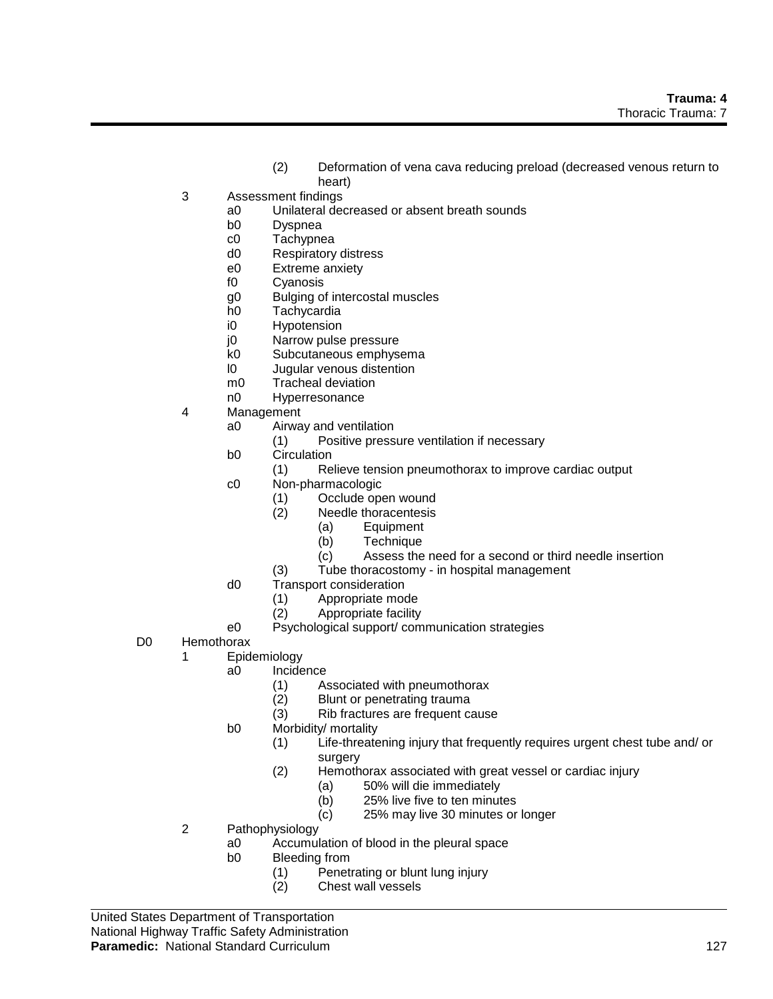- (2) Deformation of vena cava reducing preload (decreased venous return to heart)
- 3 Assessment findings
	- a0 Unilateral decreased or absent breath sounds
	- b0 Dyspnea
	- c0 Tachypnea
	- d0 Respiratory distress
	- e0 Extreme anxiety
	- f0 Cyanosis
	- g0 Bulging of intercostal muscles
	- h0 Tachycardia
	- i0 Hypotension
	- j0 Narrow pulse pressure<br>k0 Subcutaneous emphys
	- Subcutaneous emphysema
	- l0 Jugular venous distention
	- m0 Tracheal deviation
	- n0 Hyperresonance
- 4 Management
	- a0 Airway and ventilation
		- (1) Positive pressure ventilation if necessary
	- b0 Circulation
		- (1) Relieve tension pneumothorax to improve cardiac output
	- c0 Non-pharmacologic
		- (1) Occlude open wound
			- (2) Needle thoracentesis
				-
				- (a) Equipment<br>(b) Technique **Technique**
				- (c) Assess the need for a second or third needle insertion
			- (3) Tube thoracostomy in hospital management
	- d0 Transport consideration
		- (1) Appropriate mode
		- (2) Appropriate facility
	- e0 Psychological support/ communication strategies
- D0 Hemothorax
	- 1 Epidemiology
		- a0 Incidence
			- (1) Associated with pneumothorax
			- (2) Blunt or penetrating trauma
			- (3) Rib fractures are frequent cause
		- b0 Morbidity/ mortality
			- (1) Life-threatening injury that frequently requires urgent chest tube and/ or surgery
			- (2) Hemothorax associated with great vessel or cardiac injury
				- (a) 50% will die immediately
				- (b) 25% live five to ten minutes
				- (c) 25% may live 30 minutes or longer
	- 2 Pathophysiology
		- a0 Accumulation of blood in the pleural space
		- b0 Bleeding from
			- (1) Penetrating or blunt lung injury
			- (2) Chest wall vessels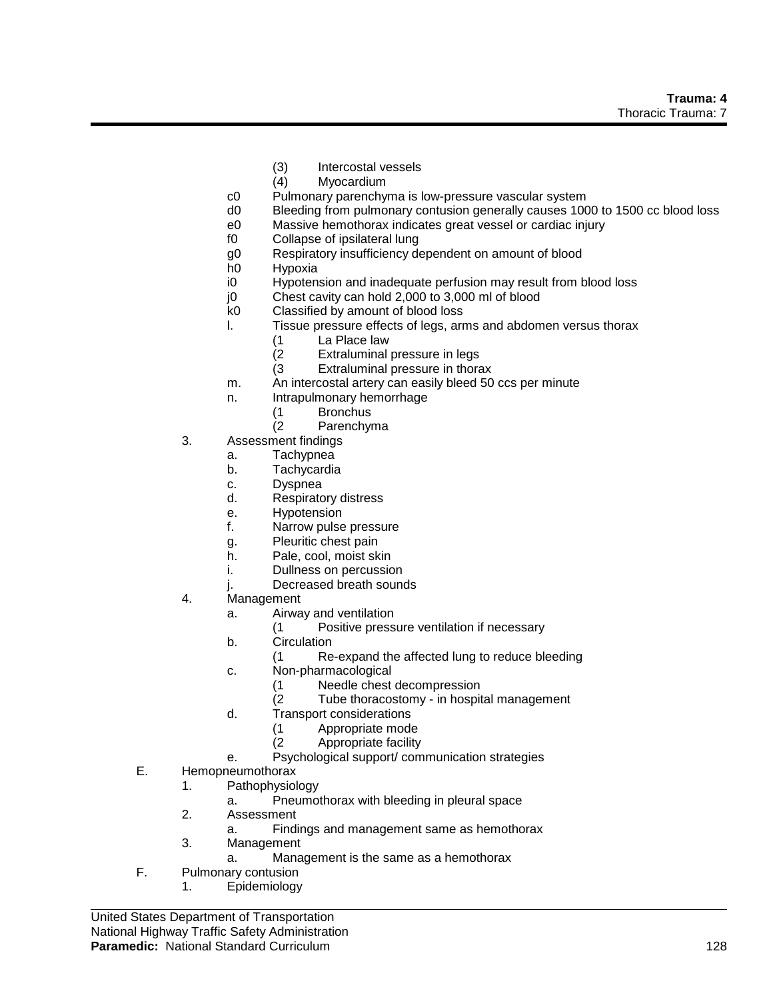- (3) Intercostal vessels<br>(4) Myocardium
- **Myocardium**
- c0 Pulmonary parenchyma is low-pressure vascular system
- d0 Bleeding from pulmonary contusion generally causes 1000 to 1500 cc blood loss
- e0 Massive hemothorax indicates great vessel or cardiac injury
- f0 Collapse of ipsilateral lung
- g0 Respiratory insufficiency dependent on amount of blood
- h0 Hypoxia
- i0 Hypotension and inadequate perfusion may result from blood loss
- j0 Chest cavity can hold 2,000 to 3,000 ml of blood
- k0 Classified by amount of blood loss
- l. Tissue pressure effects of legs, arms and abdomen versus thorax
	- (1 La Place law
	- Extraluminal pressure in legs
	- (3 Extraluminal pressure in thorax
- m. An intercostal artery can easily bleed 50 ccs per minute
- n. Intrapulmonary hemorrhage
	- (1 Bronchus
	- (2 Parenchyma
- 3. Assessment findings
	- a. Tachypnea
	- b. Tachycardia
	- c. Dyspnea
	- d. Respiratory distress
	- e. Hypotension
	- f. Narrow pulse pressure
	- g. Pleuritic chest pain
	- h. Pale, cool, moist skin
	- i. Dullness on percussion
	- j. Decreased breath sounds
- 4. Management
	- a. Airway and ventilation
		- (1 Positive pressure ventilation if necessary
	- b. Circulation
		- (1 Re-expand the affected lung to reduce bleeding
	- c. Non-pharmacological
		- (1 Needle chest decompression
		- (2 Tube thoracostomy in hospital management
	- d. Transport considerations
		- (1 Appropriate mode
		- (2 Appropriate facility
	- e. Psychological support/ communication strategies
- E. Hemopneumothorax
	- 1. Pathophysiology
		- a. Pneumothorax with bleeding in pleural space
	- 2. Assessment
		- a. Findings and management same as hemothorax
	- 3. Management
		- a. Management is the same as a hemothorax
- F. Pulmonary contusion
	- 1. Epidemiology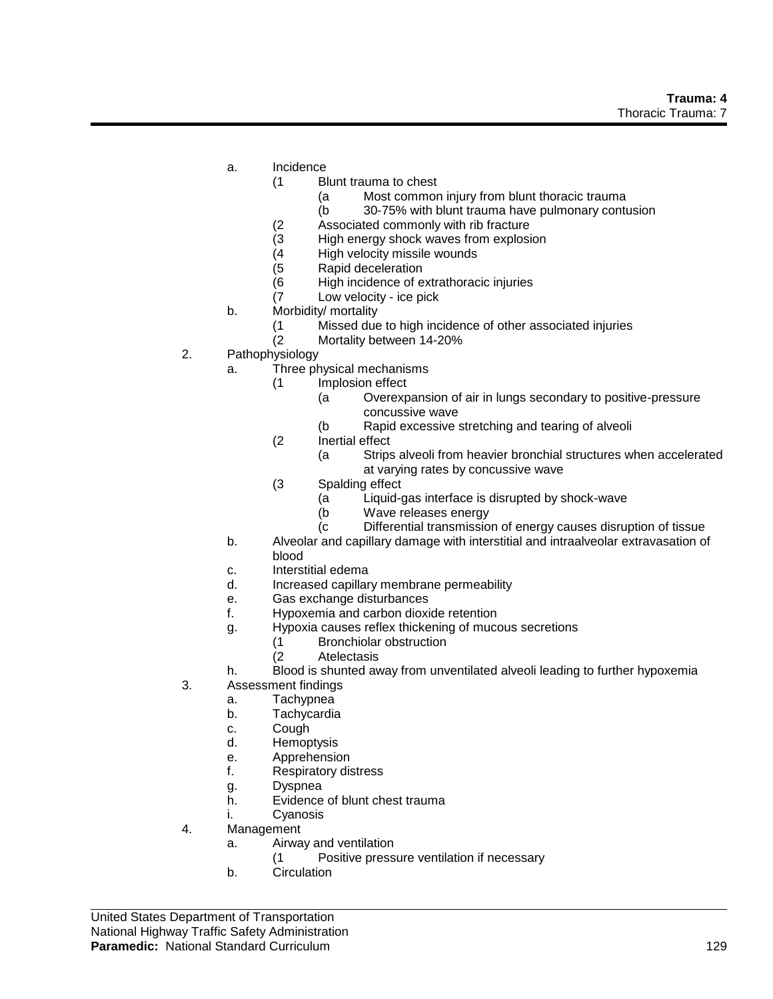- a. Incidence
	- (1 Blunt trauma to chest
		- (a Most common injury from blunt thoracic trauma
		- (b 30-75% with blunt trauma have pulmonary contusion
	- (2 Associated commonly with rib fracture
	- (3 High energy shock waves from explosion
	- (4 High velocity missile wounds
	- (5 Rapid deceleration
	- (6 High incidence of extrathoracic injuries
	- (7 Low velocity ice pick
- b. Morbidity/ mortality
	- (1 Missed due to high incidence of other associated injuries
	- (2 Mortality between 14-20%
- 2. Pathophysiology
	- a. Three physical mechanisms
		- (1 Implosion effect
			- (a Overexpansion of air in lungs secondary to positive-pressure concussive wave
			- (b Rapid excessive stretching and tearing of alveoli
		- (2 Inertial effect
			- (a Strips alveoli from heavier bronchial structures when accelerated at varying rates by concussive wave
		- (3 Spalding effect
			- (a Liquid-gas interface is disrupted by shock-wave
			- (b Wave releases energy
			- (c Differential transmission of energy causes disruption of tissue
	- b. Alveolar and capillary damage with interstitial and intraalveolar extravasation of blood
	- c. Interstitial edema
	- d. Increased capillary membrane permeability
	- e. Gas exchange disturbances
	- f. Hypoxemia and carbon dioxide retention
	- g. Hypoxia causes reflex thickening of mucous secretions
		- (1 Bronchiolar obstruction
		- (2 Atelectasis
	- h. Blood is shunted away from unventilated alveoli leading to further hypoxemia
- 3. Assessment findings
	- a. Tachypnea
		- b. Tachycardia
		- c. Cough
		- d. Hemoptysis
		- e. Apprehension
		- f. Respiratory distress
		- g. Dyspnea
		- h. Evidence of blunt chest trauma
	- i. Cyanosis
- 4. Management
	- a. Airway and ventilation
		- (1 Positive pressure ventilation if necessary
	- b. Circulation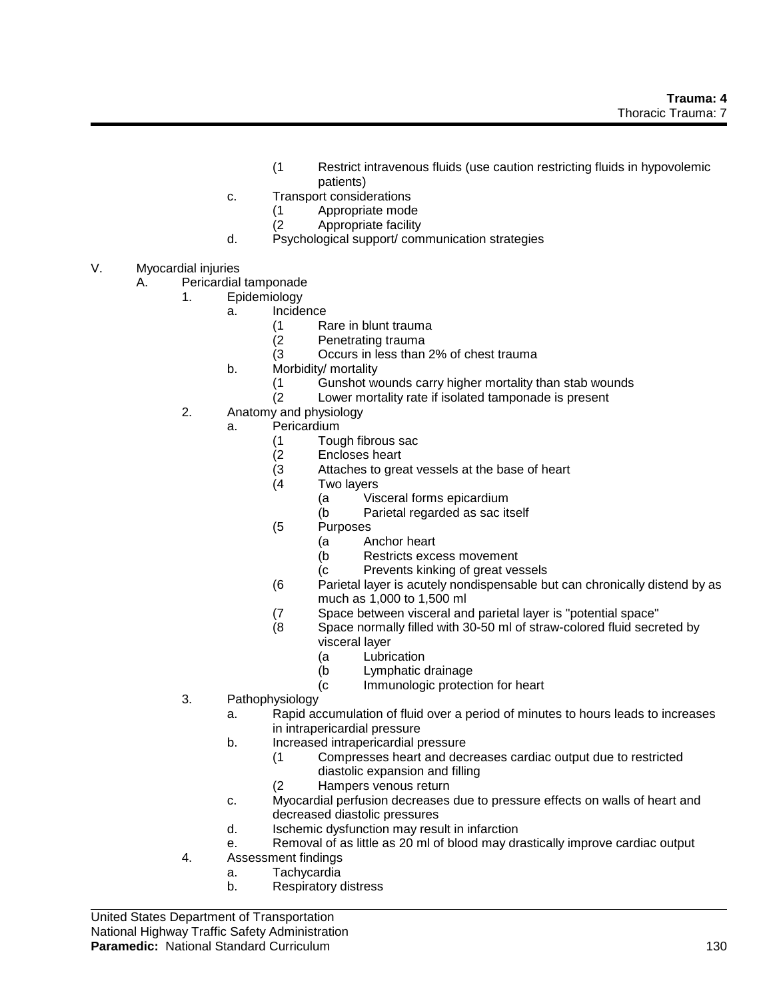- (1 Restrict intravenous fluids (use caution restricting fluids in hypovolemic patients)
- c. Transport considerations
	- (1 Appropriate mode
	- Appropriate facility
- d. Psychological support/ communication strategies
- V. Myocardial injuries
	- A. Pericardial tamponade
		- 1. Epidemiology
			- a. Incidence
				- (1 Rare in blunt trauma
				- (2 Penetrating trauma<br>(3 Occurs in less than
				- Occurs in less than 2% of chest trauma
				- b. Morbidity/ mortality
					- (1 Gunshot wounds carry higher mortality than stab wounds
					- (2 Lower mortality rate if isolated tamponade is present
		- 2. Anatomy and physiology
			- a. Pericardium
				- (1 Tough fibrous sac
				- (2 Encloses heart
				- (3 Attaches to great vessels at the base of heart
				- (4 Two layers
					- (a Visceral forms epicardium
					- (b Parietal regarded as sac itself
				- (5 Purposes
					- (a Anchor heart
					- (b Restricts excess movement
					- (c Prevents kinking of great vessels
				- (6 Parietal layer is acutely nondispensable but can chronically distend by as much as 1,000 to 1,500 ml
				- (7 Space between visceral and parietal layer is "potential space"
				- (8 Space normally filled with 30-50 ml of straw-colored fluid secreted by visceral layer
					- (a Lubrication
					- (b Lymphatic drainage
					- (c Immunologic protection for heart
		- 3. Pathophysiology
			- a. Rapid accumulation of fluid over a period of minutes to hours leads to increases in intrapericardial pressure
			- b. Increased intrapericardial pressure
				- (1 Compresses heart and decreases cardiac output due to restricted diastolic expansion and filling
					- (2 Hampers venous return
			- c. Myocardial perfusion decreases due to pressure effects on walls of heart and decreased diastolic pressures
			- d. Ischemic dysfunction may result in infarction
			- e. Removal of as little as 20 ml of blood may drastically improve cardiac output
		- 4. Assessment findings
			- a. Tachycardia
			- b. Respiratory distress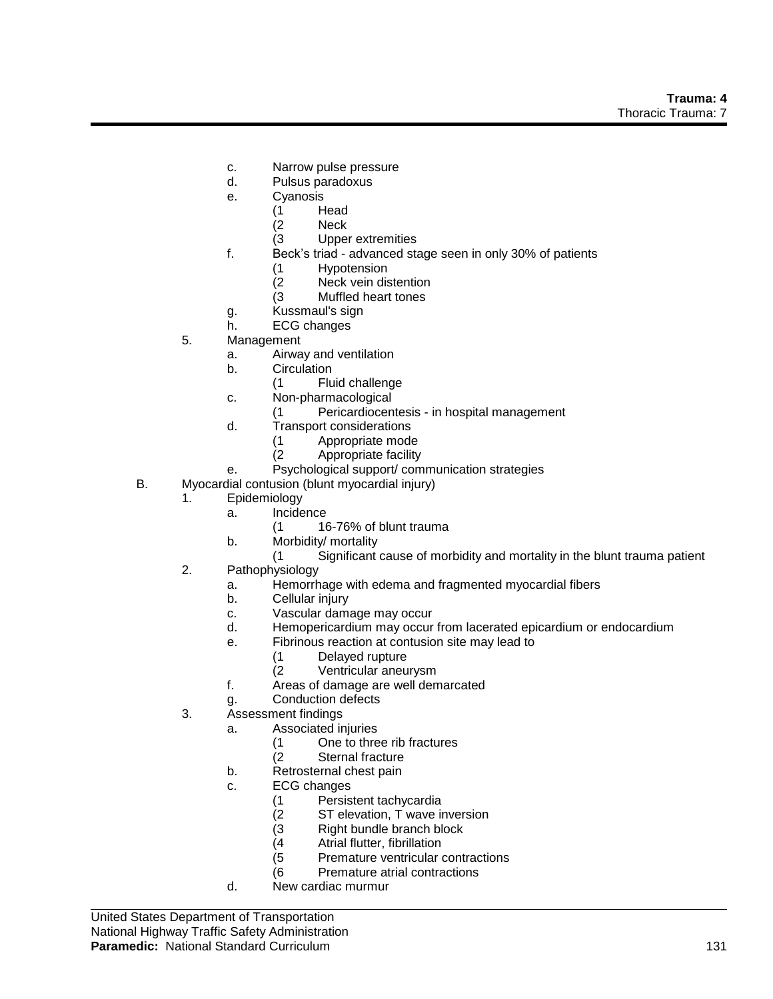- c. Narrow pulse pressure
- d. Pulsus paradoxus
- e. Cyanosis
	- (1 Head<br>(2 Neck
	- Neck
	- (3 Upper extremities
- f. Beck's triad advanced stage seen in only 30% of patients
	- (1 Hypotension
	- (2 Neck vein distention
	- (3 Muffled heart tones
- g. Kussmaul's sign
- h. ECG changes
- 5. Management
	- a. Airway and ventilation
	- b. Circulation
		- (1 Fluid challenge
	- c. Non-pharmacological
		- (1 Pericardiocentesis in hospital management
	- d. Transport considerations
		- (1 Appropriate mode
		- (2 Appropriate facility
	- e. Psychological support/ communication strategies
- B. Myocardial contusion (blunt myocardial injury)
	- 1. Epidemiology
		- a. Incidence
			- (1 16-76% of blunt trauma
		- b. Morbidity/ mortality
			- (1 Significant cause of morbidity and mortality in the blunt trauma patient
	- 2. Pathophysiology
		- a. Hemorrhage with edema and fragmented myocardial fibers
		- b. Cellular injury
		- c. Vascular damage may occur
		- d. Hemopericardium may occur from lacerated epicardium or endocardium
		- e. Fibrinous reaction at contusion site may lead to
			- (1 Delayed rupture
			- (2 Ventricular aneurysm
		- f. Areas of damage are well demarcated
		- g. Conduction defects
	- 3. Assessment findings
		- a. Associated injuries
			- (1 One to three rib fractures
			- (2 Sternal fracture
		- b. Retrosternal chest pain
		- c. ECG changes
			- (1 Persistent tachycardia
			- ST elevation, T wave inversion
			- (3 Right bundle branch block
			-
			- $(4$  Atrial flutter, fibrillation<br>(5 Premature ventricular Premature ventricular contractions
			- (6 Premature atrial contractions
		- d. New cardiac murmur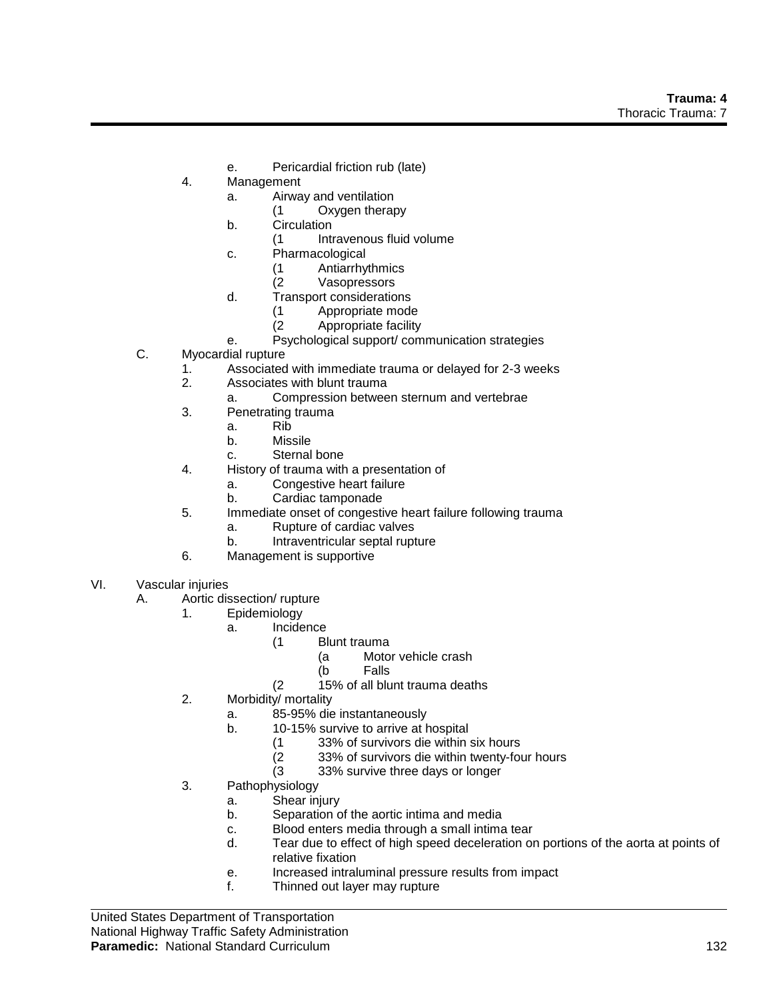- e. Pericardial friction rub (late)
- 4. Management
	- a. Airway and ventilation
		- (1 Oxygen therapy
	- b. Circulation
		- (1 Intravenous fluid volume
	- c. Pharmacological
		- (1 Antiarrhythmics
		- (2 Vasopressors
	- d. Transport considerations
		- (1 Appropriate mode
		- (2 Appropriate facility
	- e. Psychological support/ communication strategies
- C. Myocardial rupture
	- 1. Associated with immediate trauma or delayed for 2-3 weeks
	- 2. Associates with blunt trauma
		- a. Compression between sternum and vertebrae
	- 3. Penetrating trauma
		- a. Rib
		- b. Missile
		- c. Sternal bone
	- 4. History of trauma with a presentation of
		- a. Congestive heart failure
		- b. Cardiac tamponade
	- 5. Immediate onset of congestive heart failure following trauma
		- a. Rupture of cardiac valves
		- b. Intraventricular septal rupture
	- 6. Management is supportive
- VI. Vascular injuries
	- A. Aortic dissection/ rupture
		- 1. Epidemiology
			- a. Incidence
				- (1 Blunt trauma
					- (a Motor vehicle crash
					- (b Falls
				- (2 15% of all blunt trauma deaths
		- 2. Morbidity/ mortality
			- a. 85-95% die instantaneously
			- b. 10-15% survive to arrive at hospital
				- (1 33% of survivors die within six hours
				- $(2 \t 33\%$  of survivors die within twenty-four hours  $(3 \t 33\%$  survive three days or longer
				- 33% survive three days or longer
		- 3. Pathophysiology
			- a. Shear injury
			- b. Separation of the aortic intima and media
			- c. Blood enters media through a small intima tear
			- d. Tear due to effect of high speed deceleration on portions of the aorta at points of relative fixation
			- e. Increased intraluminal pressure results from impact
			- f. Thinned out layer may rupture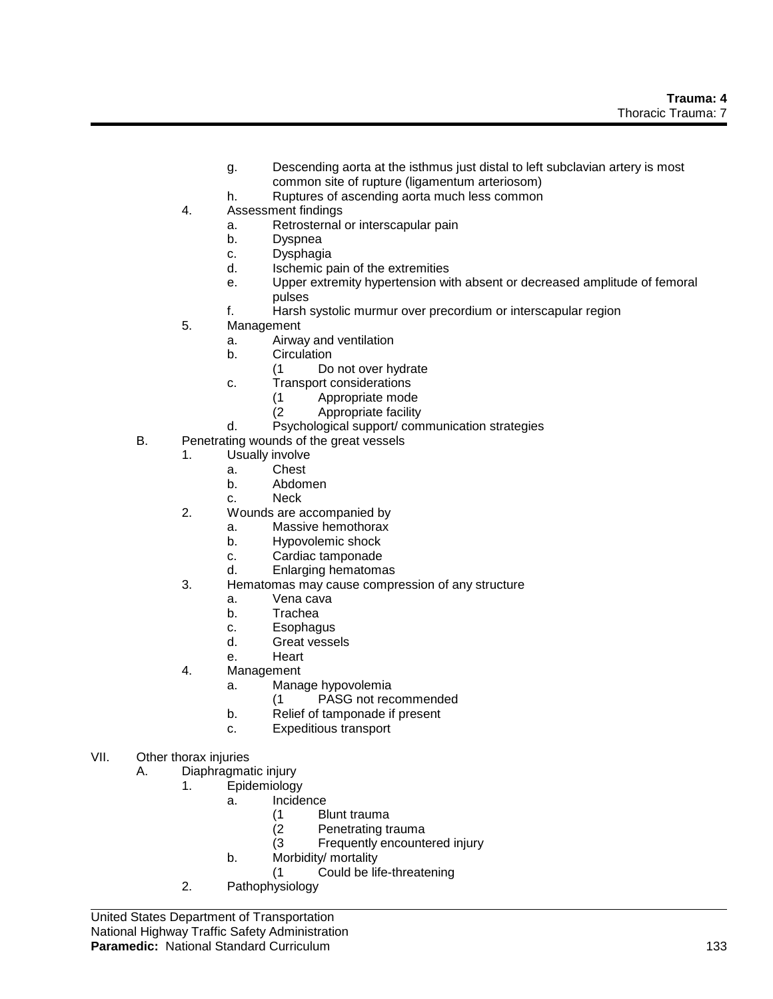- g. Descending aorta at the isthmus just distal to left subclavian artery is most common site of rupture (ligamentum arteriosom)
- h. Ruptures of ascending aorta much less common
- 4. Assessment findings
	- a. Retrosternal or interscapular pain
	- b. Dyspnea
	- c. Dysphagia
	- d. Ischemic pain of the extremities
	- e. Upper extremity hypertension with absent or decreased amplitude of femoral pulses
	- f. Harsh systolic murmur over precordium or interscapular region
- 5. Management
	- a. Airway and ventilation
	- b. Circulation
		- (1 Do not over hydrate
	- c. Transport considerations
		- (1 Appropriate mode
		- Appropriate facility
	- d. Psychological support/ communication strategies
- B. Penetrating wounds of the great vessels
	- 1. Usually involve
		- a. Chest
		- b. Abdomen
		- c. Neck
	- 2. Wounds are accompanied by
		- a. Massive hemothorax
		- b. Hypovolemic shock
		- c. Cardiac tamponade
		- d. Enlarging hematomas
	- 3. Hematomas may cause compression of any structure
		- a. Vena cava
		- b. Trachea
		- c. Esophagus
		- d. Great vessels
		- e. Heart
	- 4. Management
		- a. Manage hypovolemia
			- (1 PASG not recommended
		- b. Relief of tamponade if present
		- c. Expeditious transport
- VII. Other thorax injuries

A. Diaphragmatic injury

- 1. Epidemiology
	- a. Incidence
		- (1 Blunt trauma
		- (2 Penetrating trauma
		- (3 Frequently encountered injury
		- b. Morbidity/ mortality
			- (1 Could be life-threatening
- 2. Pathophysiology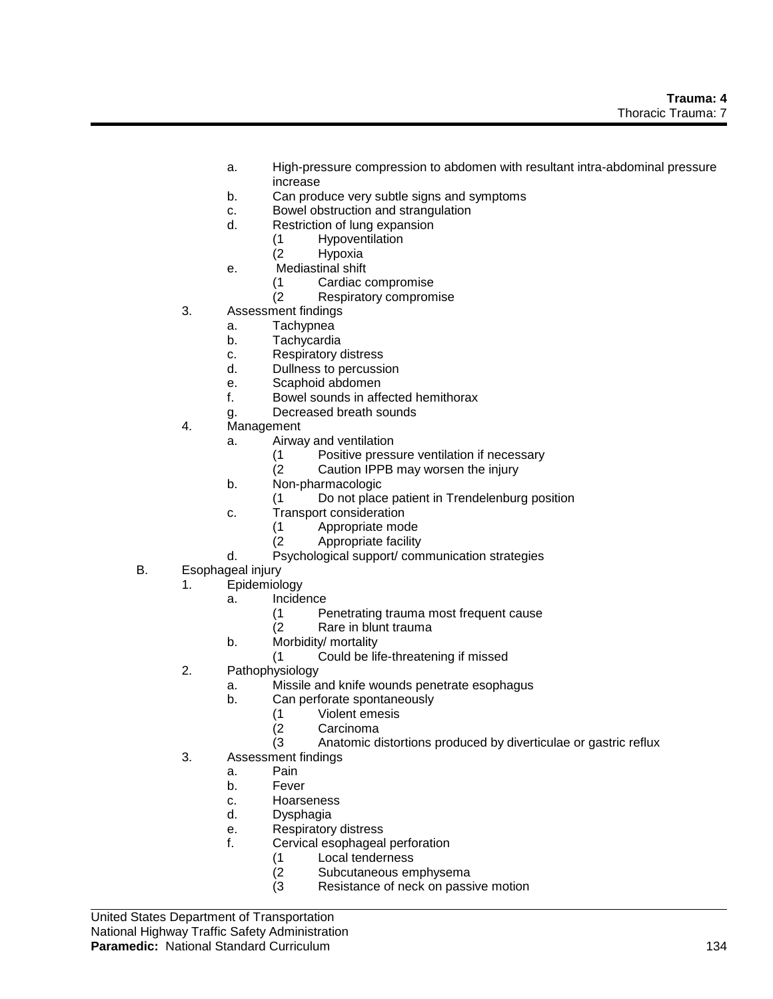- a. High-pressure compression to abdomen with resultant intra-abdominal pressure increase
- b. Can produce very subtle signs and symptoms
- c. Bowel obstruction and strangulation
- d. Restriction of lung expansion
	- (1 Hypoventilation
	- (2 Hypoxia
- e. Mediastinal shift
	- (1 Cardiac compromise
	- (2 Respiratory compromise
- 3. Assessment findings
	- a. Tachypnea
	- b. Tachycardia
	- c. Respiratory distress
	- d. Dullness to percussion
	- e. Scaphoid abdomen
	- f. Bowel sounds in affected hemithorax
	- g. Decreased breath sounds
- 4. Management
	- a. Airway and ventilation
		- (1 Positive pressure ventilation if necessary
		- (2 Caution IPPB may worsen the injury
	- b. Non-pharmacologic
		- (1 Do not place patient in Trendelenburg position
	- c. Transport consideration
		- (1 Appropriate mode<br>(2 Appropriate facility
		- Appropriate facility
	- d. Psychological support/ communication strategies
- B. Esophageal injury
	- 1. Epidemiology
		- a. Incidence
			- (1 Penetrating trauma most frequent cause
			- (2 Rare in blunt trauma
		- b. Morbidity/ mortality
			- (1 Could be life-threatening if missed
	- 2. Pathophysiology
		- a. Missile and knife wounds penetrate esophagus
		- b. Can perforate spontaneously
			- (1 Violent emesis
			- **Carcinoma**
			- (3 Anatomic distortions produced by diverticulae or gastric reflux
	- 3. Assessment findings
		- a. Pain
		- b. Fever
		- c. Hoarseness
		- d. Dysphagia
		- e. Respiratory distress
		- f. Cervical esophageal perforation
			- (1 Local tenderness
			- (2 Subcutaneous emphysema
			- (3 Resistance of neck on passive motion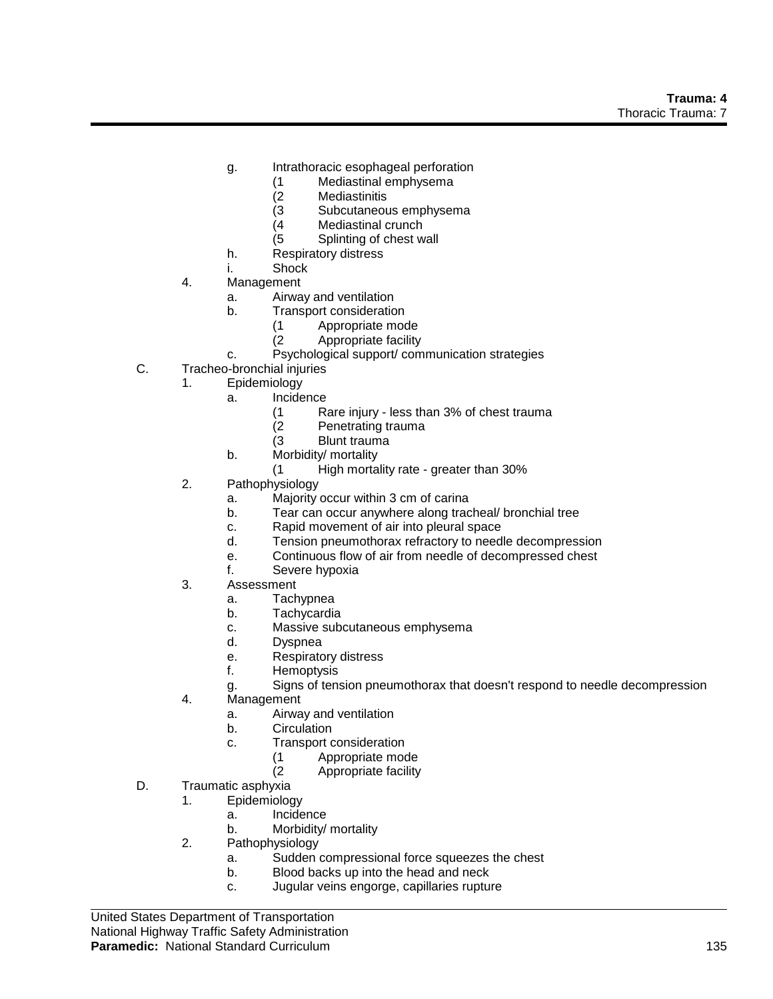- g. Intrathoracic esophageal perforation
	- (1 Mediastinal emphysema
	- **Mediastinitis**
	- (3 Subcutaneous emphysema<br>(4 Mediastinal crunch
	- Mediastinal crunch
	- (5 Splinting of chest wall
- h. Respiratory distress
- i. Shock
- 4. Management
	- a. Airway and ventilation
	- b. Transport consideration
		- (1 Appropriate mode
		- (2 Appropriate facility
	- c. Psychological support/ communication strategies
- C. Tracheo-bronchial injuries
	- 1. Epidemiology
		- a. Incidence
			- (1 Rare injury less than 3% of chest trauma
			- (2 Penetrating trauma
			- (3 Blunt trauma
		- b. Morbidity/ mortality
			- (1 High mortality rate greater than 30%
	- 2. Pathophysiology
		- a. Majority occur within 3 cm of carina
		- b. Tear can occur anywhere along tracheal/ bronchial tree
		- c. Rapid movement of air into pleural space
		- d. Tension pneumothorax refractory to needle decompression
		- e. Continuous flow of air from needle of decompressed chest
		- f. Severe hypoxia
	- 3. Assessment
		- a. Tachypnea
		- b. Tachycardia
		- c. Massive subcutaneous emphysema
		- d. Dyspnea
		- e. Respiratory distress
		- f. Hemoptysis
		- g. Signs of tension pneumothorax that doesn't respond to needle decompression
	- 4. Management
		- a. Airway and ventilation
		- b. Circulation
		- c. Transport consideration
			- (1 Appropriate mode<br>(2 Appropriate facility
				- Appropriate facility
- D. Traumatic asphyxia
	- 1. Epidemiology
		- a. Incidence
		- b. Morbidity/ mortality
	- 2. Pathophysiology
		- a. Sudden compressional force squeezes the chest
		- b. Blood backs up into the head and neck
		- c. Jugular veins engorge, capillaries rupture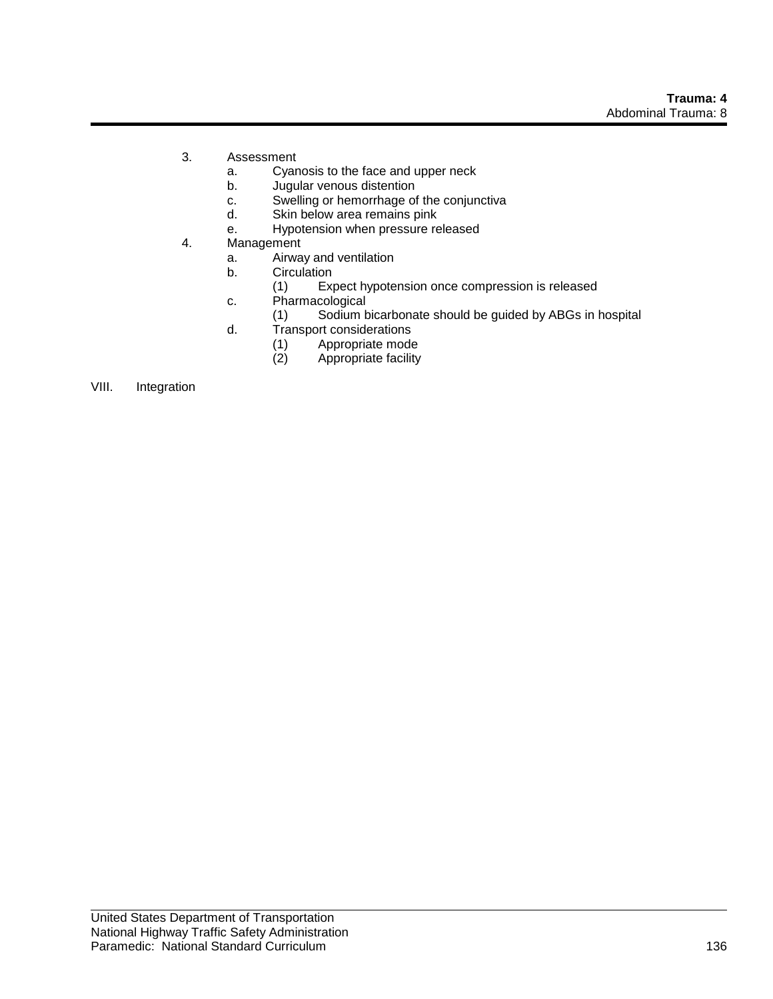- 3. Assessment
	- a. Cyanosis to the face and upper neck
	- b. Jugular venous distention
	- c. Swelling or hemorrhage of the conjunctiva
	- d. Skin below area remains pink
	- e. Hypotension when pressure released
- 4. Management
	- a. Airway and ventilation<br>b. Circulation
	- **Circulation** 
		- (1) Expect hypotension once compression is released
	- c. Pharmacological
		- (1) Sodium bicarbonate should be guided by ABGs in hospital
	- d. Transport considerations
		- (1) Appropriate mode<br>(2) Appropriate facility
		- Appropriate facility

#### VIII. Integration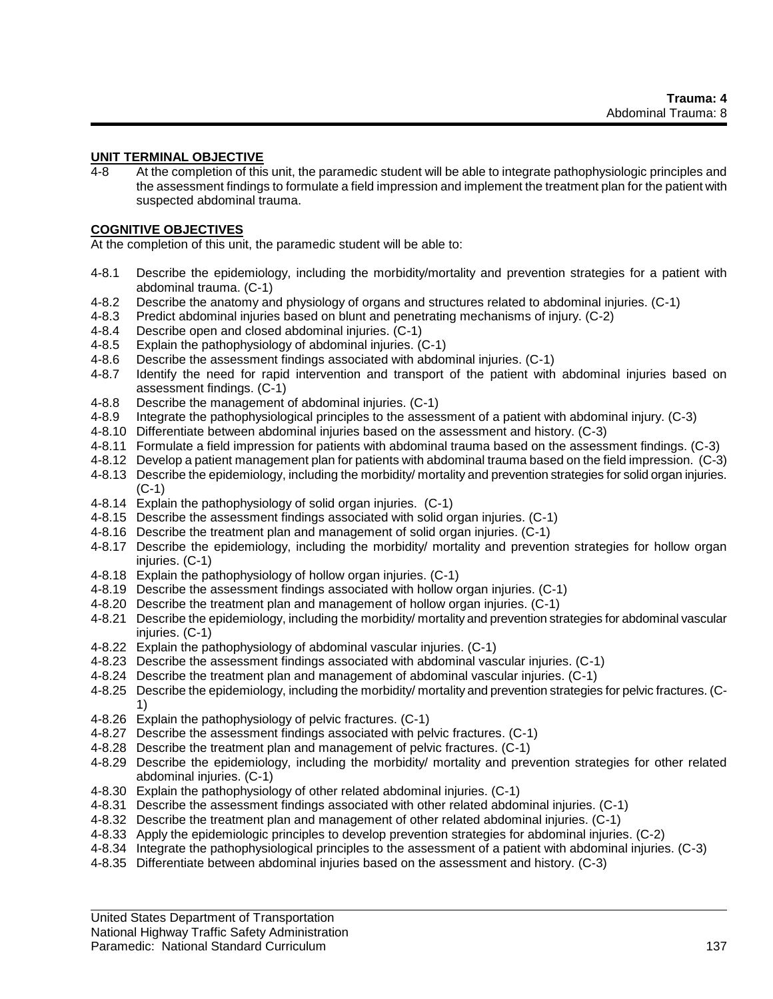#### **UNIT TERMINAL OBJECTIVE**

4-8 At the completion of this unit, the paramedic student will be able to integrate pathophysiologic principles and the assessment findings to formulate a field impression and implement the treatment plan for the patient with suspected abdominal trauma.

#### **COGNITIVE OBJECTIVES**

At the completion of this unit, the paramedic student will be able to:

- 4-8.1 Describe the epidemiology, including the morbidity/mortality and prevention strategies for a patient with abdominal trauma. (C-1)
- 4-8.2 Describe the anatomy and physiology of organs and structures related to abdominal injuries. (C-1)
- 4-8.3 Predict abdominal injuries based on blunt and penetrating mechanisms of injury. (C-2)
- 4-8.4 Describe open and closed abdominal injuries. (C-1)
- 4-8.5 Explain the pathophysiology of abdominal injuries. (C-1)
- 4-8.6 Describe the assessment findings associated with abdominal injuries. (C-1)
- 4-8.7 Identify the need for rapid intervention and transport of the patient with abdominal injuries based on assessment findings. (C-1)
- 4-8.8 Describe the management of abdominal injuries. (C-1)
- 4-8.9 Integrate the pathophysiological principles to the assessment of a patient with abdominal injury. (C-3)
- 4-8.10 Differentiate between abdominal injuries based on the assessment and history. (C-3)
- 4-8.11 Formulate a field impression for patients with abdominal trauma based on the assessment findings. (C-3)
- 4-8.12 Develop a patient management plan for patients with abdominal trauma based on the field impression. (C-3)
- 4-8.13 Describe the epidemiology, including the morbidity/ mortality and prevention strategies for solid organ injuries. (C-1)
- 4-8.14 Explain the pathophysiology of solid organ injuries. (C-1)
- 4-8.15 Describe the assessment findings associated with solid organ injuries. (C-1)
- 4-8.16 Describe the treatment plan and management of solid organ injuries. (C-1)
- 4-8.17 Describe the epidemiology, including the morbidity/ mortality and prevention strategies for hollow organ injuries. (C-1)
- 4-8.18 Explain the pathophysiology of hollow organ injuries. (C-1)
- 4-8.19 Describe the assessment findings associated with hollow organ injuries. (C-1)
- 4-8.20 Describe the treatment plan and management of hollow organ injuries. (C-1)
- 4-8.21 Describe the epidemiology, including the morbidity/ mortality and prevention strategies for abdominal vascular injuries. (C-1)
- 4-8.22 Explain the pathophysiology of abdominal vascular injuries. (C-1)
- 4-8.23 Describe the assessment findings associated with abdominal vascular injuries. (C-1)
- 4-8.24 Describe the treatment plan and management of abdominal vascular injuries. (C-1)
- 4-8.25 Describe the epidemiology, including the morbidity/ mortality and prevention strategies for pelvic fractures. (C-1)
- 4-8.26 Explain the pathophysiology of pelvic fractures. (C-1)
- 4-8.27 Describe the assessment findings associated with pelvic fractures. (C-1)
- 4-8.28 Describe the treatment plan and management of pelvic fractures. (C-1)
- 4-8.29 Describe the epidemiology, including the morbidity/ mortality and prevention strategies for other related abdominal injuries. (C-1)
- 4-8.30 Explain the pathophysiology of other related abdominal injuries. (C-1)
- 4-8.31 Describe the assessment findings associated with other related abdominal injuries. (C-1)
- 4-8.32 Describe the treatment plan and management of other related abdominal injuries. (C-1)
- 4-8.33 Apply the epidemiologic principles to develop prevention strategies for abdominal injuries. (C-2)
- 4-8.34 Integrate the pathophysiological principles to the assessment of a patient with abdominal injuries. (C-3)
- 4-8.35 Differentiate between abdominal injuries based on the assessment and history. (C-3)

United States Department of Transportation

National Highway Traffic Safety Administration

#### Paramedic: National Standard Curriculum 137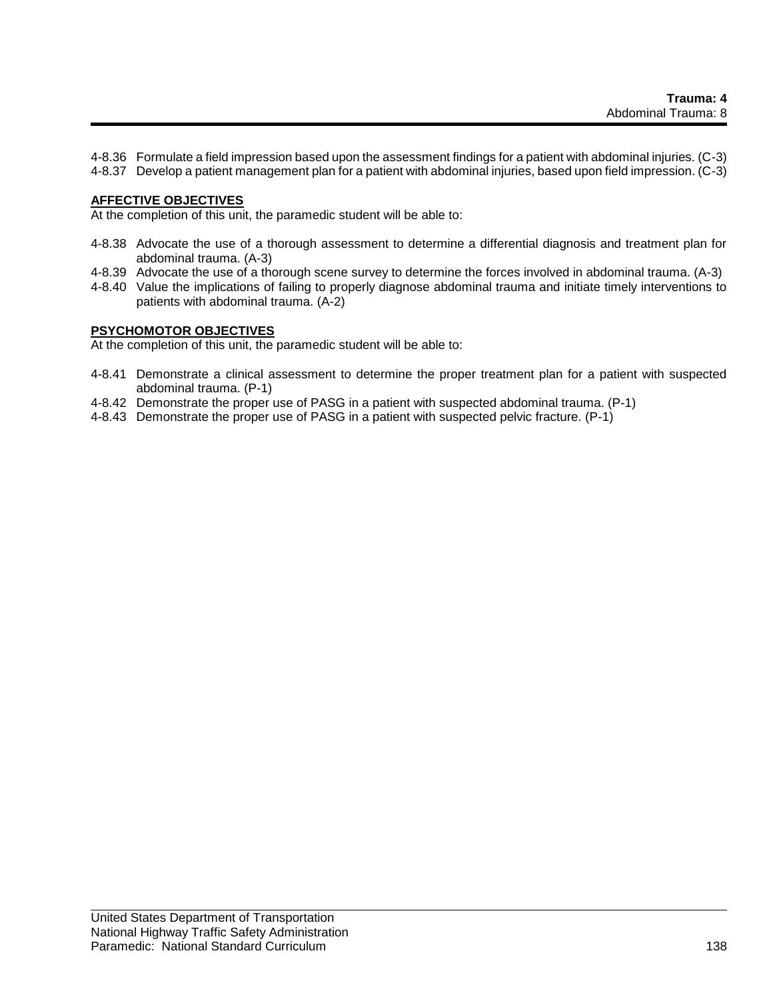4-8.36 Formulate a field impression based upon the assessment findings for a patient with abdominal injuries. (C-3)

4-8.37 Develop a patient management plan for a patient with abdominal injuries, based upon field impression. (C-3)

#### **AFFECTIVE OBJECTIVES**

At the completion of this unit, the paramedic student will be able to:

- 4-8.38 Advocate the use of a thorough assessment to determine a differential diagnosis and treatment plan for abdominal trauma. (A-3)
- 4-8.39 Advocate the use of a thorough scene survey to determine the forces involved in abdominal trauma. (A-3)
- 4-8.40 Value the implications of failing to properly diagnose abdominal trauma and initiate timely interventions to patients with abdominal trauma. (A-2)

#### **PSYCHOMOTOR OBJECTIVES**

At the completion of this unit, the paramedic student will be able to:

- 4-8.41 Demonstrate a clinical assessment to determine the proper treatment plan for a patient with suspected abdominal trauma. (P-1)
- 4-8.42 Demonstrate the proper use of PASG in a patient with suspected abdominal trauma. (P-1)
- 4-8.43 Demonstrate the proper use of PASG in a patient with suspected pelvic fracture. (P-1)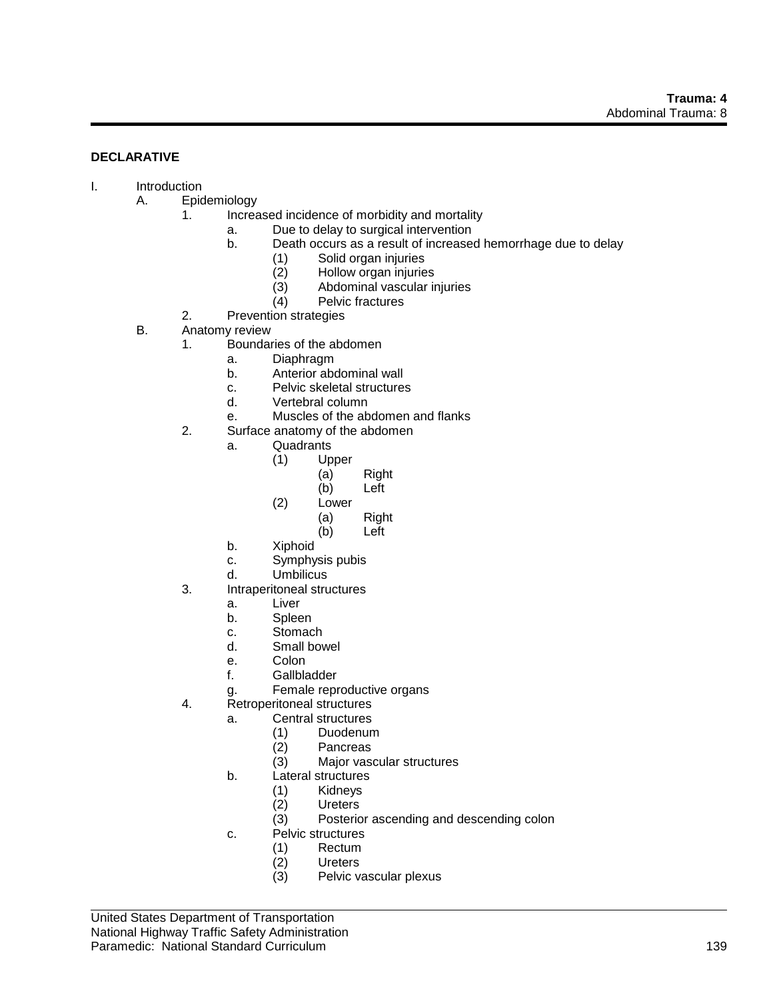#### **DECLARATIVE**

- I. Introduction
	- A. Epidemiology
		- 1. Increased incidence of morbidity and mortality
			- a. Due to delay to surgical intervention
			- b. Death occurs as a result of increased hemorrhage due to delay
				- (1) Solid organ injuries
					- (2) Hollow organ injuries<br>(3) Abdominal vascular in
					- (3) Abdominal vascular injuries
					- Pelvic fractures
		- 2. Prevention strategies
		- B. Anatomy review
			- 1. Boundaries of the abdomen
				- a. Diaphragm
				- b. Anterior abdominal wall
				- c. Pelvic skeletal structures
				- d. Vertebral column
				- e. Muscles of the abdomen and flanks
			- 2. Surface anatomy of the abdomen
				- a. Quadrants
					- (1) Upper
						- (a) Right
							- (b) Left
					- (2) Lower
						- (a) Right
							- (b) Left
				- b. Xiphoid
				- c. Symphysis pubis
				- d. Umbilicus
			- 3. Intraperitoneal structures
				- a. Liver
				- b. Spleen
				- c. Stomach
				- d. Small bowel
				- e. Colon
				- f. Gallbladder
				- g. Female reproductive organs
			- 4. Retroperitoneal structures
				- a. Central structures
					- (1) Duodenum
					- (2) Pancreas
					- (3) Major vascular structures
					- b. Lateral structures
						- (1) Kidneys<br>(2) Ureters
						- **Ureters**
						- (3) Posterior ascending and descending colon
					- c. Pelvic structures
						- (1) Rectum
						- (2) Ureters
						- (3) Pelvic vascular plexus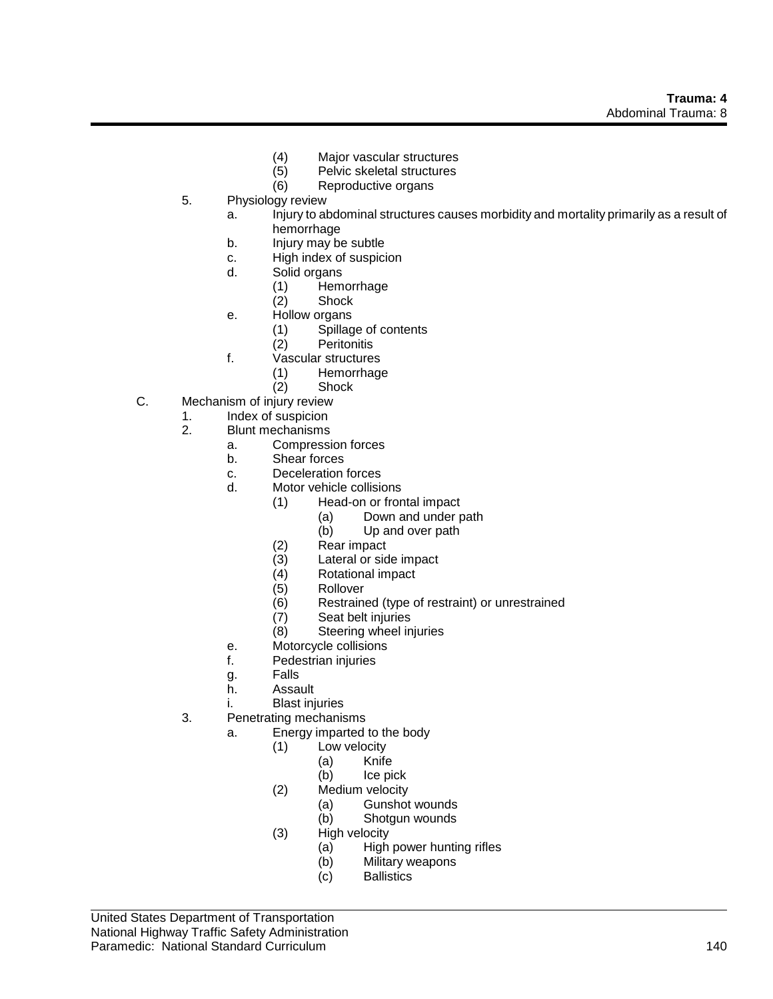- (4) Major vascular structures
	- Pelvic skeletal structures
- (6) Reproductive organs
- 5. Physiology review
	- a. Injury to abdominal structures causes morbidity and mortality primarily as a result of hemorrhage
	- b. Injury may be subtle
	- c. High index of suspicion
	- d. Solid organs
		- (1) Hemorrhage
		- (2) Shock
	- e. Hollow organs
		- (1) Spillage of contents
		- (2) Peritonitis
	- f. Vascular structures
		- (1) Hemorrhage
		- (2) Shock
- C. Mechanism of injury review
	- 1. Index of suspicion
	- 2. Blunt mechanisms
		- a. Compression forces
		- b. Shear forces
		- c. Deceleration forces
		- d. Motor vehicle collisions
			- (1) Head-on or frontal impact
				- (a) Down and under path
				- (b) Up and over path
			- (2) Rear impact
			- (3) Lateral or side impact
			- (4) Rotational impact
			- (5) Rollover
			- (6) Restrained (type of restraint) or unrestrained
			- Seat belt injuries
			- (8) Steering wheel injuries
		- e. Motorcycle collisions
		- f. Pedestrian injuries
		- g. Falls
		- h. Assault
		- i. Blast injuries
	- 3. Penetrating mechanisms
		- a. Energy imparted to the body
			- (1) Low velocity
				- (a) Knife
					- (b) Ice pick
			- (2) Medium velocity
				- (a) Gunshot wounds
				- (b) Shotgun wounds
			- (3) High velocity
				- (a) High power hunting rifles
				- (b) Military weapons
				- (c) Ballistics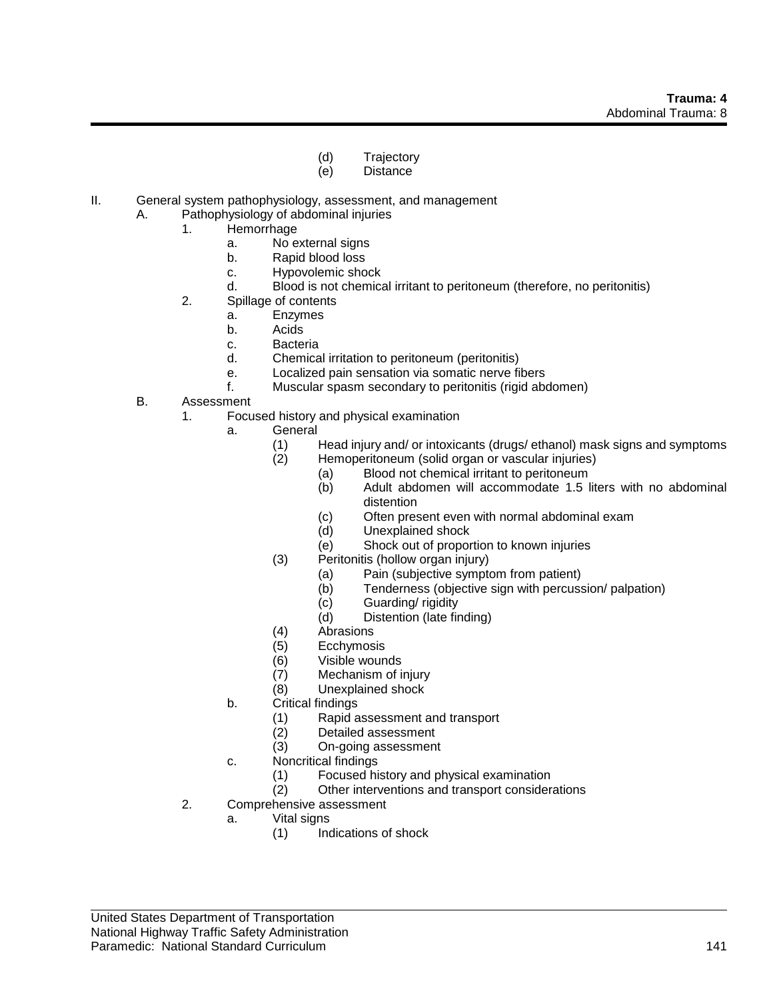- (d) Trajectory
- (e) Distance
- II. General system pathophysiology, assessment, and management
	- A. Pathophysiology of abdominal injuries
		- 1. Hemorrhage
			- a. No external signs
			- b. Rapid blood loss
			- c. Hypovolemic shock
			- d. Blood is not chemical irritant to peritoneum (therefore, no peritonitis)
		- 2. Spillage of contents
			- a. Enzymes
			- b. Acids
			- c. Bacteria
			- d. Chemical irritation to peritoneum (peritonitis)
			- e. Localized pain sensation via somatic nerve fibers
			- f. Muscular spasm secondary to peritonitis (rigid abdomen)
	- B. Assessment
		- 1. Focused history and physical examination
			- a. General
				- (1) Head injury and/ or intoxicants (drugs/ ethanol) mask signs and symptoms
				- (2) Hemoperitoneum (solid organ or vascular injuries)
					- (a) Blood not chemical irritant to peritoneum
						- (b) Adult abdomen will accommodate 1.5 liters with no abdominal distention
						- (c) Often present even with normal abdominal exam
						- (d) Unexplained shock
						- (e) Shock out of proportion to known injuries
				- (3) Peritonitis (hollow organ injury)
					- (a) Pain (subjective symptom from patient)
					- (b) Tenderness (objective sign with percussion/ palpation)
					- (c) Guarding/ rigidity<br>(d) Distention (late fir
					- Distention (late finding)
				- (4) Abrasions
				- (5) Ecchymosis
				- (6) Visible wounds
				- (7) Mechanism of injury
				- (8) Unexplained shock
			- b. Critical findings
				- (1) Rapid assessment and transport
				- (2) Detailed assessment
				- (3) On-going assessment
			- c. Noncritical findings
				- (1) Focused history and physical examination
				- (2) Other interventions and transport considerations
		- 2. Comprehensive assessment
			- a. Vital signs
				- (1) Indications of shock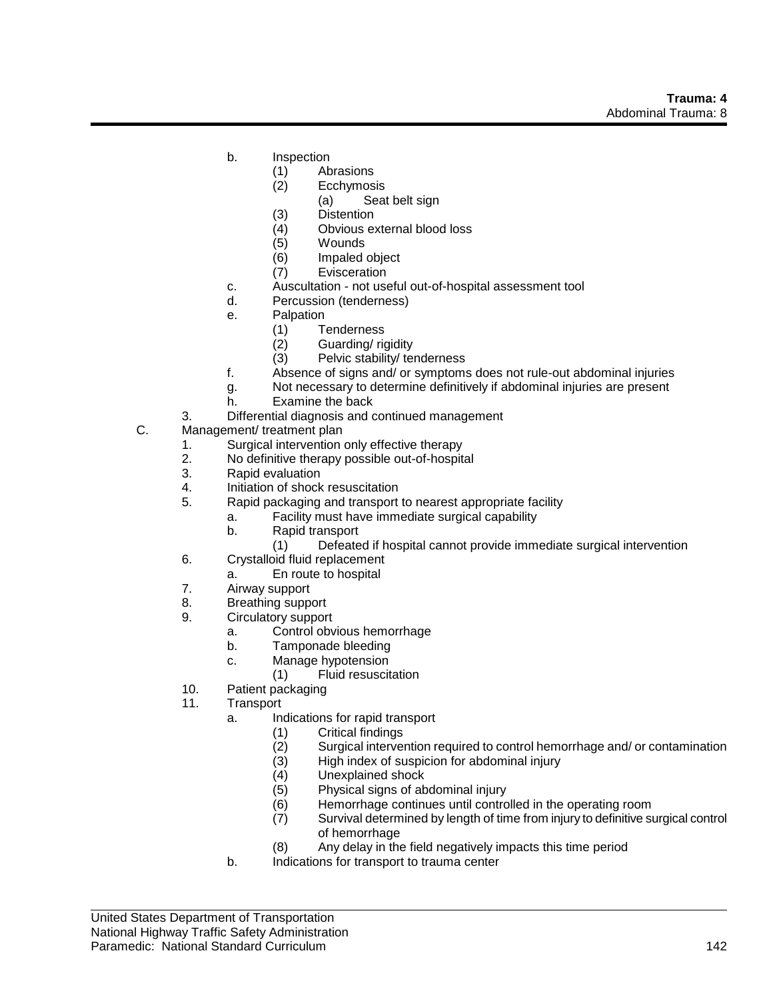- b. Inspection
	- (1) Abrasions
	- (2) Ecchymosis
		- (a) Seat belt sign
	- (3) Distention
	- (4) Obvious external blood loss
	- (5) Wounds
	- (6) Impaled object
	- (7) Evisceration
- c. Auscultation not useful out-of-hospital assessment tool
- d. Percussion (tenderness)
- e. Palpation
	- (1) Tenderness
	- (2) Guarding/ rigidity
	- (3) Pelvic stability/ tenderness
- f. Absence of signs and/ or symptoms does not rule-out abdominal injuries
- g. Not necessary to determine definitively if abdominal injuries are present
- h. Examine the back
- 3. Differential diagnosis and continued management
- C. Management/ treatment plan
	- 1. Surgical intervention only effective therapy
	- 2. No definitive therapy possible out-of-hospital
	- 3. Rapid evaluation
	- 4. Initiation of shock resuscitation
	- 5. Rapid packaging and transport to nearest appropriate facility
		- a. Facility must have immediate surgical capability
			- b. Rapid transport
				- (1) Defeated if hospital cannot provide immediate surgical intervention
	- 6. Crystalloid fluid replacement
		- a. En route to hospital
	- 7. Airway support
	- 8. Breathing support
	- 9. Circulatory support
		- a. Control obvious hemorrhage
		- b. Tamponade bleeding
		- c. Manage hypotension
			- (1) Fluid resuscitation
	- 10. Patient packaging
	- 11. Transport
		- a. Indications for rapid transport
			- (1) Critical findings
			- (2) Surgical intervention required to control hemorrhage and/ or contamination
			- (3) High index of suspicion for abdominal injury
			- (4) Unexplained shock
			- (5) Physical signs of abdominal injury
			- (6) Hemorrhage continues until controlled in the operating room
			- (7) Survival determined by length of time from injury to definitive surgical control of hemorrhage
			- (8) Any delay in the field negatively impacts this time period
		- b. Indications for transport to trauma center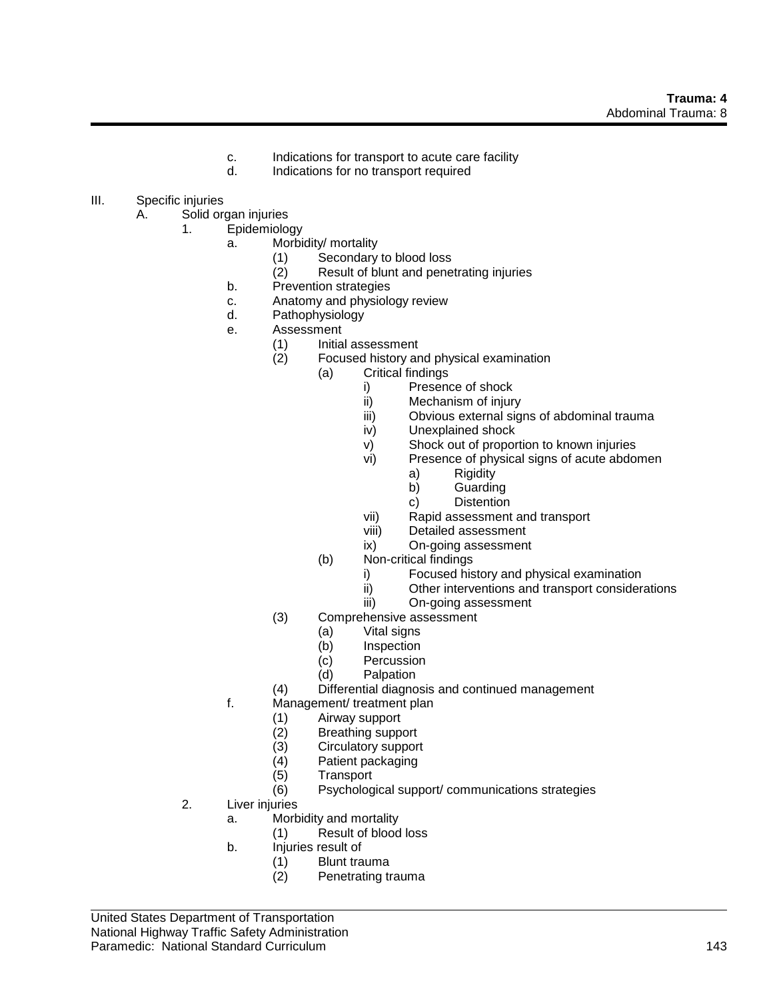- c. Indications for transport to acute care facility
- d. Indications for no transport required
- III. Specific injuries
	- A. Solid organ injuries
		- 1. Epidemiology
			- a. Morbidity/ mortality
				- (1) Secondary to blood loss<br>(2) Result of blunt and pene
				- Result of blunt and penetrating injuries
			- b. Prevention strategies
			- c. Anatomy and physiology review
			- d. Pathophysiology
			- e. Assessment
				- (1) Initial assessment
				- (2) Focused history and physical examination
					- (a) Critical findings
						- i) Presence of shock
						- ii) Mechanism of injury
						- iii) Obvious external signs of abdominal trauma
						- iv) Unexplained shock
						- v) Shock out of proportion to known injuries
						- vi) Presence of physical signs of acute abdomen
							- a) Rigidity
							- b) Guarding
							- c) Distention
						- vii) Rapid assessment and transport
						- viii) Detailed assessment
						- ix) On-going assessment
					- (b) Non-critical findings
						- i) Focused history and physical examination
						- ii) Other interventions and transport considerations
						- iii) On-going assessment
				- (3) Comprehensive assessment
					- (a) Vital signs<br>(b) Inspection
					- Inspection
					- (c) Percussion
					- (d) Palpation
				- (4) Differential diagnosis and continued management
			- f. Management/ treatment plan
				- (1) Airway support
				- (2) Breathing support
				- (3) Circulatory support
				- (4) Patient packaging
				- (5) Transport
				- (6) Psychological support/ communications strategies
		- 2. Liver injuries
			- a. Morbidity and mortality
				- (1) Result of blood loss
			- b. Injuries result of
				- (1) Blunt trauma
				- (2) Penetrating trauma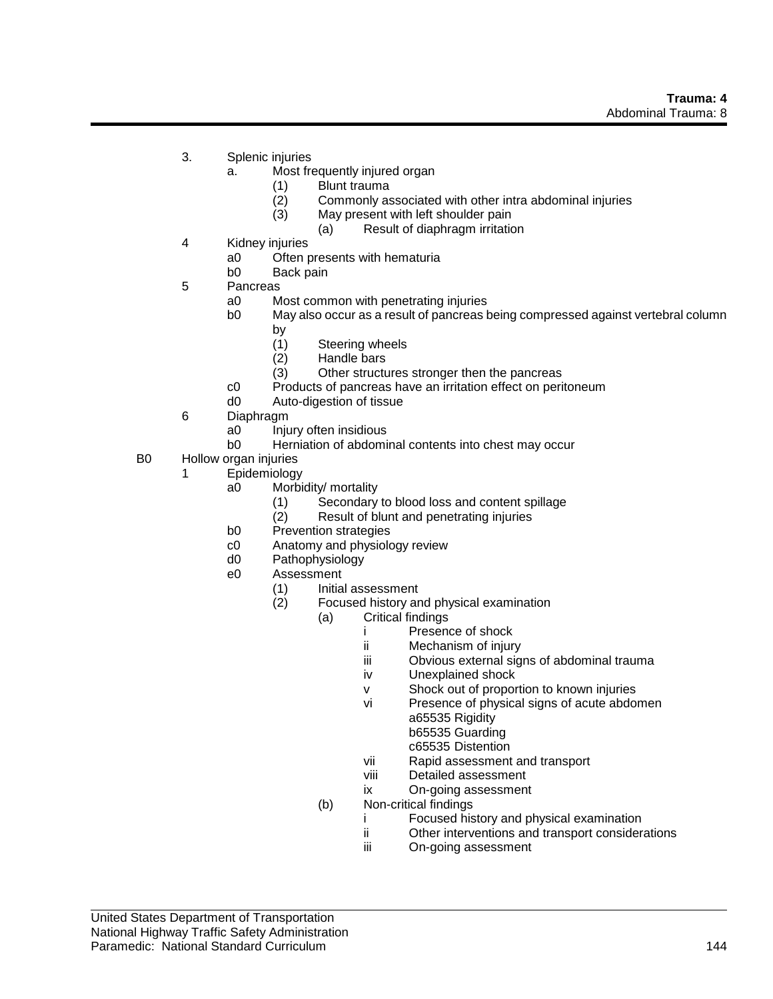- 3. Splenic injuries
	- a. Most frequently injured organ
		- (1) Blunt trauma
		- (2) Commonly associated with other intra abdominal injuries
		- (3) May present with left shoulder pain
			- (a) Result of diaphragm irritation
- 4 Kidney injuries
	- a0 Often presents with hematuria<br>b0 Back pain
	- Back pain
- 5 Pancreas
	- a0 Most common with penetrating injuries
	- b0 May also occur as a result of pancreas being compressed against vertebral column by
		- (1) Steering wheels
		- (2) Handle bars
		- (3) Other structures stronger then the pancreas
	- c0 Products of pancreas have an irritation effect on peritoneum
	- d0 Auto-digestion of tissue
- 6 Diaphragm
	- a0 Injury often insidious
	- b0 Herniation of abdominal contents into chest may occur
- B0 Hollow organ injuries
	- 1 Epidemiology
		- a0 Morbidity/ mortality
			- (1) Secondary to blood loss and content spillage
			- (2) Result of blunt and penetrating injuries
		- b0 Prevention strategies
		- c0 Anatomy and physiology review
		- d0 Pathophysiology
		- e0 Assessment
			- (1) Initial assessment
			- (2) Focused history and physical examination
				- (a) Critical findings
					- i Presence of shock<br>ii Mechanism of iniur
					- Mechanism of injury
					- iii Obvious external signs of abdominal trauma
					- iv Unexplained shock
					- v Shock out of proportion to known injuries
					- vi Presence of physical signs of acute abdomen a65535 Rigidity b65535 Guarding
						- c65535 Distention
					- vii Rapid assessment and transport
					- viii Detailed assessment
					- ix On-going assessment
				- (b) Non-critical findings
					- i Focused history and physical examination
					- ii Other interventions and transport considerations
					- iii On-going assessment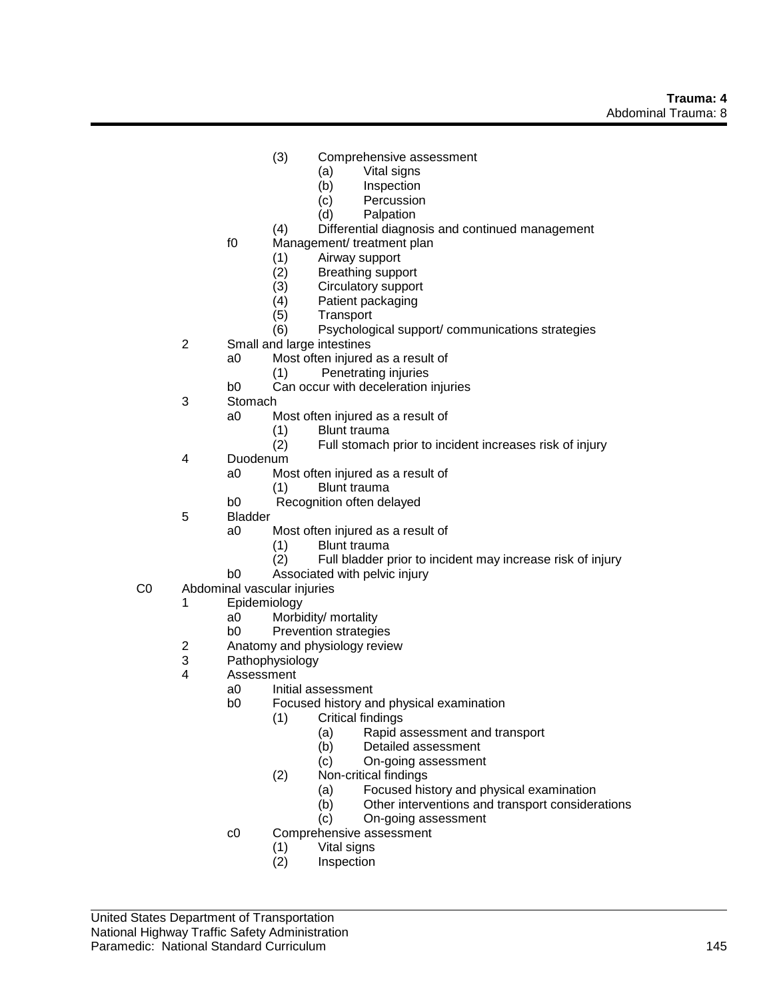- (3) Comprehensive assessment
	- (a) Vital signs
	- (b) Inspection
	- (c) Percussion
	- (d) Palpation
- (4) Differential diagnosis and continued management
- f0 Management/ treatment plan
	- (1) Airway support
	- (2) Breathing support<br>(3) Circulatory suppor
		- Circulatory support
	- (4) Patient packaging
	- (5) Transport
	- (6) Psychological support/ communications strategies
- 2 Small and large intestines
	- a0 Most often injured as a result of
		- (1) Penetrating injuries
	- b0 Can occur with deceleration injuries
- 3 Stomach
	- a0 Most often injured as a result of
		- (1) Blunt trauma
		- (2) Full stomach prior to incident increases risk of injury
- 4 Duodenum
	- a0 Most often injured as a result of
		- (1) Blunt trauma
	- b0 Recognition often delayed
- 5 Bladder
	- a0 Most often injured as a result of
		- (1) Blunt trauma
		- (2) Full bladder prior to incident may increase risk of injury
	- b0 Associated with pelvic injury
- C0 Abdominal vascular injuries
	- 1 Epidemiology
		- a0 Morbidity/ mortality
		- b0 Prevention strategies
	- 2 Anatomy and physiology review
	- 3 Pathophysiology
	- 4 Assessment
		- a0 Initial assessment
		- b0 Focused history and physical examination
			- (1) Critical findings
				- (a) Rapid assessment and transport
				- (b) Detailed assessment
				- (c) On-going assessment
			- (2) Non-critical findings
				- (a) Focused history and physical examination
				- (b) Other interventions and transport considerations
				- (c) On-going assessment
		- c0 Comprehensive assessment
			- (1) Vital signs
				- **Inspection**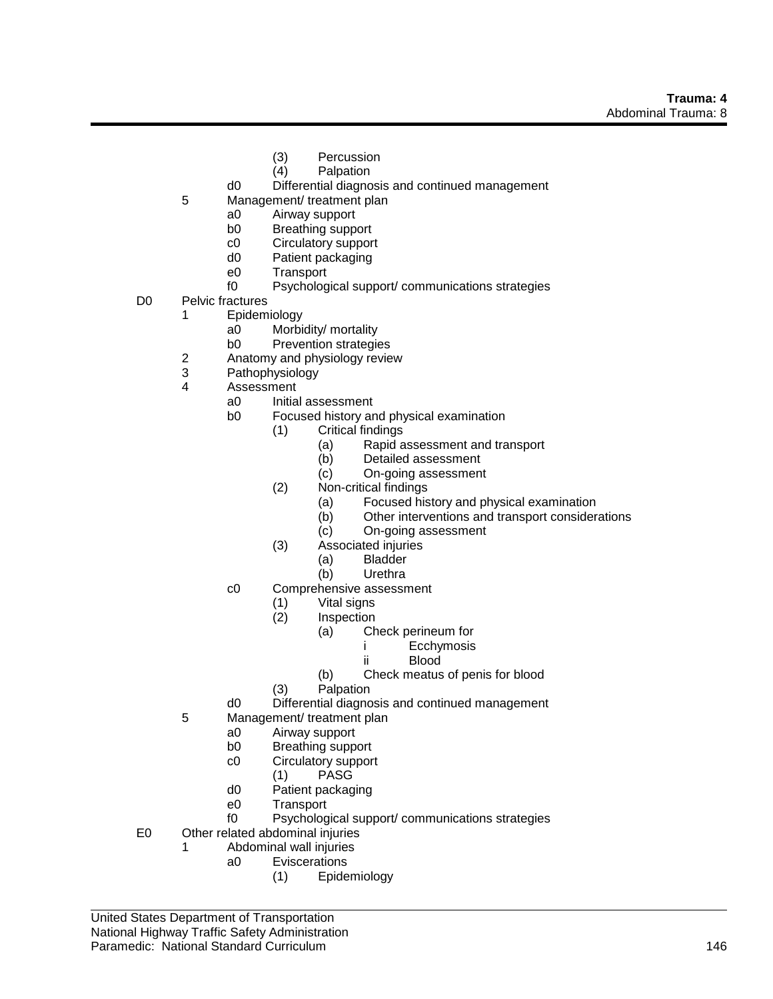- (3) Percussion
- (4) Palpation
- d0 Differential diagnosis and continued management
- 5 Management/ treatment plan
	- a0 Airway support
	- b0 Breathing support
	- c0 Circulatory support
	- d0 Patient packaging
	- e0 Transport
	- f0 Psychological support/ communications strategies
- D0 Pelvic fractures
	- 1 Epidemiology
		- a0 Morbidity/ mortality
		- b0 Prevention strategies
		- 2 Anatomy and physiology review
		- 3 Pathophysiology
	- 4 Assessment
		- a0 Initial assessment
		- b0 Focused history and physical examination
			- (1) Critical findings
				- (a) Rapid assessment and transport
				- (b) Detailed assessment
				- (c) On-going assessment
			- (2) Non-critical findings
				- (a) Focused history and physical examination
				- (b) Other interventions and transport considerations
				- (c) On-going assessment
			- (3) Associated injuries
				- (a) Bladder
				- (b) Urethra
		- c0 Comprehensive assessment
			- (1) Vital signs
			- **Inspection** 
				- (a) Check perineum for
					- i Ecchymosis
						- ii Blood
				- (b) Check meatus of penis for blood
			- (3) Palpation
		- d0 Differential diagnosis and continued management
	- 5 Management/ treatment plan
		- a0 Airway support
		- b0 Breathing support
		- c0 Circulatory support
			- (1) PASG
		- d0 Patient packaging
		- e0 Transport
		- f0 Psychological support/ communications strategies
- E0 Other related abdominal injuries
	- 1 Abdominal wall injuries
		- a0 Eviscerations
			- (1) Epidemiology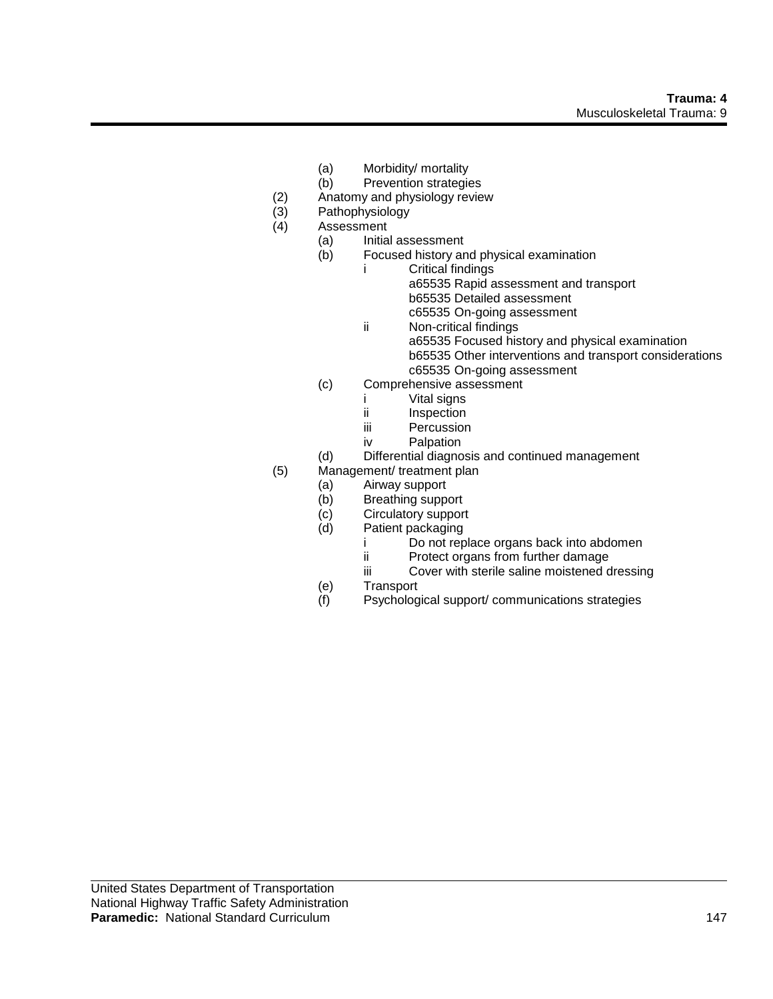- (a) Morbidity/ mortality
- (b) Prevention strategies
- (2) Anatomy and physiology review<br>
(3) Pathophysiology<br>
(4) Assessment
- Pathophysiology
- **Assessment** 
	- (a) Initial assessment
		- (b) Focused history and physical examination
			- i Critical findings a65535 Rapid assessment and transport
				- b65535 Detailed assessment
				- c65535 On-going assessment
			- ii Non-critical findings
				- a65535 Focused history and physical examination
				- b65535 Other interventions and transport considerations c65535 On-going assessment
		- (c) Comprehensive assessment
			- i Vital signs
			- ii Inspection
			- iii Percussion
			- iv Palpation
	- (d) Differential diagnosis and continued management
- (5) Management/ treatment plan
	- (a) Airway support
	-
	- (b) Breathing support<br>(c) Circulatory support (c) Circulatory support<br>
	(d) Patient packaging
	- Patient packaging
		- i Do not replace organs back into abdomen
		- ii Protect organs from further damage
		- iii Cover with sterile saline moistened dressing
	- (e) Transport
	- (f) Psychological support/ communications strategies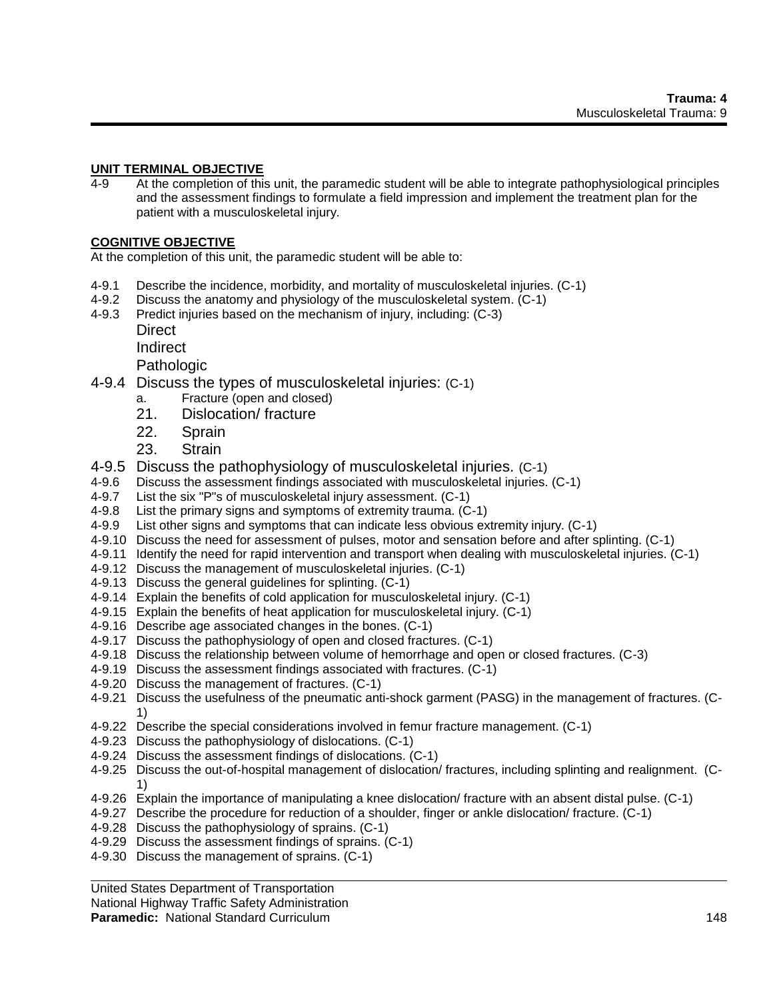## **UNIT TERMINAL OBJECTIVE**

4-9 At the completion of this unit, the paramedic student will be able to integrate pathophysiological principles and the assessment findings to formulate a field impression and implement the treatment plan for the patient with a musculoskeletal injury.

## **COGNITIVE OBJECTIVE**

At the completion of this unit, the paramedic student will be able to:

- 4-9.1 Describe the incidence, morbidity, and mortality of musculoskeletal injuries. (C-1)
- 4-9.2 Discuss the anatomy and physiology of the musculoskeletal system. (C-1)
- 4-9.3 Predict injuries based on the mechanism of injury, including: (C-3)
	- Direct
	- Indirect

Pathologic

- 4-9.4 Discuss the types of musculoskeletal injuries: (C-1)
	- a. Fracture (open and closed)
	- 21. Dislocation/ fracture
	- 22. Sprain
	- 23. Strain
- 4-9.5 Discuss the pathophysiology of musculoskeletal injuries. (C-1)
- 4-9.6 Discuss the assessment findings associated with musculoskeletal injuries. (C-1)
- 4-9.7 List the six "P"s of musculoskeletal injury assessment. (C-1)
- 4-9.8 List the primary signs and symptoms of extremity trauma. (C-1)
- 4-9.9 List other signs and symptoms that can indicate less obvious extremity injury. (C-1)
- 4-9.10 Discuss the need for assessment of pulses, motor and sensation before and after splinting. (C-1)
- 4-9.11 Identify the need for rapid intervention and transport when dealing with musculoskeletal injuries. (C-1)
- 4-9.12 Discuss the management of musculoskeletal injuries. (C-1)
- 4-9.13 Discuss the general guidelines for splinting. (C-1)
- 4-9.14 Explain the benefits of cold application for musculoskeletal injury. (C-1)
- 4-9.15 Explain the benefits of heat application for musculoskeletal injury. (C-1)
- 4-9.16 Describe age associated changes in the bones. (C-1)
- 4-9.17 Discuss the pathophysiology of open and closed fractures. (C-1)
- 4-9.18 Discuss the relationship between volume of hemorrhage and open or closed fractures. (C-3)
- 4-9.19 Discuss the assessment findings associated with fractures. (C-1)
- 4-9.20 Discuss the management of fractures. (C-1)
- 4-9.21 Discuss the usefulness of the pneumatic anti-shock garment (PASG) in the management of fractures. (C-1)
- 4-9.22 Describe the special considerations involved in femur fracture management. (C-1)
- 4-9.23 Discuss the pathophysiology of dislocations. (C-1)
- 4-9.24 Discuss the assessment findings of dislocations. (C-1)
- 4-9.25 Discuss the out-of-hospital management of dislocation/ fractures, including splinting and realignment. (C-1)
- 4-9.26 Explain the importance of manipulating a knee dislocation/ fracture with an absent distal pulse. (C-1)
- 4-9.27 Describe the procedure for reduction of a shoulder, finger or ankle dislocation/ fracture. (C-1)
- 4-9.28 Discuss the pathophysiology of sprains. (C-1)
- 4-9.29 Discuss the assessment findings of sprains. (C-1)
- 4-9.30 Discuss the management of sprains. (C-1)

United States Department of Transportation

National Highway Traffic Safety Administration

**Paramedic:** National Standard Curriculum 148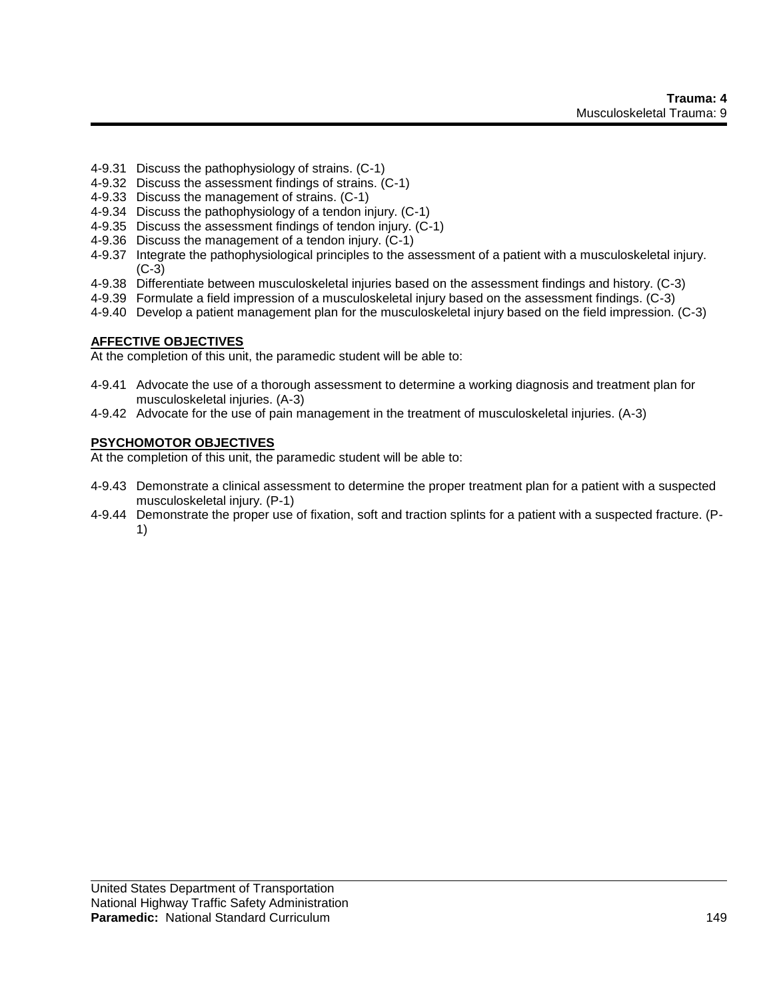- 4-9.31 Discuss the pathophysiology of strains. (C-1)
- 4-9.32 Discuss the assessment findings of strains. (C-1)
- 4-9.33 Discuss the management of strains. (C-1)
- 4-9.34 Discuss the pathophysiology of a tendon injury. (C-1)
- 4-9.35 Discuss the assessment findings of tendon injury. (C-1)
- 4-9.36 Discuss the management of a tendon injury. (C-1)
- 4-9.37 Integrate the pathophysiological principles to the assessment of a patient with a musculoskeletal injury. (C-3)
- 4-9.38 Differentiate between musculoskeletal injuries based on the assessment findings and history. (C-3)
- 4-9.39 Formulate a field impression of a musculoskeletal injury based on the assessment findings. (C-3)
- 4-9.40 Develop a patient management plan for the musculoskeletal injury based on the field impression. (C-3)

#### **AFFECTIVE OBJECTIVES**

At the completion of this unit, the paramedic student will be able to:

- 4-9.41 Advocate the use of a thorough assessment to determine a working diagnosis and treatment plan for musculoskeletal injuries. (A-3)
- 4-9.42 Advocate for the use of pain management in the treatment of musculoskeletal injuries. (A-3)

#### **PSYCHOMOTOR OBJECTIVES**

At the completion of this unit, the paramedic student will be able to:

- 4-9.43 Demonstrate a clinical assessment to determine the proper treatment plan for a patient with a suspected musculoskeletal injury. (P-1)
- 4-9.44 Demonstrate the proper use of fixation, soft and traction splints for a patient with a suspected fracture. (P-1)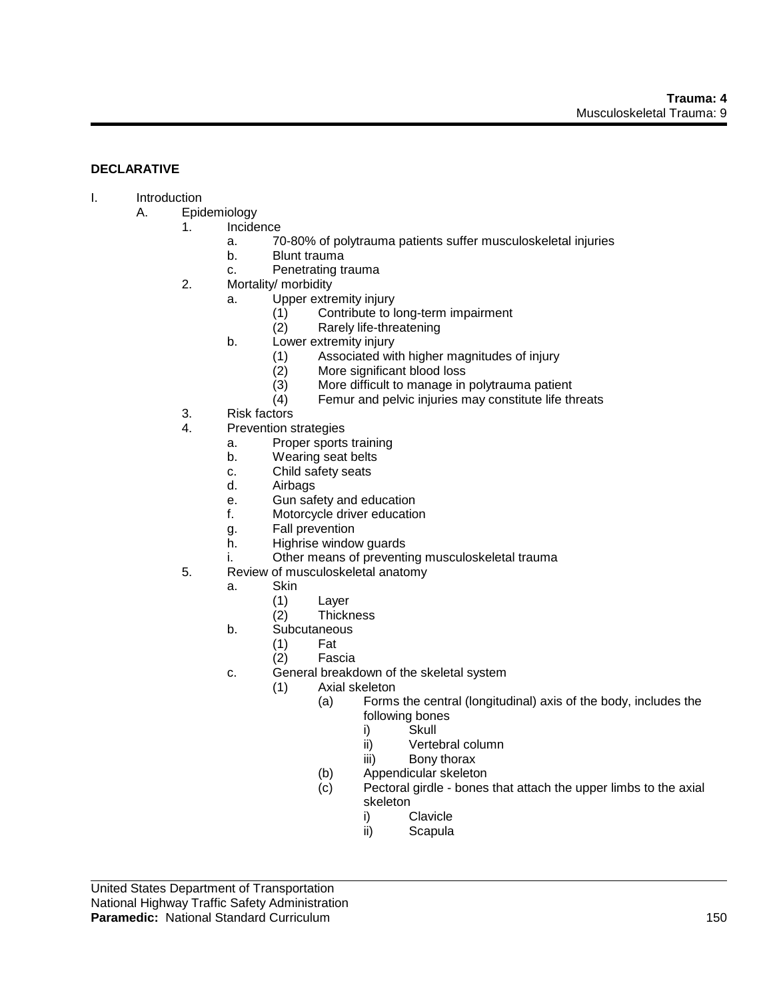# **DECLARATIVE**

## I. Introduction

- A. Epidemiology
	- 1. Incidence
		- a. 70-80% of polytrauma patients suffer musculoskeletal injuries
		- b. Blunt trauma
		- c. Penetrating trauma
	- 2. Mortality/ morbidity
		- a. Upper extremity injury
			- (1) Contribute to long-term impairment<br>(2) Rarely life-threatening
			- Rarely life-threatening
			- b. Lower extremity injury
				- (1) Associated with higher magnitudes of injury
				- (2) More significant blood loss
				- (3) More difficult to manage in polytrauma patient
				- (4) Femur and pelvic injuries may constitute life threats
	- 3. Risk factors
	- 4. Prevention strategies
		- a. Proper sports training
		- b. Wearing seat belts
		- c. Child safety seats
		- d. Airbags
		- e. Gun safety and education
		- f. Motorcycle driver education
		- g. Fall prevention
		- h. Highrise window guards
		- i. Other means of preventing musculoskeletal trauma
	- 5. Review of musculoskeletal anatomy
		- a. Skin
			- (1) Layer
			- (2) Thickness
		- b. Subcutaneous
			- (1) Fat
			- (2) Fascia
		- c. General breakdown of the skeletal system
			- (1) Axial skeleton
				- (a) Forms the central (longitudinal) axis of the body, includes the following bones
					- i) Skull
					- ii) Vertebral column
					- iii) Bony thorax
				- (b) Appendicular skeleton
				- (c) Pectoral girdle bones that attach the upper limbs to the axial skeleton
					- i) Clavicle
					- ii) Scapula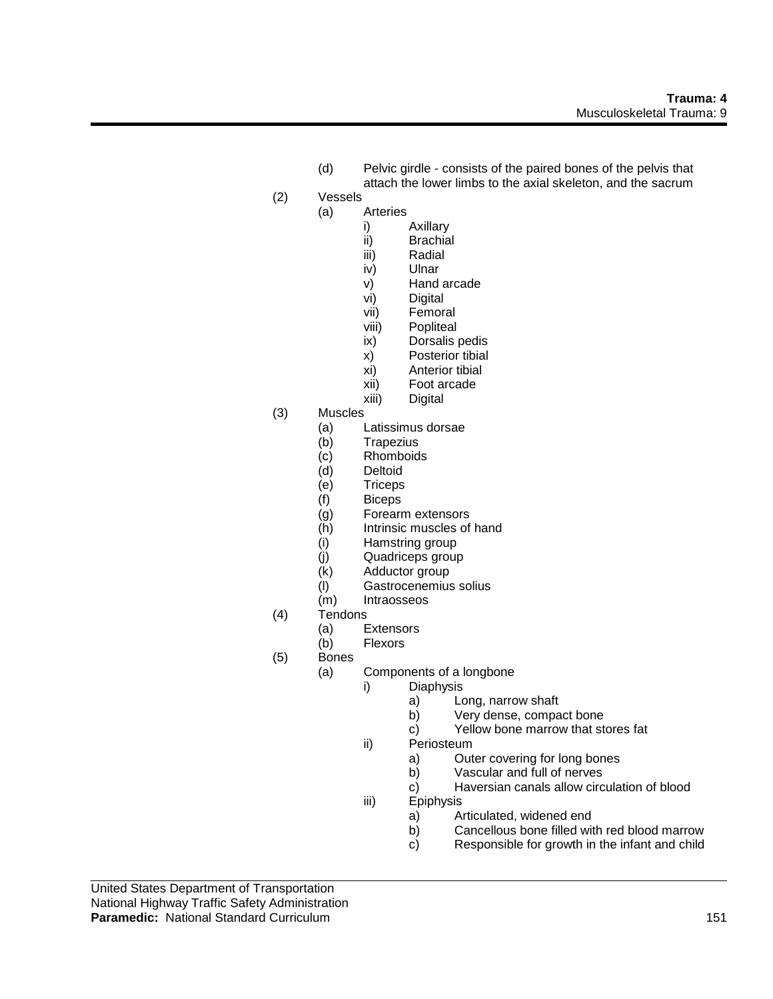- (d) Pelvic girdle consists of the paired bones of the pelvis that attach the lower limbs to the axial skeleton, and the sacrum
- (2) Vessels
	- (a) Arteries
		- i) Axillary
		- ii) Brachial
		- iii) Radial
		- iv) Ulnar
		- v) Hand arcade<br>vi) Digital
		- Digital
		- vii) Femoral
		- viii) Popliteal
		- ix) Dorsalis pedis
		- x) Posterior tibial
		- xi) Anterior tibial
		- xii) Foot arcade
		- xiii) Digital
- (3) Muscles
	- (a) Latissimus dorsae
	- (b) Trapezius
	- (c) Rhomboids
	- (d) Deltoid
	- (e) Triceps
	- (f) Biceps
	- (g) Forearm extensors
	- (h) Intrinsic muscles of hand
	- (i) Hamstring group
	- (j) Quadriceps group
	- (k) Adductor group
	- (l) Gastrocenemius solius
	- **Intraosseos**
- (4) Tendons
	- (a) Extensors
	- (b) Flexors
- (5) Bones
	- (a) Components of a longbone
		- i) Diaphysis
			- a) Long, narrow shaft
			- b) Very dense, compact bone
			- c) Yellow bone marrow that stores fat
		- ii) Periosteum
			- a) Outer covering for long bones
			- b) Vascular and full of nerves
			- c) Haversian canals allow circulation of blood
		- iii) Epiphysis
			- a) Articulated, widened end
			- b) Cancellous bone filled with red blood marrow
			- c) Responsible for growth in the infant and child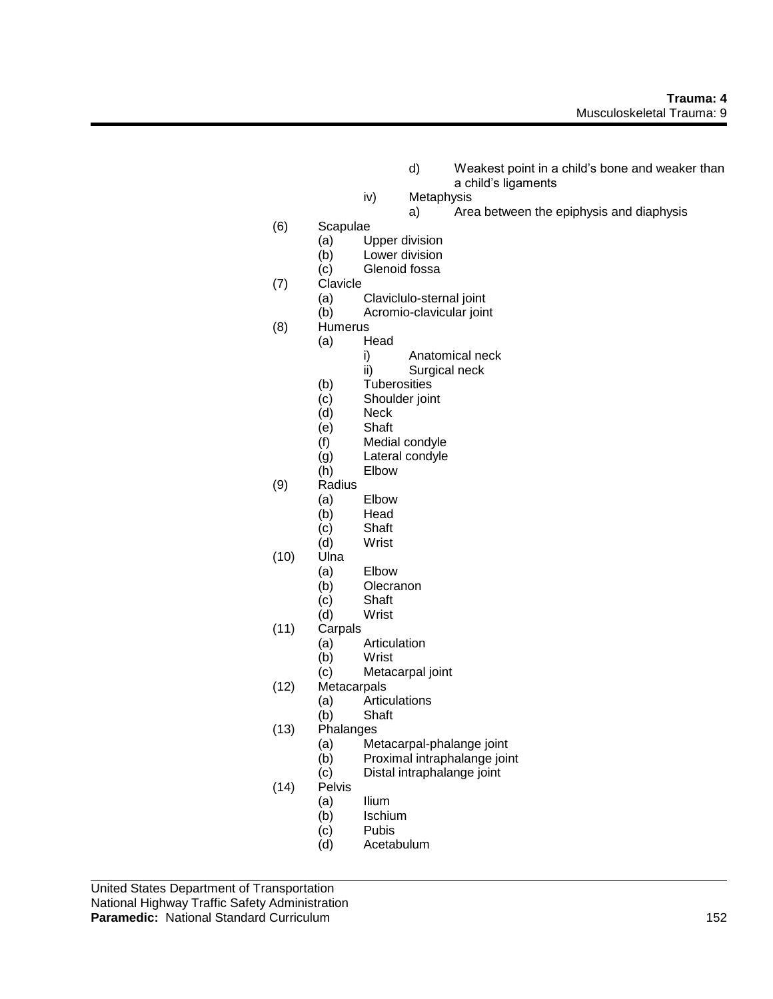- d) Weakest point in a child's bone and weaker than a child's ligaments
- iv) Metaphysis
	- a) Area between the epiphysis and diaphysis
- (6) Scapulae
	- (a) Upper division
		- (b) Lower division
		- (c) Glenoid fossa
- (7) Clavicle
	- (a) Claviclulo-sternal joint
	- (b) Acromio-clavicular joint
- (8) Humerus
	- (a) Head
		- i) Anatomical neck
		- ii) Surgical neck
	- (b) Tuberosities
	- (c) Shoulder joint
	- (d) Neck
	- (e) Shaft
	- (f) Medial condyle
	- (g) Lateral condyle
	- (h) Elbow
- (9) Radius
	- (a) Elbow
	- (b) Head<br>(c) Shaft
	- Shaft
	- (d) Wrist
- (10) Ulna
	- (a) Elbow
		- (b) Olecranon
		- (c) Shaft
		- (d) Wrist
- (11) Carpals
	- (a) Articulation
	- (b) Wrist
	- (c) Metacarpal joint
- (12) Metacarpals
	- (a) Articulations
	- (b) Shaft
- (13) Phalanges
	- (a) Metacarpal-phalange joint
	- (b) Proximal intraphalange joint
	- (c) Distal intraphalange joint
- (14) Pelvis
	- (a) Ilium
	- (b) Ischium
	- (c) Pubis
	- (d) Acetabulum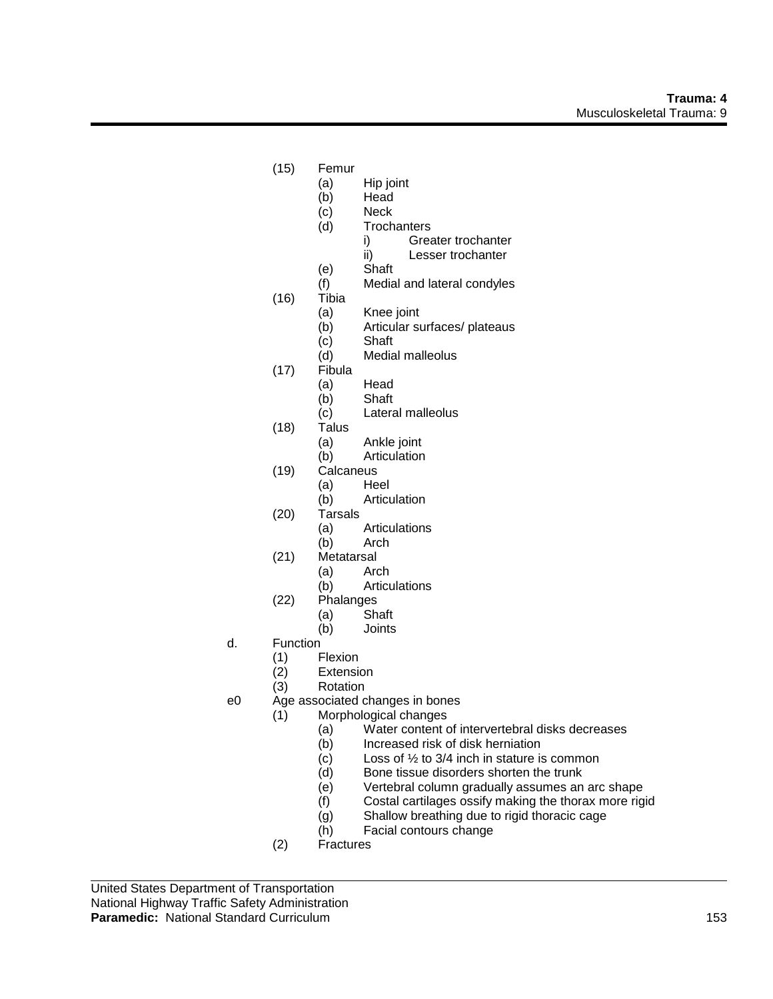- (15) Femur
	- (a) Hip joint<br>(b) Head
		- **Head**
	- (c) Neck
	- (d) Trochanters
		- i) Greater trochanter
		- ii) Lesser trochanter
	- (e) Shaft
	- (f) Medial and lateral condyles
- (16) Tibia
	- (a) Knee joint
	- (b) Articular surfaces/ plateaus
	- (c) Shaft
	- (d) Medial malleolus
- (17) Fibula
	- (a) Head
	- (b) Shaft
	- (c) Lateral malleolus
- (18) Talus
	- (a) Ankle joint
	- (b) Articulation
- (19) Calcaneus
	- (a) Heel
	- (b) Articulation
- (20) Tarsals
	- (a) Articulations
	- (b) Arch
- (21) Metatarsal
	- (a) Arch
	- (b) Articulations
- (22) Phalanges
	- (a) Shaft
		- (b) Joints
- d. Function
	- (1) Flexion
	- (2) Extension
	- (3) Rotation
- e0 Age associated changes in bones
	- (1) Morphological changes
		- (a) Water content of intervertebral disks decreases
		- (b) Increased risk of disk herniation
		- $(c)$  Loss of  $\frac{1}{2}$  to 3/4 inch in stature is common
		- (d) Bone tissue disorders shorten the trunk
		- (e) Vertebral column gradually assumes an arc shape
		- (f) Costal cartilages ossify making the thorax more rigid
		- (g) Shallow breathing due to rigid thoracic cage
		- (h) Facial contours change
	- (2) Fractures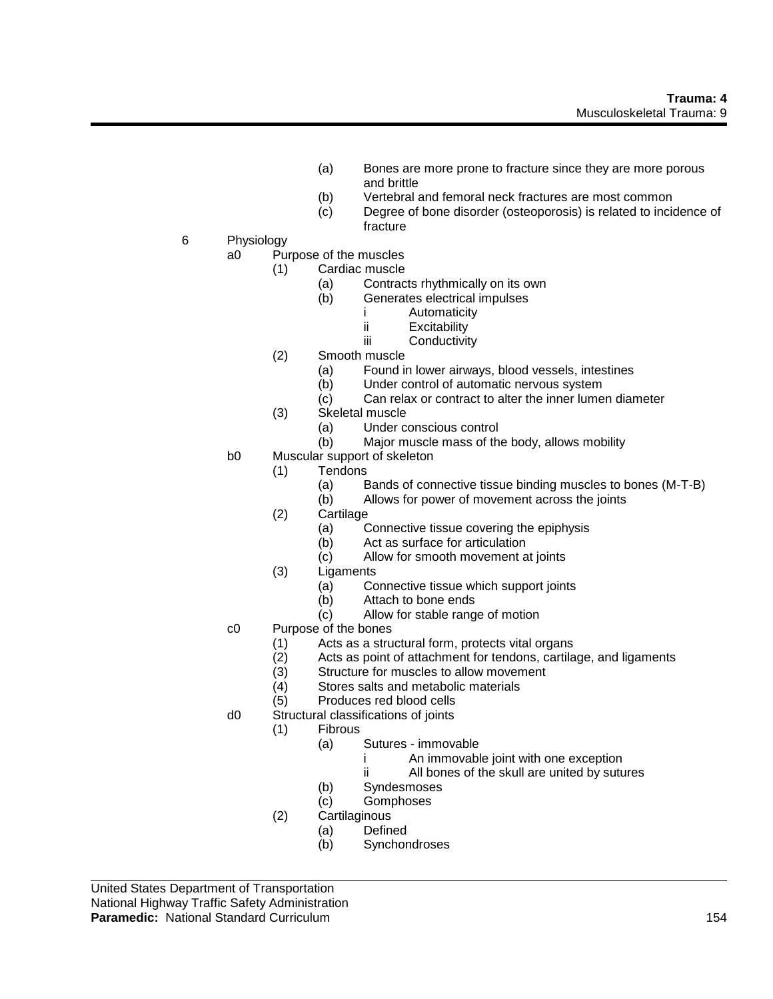- (a) Bones are more prone to fracture since they are more porous and brittle
- (b) Vertebral and femoral neck fractures are most common
- (c) Degree of bone disorder (osteoporosis) is related to incidence of fracture
- 6 Physiology
	- a0 Purpose of the muscles
		- (1) Cardiac muscle
			- (a) Contracts rhythmically on its own<br>(b) Generates electrical impulses
			- Generates electrical impulses
				- i Automaticity
				- ii Excitability
				- iii Conductivity
		- (2) Smooth muscle
			- (a) Found in lower airways, blood vessels, intestines
			- (b) Under control of automatic nervous system
			- (c) Can relax or contract to alter the inner lumen diameter
		- (3) Skeletal muscle
			- (a) Under conscious control
			- (b) Major muscle mass of the body, allows mobility
	- b0 Muscular support of skeleton
		- (1) Tendons
			- (a) Bands of connective tissue binding muscles to bones (M-T-B)
			- (b) Allows for power of movement across the joints
		- (2) Cartilage
			- (a) Connective tissue covering the epiphysis
			- (b) Act as surface for articulation
			- (c) Allow for smooth movement at joints
		- (3) Ligaments
			- (a) Connective tissue which support joints
			- (b) Attach to bone ends
			- (c) Allow for stable range of motion
	- c0 Purpose of the bones
		- (1) Acts as a structural form, protects vital organs
		- (2) Acts as point of attachment for tendons, cartilage, and ligaments
		- $(3)$  Structure for muscles to allow movement  $(4)$  Stores salts and metabolic materials
		- Stores salts and metabolic materials
		- (5) Produces red blood cells
	- d0 Structural classifications of joints
		- (1) Fibrous
			- (a) Sutures immovable
				- i An immovable joint with one exception
				- ii All bones of the skull are united by sutures
			- (b) Syndesmoses
			- (c) Gomphoses
		- (2) Cartilaginous
			- (a) Defined
			- (b) Synchondroses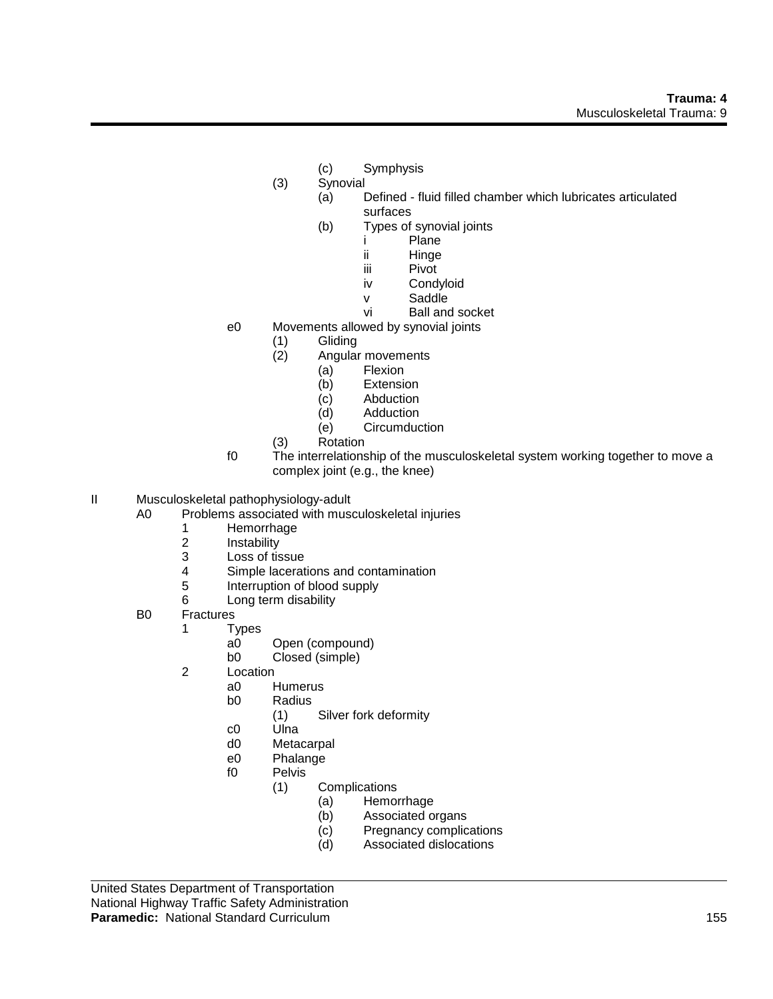- (c) Symphysis
- (3) Synovial
	- (a) Defined fluid filled chamber which lubricates articulated surfaces
	- (b) Types of synovial joints
		- i Plane
			- ii Hinge
			- iii Pivot
			- iv Condyloid
			- v Saddle
			- vi Ball and socket
- e0 Movements allowed by synovial joints
	- (1) Gliding
		- (2) Angular movements
			- (a) Flexion
			- (b) Extension
			- (c) Abduction
			- (d) Adduction
			- (e) Circumduction
	- (3) Rotation
- f0 The interrelationship of the musculoskeletal system working together to move a complex joint (e.g., the knee)
- II Musculoskeletal pathophysiology-adult
	- Problems associated with musculoskeletal injuries
		- 1 Hemorrhage<br>2 Instability
		- **Instability**
		- 3 Loss of tissue
		- 4 Simple lacerations and contamination<br>5 Interruption of blood supply
		- Interruption of blood supply
		- 6 Long term disability
	- B0 Fractures
		- 1 Types
			- a0 Open (compound)
			- b0 Closed (simple)
		- 2 Location
			- a0 Humerus<br>b0 Radius
				- Radius
					- (1) Silver fork deformity
			- c0 Ulna
			- d0 Metacarpal
			- e0 Phalange
			- f0 Pelvis
				- (1) Complications
					- (a) Hemorrhage
						- (b) Associated organs
						- (c) Pregnancy complications
						- (d) Associated dislocations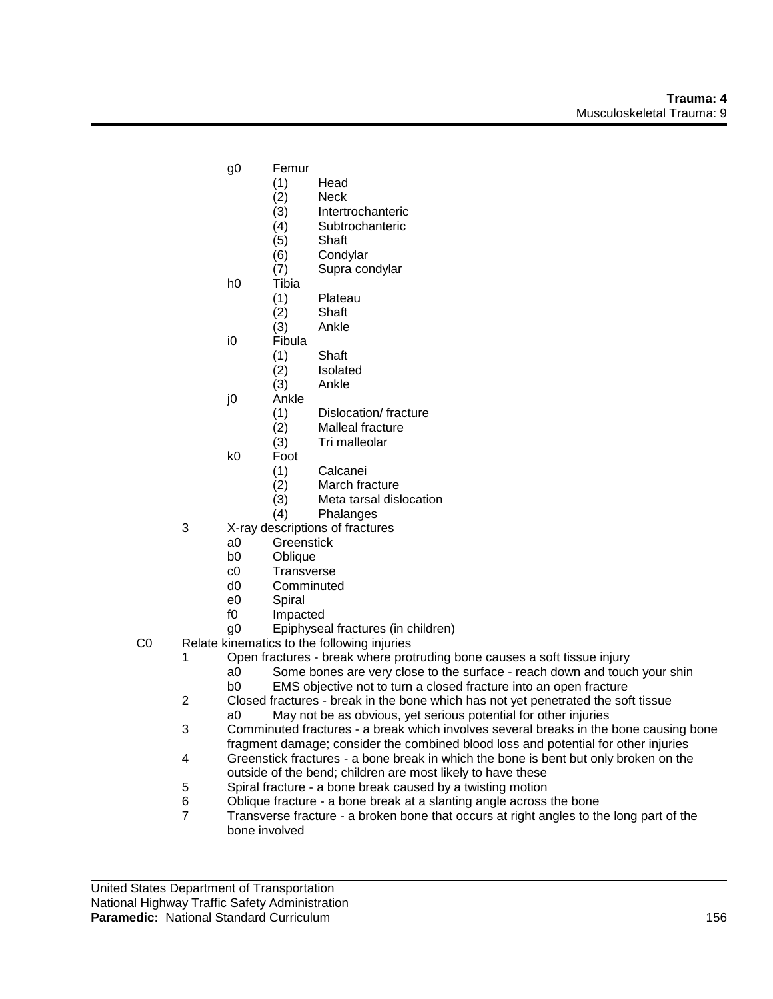- g0 Femur
	- (1) Head
	- (2) Neck
	- (3) Intertrochanteric
	- (4) Subtrochanteric
	- (5) Shaft
	- (6) Condylar
	- (7) Supra condylar
- h0 Tibia
	- (1) Plateau
	- (2) Shaft
	- (3) Ankle
- i0 Fibula
	- (1) Shaft
	- (2) Isolated
	- (3) Ankle
- j0 Ankle
	- (1) Dislocation/ fracture
	- (2) Malleal fracture
	- (3) Tri malleolar
- k0 Foot
	- (1) Calcanei
	- (2) March fracture
	- (3) Meta tarsal dislocation
	- (4) Phalanges
- 3 X-ray descriptions of fractures
	- a0 Greenstick
	- b0 Oblique
	- c0 Transverse
	- d0 Comminuted
	- e0 Spiral
	- f0 Impacted
	- g0 Epiphyseal fractures (in children)
- C0 Relate kinematics to the following injuries
	- 1 Open fractures break where protruding bone causes a soft tissue injury
		- a0 Some bones are very close to the surface reach down and touch your shin b0 EMS objective not to turn a closed fracture into an open fracture
	- 2 Closed fractures break in the bone which has not yet penetrated the soft tissue
	- a0 May not be as obvious, yet serious potential for other injuries 3 Comminuted fractures - a break which involves several breaks in the bone causing bone
	- fragment damage; consider the combined blood loss and potential for other injuries
	- 4 Greenstick fractures a bone break in which the bone is bent but only broken on the outside of the bend; children are most likely to have these
	- 5 Spiral fracture a bone break caused by a twisting motion
	- 6 Oblique fracture a bone break at a slanting angle across the bone
	- 7 Transverse fracture a broken bone that occurs at right angles to the long part of the bone involved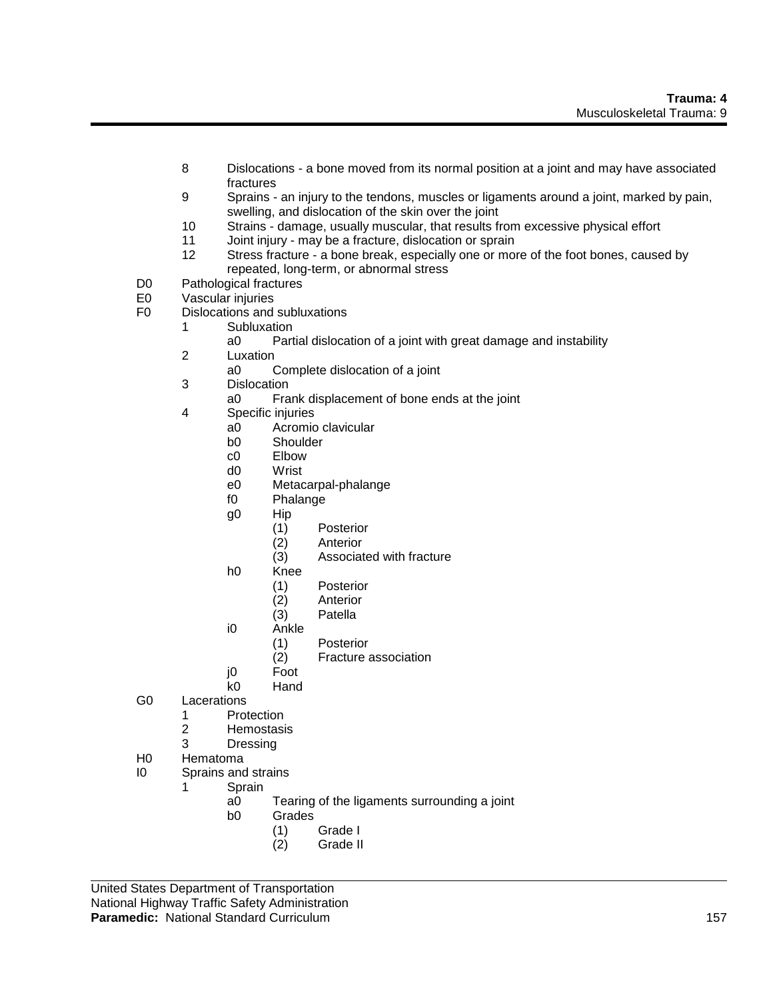- 8 Dislocations a bone moved from its normal position at a joint and may have associated fractures
- 9 Sprains an injury to the tendons, muscles or ligaments around a joint, marked by pain, swelling, and dislocation of the skin over the joint
- 10 Strains damage, usually muscular, that results from excessive physical effort
- 11 Joint injury may be a fracture, dislocation or sprain
- 12 Stress fracture a bone break, especially one or more of the foot bones, caused by repeated, long-term, or abnormal stress
- D0 Pathological fractures<br>E0 Vascular injuries
- Vascular injuries
- F0 Dislocations and subluxations
	- 1 Subluxation<br>a0 Part
		- Partial dislocation of a joint with great damage and instability
	- 2 Luxation
		- a0 Complete dislocation of a joint
	- 3 Dislocation
		- a0 Frank displacement of bone ends at the joint
	- 4 Specific injuries
		- a0 Acromio clavicular
		- b0 Shoulder
		- c0 Elbow
		- d0 Wrist
		- e0 Metacarpal-phalange
		- f0 Phalange
		- g0 Hip
			- (1) Posterior
			- (2) Anterior
			- (3) Associated with fracture
		- h0 Knee
			- (1) Posterior
			- (2) Anterior
			- (3) Patella
		- i0 Ankle
			- (1) Posterior
			- (2) Fracture association
		- j0 Foot
		- k0 Hand
- G0 Lacerations
	- 1 Protection
	- 2 Hemostasis
	- 3 Dressing
- H0 Hematoma
- I0 Sprains and strains
	- 1 Sprain
		- a0 Tearing of the ligaments surrounding a joint
		- b0 Grades
			- (1) Grade I
			- (2) Grade II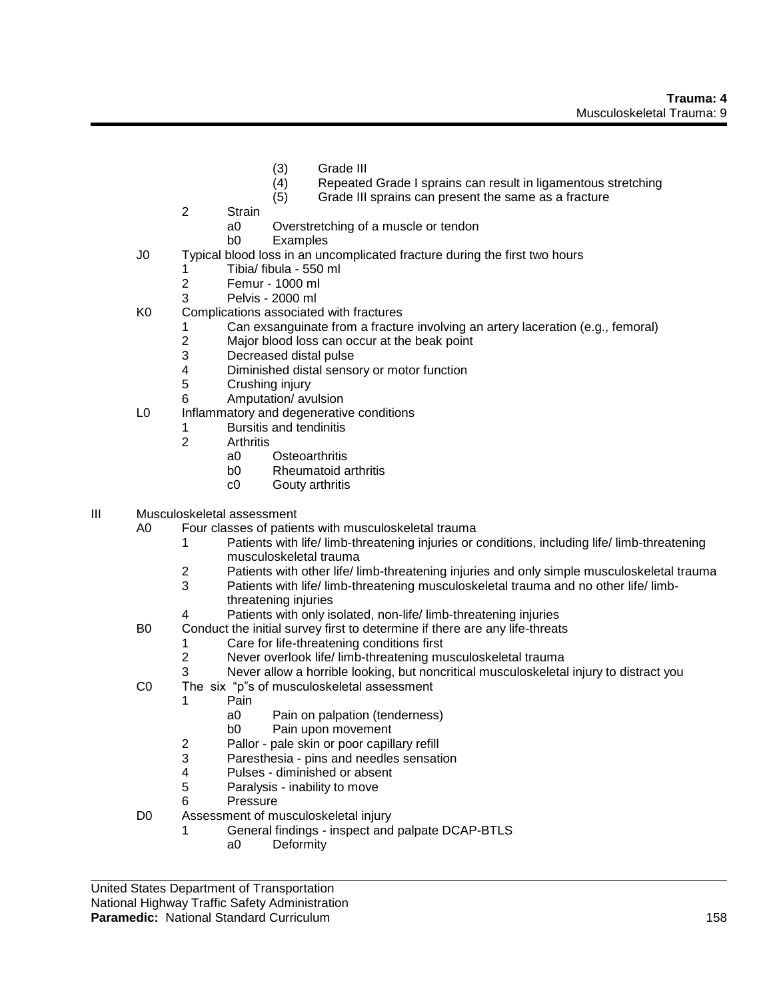- (3) Grade III
- (4) Repeated Grade I sprains can result in ligamentous stretching
- (5) Grade III sprains can present the same as a fracture
- 2 Strain
	- a0 Overstretching of a muscle or tendon
	- b0 Examples
- J0 Typical blood loss in an uncomplicated fracture during the first two hours
	- 1 Tibia/ fibula 550 ml
	- 2 Femur 1000 ml
	- 3 Pelvis 2000 ml
- K0 Complications associated with fractures
	- 1 Can exsanguinate from a fracture involving an artery laceration (e.g., femoral)
		- 2 Major blood loss can occur at the beak point
		- 3 Decreased distal pulse
		- 4 Diminished distal sensory or motor function
		- 5 Crushing injury
	- 6 Amputation/ avulsion
- L0 Inflammatory and degenerative conditions
	- 1 Bursitis and tendinitis
	- 2 Arthritis
		- a0 Osteoarthritis
		- b0 Rheumatoid arthritis
		- c0 Gouty arthritis
- III Musculoskeletal assessment
	- A0 Four classes of patients with musculoskeletal trauma
		- 1 Patients with life/ limb-threatening injuries or conditions, including life/ limb-threatening musculoskeletal trauma
		- 2 Patients with other life/ limb-threatening injuries and only simple musculoskeletal trauma
		- 3 Patients with life/ limb-threatening musculoskeletal trauma and no other life/ limbthreatening injuries
		- 4 Patients with only isolated, non-life/ limb-threatening injuries
	- B0 Conduct the initial survey first to determine if there are any life-threats
		- 1 Care for life-threatening conditions first
		- 2 Never overlook life/ limb-threatening musculoskeletal trauma
		- 3 Never allow a horrible looking, but noncritical musculoskeletal injury to distract you
	- C0 The six "p"s of musculoskeletal assessment
		- 1 Pain
			- a0 Pain on palpation (tenderness)
			- b0 Pain upon movement
		- 2 Pallor pale skin or poor capillary refill
		- 3 Paresthesia pins and needles sensation
		- 4 Pulses diminished or absent
		- 5 Paralysis inability to move
		- 6 Pressure
	- D0 Assessment of musculoskeletal injury
		- 1 General findings inspect and palpate DCAP-BTLS
			- a0 Deformity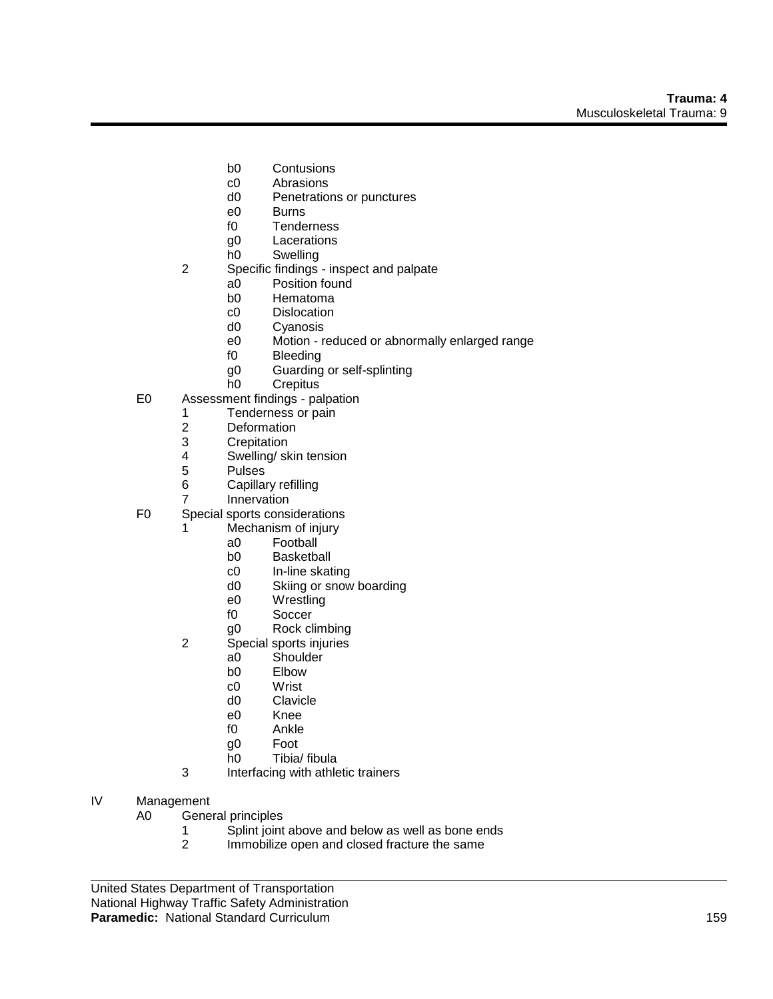- b0 Contusions
- c0 Abrasions
- d0 Penetrations or punctures
- e0 Burns
- f0 Tenderness
- g0 Lacerations
- h0 Swelling
- 2 Specific findings inspect and palpate
	- a0 Position found<br>b0 Hematoma
	- Hematoma
	- c0 Dislocation
	- d0 Cyanosis
	- e0 Motion reduced or abnormally enlarged range
	- f0 Bleeding
	- g0 Guarding or self-splinting<br>h0 Crepitus
	- Crepitus
- E0 Assessment findings palpation
	- 1 Tenderness or pain
	- 2 Deformation<br>3 Crepitation
	- **Crepitation**
	- 4 Swelling/ skin tension
	- 5 Pulses
	- 6 Capillary refilling
	- 7 Innervation
- F0 Special sports considerations
	- 1 Mechanism of injury
		- a0 Football
		- b0 Basketball
		- c0 In-line skating
		- d0 Skiing or snow boarding
		- e0 Wrestling
		- f0 Soccer
		- g0 Rock climbing
		- 2 Special sports injuries
			- a0 Shoulder
			- b0 Elbow
			- c0 Wrist<br>d0 Clavic
			- Clavicle
			- e0 Knee
			- f0 Ankle
			- g0 Foot
			- h0 Tibia/ fibula
		- 3 Interfacing with athletic trainers
- IV Management

A0 General principles

- 1 Splint joint above and below as well as bone ends
- 2 Immobilize open and closed fracture the same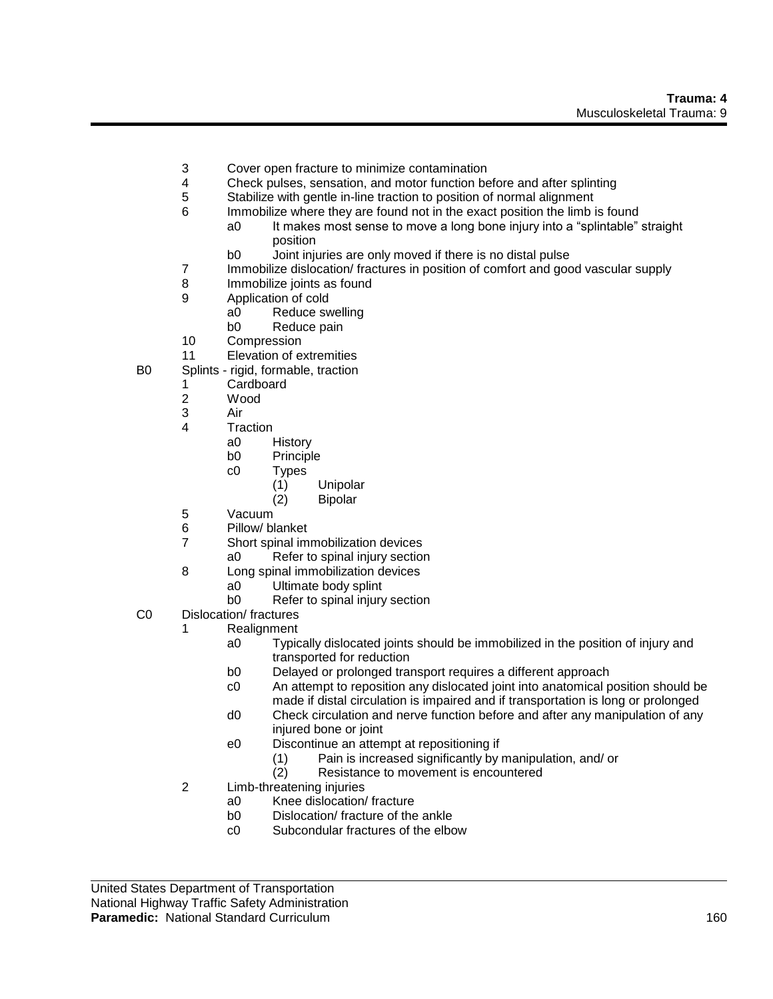- 3 Cover open fracture to minimize contamination
- 4 Check pulses, sensation, and motor function before and after splinting
- 5 Stabilize with gentle in-line traction to position of normal alignment
- 6 Immobilize where they are found not in the exact position the limb is found
	- a0 It makes most sense to move a long bone injury into a "splintable" straight position
		- b0 Joint injuries are only moved if there is no distal pulse
- 7 Immobilize dislocation/ fractures in position of comfort and good vascular supply
- 8 Immobilize joints as found
- 9 Application of cold
	- a0 Reduce swelling
	- b0 Reduce pain
- 10 Compression
- 11 Elevation of extremities
- B0 Splints rigid, formable, traction
	- 1 Cardboard<br>2 Wood
		- Wood
		- 3 Air
		- 4 Traction
			- a0 History
			- b0 Principle
			- c0 Types
				- (1) Unipolar
				- (2) Bipolar
		- 5 Vacuum
		- 6 Pillow/ blanket
		- 7 Short spinal immobilization devices
			- a0 Refer to spinal injury section
		- 8 Long spinal immobilization devices
			- a0 Ultimate body splint
			- b0 Refer to spinal injury section
- C0 Dislocation/ fractures
	- 1 Realignment
		- a0 Typically dislocated joints should be immobilized in the position of injury and transported for reduction
		- b0 Delayed or prolonged transport requires a different approach
		- c0 An attempt to reposition any dislocated joint into anatomical position should be made if distal circulation is impaired and if transportation is long or prolonged
		- d0 Check circulation and nerve function before and after any manipulation of any injured bone or joint
		- e0 Discontinue an attempt at repositioning if
			- (1) Pain is increased significantly by manipulation, and/ or
			- (2) Resistance to movement is encountered
	- 2 Limb-threatening injuries
		- a0 Knee dislocation/ fracture
		- b0 Dislocation/ fracture of the ankle
		- c0 Subcondular fractures of the elbow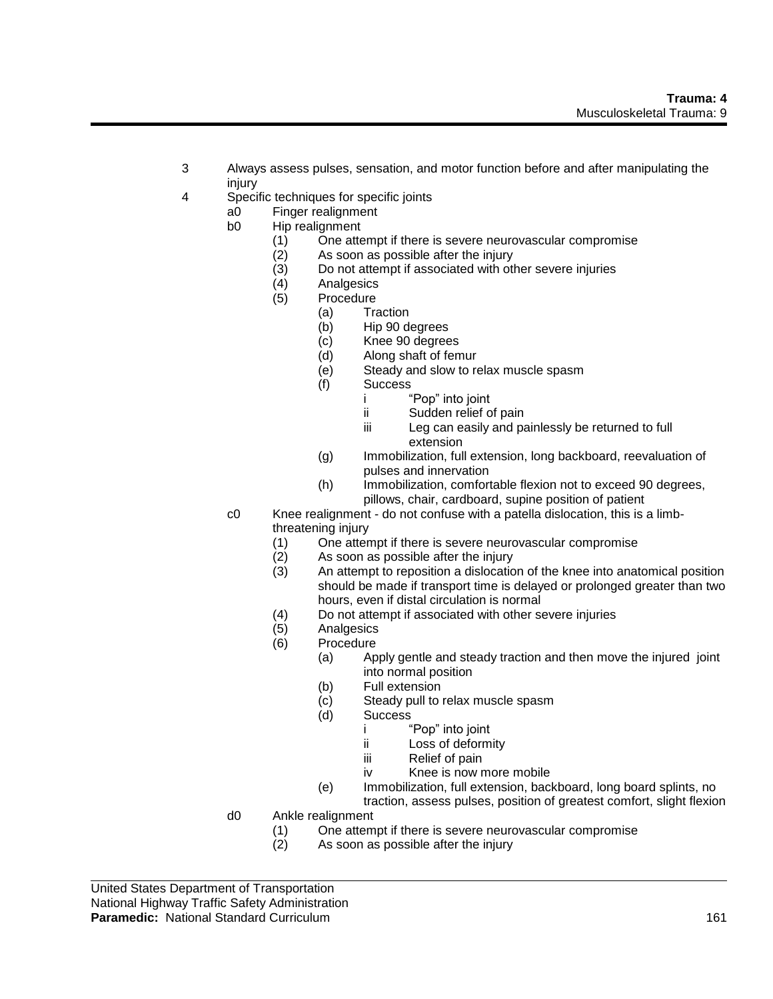- 3 Always assess pulses, sensation, and motor function before and after manipulating the injury
- 4 Specific techniques for specific joints
	- a0 Finger realignment
	- b0 Hip realignment
		- (1) One attempt if there is severe neurovascular compromise
		- (2) As soon as possible after the injury
		- (3) Do not attempt if associated with other severe injuries
		- (4) Analgesics
		- Procedure
			- (a) Traction
			- (b) Hip 90 degrees
			- (c) Knee 90 degrees
			- (d) Along shaft of femur
			- (e) Steady and slow to relax muscle spasm
			- (f) Success
				- i "Pop" into joint
				- ii Sudden relief of pain
				- iii Leg can easily and painlessly be returned to full extension
			- (g) Immobilization, full extension, long backboard, reevaluation of pulses and innervation
			- (h) Immobilization, comfortable flexion not to exceed 90 degrees, pillows, chair, cardboard, supine position of patient
	- c0 Knee realignment do not confuse with a patella dislocation, this is a limbthreatening injury
		- (1) One attempt if there is severe neurovascular compromise
		- (2) As soon as possible after the injury
		- (3) An attempt to reposition a dislocation of the knee into anatomical position should be made if transport time is delayed or prolonged greater than two hours, even if distal circulation is normal
		- (4) Do not attempt if associated with other severe injuries
		- (5) Analgesics
		- (6) Procedure
			- (a) Apply gentle and steady traction and then move the injured joint into normal position
			- (b) Full extension
			- (c) Steady pull to relax muscle spasm
			- (d) Success
				- i "Pop" into joint
					- ii Loss of deformity
					- iii Relief of pain
					- iv Knee is now more mobile
			- (e) Immobilization, full extension, backboard, long board splints, no traction, assess pulses, position of greatest comfort, slight flexion
	- d0 Ankle realignment
		- (1) One attempt if there is severe neurovascular compromise
		- (2) As soon as possible after the injury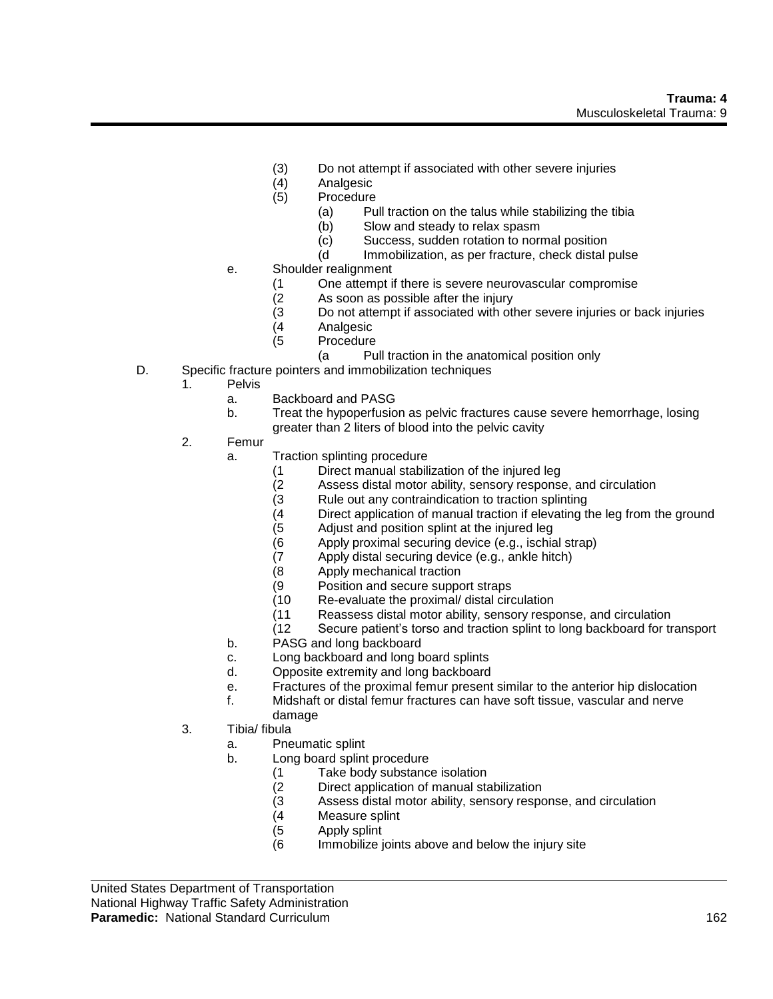- (3) Do not attempt if associated with other severe injuries
- (4) Analgesic
- (5) Procedure
	- (a) Pull traction on the talus while stabilizing the tibia
	- (b) Slow and steady to relax spasm
	- (c) Success, sudden rotation to normal position<br>(d lmmobilization, as per fracture, check distal u
	- Immobilization, as per fracture, check distal pulse
- e. Shoulder realignment
	- (1 One attempt if there is severe neurovascular compromise<br>(2 As soon as possible after the injury
	-
	- (2 As soon as possible after the injury<br>(3 Do not attempt if associated with oth Do not attempt if associated with other severe injuries or back injuries
	-
	- (4 Analgesic Procedure
		- (a Pull traction in the anatomical position only
- D. Specific fracture pointers and immobilization techniques
	- 1. Pelvis
		- a. Backboard and PASG
		- b. Treat the hypoperfusion as pelvic fractures cause severe hemorrhage, losing greater than 2 liters of blood into the pelvic cavity
	- 2. Femur
		- a. Traction splinting procedure
			- (1 Direct manual stabilization of the injured leg
			- (2 Assess distal motor ability, sensory response, and circulation
			- (3 Rule out any contraindication to traction splinting
			- (4 Direct application of manual traction if elevating the leg from the ground (5 Adjust and position splint at the injured leg
			- Adjust and position splint at the injured leg
			- (6 Apply proximal securing device (e.g., ischial strap)
			- (7 Apply distal securing device (e.g., ankle hitch)
			- (8 Apply mechanical traction
			- (9 Position and secure support straps<br>(10 Re-evaluate the proximal/ distal circ
			- Re-evaluate the proximal/ distal circulation
			- (11 Reassess distal motor ability, sensory response, and circulation
			- (12 Secure patient's torso and traction splint to long backboard for transport
		- b. PASG and long backboard
		- c. Long backboard and long board splints
		- d. Opposite extremity and long backboard
		- e. Fractures of the proximal femur present similar to the anterior hip dislocation
		- f. Midshaft or distal femur fractures can have soft tissue, vascular and nerve damage
	- 3. Tibia/ fibula
		- a. Pneumatic splint
		- b. Long board splint procedure
			- (1 Take body substance isolation
			- (2 Direct application of manual stabilization
			- (3 Assess distal motor ability, sensory response, and circulation
			- (4 Measure splint
			- (5 Apply splint
			- (6 Immobilize joints above and below the injury site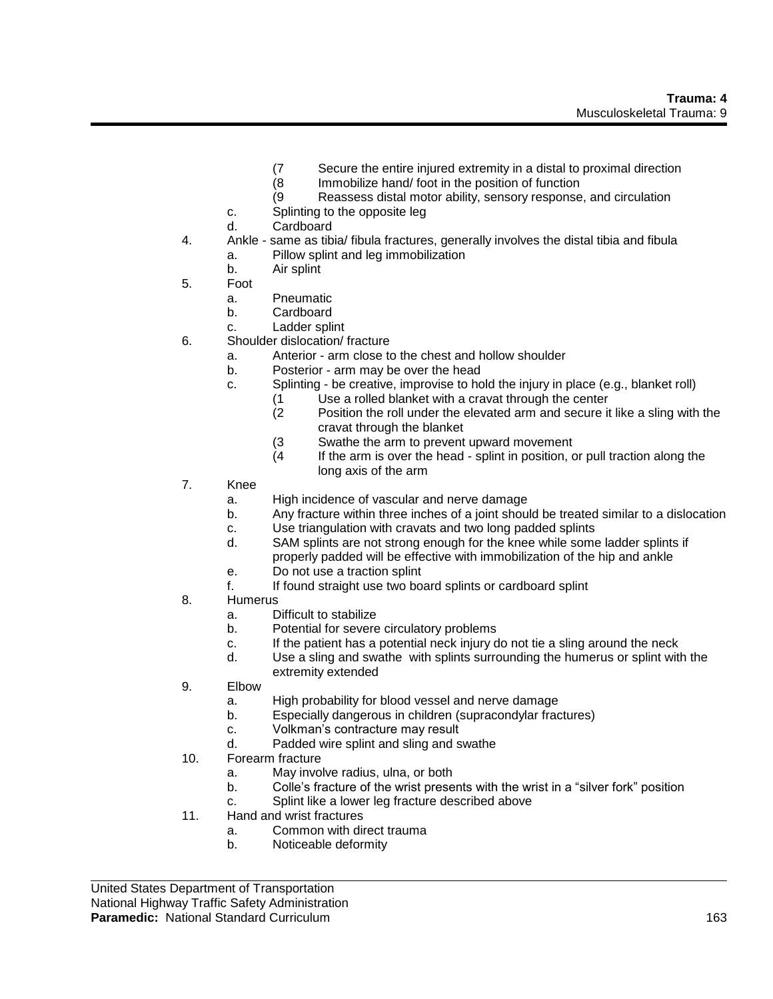- (7 Secure the entire injured extremity in a distal to proximal direction
- (8 Immobilize hand/ foot in the position of function
- (9 Reassess distal motor ability, sensory response, and circulation
- c. Splinting to the opposite leg
- d. Cardboard
- 4. Ankle same as tibia/ fibula fractures, generally involves the distal tibia and fibula a. Pillow splint and leg immobilization
	- b. Air splint
- 5. Foot
	- a. Pneumatic
	- b. Cardboard
	- c. Ladder splint
- 6. Shoulder dislocation/ fracture
	- a. Anterior arm close to the chest and hollow shoulder
	- b. Posterior arm may be over the head
	- c. Splinting be creative, improvise to hold the injury in place (e.g., blanket roll)
		- (1 Use a rolled blanket with a cravat through the center
		- (2 Position the roll under the elevated arm and secure it like a sling with the cravat through the blanket
		- (3 Swathe the arm to prevent upward movement
		- (4 If the arm is over the head splint in position, or pull traction along the long axis of the arm
- 7. Knee
	- a. High incidence of vascular and nerve damage
	- b. Any fracture within three inches of a joint should be treated similar to a dislocation
	- c. Use triangulation with cravats and two long padded splints
	- d. SAM splints are not strong enough for the knee while some ladder splints if properly padded will be effective with immobilization of the hip and ankle
	- e. Do not use a traction splint
	- f. If found straight use two board splints or cardboard splint
- 8. Humerus
	- a. Difficult to stabilize
	- b. Potential for severe circulatory problems
	- c. If the patient has a potential neck injury do not tie a sling around the neck
	- d. Use a sling and swathe with splints surrounding the humerus or splint with the extremity extended
- 9. Elbow
	- a. High probability for blood vessel and nerve damage
	- b. Especially dangerous in children (supracondylar fractures)
	- c. Volkman's contracture may result
	- d. Padded wire splint and sling and swathe
- 10. Forearm fracture
	- a. May involve radius, ulna, or both
	- b. Colle's fracture of the wrist presents with the wrist in a "silver fork" position
	- c. Splint like a lower leg fracture described above
- 11. Hand and wrist fractures
	- a. Common with direct trauma
	- b. Noticeable deformity